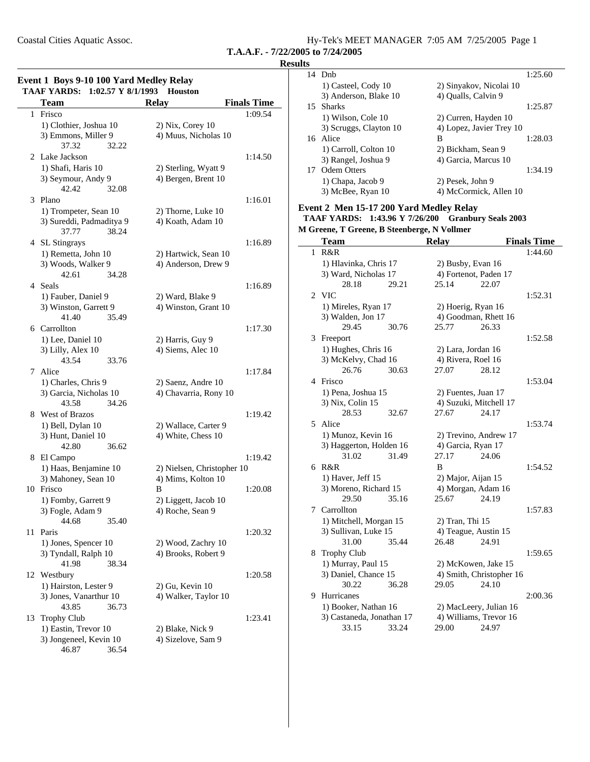Coastal Cities Aquatic Assoc.

| Hy-Tek's MEET MANAGER 7:05 AM 7/25/2005 Page 1 |  |  |  |
|------------------------------------------------|--|--|--|
|------------------------------------------------|--|--|--|

**T.A.A.F. - 7/22/2005 to 7/24/2005**

### **Event 1 Boys 9-10 100 Yard Medley Relay TAAF YARDS:** 1:02.57 Y 8/1/1993 **Houston**

|    | тамрэ.<br><b>Team</b>    | $1.04.31 \pm 0.111773$<br><b>Relay</b> | <b>Finals Time</b> |
|----|--------------------------|----------------------------------------|--------------------|
| 1  | Frisco                   |                                        | 1:09.54            |
|    | 1) Clothier, Joshua 10   | $2)$ Nix, Corey 10                     |                    |
|    | 3) Emmons, Miller 9      | 4) Muus, Nicholas 10                   |                    |
|    | 37.32                    | 32.22                                  |                    |
|    | 2 Lake Jackson           |                                        | 1:14.50            |
|    | 1) Shafi, Haris 10       | 2) Sterling, Wyatt 9                   |                    |
|    | 3) Seymour, Andy 9       | 4) Bergen, Brent 10                    |                    |
|    | 42.42                    | 32.08                                  |                    |
|    | 3 Plano                  |                                        | 1:16.01            |
|    | 1) Trompeter, Sean 10    | 2) Thorne, Luke 10                     |                    |
|    | 3) Sureddi, Padmaditya 9 | 4) Koath, Adam 10                      |                    |
|    | 37.77                    | 38.24                                  |                    |
|    | 4 SL Stingrays           |                                        | 1:16.89            |
|    | 1) Remetta, John 10      | 2) Hartwick, Sean 10                   |                    |
|    | 3) Woods, Walker 9       | 4) Anderson, Drew 9                    |                    |
|    | 42.61<br>34.28           |                                        |                    |
|    | 4 Seals                  |                                        | 1:16.89            |
|    | 1) Fauber, Daniel 9      | 2) Ward, Blake 9                       |                    |
|    | 3) Winston, Garrett 9    | 4) Winston, Grant 10                   |                    |
|    | 41.40                    | 35.49                                  |                    |
|    | 6 Carrollton             |                                        | 1:17.30            |
|    | 1) Lee, Daniel 10        | 2) Harris, Guy 9                       |                    |
|    | 3) Lilly, Alex 10        | 4) Siems, Alec 10                      |                    |
|    | 43.54<br>33.76           |                                        |                    |
| 7  | Alice                    |                                        | 1:17.84            |
|    | 1) Charles, Chris 9      | 2) Saenz, Andre 10                     |                    |
|    | 3) Garcia, Nicholas 10   | 4) Chavarria, Rony 10                  |                    |
|    | 43.58                    | 34.26                                  |                    |
|    | 8 West of Brazos         |                                        | 1:19.42            |
|    | 1) Bell, Dylan 10        | 2) Wallace, Carter 9                   |                    |
|    | 3) Hunt, Daniel 10       | 4) White, Chess 10                     |                    |
|    | 42.80                    | 36.62                                  |                    |
|    | 8 El Campo               |                                        | 1:19.42            |
|    | 1) Haas, Benjamine 10    | 2) Nielsen, Christopher 10             |                    |
|    | 3) Mahoney, Sean 10      | 4) Mims, Kolton 10                     |                    |
|    | 10 Frisco                | B                                      | 1:20.08            |
|    | 1) Fomby, Garrett 9      | 2) Liggett, Jacob 10                   |                    |
|    | 3) Fogle, Adam 9         | 4) Roche, Sean 9                       |                    |
|    | 44.68<br>35.40           |                                        |                    |
| 11 | Paris                    |                                        | 1:20.32            |
|    | 1) Jones, Spencer 10     | 2) Wood, Zachry 10                     |                    |
|    | 3) Tyndall, Ralph 10     | 4) Brooks, Robert 9                    |                    |
|    | 41.98                    | 38.34                                  |                    |
| 12 | Westbury                 |                                        | 1:20.58            |
|    | 1) Hairston, Lester 9    | 2) Gu, Kevin 10                        |                    |
|    | 3) Jones, Vanarthur 10   | 4) Walker, Taylor 10                   |                    |
|    | 43.85                    | 36.73                                  |                    |
| 13 | <b>Trophy Club</b>       |                                        | 1:23.41            |
|    | 1) Eastin, Trevor 10     | 2) Blake, Nick 9                       |                    |
|    | 3) Jongeneel, Kevin 10   | 4) Sizelove, Sam 9                     |                    |
|    | 46.87<br>36.54           |                                        |                    |

| <b>Results</b> |                        |                          |         |  |
|----------------|------------------------|--------------------------|---------|--|
|                | 14 Dnb                 |                          | 1:25.60 |  |
|                | 1) Casteel, Cody 10    | 2) Sinyakov, Nicolai 10  |         |  |
|                | 3) Anderson, Blake 10  | 4) Qualls, Calvin 9      |         |  |
|                | 15 Sharks              |                          | 1:25.87 |  |
|                | 1) Wilson, Cole 10     | 2) Curren, Hayden 10     |         |  |
|                | 3) Scruggs, Clayton 10 | 4) Lopez, Javier Trey 10 |         |  |
|                | 16 Alice               | B                        | 1:28.03 |  |
|                | 1) Carroll, Colton 10  | 2) Bickham, Sean 9       |         |  |
|                | 3) Rangel, Joshua 9    | 4) Garcia, Marcus 10     |         |  |
|                | 17 Odem Otters         |                          | 1:34.19 |  |
|                | 1) Chapa, Jacob 9      | 2) Pesek, John 9         |         |  |
|                | 3) McBee, Ryan 10      | 4) McCormick, Allen 10   |         |  |

### **Event 2 Men 15-17 200 Yard Medley Relay**

**TAAF YARDS: 1:43.96 Y 7/26/200 Granbury Seals 2003 M Greene, T Greene, B Steenberge, N Vollmer**

|   | <b>Team</b>                        |       | <b>Relay</b>                    |                                   | <b>Finals Time</b> |
|---|------------------------------------|-------|---------------------------------|-----------------------------------|--------------------|
| 1 | R&R                                |       |                                 |                                   | 1:44.60            |
|   | 1) Hlavinka, Chris 17              |       | 2) Busby, Evan 16               |                                   |                    |
|   | 3) Ward, Nicholas 17               |       | 4) Fortenot, Paden 17           |                                   |                    |
|   | 28.18                              | 29.21 | 25.14                           | 22.07                             |                    |
| 2 | <b>VIC</b>                         |       |                                 |                                   | 1:52.31            |
|   | 1) Mireles, Ryan 17                |       | 2) Hoerig, Ryan 16              |                                   |                    |
|   | 3) Walden, Jon 17                  |       | 4) Goodman, Rhett 16            |                                   |                    |
|   | 29.45                              | 30.76 | 25.77                           | 26.33                             |                    |
| 3 | Freeport                           |       |                                 |                                   | 1:52.58            |
|   | 1) Hughes, Chris 16                |       | 2) Lara, Jordan 16              |                                   |                    |
|   | 3) McKelvy, Chad 16                |       | 4) Rivera, Roel 16              |                                   |                    |
|   | 26.76                              | 30.63 | 27.07                           | 28.12                             |                    |
| 4 | Frisco                             |       |                                 |                                   | 1:53.04            |
|   | 1) Pena, Joshua 15                 |       | 2) Fuentes, Juan 17             |                                   |                    |
|   | 3) Nix, Colin 15                   |       | 4) Suzuki, Mitchell 17          |                                   |                    |
|   | 28.53                              | 32.67 | 27.67                           | 24.17                             |                    |
| 5 | Alice                              |       |                                 |                                   | 1:53.74            |
|   | 1) Munoz, Kevin 16                 |       | 2) Trevino, Andrew 17           |                                   |                    |
|   | 3) Haggerton, Holden 16            |       | 4) Garcia, Ryan 17              |                                   |                    |
|   | 31.02                              | 31.49 | 27.17                           | 24.06                             |                    |
|   | 6 R&R                              |       | B                               |                                   | 1:54.52            |
|   | 1) Haver, Jeff 15                  |       | 2) Major, Aijan 15              |                                   |                    |
|   | 3) Moreno, Richard 15              |       | 4) Morgan, Adam 16              |                                   |                    |
|   | 29.50                              | 35.16 | 25.67                           | 24.19                             |                    |
| 7 | Carrollton                         |       |                                 |                                   | 1:57.83            |
|   | 1) Mitchell, Morgan 15             |       | 2) Tran, Thi 15                 |                                   |                    |
|   | 3) Sullivan, Luke 15               |       | 4) Teague, Austin 15            |                                   |                    |
|   | 31.00                              | 35.44 | 26.48                           | 24.91                             |                    |
| 8 | <b>Trophy Club</b>                 |       |                                 |                                   | 1:59.65            |
|   | 1) Murray, Paul 15                 |       | 2) McKowen, Jake 15             |                                   |                    |
|   | 3) Daniel, Chance 15<br>30.22      | 36.28 | 29.05                           | 4) Smith, Christopher 16<br>24.10 |                    |
|   |                                    |       |                                 |                                   |                    |
| 9 | Hurricanes                         |       |                                 |                                   | 2:00.36            |
|   | 1) Booker, Nathan 16               |       | 2) MacLeery, Julian 16          |                                   |                    |
|   | 3) Castaneda, Jonathan 17<br>33.15 | 33.24 | 4) Williams, Trevor 16<br>29.00 | 24.97                             |                    |
|   |                                    |       |                                 |                                   |                    |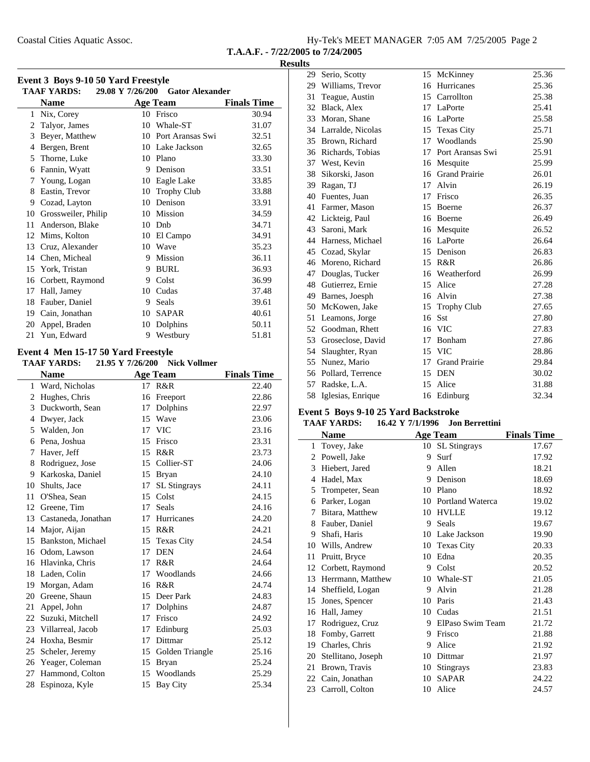Coastal Cities Aquatic Assoc.

|  |  | Hy-Tek's MEET MANAGER 7:05 AM 7/25/2005 Page 2 |  |  |  |
|--|--|------------------------------------------------|--|--|--|
|--|--|------------------------------------------------|--|--|--|

**T.A.A.F. - 7/22/2005 to 7/24/2005**

#### **Results**

|  | Event 3 Boys 9-10 50 Yard Freestyle |  |  |
|--|-------------------------------------|--|--|
|--|-------------------------------------|--|--|

|    | <b>TAAF YARDS:</b>  | 29.08 Y 7/26/200 | <b>Gator Alexander</b> |                    |
|----|---------------------|------------------|------------------------|--------------------|
|    | <b>Name</b>         |                  | <b>Age Team</b>        | <b>Finals Time</b> |
| 1  | Nix, Corey          | 10               | Frisco                 | 30.94              |
| 2  | Talyor, James       | 10               | Whale-ST               | 31.07              |
| 3  | Beyer, Matthew      | 10               | Port Aransas Swi       | 32.51              |
| 4  | Bergen, Brent       | 10               | Lake Jackson           | 32.65              |
| 5  | Thorne, Luke        | 10               | Plano                  | 33.30              |
| 6  | Fannin, Wyatt       | 9                | Denison                | 33.51              |
| 7  | Young, Logan        | 10               | Eagle Lake             | 33.85              |
| 8  | Eastin, Trevor      | 10               | <b>Trophy Club</b>     | 33.88              |
| 9  | Cozad, Layton       | 10               | Denison                | 33.91              |
| 10 | Grossweiler, Philip | 10               | Mission                | 34.59              |
| 11 | Anderson, Blake     | 10               | Dnb                    | 34.71              |
| 12 | Mims, Kolton        | 10               | El Campo               | 34.91              |
| 13 | Cruz, Alexander     | 10               | Wave                   | 35.23              |
| 14 | Chen, Micheal       | 9                | Mission                | 36.11              |
| 15 | York, Tristan       | 9                | <b>BURL</b>            | 36.93              |
| 16 | Corbett, Raymond    | 9                | Colst                  | 36.99              |
| 17 | Hall, Jamey         | 10               | Cudas                  | 37.48              |
| 18 | Fauber, Daniel      | 9                | Seals                  | 39.61              |
| 19 | Cain, Jonathan      | 10               | SAPAR                  | 40.61              |
| 20 | Appel, Braden       | 10               | Dolphins               | 50.11              |
| 21 | Yun, Edward         | 9                | Westbury               | 51.81              |

#### **Event 4 Men 15-17 50 Yard Freestyle TAAF YARDS:** 21.95 Y 7/26/200 Nick Vollmer

| IAAF IAKDS:<br>21.95 1 //20/200 NICK VOIIIIEF |                        |    |                     |                    |
|-----------------------------------------------|------------------------|----|---------------------|--------------------|
|                                               | <b>Name</b>            |    | <b>Age Team</b>     | <b>Finals Time</b> |
| 1                                             | Ward, Nicholas         |    | 17 R&R              | 22.40              |
| 2                                             | Hughes, Chris          | 16 | Freeport            | 22.86              |
| 3                                             | Duckworth, Sean        | 17 | Dolphins            | 22.97              |
| 4                                             | Dwyer, Jack            | 15 | Wave                | 23.06              |
| 5                                             | Walden, Jon            | 17 | <b>VIC</b>          | 23.16              |
| 6                                             | Pena, Joshua           | 15 | Frisco              | 23.31              |
| 7                                             | Haver, Jeff            | 15 | R&R                 | 23.73              |
| 8                                             | Rodriguez, Jose        |    | 15 Collier-ST       | 24.06              |
| 9                                             | Karkoska, Daniel       | 15 | <b>Bryan</b>        | 24.10              |
| 10                                            | Shults, Jace           | 17 | <b>SL</b> Stingrays | 24.11              |
| 11                                            | O'Shea, Sean           | 15 | Colst               | 24.15              |
| 12                                            | Greene, Tim            | 17 | <b>Seals</b>        | 24.16              |
|                                               | 13 Castaneda, Jonathan | 17 | Hurricanes          | 24.20              |
| 14                                            | Major, Aijan           | 15 | R&R                 | 24.21              |
| 15                                            | Bankston, Michael      | 15 | <b>Texas City</b>   | 24.54              |
|                                               | 16 Odom, Lawson        | 17 | <b>DEN</b>          | 24.64              |
| 16                                            | Hlavinka, Chris        | 17 | R&R                 | 24.64              |
| 18                                            | Laden, Colin           | 17 | Woodlands           | 24.66              |
| 19                                            | Morgan, Adam           | 16 | R&R                 | 24.74              |
| 20                                            | Greene, Shaun          | 15 | Deer Park           | 24.83              |
| 21                                            | Appel, John            | 17 | Dolphins            | 24.87              |
| 22                                            | Suzuki, Mitchell       | 17 | Frisco              | 24.92              |
| 23                                            | Villarreal, Jacob      | 17 | Edinburg            | 25.03              |
| 24                                            | Hoxha, Besmir          | 17 | Dittmar             | 25.12              |
| 25                                            | Scheler, Jeremy        |    | 15 Golden Triangle  | 25.16              |
| 26                                            | Yeager, Coleman        | 15 | <b>Bryan</b>        | 25.24              |
| 27                                            | Hammond, Colton        |    | 15 Woodlands        | 25.29              |
| 28                                            | Espinoza, Kyle         | 15 | <b>Bay City</b>     | 25.34              |
|                                               |                        |    |                     |                    |

| 29 | Serio, Scotty        | 15 | McKinney             | 25.36 |
|----|----------------------|----|----------------------|-------|
|    | 29 Williams, Trevor  | 16 | Hurricanes           | 25.36 |
| 31 | Teague, Austin       | 15 | Carrollton           | 25.38 |
| 32 | Black, Alex          | 17 | LaPorte              | 25.41 |
| 33 | Moran, Shane         | 16 | LaPorte              | 25.58 |
|    | 34 Larralde, Nicolas | 15 | <b>Texas City</b>    | 25.71 |
| 35 | Brown, Richard       | 17 | Woodlands            | 25.90 |
| 36 | Richards, Tobias     | 17 | Port Aransas Swi     | 25.91 |
| 37 | West, Kevin          | 16 | Mesquite             | 25.99 |
| 38 | Sikorski, Jason      | 16 | <b>Grand Prairie</b> | 26.01 |
| 39 | Ragan, TJ            | 17 | Alvin                | 26.19 |
| 40 | Fuentes, Juan        | 17 | Frisco               | 26.35 |
| 41 | Farmer, Mason        | 15 | Boerne               | 26.37 |
|    | 42 Lickteig, Paul    | 16 | Boerne               | 26.49 |
| 43 | Saroni, Mark         | 16 | Mesquite             | 26.52 |
| 44 | Harness, Michael     | 16 | LaPorte              | 26.64 |
| 45 | Cozad, Skylar        | 15 | Denison              | 26.83 |
| 46 | Moreno, Richard      | 15 | R&R                  | 26.86 |
| 47 | Douglas, Tucker      | 16 | Weatherford          | 26.99 |
|    | 48 Gutierrez, Ernie  | 15 | Alice                | 27.28 |
| 49 | Barnes, Joesph       | 16 | Alvin                | 27.38 |
| 50 | McKowen, Jake        | 15 | <b>Trophy Club</b>   | 27.65 |
| 51 | Leamons, Jorge       | 16 | Sst                  | 27.80 |
|    | 52 Goodman, Rhett    | 16 | <b>VIC</b>           | 27.83 |
| 53 | Groseclose, David    | 17 | Bonham               | 27.86 |
| 54 | Slaughter, Ryan      | 15 | <b>VIC</b>           | 28.86 |
| 55 | Nunez, Mario         | 17 | <b>Grand Prairie</b> | 29.84 |
| 56 | Pollard, Terrence    | 15 | <b>DEN</b>           | 30.02 |
| 57 | Radske, L.A.         | 15 | Alice                | 31.88 |
| 58 | Iglesias, Enrique    | 16 | Edinburg             | 32.34 |

#### **Event 5 Boys 9-10 25 Yard Backstroke TAAF YARDS: 16.42 Y 7/1/1996** Jon Berrettini

|    | Name               |    | <b>Age Team</b>  | <b>Finals Time</b> |
|----|--------------------|----|------------------|--------------------|
| 1  | Tovey, Jake        |    | 10 SL Stingrays  | 17.67              |
| 2  | Powell, Jake       | 9  | Surf             | 17.92              |
| 3  | Hiebert, Jared     | 9  | Allen            | 18.21              |
| 4  | Hadel, Max         | 9  | Denison          | 18.69              |
| 5  | Trompeter, Sean    | 10 | Plano            | 18.92              |
| 6  | Parker, Logan      | 10 | Portland Waterca | 19.02              |
| 7  | Bitara, Matthew    | 10 | <b>HVLLE</b>     | 19.12              |
| 8  | Fauber, Daniel     | 9  | Seals            | 19.67              |
| 9  | Shafi, Haris       | 10 | Lake Jackson     | 19.90              |
| 10 | Wills, Andrew      | 10 | Texas City       | 20.33              |
| 11 | Pruitt, Bryce      | 10 | Edna             | 20.35              |
| 12 | Corbett, Raymond   | 9  | Colst            | 20.52              |
| 13 | Herrmann, Matthew  |    | 10 Whale-ST      | 21.05              |
| 14 | Sheffield, Logan   | 9  | Alvin            | 21.28              |
| 15 | Jones, Spencer     | 10 | Paris            | 21.43              |
| 16 | Hall, Jamey        | 10 | Cudas            | 21.51              |
| 17 | Rodriguez, Cruz    | 9  | ElPaso Swim Team | 21.72              |
| 18 | Fomby, Garrett     | 9  | Frisco           | 21.88              |
| 19 | Charles, Chris     | 9  | Alice            | 21.92              |
| 20 | Stellitano, Joseph | 10 | Dittmar          | 21.97              |
| 21 | Brown, Travis      | 10 | <b>Stingrays</b> | 23.83              |
|    | 22 Cain, Jonathan  | 10 | <b>SAPAR</b>     | 24.22              |
|    | 23 Carroll, Colton | 10 | Alice            | 24.57              |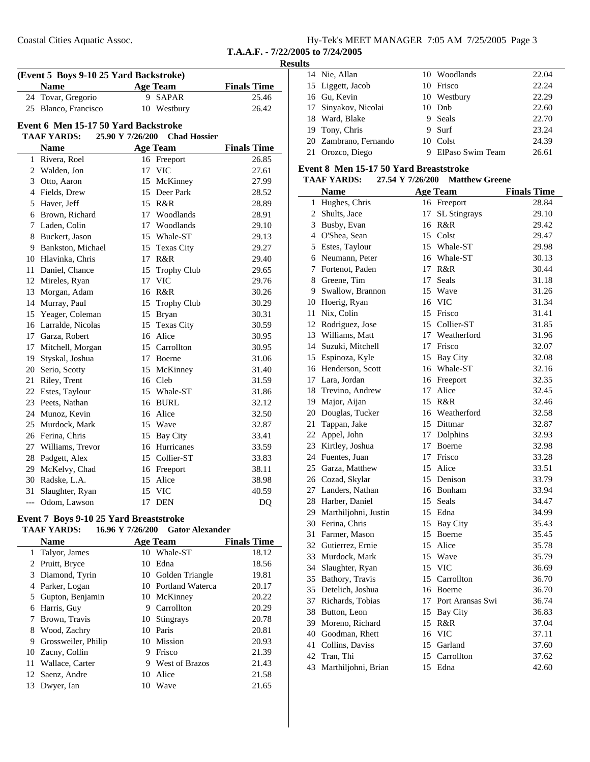| Hy-Tek's MEET MANAGER 7:05 AM 7/25/2005 Page 3 |  |  |
|------------------------------------------------|--|--|
|                                                |  |  |

### **Results**

| (Event 5 Boys 9-10 25 Yard Backstroke) |                                      |                  |                     |                    |
|----------------------------------------|--------------------------------------|------------------|---------------------|--------------------|
|                                        | <b>Name</b>                          |                  | <b>Age Team</b>     | <b>Finals Time</b> |
| 24                                     | Tovar, Gregorio                      |                  | 9 SAPAR             | 25.46              |
|                                        | 25 Blanco, Francisco                 | 10               | Westbury            | 26.42              |
|                                        | Event 6 Men 15-17 50 Yard Backstroke |                  |                     |                    |
|                                        | <b>TAAF YARDS:</b>                   | 25.90 Y 7/26/200 | <b>Chad Hossier</b> |                    |
|                                        | <b>Name</b>                          |                  | <b>Age Team</b>     | <b>Finals Time</b> |
|                                        | 1 Rivera, Roel                       |                  | 16 Freeport         | 26.85              |
|                                        | 2 Walden, Jon                        | 17               | <b>VIC</b>          | 27.61              |
|                                        | 3 Otto, Aaron                        | 15               | McKinney            | 27.99              |
|                                        | 4 Fields, Drew                       | 15               | Deer Park           | 28.52              |
|                                        | 5 Haver, Jeff                        |                  | 15 R&R              | 28.89              |
|                                        | 6 Brown, Richard                     |                  | 17 Woodlands        | 28.91              |
|                                        | 7 Laden, Colin                       |                  | 17 Woodlands        | 29.10              |
|                                        | 8 Buckert, Jason                     |                  | 15 Whale-ST         | 29.13              |
|                                        | 9 Bankston, Michael                  | 15               | <b>Texas City</b>   | 29.27              |
|                                        | 10 Hlavinka, Chris                   | 17               | R&R                 | 29.40              |
|                                        | 11 Daniel, Chance                    | 15               | <b>Trophy Club</b>  | 29.65              |
|                                        | 12 Mireles, Ryan                     | 17               | <b>VIC</b>          | 29.76              |
|                                        | 13 Morgan, Adam                      |                  | 16 R&R              | 30.26              |
|                                        | 14 Murray, Paul                      | 15               | <b>Trophy Club</b>  | 30.29              |
|                                        | 15 Yeager, Coleman                   |                  | 15 Bryan            | 30.31              |
|                                        | 16 Larralde, Nicolas                 |                  | 15 Texas City       | 30.59              |
|                                        | 17 Garza, Robert                     | 16               | Alice               | 30.95              |
|                                        | 17 Mitchell, Morgan                  |                  | 15 Carrollton       | 30.95              |
|                                        | 19 Styskal, Joshua                   |                  | 17 Boerne           | 31.06              |
|                                        | 20 Serio, Scotty                     | 15               | McKinney            | 31.40              |
|                                        | 21 Riley, Trent                      |                  | 16 Cleb             | 31.59              |
|                                        | 22 Estes, Taylour                    |                  | 15 Whale-ST         | 31.86              |
|                                        | 23 Peets, Nathan                     |                  | 16 BURL             | 32.12              |
|                                        | 24 Munoz, Kevin                      |                  | 16 Alice            | 32.50              |
|                                        | 25 Murdock, Mark                     |                  | 15 Wave             | 32.87              |
|                                        | 26 Ferina, Chris                     | 15               | <b>Bay City</b>     | 33.41              |
|                                        | 27 Williams, Trevor                  |                  | 16 Hurricanes       | 33.59              |
|                                        | 28 Padgett, Alex                     |                  | 15 Collier-ST       | 33.83              |
|                                        | 29 McKelvy, Chad                     |                  | 16 Freeport         | 38.11              |
|                                        | 30 Radske, L.A.                      |                  | 15 Alice            | 38.98              |
| 31                                     | Slaughter, Ryan                      | 15               | <b>VIC</b>          | 40.59              |
| $\overline{a}$                         | Odom, Lawson                         | 17               | <b>DEN</b>          | D <sub>O</sub>     |

### **Event 7 Boys 9-10 25 Yard Breaststroke**

#### **TAAF YARDS:** 16.96 Y 7/26/200 Gator Alexander<br>Nome Age Team **Name Finals Time Age Team**

|    | Name                |    | <b>Age Team</b>       | <b>Finals Time</b> |
|----|---------------------|----|-----------------------|--------------------|
|    | 1 Talyor, James     |    | 10 Whale-ST           | 18.12              |
|    | 2 Pruitt, Bryce     | 10 | Edna                  | 18.56              |
|    | 3 Diamond, Tyrin    |    | 10 Golden Triangle    | 19.81              |
| 4  | Parker, Logan       |    | 10 Portland Waterca   | 20.17              |
|    | 5 Gupton, Benjamin  |    | 10 McKinney           | 20.22              |
| 6  | Harris, Guy         | 9  | Carrollton            | 20.29              |
|    | Brown, Travis       | 10 | Stingrays             | 20.78              |
| 8  | Wood, Zachry        | 10 | Paris                 | 20.81              |
| 9  | Grossweiler, Philip |    | 10 Mission            | 20.93              |
|    | 10 Zacny, Collin    | 9  | Frisco                | 21.39              |
| 11 | Wallace, Carter     | 9  | <b>West of Brazos</b> | 21.43              |
|    | 12 Saenz, Andre     | 10 | Alice                 | 21.58              |
| 13 | Dwyer, Ian          | 10 | Wave                  | 21.65              |
|    |                     |    |                       |                    |

| 14 Nie, Allan         | 10 Woodlands       | 22.04 |
|-----------------------|--------------------|-------|
| 15 Liggett, Jacob     | 10 Frisco          | 22.24 |
| 16 Gu, Kevin          | 10 Westbury        | 22.29 |
| 17 Sinyakov, Nicolai  | 10 Dnb             | 22.60 |
| 18 Ward, Blake        | 9 Seals            | 22.70 |
| 19 Tony, Chris        | 9 Surf             | 23.24 |
| 20 Zambrano, Fernando | 10 Colst           | 24.39 |
| 21 Orozco, Diego      | 9 ElPaso Swim Team | 26.61 |

#### **Event 8 Men 15-17 50 Yard Breaststroke**

### **TAAF YARDS:** 27.54 Y 7/26/200 Matthew Greene

|                | <b>Name</b>             |    | Age Team            | <b>Finals Time</b> |
|----------------|-------------------------|----|---------------------|--------------------|
| $\mathbf{1}$   | Hughes, Chris           |    | 16 Freeport         | 28.84              |
| $\overline{2}$ | Shults, Jace            | 17 | <b>SL Stingrays</b> | 29.10              |
|                | 3 Busby, Evan           |    | 16 R&R              | 29.42              |
|                | 4 O'Shea, Sean          |    | 15 Colst            | 29.47              |
|                | 5 Estes, Taylour        |    | 15 Whale-ST         | 29.98              |
|                | 6 Neumann, Peter        |    | 16 Whale-ST         | 30.13              |
| 7              | Fortenot, Paden         |    | 17 R&R              | 30.44              |
|                | 8 Greene, Tim           | 17 | Seals               | 31.18              |
|                | 9 Swallow, Brannon      |    | 15 Wave             | 31.26              |
|                | 10 Hoerig, Ryan         | 16 | <b>VIC</b>          | 31.34              |
|                | 11 Nix, Colin           |    | 15 Frisco           | 31.41              |
|                | 12 Rodriguez, Jose      |    | 15 Collier-ST       | 31.85              |
|                | 13 Williams, Matt       |    | 17 Weatherford      | 31.96              |
|                | 14 Suzuki, Mitchell     |    | 17 Frisco           | 32.07              |
|                | 15 Espinoza, Kyle       |    | 15 Bay City         | 32.08              |
|                | 16 Henderson, Scott     |    | 16 Whale-ST         | 32.16              |
|                | 17 Lara, Jordan         |    | 16 Freeport         | 32.35              |
|                | 18 Trevino, Andrew      |    | 17 Alice            | 32.45              |
|                | 19 Major, Aijan         |    | 15 R&R              | 32.46              |
|                | 20 Douglas, Tucker      |    | 16 Weatherford      | 32.58              |
| 21             | Tappan, Jake            |    | 15 Dittmar          | 32.87              |
| 22             | Appel, John             |    | 17 Dolphins         | 32.93              |
|                | 23 Kirtley, Joshua      |    | 17 Boerne           | 32.98              |
|                | 24 Fuentes, Juan        |    | 17 Frisco           | 33.28              |
|                | 25 Garza, Matthew       |    | 15 Alice            | 33.51              |
|                | 26 Cozad, Skylar        |    | 15 Denison          | 33.79              |
|                | 27 Landers, Nathan      |    | 16 Bonham           | 33.94              |
|                | 28 Harber, Daniel       |    | 15 Seals            | 34.47              |
|                | 29 Marthiljohni, Justin |    | 15 Edna             | 34.99              |
|                | 30 Ferina, Chris        |    | 15 Bay City         | 35.43              |
| 31             | Farmer, Mason           |    | 15 Boerne           | 35.45              |
|                | 32 Gutierrez, Ernie     |    | 15 Alice            | 35.78              |
|                | 33 Murdock, Mark        |    | 15 Wave             | 35.79              |
|                | 34 Slaughter, Ryan      |    | 15 VIC              | 36.69              |
|                | 35 Bathory, Travis      |    | 15 Carrollton       | 36.70              |
|                | 35 Detelich, Joshua     |    | 16 Boerne           | 36.70              |
|                | 37 Richards, Tobias     |    | 17 Port Aransas Swi | 36.74              |
|                | 38 Button, Leon         |    | 15 Bay City         | 36.83              |
|                | 39 Moreno, Richard      |    | 15 R&R              | 37.04              |
|                | 40 Goodman, Rhett       |    | 16 VIC              | 37.11              |
|                | 41 Collins, Daviss      |    | 15 Garland          | 37.60              |
| 42             | Tran, Thi               |    | 15 Carrollton       | 37.62              |
| 43             | Marthiljohni, Brian     |    | 15 Edna             | 42.60              |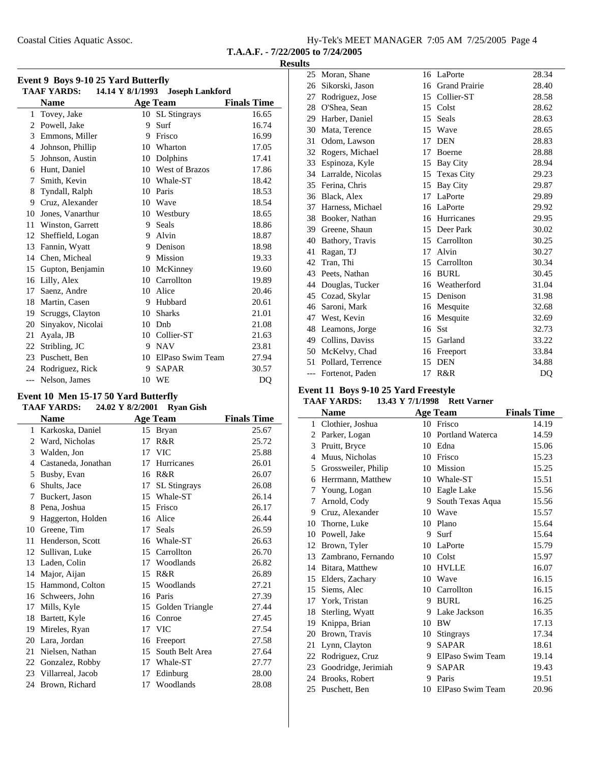Coastal Cities Aquatic Assoc.

|  |  |  |  | Hy-Tek's MEET MANAGER 7:05 AM 7/25/2005 Page 4 |  |  |  |
|--|--|--|--|------------------------------------------------|--|--|--|
|--|--|--|--|------------------------------------------------|--|--|--|

**T.A.A.F. - 7/22/2005 to 7/24/2005**

### **Results**

|              | <b>TAAF YARDS:</b> |    | 14.14 Y 8/1/1993 Joseph Lankford |                    |
|--------------|--------------------|----|----------------------------------|--------------------|
|              | <b>Name</b>        |    | <b>Age Team</b>                  | <b>Finals Time</b> |
| $\mathbf{1}$ | Tovey, Jake        | 10 | <b>SL</b> Stingrays              | 16.65              |
| 2            | Powell, Jake       | 9  | Surf                             | 16.74              |
| 3            | Emmons, Miller     | 9  | Frisco                           | 16.99              |
| 4            | Johnson, Phillip   | 10 | Wharton                          | 17.05              |
| 5            | Johnson, Austin    | 10 | Dolphins                         | 17.41              |
| 6            | Hunt, Daniel       | 10 | West of Brazos                   | 17.86              |
| 7            | Smith, Kevin       | 10 | Whale-ST                         | 18.42              |
| 8            | Tyndall, Ralph     | 10 | Paris                            | 18.53              |
| 9            | Cruz, Alexander    | 10 | <b>Wave</b>                      | 18.54              |
| 10           | Jones, Vanarthur   | 10 | Westbury                         | 18.65              |
| 11           | Winston, Garrett   | 9  | Seals                            | 18.86              |
| 12           | Sheffield, Logan   | 9  | Alvin                            | 18.87              |
| 13           | Fannin, Wyatt      | 9  | Denison                          | 18.98              |
| 14           | Chen, Micheal      | 9  | Mission                          | 19.33              |
| 15           | Gupton, Benjamin   | 10 | McKinney                         | 19.60              |
| 16           | Lilly, Alex        | 10 | Carrollton                       | 19.89              |
| 17           | Saenz, Andre       | 10 | Alice                            | 20.46              |
| 18           | Martin, Casen      | 9  | Hubbard                          | 20.61              |
| 19           | Scruggs, Clayton   | 10 | <b>Sharks</b>                    | 21.01              |
| 20           | Sinyakov, Nicolai  | 10 | Dnb                              | 21.08              |
| 21           | Ayala, JB          | 10 | Collier-ST                       | 21.63              |
| 22           | Stribling, JC      | 9  | <b>NAV</b>                       | 23.81              |
| 23           | Puschett, Ben      | 10 | ElPaso Swim Team                 | 27.94              |
| 24           | Rodriguez, Rick    | 9  | <b>SAPAR</b>                     | 30.57              |
| $---$        | Nelson, James      | 10 | WE                               | D <sub>O</sub>     |

# **Event 10 Men 15-17 50 Yard Butterfly**

|    | <b>TAAF YARDS:</b>  | 24.02 Y 8/2/2001 | <b>Ryan Gish</b>    |                    |
|----|---------------------|------------------|---------------------|--------------------|
|    | <b>Name</b>         |                  | <b>Age Team</b>     | <b>Finals Time</b> |
| 1  | Karkoska, Daniel    | 15               | <b>Bryan</b>        | 25.67              |
| 2  | Ward, Nicholas      | 17               | R&R                 | 25.72              |
| 3  | Walden, Jon         | 17               | <b>VIC</b>          | 25.88              |
| 4  | Castaneda, Jonathan | 17               | Hurricanes          | 26.01              |
| 5  | Busby, Evan         | 16               | R&R                 | 26.07              |
| 6  | Shults, Jace        | 17               | <b>SL</b> Stingrays | 26.08              |
| 7  | Buckert, Jason      | 15               | Whale-ST            | 26.14              |
| 8  | Pena, Joshua        | 15               | Frisco              | 26.17              |
| 9  | Haggerton, Holden   | 16               | Alice               | 26.44              |
| 10 | Greene, Tim         | 17               | Seals               | 26.59              |
| 11 | Henderson, Scott    | 16               | Whale-ST            | 26.63              |
| 12 | Sullivan, Luke      |                  | 15 Carrollton       | 26.70              |
| 13 | Laden, Colin        | 17               | Woodlands           | 26.82              |
| 14 | Major, Aijan        | 15               | R&R                 | 26.89              |
| 15 | Hammond, Colton     | 15               | Woodlands           | 27.21              |
| 16 | Schweers, John      | 16               | Paris               | 27.39              |
| 17 | Mills, Kyle         | 15               | Golden Triangle     | 27.44              |
| 18 | Bartett, Kyle       | 16               | Conroe              | 27.45              |
| 19 | Mireles, Ryan       | 17               | <b>VIC</b>          | 27.54              |
| 20 | Lara, Jordan        | 16               | Freeport            | 27.58              |
| 21 | Nielsen, Nathan     | 15               | South Belt Area     | 27.64              |
| 22 | Gonzalez, Robby     | 17               | Whale-ST            | 27.77              |
| 23 | Villarreal, Jacob   | 17               | Edinburg            | 28.00              |
| 24 | Brown, Richard      | 17               | Woodlands           | 28.08              |

| 25    | Moran, Shane       | 16 | LaPorte              | 28.34 |
|-------|--------------------|----|----------------------|-------|
| 26    | Sikorski, Jason    | 16 | <b>Grand Prairie</b> | 28.40 |
| 27    | Rodriguez, Jose    | 15 | Collier-ST           | 28.58 |
| 28    | O'Shea, Sean       | 15 | Colst                | 28.62 |
| 29    | Harber, Daniel     | 15 | Seals                | 28.63 |
| 30    | Mata, Terence      | 15 | Wave                 | 28.65 |
| 31    | Odom, Lawson       | 17 | <b>DEN</b>           | 28.83 |
| 32    | Rogers, Michael    | 17 | Boerne               | 28.88 |
| 33    | Espinoza, Kyle     | 15 | Bay City             | 28.94 |
| 34    | Larralde, Nicolas  | 15 | <b>Texas City</b>    | 29.23 |
| 35    | Ferina, Chris      | 15 | <b>Bay City</b>      | 29.87 |
| 36    | Black, Alex        | 17 | LaPorte              | 29.89 |
| 37    | Harness, Michael   | 16 | LaPorte              | 29.92 |
| 38    | Booker, Nathan     | 16 | Hurricanes           | 29.95 |
|       | 39 Greene, Shaun   |    | 15 Deer Park         | 30.02 |
| 40    | Bathory, Travis    | 15 | Carrollton           | 30.25 |
| 41    | Ragan, TJ          | 17 | Alvin                | 30.27 |
| 42    | Tran, Thi          | 15 | Carrollton           | 30.34 |
| 43    | Peets, Nathan      | 16 | <b>BURL</b>          | 30.45 |
| 44    | Douglas, Tucker    | 16 | Weatherford          | 31.04 |
| 45    | Cozad, Skylar      | 15 | Denison              | 31.98 |
| 46    | Saroni, Mark       | 16 | Mesquite             | 32.68 |
| 47    | West, Kevin        | 16 | Mesquite             | 32.69 |
| 48    | Leamons, Jorge     | 16 | <b>Sst</b>           | 32.73 |
|       | 49 Collins, Daviss | 15 | Garland              | 33.22 |
| 50    | McKelvy, Chad      | 16 | Freeport             | 33.84 |
| 51    | Pollard, Terrence  | 15 | <b>DEN</b>           | 34.88 |
| $---$ | Fortenot, Paden    | 17 | R&R                  | DO    |

### **Event 11 Boys 9-10 25 Yard Freestyle**

### TAAF YARDS: 13.43 Y 7/1/1998 Rett Varner

|              | Name                |    | <b>Age Team</b>  | <b>Finals Time</b> |
|--------------|---------------------|----|------------------|--------------------|
| $\mathbf{1}$ | Clothier, Joshua    | 10 | Frisco           | 14.19              |
| 2            | Parker, Logan       | 10 | Portland Waterca | 14.59              |
| 3            | Pruitt, Bryce       | 10 | Edna             | 15.06              |
| 4            | Muus, Nicholas      | 10 | Frisco           | 15.23              |
| 5            | Grossweiler, Philip | 10 | Mission          | 15.25              |
| 6            | Herrmann, Matthew   | 10 | Whale-ST         | 15.51              |
| 7            | Young, Logan        | 10 | Eagle Lake       | 15.56              |
| 7            | Arnold, Cody        | 9  | South Texas Aqua | 15.56              |
| 9            | Cruz, Alexander     | 10 | Wave             | 15.57              |
| 10           | Thorne, Luke        | 10 | Plano            | 15.64              |
| 10           | Powell, Jake        | 9  | Surf             | 15.64              |
| 12           | Brown, Tyler        | 10 | LaPorte          | 15.79              |
| 13           | Zambrano, Fernando  |    | 10 Colst         | 15.97              |
| 14           | Bitara, Matthew     | 10 | <b>HVLLE</b>     | 16.07              |
| 15           | Elders, Zachary     | 10 | Wave             | 16.15              |
| 15           | Siems, Alec         | 10 | Carrollton       | 16.15              |
| 17           | York, Tristan       | 9  | <b>BURL</b>      | 16.25              |
| 18           | Sterling, Wyatt     | 9  | Lake Jackson     | 16.35              |
| 19           | Knippa, Brian       | 10 | BW               | 17.13              |
| 20           | Brown, Travis       | 10 | <b>Stingrays</b> | 17.34              |
| 21           | Lynn, Clayton       | 9  | <b>SAPAR</b>     | 18.61              |
| 22           | Rodriguez, Cruz     | 9  | ElPaso Swim Team | 19.14              |
| 23           | Goodridge, Jerimiah | 9. | <b>SAPAR</b>     | 19.43              |
| 24           | Brooks, Robert      | 9  | Paris            | 19.51              |
| 25           | Puschett, Ben       | 10 | ElPaso Swim Team | 20.96              |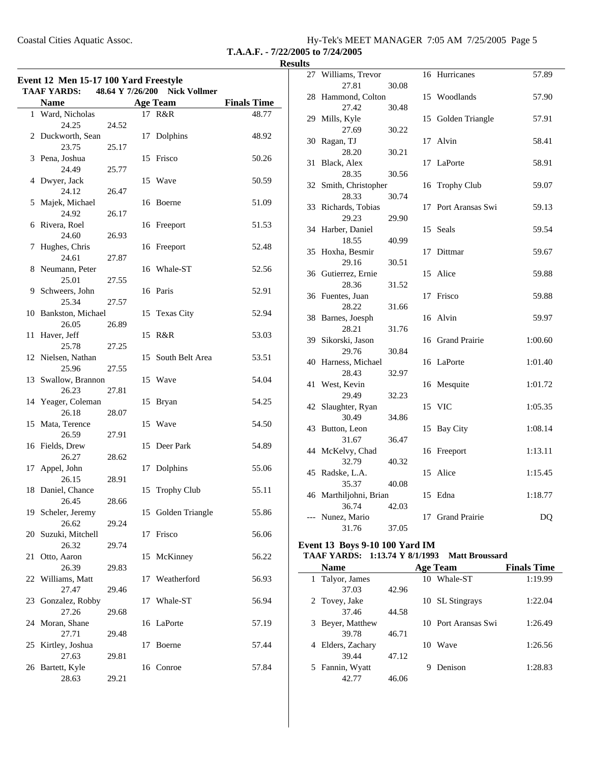| Coastal Cities Aquatic Assoc. | Hy-Tek's MEET MANAGER 7:05 AM 7/25/2005 Page 5 |
|-------------------------------|------------------------------------------------|
|                               |                                                |

**T.A.A.F. - 7/22/2005 to 7/24/2005**

| Event 12 Men 15-17 100 Yard Freestyle<br>48.64 Y 7/26/200<br><b>Nick Vollmer</b><br><b>TAAF YARDS:</b> |                                    |                |    |                    |                    |
|--------------------------------------------------------------------------------------------------------|------------------------------------|----------------|----|--------------------|--------------------|
|                                                                                                        | <b>Name</b>                        |                |    | Age Team           | <b>Finals Time</b> |
|                                                                                                        | 1 Ward, Nicholas<br>24.25          | 24.52          |    | 17 R&R             | 48.77              |
| 2                                                                                                      | Duckworth, Sean<br>23.75           | 25.17          | 17 | Dolphins           | 48.92              |
|                                                                                                        | 3 Pena, Joshua<br>24.49            | 25.77          |    | 15 Frisco          | 50.26              |
|                                                                                                        | 4 Dwyer, Jack<br>24.12             | 26.47          |    | 15 Wave            | 50.59              |
|                                                                                                        | 5 Majek, Michael<br>24.92          | 26.17          |    | 16 Boerne          | 51.09              |
|                                                                                                        | 6 Rivera, Roel<br>24.60            | 26.93          |    | 16 Freeport        | 51.53              |
| 7                                                                                                      | Hughes, Chris<br>24.61             | 27.87          |    | 16 Freeport        | 52.48              |
|                                                                                                        | 8 Neumann, Peter<br>25.01          | 27.55          |    | 16 Whale-ST        | 52.56              |
|                                                                                                        | 9 Schweers, John<br>25.34          | 27.57          |    | 16 Paris           | 52.91              |
|                                                                                                        | 10 Bankston, Michael<br>26.05      | 26.89          |    | 15 Texas City      | 52.94              |
| 11                                                                                                     | Haver, Jeff<br>25.78               | 27.25          |    | 15 R&R             | 53.03              |
|                                                                                                        | 12 Nielsen, Nathan<br>25.96        | 27.55          |    | 15 South Belt Area | 53.51              |
|                                                                                                        | 13 Swallow, Brannon<br>26.23       | 27.81          |    | 15 Wave            | 54.04              |
|                                                                                                        | 14 Yeager, Coleman<br>26.18        | 28.07          |    | 15 Bryan           | 54.25              |
|                                                                                                        | 15 Mata, Terence<br>26.59          |                |    | 15 Wave            | 54.50              |
|                                                                                                        | 16 Fields, Drew<br>26.27           | 27.91          | 15 | Deer Park          | 54.89              |
| 17                                                                                                     | Appel, John<br>26.15               | 28.62          |    | 17 Dolphins        | 55.06              |
|                                                                                                        | 18 Daniel, Chance                  | 28.91          | 15 | <b>Trophy Club</b> | 55.11              |
|                                                                                                        | 26.45<br>19 Scheler, Jeremy        | 28.66          |    | 15 Golden Triangle | 55.86              |
| 20                                                                                                     | 26.62<br>Suzuki, Mitchell          | 29.24          | 17 | Frisco             | 56.06              |
| 21                                                                                                     | 26.32<br>Otto, Aaron               | 29.74          | 15 | McKinney           | 56.22              |
| 22                                                                                                     | 26.39<br>Williams, Matt            | 29.83          | 17 | Weatherford        | 56.93              |
| 23                                                                                                     | 27.47<br>Gonzalez, Robby           | 29.46          | 17 | Whale-ST           | 56.94              |
|                                                                                                        | 27.26<br>24 Moran, Shane           | 29.68          | 16 | LaPorte            | 57.19              |
| 25                                                                                                     | 27.71<br>Kirtley, Joshua           | 29.48          | 17 | Boerne             | 57.44              |
|                                                                                                        | 27.63<br>26 Bartett, Kyle<br>28.63 | 29.81<br>29.21 | 16 | Conroe             | 57.84              |

| 27 | Williams, Trevor         |       | 16 | Hurricanes           | 57.89   |
|----|--------------------------|-------|----|----------------------|---------|
|    | 27.81                    | 30.08 |    |                      |         |
|    | 28 Hammond, Colton       |       |    | 15 Woodlands         | 57.90   |
|    | 27.42                    | 30.48 |    |                      |         |
| 29 | Mills, Kyle              |       |    | 15 Golden Triangle   | 57.91   |
|    | 27.69                    | 30.22 |    |                      |         |
| 30 | Ragan, TJ                |       |    | 17 Alvin             | 58.41   |
|    | 28.20                    | 30.21 |    |                      |         |
| 31 | Black, Alex              |       | 17 | LaPorte              | 58.91   |
|    | 28.35                    | 30.56 |    |                      |         |
|    | 32 Smith, Christopher    |       |    | 16 Trophy Club       | 59.07   |
|    | 28.33                    | 30.74 |    |                      |         |
| 33 | Richards, Tobias         |       | 17 | Port Aransas Swi     | 59.13   |
|    | 29.23                    | 29.90 |    |                      |         |
| 34 | Harber, Daniel           |       | 15 | Seals                | 59.54   |
|    | 18.55                    | 40.99 |    |                      |         |
| 35 | Hoxha, Besmir            |       | 17 | Dittmar              | 59.67   |
|    | 29.16                    | 30.51 |    |                      |         |
|    | 36 Gutierrez, Ernie      |       |    | 15 Alice             | 59.88   |
|    | 28.36                    | 31.52 |    |                      |         |
|    | 36 Fuentes, Juan         |       | 17 | Frisco               | 59.88   |
|    | 28.22                    | 31.66 |    |                      |         |
| 38 | Barnes, Joesph           |       |    | 16 Alvin             | 59.97   |
|    | 28.21                    | 31.76 |    |                      |         |
| 39 | Sikorski, Jason          |       |    | 16 Grand Prairie     | 1:00.60 |
|    | 29.76                    | 30.84 |    |                      |         |
|    | 40 Harness, Michael      |       |    | 16 LaPorte           | 1:01.40 |
|    | 28.43                    | 32.97 |    |                      |         |
| 41 | West, Kevin              |       |    | 16 Mesquite          | 1:01.72 |
|    | 29.49                    | 32.23 |    |                      |         |
| 42 | Slaughter, Ryan          |       |    | 15 VIC               | 1:05.35 |
|    | 30.49                    | 34.86 |    |                      |         |
| 43 | Button, Leon             |       |    | 15 Bay City          | 1:08.14 |
|    | 31.67                    | 36.47 |    |                      |         |
|    | 44 McKelvy, Chad         |       |    | 16 Freeport          | 1:13.11 |
|    | 32.79                    | 40.32 |    |                      |         |
|    | 45 Radske, L.A.<br>35.37 |       | 15 | Alice                | 1:15.45 |
|    | 46 Marthiljohni, Brian   | 40.08 |    | 15 Edna              | 1:18.77 |
|    | 36.74                    | 42.03 |    |                      |         |
|    | --- Nunez, Mario         |       | 17 | <b>Grand Prairie</b> | DQ      |
|    | 31.76                    | 37.05 |    |                      |         |
|    |                          |       |    |                      |         |

### **Event 13 Boys 9-10 100 Yard IM**

| TAAF YARDS: 1:13.74 Y 8/1/1993 Matt Broussard |  |
|-----------------------------------------------|--|
|                                               |  |

| <b>Name</b>          |       | <b>Age Team</b>     | <b>Finals Time</b> |
|----------------------|-------|---------------------|--------------------|
| 1 Talyor, James      |       | 10 Whale-ST         | 1:19.99            |
| 37.03                | 42.96 |                     |                    |
| 2 Tovey, Jake        |       | 10 SL Stingrays     | 1:22.04            |
| 37.46                | 44.58 |                     |                    |
| Beyer, Matthew<br>3  |       | 10 Port Aransas Swi | 1:26.49            |
| 39.78                | 46.71 |                     |                    |
| Elders, Zachary<br>4 |       | Wave<br>10          | 1:26.56            |
| 39.44                | 47.12 |                     |                    |
| 5 Fannin, Wyatt      |       | Denison<br>9        | 1:28.83            |
| 42.77                | 46.06 |                     |                    |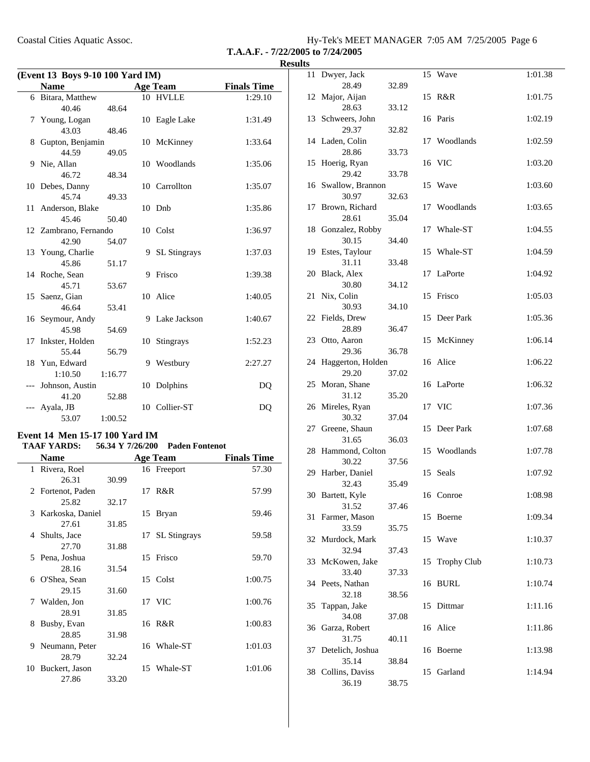Coastal Cities Aquatic Assoc.

| Hy-Tek's MEET MANAGER 7:05 AM 7/25/2005 Page 6 |  |  |  |
|------------------------------------------------|--|--|--|
|------------------------------------------------|--|--|--|

### **T.A.A.F. - 7/22/2005 to 7/24/2005 Results**

| (Event 13 Boys 9-10 100 Yard IM) |                       |         |    |                 |                    |
|----------------------------------|-----------------------|---------|----|-----------------|--------------------|
|                                  | <b>Name</b>           |         |    | <b>Age Team</b> | <b>Finals Time</b> |
|                                  | 6 Bitara, Matthew     |         |    | 10 HVLLE        | 1:29.10            |
|                                  | 40.46                 | 48.64   |    |                 |                    |
|                                  | 7 Young, Logan        |         |    | 10 Eagle Lake   | 1:31.49            |
|                                  | 43.03                 | 48.46   |    |                 |                    |
|                                  | 8 Gupton, Benjamin    |         |    | 10 McKinney     | 1:33.64            |
|                                  | 44.59                 | 49.05   |    |                 |                    |
|                                  | 9 Nie, Allan          |         |    | 10 Woodlands    | 1:35.06            |
|                                  | 46.72                 | 48.34   |    |                 |                    |
|                                  | 10 Debes, Danny       |         |    | 10 Carrollton   | 1:35.07            |
|                                  | 45.74                 | 49.33   |    |                 |                    |
|                                  | 11 Anderson, Blake    |         |    | 10 Dnb          | 1:35.86            |
|                                  | 45.46                 | 50.40   |    |                 |                    |
|                                  | 12 Zambrano, Fernando |         |    | 10 Colst        | 1:36.97            |
|                                  | 42.90                 | 54.07   |    |                 |                    |
|                                  | 13 Young, Charlie     |         |    | 9 SL Stingrays  | 1:37.03            |
|                                  | 45.86                 | 51.17   |    |                 |                    |
|                                  | 14 Roche, Sean        |         | 9  | Frisco          | 1:39.38            |
|                                  | 45.71                 | 53.67   |    |                 |                    |
|                                  | 15 Saenz, Gian        |         |    | 10 Alice        | 1:40.05            |
|                                  | 46.64                 | 53.41   |    |                 |                    |
|                                  | 16 Seymour, Andy      |         |    | 9 Lake Jackson  | 1:40.67            |
|                                  | 45.98                 | 54.69   |    |                 |                    |
|                                  | 17 Inkster, Holden    |         | 10 | Stingrays       | 1:52.23            |
|                                  | 55.44                 | 56.79   |    |                 |                    |
|                                  | 18 Yun, Edward        |         | 9  | Westbury        | 2:27.27            |
|                                  | 1:10.50               | 1:16.77 |    |                 |                    |
|                                  | --- Johnson, Austin   |         |    | 10 Dolphins     | DQ                 |
|                                  | 41.20                 | 52.88   |    |                 |                    |
|                                  | Ayala, JB             |         |    | 10 Collier-ST   | DQ                 |
|                                  | 53.07                 | 1:00.52 |    |                 |                    |

### **Event 14 Men 15-17 100 Yard IM**

| TAAF YARDS:        |       |    | 56.34 Y 7/26/200 Paden Fontenot |                    |
|--------------------|-------|----|---------------------------------|--------------------|
| <b>Name</b>        |       |    | <b>Age Team</b>                 | <b>Finals Time</b> |
| 1 Rivera, Roel     |       |    | 16 Freeport                     | 57.30              |
| 26.31              | 30.99 |    |                                 |                    |
| 2 Fortenot, Paden  |       |    | 17 R&R                          | 57.99              |
| 25.82              | 32.17 |    |                                 |                    |
| 3 Karkoska, Daniel |       |    | 15 Bryan                        | 59.46              |
| 27.61              | 31.85 |    |                                 |                    |
| 4 Shults, Jace     |       | 17 | <b>SL</b> Stingrays             | 59.58              |
| 27.70              | 31.88 |    |                                 |                    |
| 5 Pena, Joshua     |       |    | 15 Frisco                       | 59.70              |
| 28.16              | 31.54 |    |                                 |                    |
| 6 O'Shea, Sean     |       |    | 15 Colst                        | 1:00.75            |
| 29.15              | 31.60 |    |                                 |                    |
| 7 Walden, Jon      |       |    | 17 VIC                          | 1:00.76            |
| 28.91              | 31.85 |    |                                 |                    |
| 8 Busby, Evan      |       |    | 16 R&R                          | 1:00.83            |
| 28.85              | 31.98 |    |                                 |                    |
| 9 Neumann, Peter   |       |    | 16 Whale-ST                     | 1:01.03            |
| 28.79              | 32.24 |    |                                 |                    |
| 10 Buckert, Jason  |       |    | 15 Whale-ST                     | 1:01.06            |
| 27.86              | 33.20 |    |                                 |                    |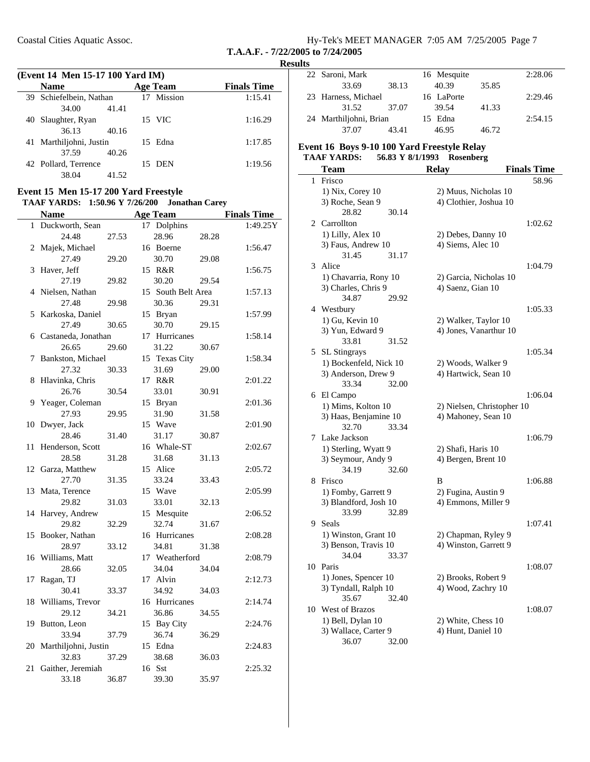| Hy-Tek's MEET MANAGER 7:05 AM 7/25/2005 Page 7 |  |  |
|------------------------------------------------|--|--|
| T.A.A.F. - $7/22/2005$ to $7/24/2005$          |  |  |

|             | (Event 14 Men 15-17 100 Yard IM) |
|-------------|----------------------------------|
| <b>Name</b> | <b>Age Team</b>                  |

| $($ Lycht 14 Ivien 15-17 IVV Tai'u IIVI) |       |  |                 |                    |  |  |  |
|------------------------------------------|-------|--|-----------------|--------------------|--|--|--|
| <b>Name</b>                              |       |  | <b>Age Team</b> | <b>Finals Time</b> |  |  |  |
| 39 Schiefelbein, Nathan                  |       |  | 17 Mission      | 1:15.41            |  |  |  |
| 34.00                                    | 41.41 |  |                 |                    |  |  |  |
| 40 Slaughter, Ryan                       |       |  | 15 VIC          | 1:16.29            |  |  |  |
| 36.13                                    | 40.16 |  |                 |                    |  |  |  |
| 41 Marthiljohni, Justin                  |       |  | 15 Edna         | 1:17.85            |  |  |  |
| 37.59                                    | 40.26 |  |                 |                    |  |  |  |
| 42 Pollard, Terrence                     |       |  | 15 DEN          | 1:19.56            |  |  |  |
| 38.04                                    | 41.52 |  |                 |                    |  |  |  |
|                                          |       |  |                 |                    |  |  |  |

#### **Event 15 Men 15-17 200 Yard Freestyle TAAF YARDS:** 1:50.96 Y 7/26/200 **Jonathan Carey**

|    | <b>Name</b>             |       |    | <b>Age Team</b>    |       | <b>Finals Time</b> |
|----|-------------------------|-------|----|--------------------|-------|--------------------|
| 1  | Duckworth, Sean         |       | 17 | Dolphins           |       | 1:49.25Y           |
|    | 24.48                   | 27.53 |    | 28.96              | 28.28 |                    |
| 2  | Majek, Michael          |       |    | 16 Boerne          |       | 1:56.47            |
|    | 27.49                   | 29.20 |    | 30.70              | 29.08 |                    |
| 3  | Haver, Jeff             |       |    | 15 R&R             |       | 1:56.75            |
|    | 27.19                   | 29.82 |    | 30.20              | 29.54 |                    |
|    | 4 Nielsen, Nathan       |       |    | 15 South Belt Area |       | 1:57.13            |
|    | 27.48                   | 29.98 |    | 30.36              | 29.31 |                    |
| 5  | Karkoska, Daniel        |       |    | 15 Bryan           |       | 1:57.99            |
|    | 27.49                   | 30.65 |    | 30.70              | 29.15 |                    |
|    | 6 Castaneda, Jonathan   |       |    | 17 Hurricanes      |       | 1:58.14            |
|    | 26.65                   | 29.60 |    | 31.22              | 30.67 |                    |
| 7  | Bankston, Michael       |       |    | 15 Texas City      |       | 1:58.34            |
|    | 27.32                   | 30.33 |    | 31.69              | 29.00 |                    |
| 8  | Hlavinka, Chris         |       |    | 17 R&R             |       | 2:01.22            |
|    | 26.76                   | 30.54 |    | 33.01              | 30.91 |                    |
| 9  | Yeager, Coleman         |       |    | 15 Bryan           |       | 2:01.36            |
|    | 27.93                   | 29.95 |    | 31.90              | 31.58 |                    |
| 10 | Dwyer, Jack             |       |    | 15 Wave            |       | 2:01.90            |
|    | 28.46                   | 31.40 |    | 31.17              | 30.87 |                    |
| 11 | Henderson, Scott        |       |    | 16 Whale-ST        |       | 2:02.67            |
|    | 28.58                   | 31.28 |    | 31.68              | 31.13 |                    |
|    | 12 Garza, Matthew       |       |    | 15 Alice           |       | 2:05.72            |
|    | 27.70                   | 31.35 |    | 33.24              | 33.43 |                    |
|    | 13 Mata, Terence        |       |    | 15 Wave            |       | 2:05.99            |
|    | 29.82                   | 31.03 |    | 33.01              | 32.13 |                    |
| 14 | Harvey, Andrew          |       |    | 15 Mesquite        |       | 2:06.52            |
|    | 29.82                   | 32.29 |    | 32.74              | 31.67 |                    |
| 15 | Booker, Nathan          |       |    | 16 Hurricanes      |       | 2:08.28            |
|    | 28.97                   | 33.12 |    | 34.81              | 31.38 |                    |
|    | 16 Williams, Matt       |       |    | 17 Weatherford     |       | 2:08.79            |
|    | 28.66                   | 32.05 |    | 34.04              | 34.04 |                    |
| 17 | Ragan, TJ               |       |    | 17 Alvin           |       | 2:12.73            |
|    | 30.41                   | 33.37 |    | 34.92              | 34.03 |                    |
| 18 | Williams, Trevor        |       |    | 16 Hurricanes      |       | 2:14.74            |
|    | 29.12                   | 34.21 |    | 36.86              | 34.55 |                    |
| 19 | Button, Leon            |       |    | 15 Bay City        |       | 2:24.76            |
|    | 33.94                   | 37.79 |    | 36.74              | 36.29 |                    |
|    | 20 Marthiljohni, Justin |       |    | 15 Edna            |       | 2:24.83            |
|    | 32.83                   | 37.29 |    | 38.68              | 36.03 |                    |
| 21 | Gaither, Jeremiah       |       |    | 16 Sst             |       | 2:25.32            |
|    | 33.18                   | 36.87 |    | 39.30              | 35.97 |                    |

| 22 Saroni, Mark        |       | 16 Mesquite |       | 2:28.06 |
|------------------------|-------|-------------|-------|---------|
| 33.69                  | 38.13 | 40.39       | 35.85 |         |
| 23 Harness, Michael    |       | 16 LaPorte  |       | 2:29.46 |
| 31.52                  | 37.07 | 39.54       | 41.33 |         |
| 24 Marthiljohni, Brian |       | 15 Edna     |       | 2:54.15 |
| 37.07                  | 43.41 | 46.95       | 46.72 |         |

#### **Event 16 Boys 9-10 100 Yard Freestyle Relay TAAF YARDS: 56.83 Y Rosenberg 8/1/1993**

|    | <b>Team</b>            | <b>Relay</b>               | <b>Finals Time</b> |
|----|------------------------|----------------------------|--------------------|
| 1  | Frisco                 |                            | 58.96              |
|    | 1) Nix, Corey 10       | 2) Muus, Nicholas 10       |                    |
|    | 3) Roche, Sean 9       | 4) Clothier, Joshua 10     |                    |
|    | 28.82<br>30.14         |                            |                    |
| 2  | Carrollton             |                            | 1:02.62            |
|    | 1) Lilly, Alex 10      | 2) Debes, Danny 10         |                    |
|    | 3) Faus, Andrew 10     | 4) Siems, Alec 10          |                    |
|    | 31.45<br>31.17         |                            |                    |
| 3  | Alice                  |                            | 1:04.79            |
|    | 1) Chavarria, Rony 10  | 2) Garcia, Nicholas 10     |                    |
|    | 3) Charles, Chris 9    | 4) Saenz, Gian 10          |                    |
|    | 34.87<br>29.92         |                            |                    |
|    | 4 Westbury             |                            | 1:05.33            |
|    | 1) Gu, Kevin 10        | 2) Walker, Taylor 10       |                    |
|    | 3) Yun, Edward 9       | 4) Jones, Vanarthur 10     |                    |
|    | 33.81<br>31.52         |                            |                    |
|    |                        |                            |                    |
| 5  | SL Stingrays           |                            | 1:05.34            |
|    | 1) Bockenfeld, Nick 10 | 2) Woods, Walker 9         |                    |
|    | 3) Anderson, Drew 9    | 4) Hartwick, Sean 10       |                    |
|    | 33.34<br>32.00         |                            |                    |
|    | 6 El Campo             |                            | 1:06.04            |
|    | 1) Mims, Kolton 10     | 2) Nielsen, Christopher 10 |                    |
|    | 3) Haas, Benjamine 10  | 4) Mahoney, Sean 10        |                    |
|    | 32.70<br>33.34         |                            |                    |
| 7  | Lake Jackson           |                            | 1:06.79            |
|    | 1) Sterling, Wyatt 9   | 2) Shafi, Haris 10         |                    |
|    | 3) Seymour, Andy 9     | 4) Bergen, Brent 10        |                    |
|    | 34.19<br>32.60         |                            |                    |
| 8  | Frisco                 | B                          | 1:06.88            |
|    | 1) Fomby, Garrett 9    | 2) Fugina, Austin 9        |                    |
|    | 3) Blandford, Josh 10  | 4) Emmons, Miller 9        |                    |
|    | 33.99<br>32.89         |                            |                    |
| 9  | Seals                  |                            | 1:07.41            |
|    | 1) Winston, Grant 10   | 2) Chapman, Ryley 9        |                    |
|    | 3) Benson, Travis 10   | 4) Winston, Garrett 9      |                    |
|    | 34.04<br>33.37         |                            |                    |
| 10 | Paris                  |                            | 1:08.07            |
|    | 1) Jones, Spencer 10   | 2) Brooks, Robert 9        |                    |
|    | 3) Tyndall, Ralph 10   | 4) Wood, Zachry 10         |                    |
|    | 35.67<br>32.40         |                            |                    |
| 10 | West of Brazos         |                            | 1:08.07            |
|    | 1) Bell, Dylan 10      | 2) White, Chess 10         |                    |
|    | 3) Wallace, Carter 9   | 4) Hunt, Daniel 10         |                    |
|    | 36.07<br>32.00         |                            |                    |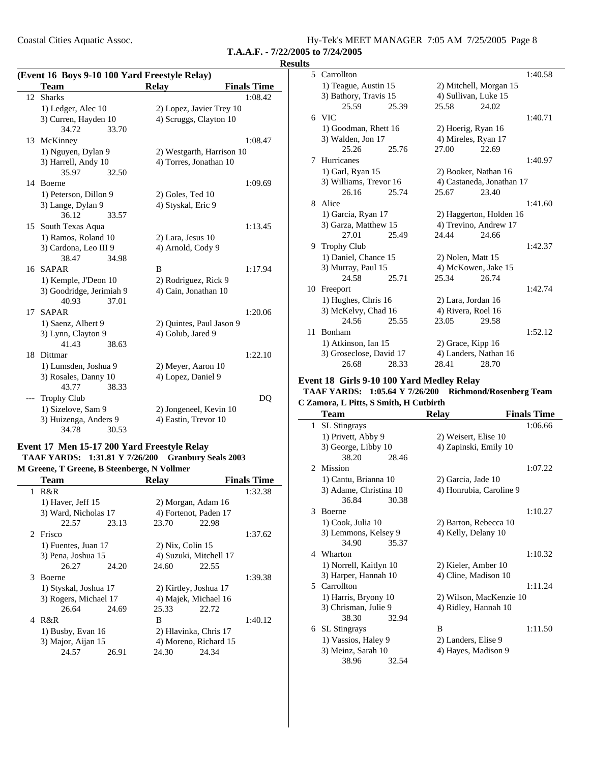| Coastal Cities Aquatic Assoc. | Hy-Tek's MEET MANAGER 7:05 AM 7/25/2005 Page 8 |
|-------------------------------|------------------------------------------------|
|                               |                                                |

#### **Results**

| (Event 16 Boys 9-10 100 Yard Freestyle Relay) |                          |       |                           |                    |
|-----------------------------------------------|--------------------------|-------|---------------------------|--------------------|
|                                               | <b>Team</b>              |       | <b>Relay</b>              | <b>Finals Time</b> |
| 12                                            | <b>Sharks</b>            |       |                           | 1:08.42            |
|                                               | 1) Ledger, Alec 10       |       | 2) Lopez, Javier Trey 10  |                    |
|                                               | 3) Curren, Hayden 10     |       | 4) Scruggs, Clayton 10    |                    |
|                                               | 34.72                    | 33.70 |                           |                    |
| 13                                            | McKinney                 |       |                           | 1:08.47            |
|                                               | 1) Nguyen, Dylan 9       |       | 2) Westgarth, Harrison 10 |                    |
|                                               | 3) Harrell, Andy 10      |       | 4) Torres, Jonathan 10    |                    |
|                                               | 35.97                    | 32.50 |                           |                    |
|                                               | 14 Boerne                |       |                           | 1:09.69            |
|                                               | 1) Peterson, Dillon 9    |       | 2) Goles, Ted 10          |                    |
|                                               | 3) Lange, Dylan 9        |       | 4) Styskal, Eric 9        |                    |
|                                               | 36.12                    | 33.57 |                           |                    |
|                                               | 15 South Texas Aqua      |       |                           | 1:13.45            |
|                                               | 1) Ramos, Roland 10      |       | 2) Lara, Jesus 10         |                    |
|                                               | 3) Cardona, Leo III 9    |       | 4) Arnold, Cody 9         |                    |
|                                               | 38.47                    | 34.98 |                           |                    |
| 16                                            | <b>SAPAR</b>             |       | B                         | 1:17.94            |
|                                               | 1) Kemple, J'Deon 10     |       | 2) Rodriguez, Rick 9      |                    |
|                                               | 3) Goodridge, Jerimiah 9 |       | 4) Cain, Jonathan 10      |                    |
|                                               | 40.93                    | 37.01 |                           |                    |
| 17                                            | <b>SAPAR</b>             |       |                           | 1:20.06            |
|                                               | 1) Saenz, Albert 9       |       | 2) Quintes, Paul Jason 9  |                    |
|                                               | 3) Lynn, Clayton 9       |       | 4) Golub, Jared 9         |                    |
|                                               | 41.43                    | 38.63 |                           |                    |
| 18                                            | Dittmar                  |       |                           | 1:22.10            |
|                                               | 1) Lumsden, Joshua 9     |       | 2) Meyer, Aaron 10        |                    |
|                                               | 3) Rosales, Danny 10     |       | 4) Lopez, Daniel 9        |                    |
|                                               | 43.77                    | 38.33 |                           |                    |
|                                               | <b>Trophy Club</b>       |       |                           | DQ                 |
|                                               | 1) Sizelove, Sam 9       |       | 2) Jongeneel, Kevin 10    |                    |
|                                               | 3) Huizenga, Anders 9    |       | 4) Eastin, Trevor 10      |                    |
|                                               | 34.78                    | 30.53 |                           |                    |

### **Event 17 Men 15-17 200 Yard Freestyle Relay** TAAF YARDS: 1:31.81 Y 7/26/200 Granbury Seals 2003 **M Greene, T Greene, B Steenberge, N Vollmer**

| Team                |                       | <b>Relay</b>     | <b>Finals Time</b>     |  |
|---------------------|-----------------------|------------------|------------------------|--|
| R&R<br>1            |                       |                  | 1:32.38                |  |
| 1) Haver, Jeff $15$ |                       |                  | 2) Morgan, Adam 16     |  |
|                     | 3) Ward, Nicholas 17  |                  | 4) Fortenot, Paden 17  |  |
| 22.57               | 23.13                 | 23.70            | 22.98                  |  |
| 2 Frisco            |                       |                  | 1:37.62                |  |
|                     | 1) Fuentes, Juan 17   | 2) Nix, Colin 15 |                        |  |
|                     | 3) Pena, Joshua 15    |                  | 4) Suzuki, Mitchell 17 |  |
| 26.27               | 24.20                 | 24.60            | 22.55                  |  |
| 3<br><b>Boerne</b>  |                       |                  | 1:39.38                |  |
|                     | 1) Styskal, Joshua 17 |                  | 2) Kirtley, Joshua 17  |  |
|                     | 3) Rogers, Michael 17 |                  | 4) Majek, Michael 16   |  |
|                     | 26.64<br>24.69        | 25.33            | 22.72                  |  |
| R&R<br>4            |                       | B                | 1:40.12                |  |
|                     | 1) Busby, Evan 16     |                  | 2) Hlavinka, Chris 17  |  |
|                     | 3) Major, Aijan 15    |                  | 4) Moreno, Richard 15  |  |
| 24.57               | 26.91                 | 24.30            | 24.34                  |  |
|                     |                       |                  |                        |  |

|    | 5 Carrollton            |       |                        |                           | 1:40.58 |
|----|-------------------------|-------|------------------------|---------------------------|---------|
|    | 1) Teague, Austin 15    |       | 2) Mitchell, Morgan 15 |                           |         |
|    | 3) Bathory, Travis 15   |       | 4) Sullivan, Luke 15   |                           |         |
|    | 25.59                   | 25.39 | 25.58                  | 24.02                     |         |
|    | 6 VIC                   |       |                        |                           | 1:40.71 |
|    | 1) Goodman, Rhett 16    |       | 2) Hoerig, Ryan 16     |                           |         |
|    | 3) Walden, Jon 17       |       | 4) Mireles, Ryan 17    |                           |         |
|    | 25.26                   | 25.76 | 27.00                  | 22.69                     |         |
| 7  | Hurricanes              |       |                        |                           | 1:40.97 |
|    | 1) Garl, Ryan 15        |       | 2) Booker, Nathan 16   |                           |         |
|    | 3) Williams, Trevor 16  |       |                        | 4) Castaneda, Jonathan 17 |         |
|    | 26.16                   | 25.74 | 25.67                  | 23.40                     |         |
| 8  | Alice                   |       |                        |                           | 1:41.60 |
|    | 1) Garcia, Ryan 17      |       |                        | 2) Haggerton, Holden 16   |         |
|    | 3) Garza, Matthew 15    |       |                        | 4) Trevino, Andrew 17     |         |
|    | 27.01                   | 25.49 | 24.44                  | 24.66                     |         |
| 9. | <b>Trophy Club</b>      |       |                        |                           | 1:42.37 |
|    | 1) Daniel, Chance 15    |       | 2) Nolen, Matt 15      |                           |         |
|    | 3) Murray, Paul 15      |       | 4) McKowen, Jake 15    |                           |         |
|    | 24.58                   | 25.71 | 25.34                  | 26.74                     |         |
| 10 | Freeport                |       |                        |                           | 1:42.74 |
|    | 1) Hughes, Chris 16     |       | 2) Lara, Jordan 16     |                           |         |
|    | 3) McKelvy, Chad 16     |       | 4) Rivera, Roel 16     |                           |         |
|    | 24.56                   | 25.55 | 23.05                  | 29.58                     |         |
| 11 | <b>Bonham</b>           |       |                        |                           | 1:52.12 |
|    | 1) Atkinson, Ian 15     |       | 2) Grace, Kipp 16      |                           |         |
|    | 3) Groseclose, David 17 |       | 4) Landers, Nathan 16  |                           |         |
|    | 26.68                   | 28.33 | 28.41                  | 28.70                     |         |

#### **Event 18 Girls 9-10 100 Yard Medley Relay TAAF YARDS: 1:05.64 Y Richmond/Rosenberg Team 7/26/200**

# **C Zamora, L Pitts, S Smith, H Cutbirth**

|              | Team                   | <b>Relay</b>            | <b>Finals Time</b> |
|--------------|------------------------|-------------------------|--------------------|
| $\mathbf{1}$ | <b>SL</b> Stingrays    |                         | 1:06.66            |
|              | 1) Privett, Abby 9     | 2) Weisert, Elise 10    |                    |
|              | 3) George, Libby 10    | 4) Zapinski, Emily 10   |                    |
|              | 38.20<br>28.46         |                         |                    |
|              | 2 Mission              |                         | 1:07.22            |
|              | 1) Cantu, Brianna 10   | 2) Garcia, Jade 10      |                    |
|              | 3) Adame, Christina 10 | 4) Honrubia, Caroline 9 |                    |
|              | 36.84<br>30.38         |                         |                    |
|              | 3 Boerne               |                         | 1:10.27            |
|              | 1) Cook, Julia 10      | 2) Barton, Rebecca 10   |                    |
|              | 3) Lemmons, Kelsey 9   | 4) Kelly, Delany 10     |                    |
|              | 34.90<br>35.37         |                         |                    |
| 4            | Wharton                |                         | 1:10.32            |
|              | 1) Norrell, Kaitlyn 10 | 2) Kieler, Amber 10     |                    |
|              | 3) Harper, Hannah 10   | 4) Cline, Madison 10    |                    |
|              | 5 Carrollton           |                         | 1:11.24            |
|              | 1) Harris, Bryony 10   | 2) Wilson, MacKenzie 10 |                    |
|              | 3) Chrisman, Julie 9   | 4) Ridley, Hannah 10    |                    |
|              | 38.30<br>32.94         |                         |                    |
|              | 6 SL Stingrays         | B                       | 1:11.50            |
|              | 1) Vassios, Haley 9    | 2) Landers, Elise 9     |                    |
|              | 3) Meinz, Sarah 10     | 4) Hayes, Madison 9     |                    |
|              | 38.96<br>32.54         |                         |                    |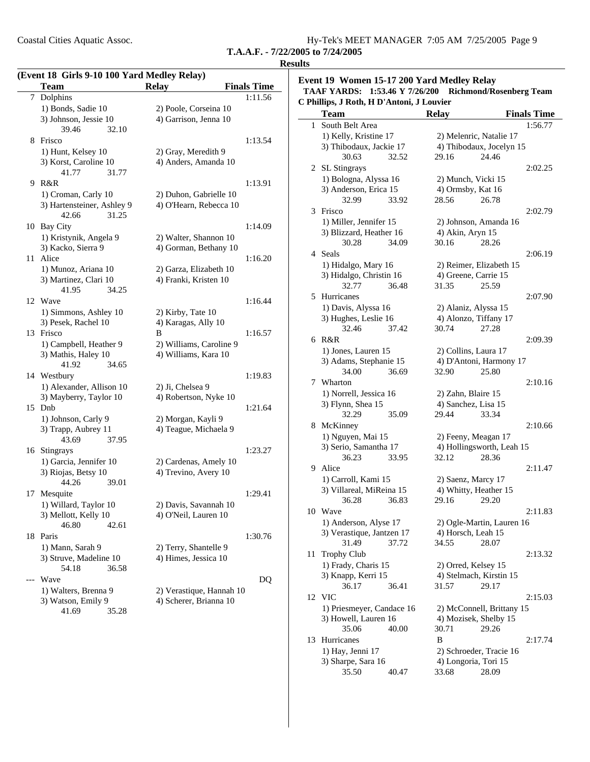| Coastal Cities Aquatic Assoc. | Hy-Tek's MEET MANAGER 7:05 AM 7/25/2005 Page 9 |
|-------------------------------|------------------------------------------------|
|                               |                                                |

|    | (Event 18 Girls 9-10 100 Yard Medley Relay)   |                                               |                    |
|----|-----------------------------------------------|-----------------------------------------------|--------------------|
|    | <b>Team</b>                                   | <b>Relay</b>                                  | <b>Finals Time</b> |
|    | 7 Dolphins                                    |                                               | 1:11.56            |
|    | 1) Bonds, Sadie 10                            | 2) Poole, Corseina 10                         |                    |
|    | 3) Johnson, Jessie 10                         | 4) Garrison, Jenna 10                         |                    |
|    | 39.46<br>32.10                                |                                               |                    |
|    | 8 Frisco                                      |                                               | 1:13.54            |
|    | 1) Hunt, Kelsey 10                            | 2) Gray, Meredith 9                           |                    |
|    | 3) Korst, Caroline 10                         | 4) Anders, Amanda 10                          |                    |
|    | 31.77<br>41.77                                |                                               |                    |
|    | 9 R&R                                         |                                               | 1:13.91            |
|    | 1) Croman, Carly 10                           | 2) Duhon, Gabrielle 10                        |                    |
|    | 3) Hartensteiner, Ashley 9                    | 4) O'Hearn, Rebecca 10                        |                    |
|    | 42.66<br>31.25                                |                                               |                    |
|    | 10 Bay City                                   |                                               | 1:14.09            |
|    | 1) Kristynik, Angela 9                        | 2) Walter, Shannon 10                         |                    |
|    | 3) Kacko, Sierra 9                            | 4) Gorman, Bethany 10                         |                    |
|    | 11 Alice                                      |                                               | 1:16.20            |
|    | 1) Munoz, Ariana 10                           | 2) Garza, Elizabeth 10                        |                    |
|    | 3) Martinez, Clari 10                         | 4) Franki, Kristen 10                         |                    |
|    | 41.95<br>34.25                                |                                               |                    |
|    | 12 Wave                                       |                                               | 1:16.44            |
|    | 1) Simmons, Ashley 10                         | 2) Kirby, Tate 10                             |                    |
|    | 3) Pesek, Rachel 10                           | 4) Karagas, Ally 10                           |                    |
|    | 13 Frisco                                     | B                                             | 1:16.57            |
|    | 1) Campbell, Heather 9                        | 2) Williams, Caroline 9                       |                    |
|    | 3) Mathis, Haley 10                           | 4) Williams, Kara 10                          |                    |
|    | 41.92<br>34.65                                |                                               |                    |
|    | 14 Westbury                                   |                                               | 1:19.83            |
|    | 1) Alexander, Allison 10                      | 2) Ji, Chelsea 9                              |                    |
|    | 3) Mayberry, Taylor 10                        | 4) Robertson, Nyke 10                         |                    |
|    | 15 Dnb                                        |                                               | 1:21.64            |
|    |                                               |                                               |                    |
|    | 1) Johnson, Carly 9                           | 2) Morgan, Kayli 9<br>4) Teague, Michaela 9   |                    |
|    | 3) Trapp, Aubrey 11<br>43.69<br>37.95         |                                               |                    |
|    |                                               |                                               | 1:23.27            |
|    | 16 Stingrays                                  |                                               |                    |
|    | 1) Garcia, Jennifer 10<br>3) Riojas, Betsy 10 | 2) Cardenas, Amely 10<br>4) Trevino, Avery 10 |                    |
|    | 44.26<br>39.01                                |                                               |                    |
| 17 |                                               |                                               |                    |
|    | Mesquite                                      |                                               | 1:29.41            |
|    | 1) Willard, Taylor 10                         | 2) Davis, Savannah 10                         |                    |
|    | 3) Mellott, Kelly 10                          | 4) O'Neil, Lauren 10                          |                    |
|    | 46.80<br>42.61                                |                                               |                    |
|    | 18 Paris                                      |                                               | 1:30.76            |
|    | 1) Mann, Sarah 9                              | 2) Terry, Shantelle 9                         |                    |
|    | 3) Struve, Madeline 10                        | 4) Himes, Jessica 10                          |                    |
|    | 54.18<br>36.58                                |                                               |                    |
|    | Wave                                          |                                               | DQ                 |
|    | 1) Walters, Brenna 9                          | 2) Verastique, Hannah 10                      |                    |
|    | 3) Watson, Emily 9                            | 4) Scherer, Brianna 10                        |                    |
|    | 41.69<br>35.28                                |                                               |                    |

#### **Event 19 Women 15-17 200 Yard Medley Relay TAAF YARDS: 1:53.46 Y Richmond/Rosenberg Team 7/26/200 C Phillips, J Roth, H D'Antoni, J Louvier**

|              | <b>Team</b>               | <b>Relay</b>              | <b>Finals Time</b> |
|--------------|---------------------------|---------------------------|--------------------|
| $\mathbf{1}$ | South Belt Area           |                           | 1:56.77            |
|              | 1) Kelly, Kristine 17     | 2) Melenric, Natalie 17   |                    |
|              | 3) Thibodaux, Jackie 17   | 4) Thibodaux, Jocelyn 15  |                    |
|              | 30.63<br>32.52            | 29.16                     | 24.46              |
|              | 2 SL Stingrays            |                           | 2:02.25            |
|              | 1) Bologna, Alyssa 16     | 2) Munch, Vicki 15        |                    |
|              | 3) Anderson, Erica 15     | 4) Ormsby, Kat 16         |                    |
|              | 32.99<br>33.92            | 28.56                     | 26.78              |
| 3            | Frisco                    |                           | 2:02.79            |
|              | 1) Miller, Jennifer 15    | 2) Johnson, Amanda 16     |                    |
|              | 3) Blizzard, Heather 16   | 4) Akin, Aryn 15          |                    |
|              | 30.28<br>34.09            | 30.16                     | 28.26              |
|              | 4 Seals                   |                           | 2:06.19            |
|              | 1) Hidalgo, Mary 16       | 2) Reimer, Elizabeth 15   |                    |
|              | 3) Hidalgo, Christin 16   | 4) Greene, Carrie 15      |                    |
|              | 32.77<br>36.48            | 31.35                     | 25.59              |
|              | 5 Hurricanes              |                           | 2:07.90            |
|              | 1) Davis, Alyssa 16       | 2) Alaniz, Alyssa 15      |                    |
|              | 3) Hughes, Leslie 16      | 4) Alonzo, Tiffany 17     |                    |
|              | 32.46<br>37.42            | 30.74                     | 27.28              |
|              | 6 R&R                     |                           | 2:09.39            |
|              | 1) Jones, Lauren 15       | 2) Collins, Laura 17      |                    |
|              | 3) Adams, Stephanie 15    | 4) D'Antoni, Harmony 17   |                    |
|              | 34.00<br>36.69            | 32.90                     | 25.80              |
|              | 7 Wharton                 |                           | 2:10.16            |
|              | 1) Norrell, Jessica 16    | 2) Zahn, Blaire 15        |                    |
|              | 3) Flynn, Shea 15         | 4) Sanchez, Lisa 15       |                    |
|              | 32.29<br>35.09            | 29.44                     | 33.34              |
| 8            | McKinney                  |                           | 2:10.66            |
|              | 1) Nguyen, Mai 15         | 2) Feeny, Meagan 17       |                    |
|              | 3) Serio, Samantha 17     | 4) Hollingsworth, Leah 15 |                    |
|              | 36.23<br>33.95            | 32.12                     | 28.36              |
|              | 9 Alice                   |                           | 2:11.47            |
|              | 1) Carroll, Kami 15       | 2) Saenz, Marcy 17        |                    |
|              | 3) Villareal, MiReina 15  | 4) Whitty, Heather 15     |                    |
|              | 36.28<br>36.83            | 29.16                     | 29.20              |
| 10           | Wave                      |                           | 2:11.83            |
|              | 1) Anderson, Alyse 17     | 2) Ogle-Martin, Lauren 16 |                    |
|              | 3) Verastique, Jantzen 17 | 4) Horsch, Leah 15        |                    |
|              | 31.49<br>37.72            | 34.55                     | 28.07              |
| 11           | <b>Trophy Club</b>        |                           | 2:13.32            |
|              | 1) Frady, Charis 15       | 2) Orred, Kelsey 15       |                    |
|              | 3) Knapp, Kerri 15        | 4) Stelmach, Kirstin 15   |                    |
|              | 36.17<br>36.41            | 31.57                     | 29.17              |
|              | 12 VIC                    |                           | 2:15.03            |
|              | 1) Priesmeyer, Candace 16 | 2) McConnell, Brittany 15 |                    |
|              | 3) Howell, Lauren 16      | 4) Mozisek, Shelby 15     |                    |
|              | 35.06<br>40.00            | 30.71                     | 29.26              |
| 13           | Hurricanes                | B                         | 2:17.74            |
|              | 1) Hay, Jenni 17          | 2) Schroeder, Tracie 16   |                    |
|              | 3) Sharpe, Sara 16        | 4) Longoria, Tori 15      |                    |
|              | 35.50<br>40.47            | 33.68                     | 28.09              |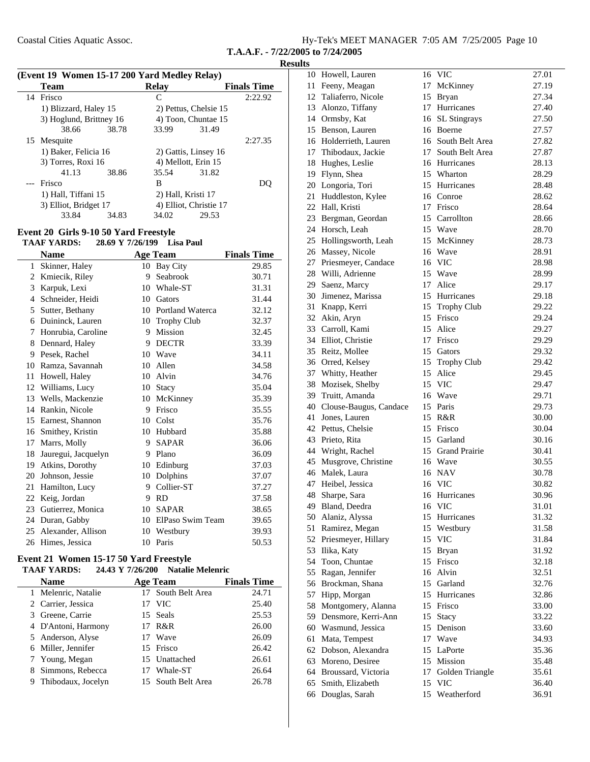|  | Hy-Tek's MEET MANAGER 7:05 AM 7/25/2005 Page 10 |  |  |
|--|-------------------------------------------------|--|--|
|  |                                                 |  |  |

#### **Results**

|   | (Event 19 Women 15-17 200 Yard Medley Relay) |                |                                                        |
|---|----------------------------------------------|----------------|--------------------------------------------------------|
| T |                                              | D <sub>2</sub> | $\mathbf{E}$ is a let $\mathbf{E}$ in the $\mathbf{E}$ |

| <b>Team</b> |                         | <b>Relay</b>           | <b>Finals Time</b> |
|-------------|-------------------------|------------------------|--------------------|
| 14 Frisco   |                         | C                      | 2:22.92            |
|             | 1) Blizzard, Haley 15   | 2) Pettus, Chelsie 15  |                    |
|             | 3) Hoglund, Brittney 16 | 4) Toon, Chuntae 15    |                    |
|             | 38.66<br>38.78          | 33.99                  | 31.49              |
| 15 Mesquite |                         |                        | 2:27.35            |
|             | 1) Baker, Felicia 16    | 2) Gattis, Linsey 16   |                    |
|             | 3) Torres, Roxi 16      | 4) Mellott, Erin 15    |                    |
|             | 41.13<br>38.86          | 35.54                  | 31.82              |
| --- Frisco  |                         | B                      |                    |
|             | 1) Hall, Tiffani 15     | 2) Hall, Kristi 17     |                    |
|             | 3) Elliot, Bridget 17   | 4) Elliot, Christie 17 |                    |
|             | 33.84<br>34.83          | 34.02                  | 29.53              |
|             |                         |                        |                    |

### **Event 20 Girls 9-10 50 Yard Freestyle**

### TAAF YARDS: 28.69 Y 7/26/199 Lisa Paul

|    | <b>Name</b>         |    | <b>Age Team</b>         | <b>Finals Time</b> |
|----|---------------------|----|-------------------------|--------------------|
| 1  | Skinner, Haley      | 10 | <b>Bay City</b>         | 29.85              |
| 2  | Kmiecik, Riley      | 9  | Seabrook                | 30.71              |
| 3  | Karpuk, Lexi        | 10 | Whale-ST                | 31.31              |
| 4  | Schneider, Heidi    | 10 | Gators                  | 31.44              |
| 5  | Sutter, Bethany     | 10 | <b>Portland Waterca</b> | 32.12              |
| 6  | Duininck, Lauren    | 10 | <b>Trophy Club</b>      | 32.37              |
| 7  | Honrubia, Caroline  | 9  | <b>Mission</b>          | 32.45              |
| 8  | Dennard, Haley      | 9  | <b>DECTR</b>            | 33.39              |
| 9  | Pesek, Rachel       | 10 | Wave                    | 34.11              |
| 10 | Ramza, Savannah     | 10 | Allen                   | 34.58              |
| 11 | Howell, Haley       | 10 | Alvin                   | 34.76              |
| 12 | Williams, Lucy      | 10 | Stacy                   | 35.04              |
| 13 | Wells, Mackenzie    | 10 | McKinney                | 35.39              |
| 14 | Rankin, Nicole      | 9  | Frisco                  | 35.55              |
| 15 | Earnest, Shannon    | 10 | Colst                   | 35.76              |
| 16 | Smithey, Kristin    | 10 | Hubbard                 | 35.88              |
| 17 | Marrs, Molly        | 9  | <b>SAPAR</b>            | 36.06              |
| 18 | Jauregui, Jacquelyn | 9  | Plano                   | 36.09              |
| 19 | Atkins, Dorothy     | 10 | Edinburg                | 37.03              |
| 20 | Johnson, Jessie     | 10 | Dolphins                | 37.07              |
| 21 | Hamilton, Lucy      | 9  | Collier-ST              | 37.27              |
| 22 | Keig, Jordan        | 9  | <b>RD</b>               | 37.58              |
| 23 | Gutierrez, Monica   | 10 | <b>SAPAR</b>            | 38.65              |
| 24 | Duran, Gabby        | 10 | ElPaso Swim Team        | 39.65              |
| 25 | Alexander, Allison  | 10 | Westbury                | 39.93              |
| 26 | Himes, Jessica      | 10 | Paris                   | 50.53              |

### **Event 21 Women 15-17 50 Yard Freestyle**

| <b>TAAF YARDS:</b>      | 24.43 Y 7/26/200<br><b>Natalie Melenric</b> |                    |
|-------------------------|---------------------------------------------|--------------------|
| <b>Name</b>             | <b>Age Team</b>                             | <b>Finals Time</b> |
| 1 Melenric, Natalie     | 17 South Belt Area                          | 24.71              |
| 2 Carrier, Jessica      | <b>VIC</b><br>17                            | 25.40              |
| 3 Greene, Carrie        | 15 Seals                                    | 25.53              |
| 4 D'Antoni, Harmony     | R&R<br>17                                   | 26.00              |
| 5 Anderson, Alyse       | 17 Wave                                     | 26.09              |
| 6 Miller, Jennifer      | 15 Frisco                                   | 26.42              |
| 7 Young, Megan          | 15 Unattached                               | 26.61              |
| Simmons, Rebecca<br>8   | Whale-ST<br>17                              | 26.64              |
| Thibodaux, Jocelyn<br>9 | 15 South Belt Area                          | 26.78              |

| ພ  |                           |    |                     |       |
|----|---------------------------|----|---------------------|-------|
|    | 10 Howell, Lauren         |    | 16 VIC              | 27.01 |
| 11 | Feeny, Meagan             | 17 | McKinney            | 27.19 |
| 12 | Taliaferro, Nicole        | 15 | <b>Bryan</b>        | 27.34 |
|    | 13 Alonzo, Tiffany        | 17 | Hurricanes          | 27.40 |
|    | 14 Ormsby, Kat            |    | 16 SL Stingrays     | 27.50 |
|    | 15 Benson, Lauren         |    | 16 Boerne           | 27.57 |
|    | 16 Holderrieth, Lauren    |    | 16 South Belt Area  | 27.82 |
|    | 17 Thibodaux, Jackie      | 17 | South Belt Area     | 27.87 |
| 18 | Hughes, Leslie            |    | 16 Hurricanes       | 28.13 |
|    | 19 Flynn, Shea            |    | 15 Wharton          | 28.29 |
|    | 20 Longoria, Tori         |    | 15 Hurricanes       | 28.48 |
| 21 | Huddleston, Kylee         |    | 16 Conroe           | 28.62 |
|    | 22 Hall, Kristi           |    | 17 Frisco           | 28.64 |
| 23 | Bergman, Geordan          |    | 15 Carrollton       | 28.66 |
|    | 24 Horsch, Leah           |    | 15 Wave             | 28.70 |
|    | 25 Hollingsworth, Leah    |    |                     | 28.73 |
|    | 26 Massey, Nicole         | 16 | 15 McKinney<br>Wave |       |
| 27 |                           |    | <b>VIC</b>          | 28.91 |
|    | Priesmeyer, Candace       | 16 |                     | 28.98 |
|    | 28 Willi, Adrienne        | 15 | Wave                | 28.99 |
| 29 | Saenz, Marcy              | 17 | Alice               | 29.17 |
|    | 30 Jimenez, Marissa       |    | 15 Hurricanes       | 29.18 |
| 31 | Knapp, Kerri              | 15 | <b>Trophy Club</b>  | 29.22 |
| 32 | Akin, Aryn                | 15 | Frisco              | 29.24 |
|    | 33 Carroll, Kami          |    | 15 Alice            | 29.27 |
| 34 | Elliot, Christie          |    | 17 Frisco           | 29.29 |
| 35 | Reitz, Mollee             |    | 15 Gators           | 29.32 |
|    | 36 Orred, Kelsey          | 15 | <b>Trophy Club</b>  | 29.42 |
| 37 | Whitty, Heather           | 15 | Alice               | 29.45 |
| 38 | Mozisek, Shelby           | 15 | <b>VIC</b>          | 29.47 |
|    | 39 Truitt, Amanda         | 16 | Wave                | 29.71 |
|    | 40 Clouse-Baugus, Candace |    | 15 Paris            | 29.73 |
| 41 | Jones, Lauren             |    | 15 R&R              | 30.00 |
|    | 42 Pettus, Chelsie        | 15 | Frisco              | 30.04 |
| 43 | Prieto, Rita              |    | 15 Garland          | 30.16 |
|    | 44 Wright, Rachel         |    | 15 Grand Prairie    | 30.41 |
| 45 | Musgrove, Christine       |    | 16 Wave             | 30.55 |
| 46 | Malek, Laura              | 16 | <b>NAV</b>          | 30.78 |
| 47 | Heibel, Jessica           |    | 16 VIC              | 30.82 |
|    | 48 Sharpe, Sara           |    | 16 Hurricanes       | 30.96 |
| 49 | Bland, Deedra             |    | 16 VIC              | 31.01 |
| 50 | Alaniz, Alyssa            | 15 | Hurricanes          | 31.32 |
| 51 | Ramirez, Megan            |    | 15 Westbury         | 31.58 |
| 52 | Priesmeyer, Hillary       |    | 15 VIC              | 31.84 |
| 53 | Ilika, Katy               | 15 | <b>Bryan</b>        | 31.92 |
| 54 | Toon, Chuntae             | 15 | Frisco              | 32.18 |
| 55 | Ragan, Jennifer           |    | 16 Alvin            | 32.51 |
| 56 | Brockman, Shana           |    | 15 Garland          | 32.76 |
| 57 | Hipp, Morgan              |    | 15 Hurricanes       | 32.86 |
| 58 | Montgomery, Alanna        |    | 15 Frisco           | 33.00 |
| 59 | Densmore, Kerri-Ann       | 15 | Stacy               | 33.22 |
| 60 | Wasmund, Jessica          | 15 | Denison             | 33.60 |
| 61 | Mata, Tempest             | 17 | Wave                | 34.93 |
| 62 | Dobson, Alexandra         |    | 15 LaPorte          | 35.36 |
| 63 | Moreno, Desiree           |    | 15 Mission          |       |
| 64 |                           |    |                     | 35.48 |
|    | Broussard, Victoria       | 17 | Golden Triangle     | 35.61 |
| 65 | Smith, Elizabeth          | 15 | <b>VIC</b>          | 36.40 |
| 66 | Douglas, Sarah            | 15 | Weatherford         | 36.91 |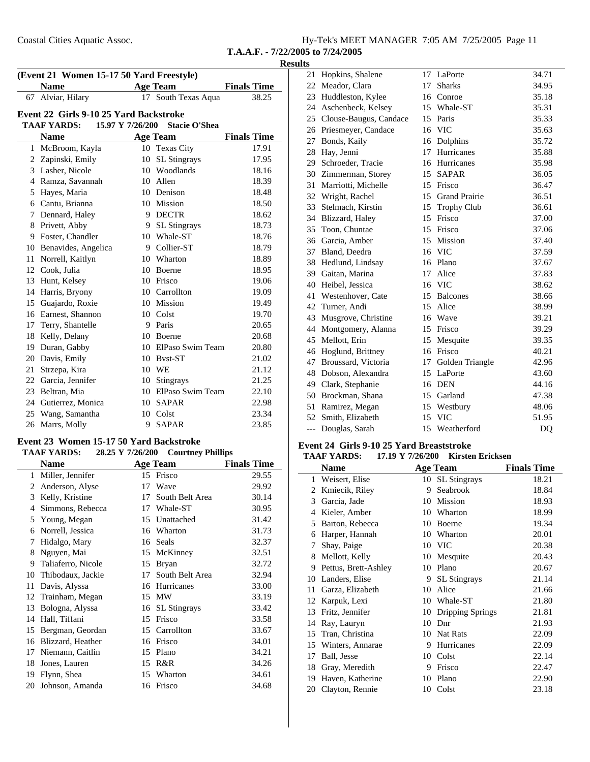|  |  | Hy-Tek's MEET MANAGER 7:05 AM 7/25/2005 Page 11 |  |  |  |  |
|--|--|-------------------------------------------------|--|--|--|--|
|--|--|-------------------------------------------------|--|--|--|--|

### **Results**

| (Event 21 Women 15-17 50 Yard Freestyle) |                                                                |    |                     |                    |  |  |
|------------------------------------------|----------------------------------------------------------------|----|---------------------|--------------------|--|--|
|                                          | <b>Name</b>                                                    |    | <b>Age Team</b>     | <b>Finals Time</b> |  |  |
| 67                                       | Alviar, Hilary                                                 |    | 17 South Texas Aqua | 38.25              |  |  |
|                                          | Event 22 Girls 9-10 25 Yard Backstroke                         |    |                     |                    |  |  |
|                                          | <b>TAAF YARDS:</b><br>15.97 Y 7/26/200<br><b>Stacie O'Shea</b> |    |                     |                    |  |  |
|                                          | <b>Name</b>                                                    |    | <b>Age Team</b>     | <b>Finals Time</b> |  |  |
| 1                                        | McBroom, Kayla                                                 |    | 10 Texas City       | 17.91              |  |  |
|                                          | 2 Zapinski, Emily                                              | 10 | <b>SL Stingrays</b> | 17.95              |  |  |
|                                          | 3 Lasher, Nicole                                               |    | 10 Woodlands        | 18.16              |  |  |
|                                          | 4 Ramza, Savannah                                              |    | 10 Allen            | 18.39              |  |  |
|                                          | 5 Hayes, Maria                                                 |    | 10 Denison          | 18.48              |  |  |
|                                          | 6 Cantu, Brianna                                               |    | 10 Mission          | 18.50              |  |  |
| $\tau$                                   | Dennard, Haley                                                 |    | 9 DECTR             | 18.62              |  |  |
|                                          | 8 Privett, Abby                                                | 9  | <b>SL</b> Stingrays | 18.73              |  |  |
|                                          | 9 Foster, Chandler                                             |    | 10 Whale-ST         | 18.76              |  |  |
|                                          | 10 Benavides, Angelica                                         | 9  | Collier-ST          | 18.79              |  |  |
| 11                                       | Norrell, Kaitlyn                                               |    | 10 Wharton          | 18.89              |  |  |
|                                          | 12 Cook, Julia                                                 |    | 10 Boerne           | 18.95              |  |  |
|                                          | 13 Hunt, Kelsey                                                |    | 10 Frisco           | 19.06              |  |  |
| 14                                       | Harris, Bryony                                                 | 10 | Carrollton          | 19.09              |  |  |
| 15                                       | Guajardo, Roxie                                                |    | 10 Mission          | 19.49              |  |  |
|                                          | 16 Earnest, Shannon                                            |    | 10 Colst            | 19.70              |  |  |
| 17                                       | Terry, Shantelle                                               | 9  | Paris               | 20.65              |  |  |
| 18                                       | Kelly, Delany                                                  |    | 10 Boerne           | 20.68              |  |  |
|                                          | 19 Duran, Gabby                                                |    | 10 ElPaso Swim Team | 20.80              |  |  |
| 20                                       | Davis, Emily                                                   | 10 | Byst-ST             | 21.02              |  |  |
| 21                                       | Strzepa, Kira                                                  | 10 | WE                  | 21.12              |  |  |
|                                          | 22 Garcia, Jennifer                                            |    | 10 Stingrays        | 21.25              |  |  |
|                                          | 23 Beltran, Mia                                                |    | 10 ElPaso Swim Team | 22.10              |  |  |
|                                          | 24 Gutierrez, Monica                                           | 10 | SAPAR               | 22.98              |  |  |
| 25                                       | Wang, Samantha                                                 | 10 | Colst               | 23.34              |  |  |
| 26                                       | Marrs, Molly                                                   | 9  | <b>SAPAR</b>        | 23.85              |  |  |

### **Event 23 Women 15-17 50 Yard Backstroke**

#### TAAF YARDS: 28.25 Y 7/26/200 Courtney Phillips

|    | Name               |    | <b>Age Team</b>     | <b>Finals Time</b> |
|----|--------------------|----|---------------------|--------------------|
| 1  | Miller, Jennifer   | 15 | Frisco              | 29.55              |
| 2  | Anderson, Alyse    | 17 | Wave                | 29.92              |
| 3  | Kelly, Kristine    | 17 | South Belt Area     | 30.14              |
| 4  | Simmons, Rebecca   | 17 | Whale-ST            | 30.95              |
| 5  | Young, Megan       | 15 | Unattached          | 31.42              |
| 6  | Norrell, Jessica   | 16 | Wharton             | 31.73              |
| 7  | Hidalgo, Mary      | 16 | Seals               | 32.37              |
| 8  | Nguyen, Mai        | 15 | McKinney            | 32.51              |
| 9  | Taliaferro, Nicole | 15 | <b>Bryan</b>        | 32.72              |
| 10 | Thibodaux, Jackie  | 17 | South Belt Area     | 32.94              |
| 11 | Davis, Alyssa      | 16 | Hurricanes          | 33.00              |
| 12 | Trainham, Megan    | 15 | <b>MW</b>           | 33.19              |
| 13 | Bologna, Alyssa    | 16 | <b>SL</b> Stingrays | 33.42              |
| 14 | Hall, Tiffani      | 15 | Frisco              | 33.58              |
| 15 | Bergman, Geordan   | 15 | Carrollton          | 33.67              |
| 16 | Blizzard, Heather  | 16 | Frisco              | 34.01              |
| 17 | Niemann, Caitlin   | 15 | Plano               | 34.21              |
| 18 | Jones, Lauren      | 15 | R&R                 | 34.26              |
| 19 | Flynn, Shea        | 15 | Wharton             | 34.61              |
| 20 | Johnson, Amanda    | 16 | Frisco              | 34.68              |

| 21  | Hopkins, Shalene          | 17 | LaPorte            | 34.71          |
|-----|---------------------------|----|--------------------|----------------|
| 22  | Meador, Clara             | 17 | <b>Sharks</b>      | 34.95          |
| 23  | Huddleston, Kylee         | 16 | Conroe             | 35.18          |
|     | 24 Aschenbeck, Kelsey     |    | 15 Whale-ST        | 35.31          |
|     | 25 Clouse-Baugus, Candace |    | 15 Paris           | 35.33          |
| 26  | Priesmeyer, Candace       | 16 | <b>VIC</b>         | 35.63          |
| 27  | Bonds, Kaily              | 16 | Dolphins           | 35.72          |
| 28  | Hay, Jenni                | 17 | Hurricanes         | 35.88          |
| 29  | Schroeder, Tracie         |    | 16 Hurricanes      | 35.98          |
| 30  | Zimmerman, Storey         | 15 | <b>SAPAR</b>       | 36.05          |
| 31  | Marriotti, Michelle       |    | 15 Frisco          | 36.47          |
|     | 32 Wright, Rachel         |    | 15 Grand Prairie   | 36.51          |
| 33  | Stelmach, Kirstin         | 15 | <b>Trophy Club</b> | 36.61          |
| 34  | Blizzard, Haley           | 15 | Frisco             | 37.00          |
|     | 35 Toon, Chuntae          |    | 15 Frisco          | 37.06          |
|     | 36 Garcia, Amber          |    | 15 Mission         | 37.40          |
| 37  | Bland, Deedra             |    | 16 VIC             | 37.59          |
|     | 38 Hedlund, Lindsay       |    | 16 Plano           | 37.67          |
|     | 39 Gaitan, Marina         | 17 | Alice              | 37.83          |
| 40  | Heibel, Jessica           |    | 16 VIC             | 38.62          |
| 41  | Westenhover, Cate         | 15 | <b>Balcones</b>    | 38.66          |
| 42  | Turner, Andi              |    | 15 Alice           | 38.99          |
| 43  | Musgrove, Christine       |    | 16 Wave            | 39.21          |
| 44  | Montgomery, Alanna        |    | 15 Frisco          | 39.29          |
| 45  | Mellott, Erin             |    | 15 Mesquite        | 39.35          |
|     | 46 Hoglund, Brittney      | 16 | Frisco             | 40.21          |
| 47  | Broussard, Victoria       | 17 | Golden Triangle    | 42.96          |
| 48  | Dobson, Alexandra         | 15 | LaPorte            | 43.60          |
|     | 49 Clark, Stephanie       |    | 16 DEN             | 44.16          |
|     | 50 Brockman, Shana        |    | 15 Garland         | 47.38          |
| 51  | Ramirez, Megan            |    | 15 Westbury        | 48.06          |
| 52  | Smith, Elizabeth          | 15 | <b>VIC</b>         | 51.95          |
| --- | Douglas, Sarah            | 15 | Weatherford        | D <sub>O</sub> |

#### **Event 24 Girls 9-10 25 Yard Breaststroke TAAF YARDS:** 17.19 Y 7/26/200 Kirsten Ericksen

|    | <b>Name</b>          |    | <b>Age Team</b>         | <b>Finals Time</b> |
|----|----------------------|----|-------------------------|--------------------|
| 1  | Weisert, Elise       | 10 | <b>SL</b> Stingrays     | 18.21              |
| 2  | Kmiecik, Riley       | 9  | Seabrook                | 18.84              |
| 3  | Garcia, Jade         | 10 | Mission                 | 18.93              |
| 4  | Kieler, Amber        | 10 | Wharton                 | 18.99              |
| 5  | Barton, Rebecca      | 10 | Boerne                  | 19.34              |
| 6  | Harper, Hannah       | 10 | Wharton                 | 20.01              |
| 7  | Shay, Paige          | 10 | <b>VIC</b>              | 20.38              |
| 8  | Mellott, Kelly       | 10 | Mesquite                | 20.43              |
| 9  | Pettus, Brett-Ashley | 10 | Plano                   | 20.67              |
| 10 | Landers, Elise       | 9  | <b>SL</b> Stingrays     | 21.14              |
| 11 | Garza, Elizabeth     | 10 | Alice                   | 21.66              |
| 12 | Karpuk, Lexi         | 10 | Whale-ST                | 21.80              |
| 13 | Fritz, Jennifer      | 10 | <b>Dripping Springs</b> | 21.81              |
| 14 | Ray, Lauryn          | 10 | Dnr                     | 21.93              |
| 15 | Tran, Christina      | 10 | Nat Rats                | 22.09              |
| 15 | Winters, Annarae     | 9  | Hurricanes              | 22.09              |
| 17 | Ball, Jesse          | 10 | Colst                   | 22.14              |
| 18 | Gray, Meredith       | 9  | Frisco                  | 22.47              |
| 19 | Haven, Katherine     | 10 | Plano                   | 22.90              |
| 20 | Clayton, Rennie      | 10 | Colst                   | 23.18              |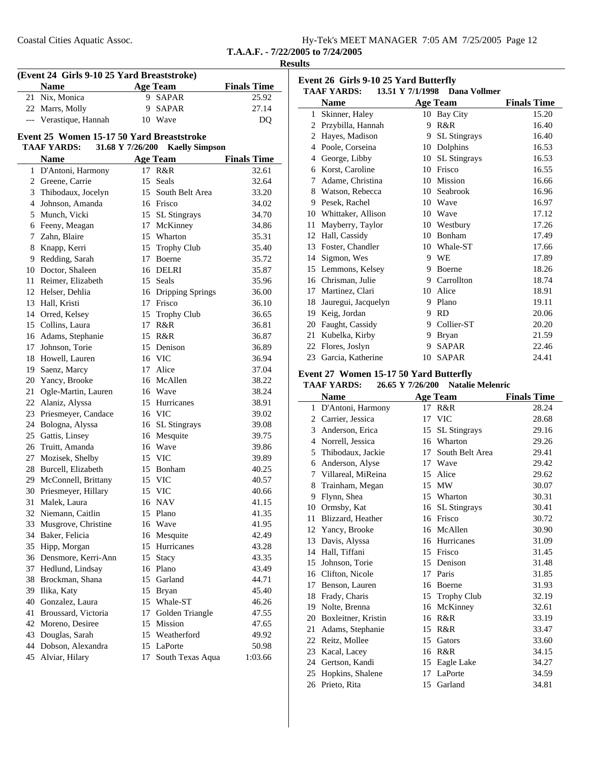| Hy-Tek's MEET MANAGER 7:05 AM 7/25/2005 Page 12 |  |  |
|-------------------------------------------------|--|--|
| T.A.A.F. - $7/22/2005$ to $7/24/2005$           |  |  |

**Results (Event 24 Girls 9-10 25 Yard Breaststroke) Name Age Team Finals Time** 21 25.92 Nix, Monica 9 SAPAR 22 Marrs, Molly 9 SAPAR 27.14 --- Verastique, Hannah 10 Wave DQ **Event 25 Women 15-17 50 Yard Breaststroke TAAF YARDS:** 31.68 Y 7/26/200 Kaelly Simpson **Name Age Team Finals Time** 1 32.61 D'Antoni, Harmony 17 R&R 2 32.64 Greene, Carrie 15 Seals 3 33.20 Thibodaux, Jocelyn 15 South Belt Area 4 34.02 Johnson, Amanda 16 Frisco 5 Munch, Vicki 15 SL Stingrays 34.70 6 34.86 Feeny, Meagan 17 McKinney 7 35.31 Zahn, Blaire 15 Wharton 8 35.40 Knapp, Kerri 15 Trophy Club 9 35.72 Redding, Sarah 17 Boerne 10 35.87 Doctor, Shaleen 16 DELRI 11 Reimer, Elizabeth 15 Seals 35.96 12 Helser, Dehlia 16 Dripping Springs 36.00 13 Hall, Kristi 17 Frisco 36.10 14 Orred, Kelsey 15 Trophy Club 36.65 15 36.81 Collins, Laura 17 R&R 16 36.87 Adams, Stephanie 15 R&R 17 Johnson, Torie 15 Denison 36.89 18 36.94 Howell, Lauren 16 VIC 19 37.04 Saenz, Marcy 17 Alice 20 38.22 Yancy, Brooke 16 McAllen 21 38.24 Ogle-Martin, Lauren 16 Wave 22 Alaniz, Alyssa 15 Hurricanes 38.91 23 Priesmeyer, Candace 16 VIC 39.02 24 39.08 Bologna, Alyssa 16 SL Stingrays 25 Gattis, Linsey 16 Mesquite 39.75 26 39.86 Truitt, Amanda 16 Wave 27 Mozisek, Shelby 15 VIC 39.89 28 40.25 Burcell, Elizabeth 15 Bonham 29 McConnell, Brittany 15 VIC 40.57 30 40.66 Priesmeyer, Hillary 15 VIC 31 Malek, Laura 16 NAV 41.15 32 41.35 Niemann, Caitlin 15 Plano 33 Musgrove, Christine 16 Wave 41.95 34 42.49 Baker, Felicia 16 Mesquite 35 43.28 Hipp, Morgan 15 Hurricanes 36 43.35 Densmore, Kerri-Ann 15 Stacy 37 43.49 Hedlund, Lindsay 16 Plano 38 Brockman, Shana 15 Garland 44.71 39 45.40 Ilika, Katy 15 Bryan 40 46.26 Gonzalez, Laura 15 Whale-ST 41 47.55 Broussard, Victoria 17 Golden Triangle 42 47.65 Moreno, Desiree 15 Mission 43 49.92 Douglas, Sarah 15 Weatherford 44 50.98 Dobson, Alexandra 15 LaPorte 45 Alviar, Hilary 17 South Texas Aqua 1:03.66

| Event 26 Girls 9-10 25 Yard Butterfly |                                                     |    |                     |                    |  |  |
|---------------------------------------|-----------------------------------------------------|----|---------------------|--------------------|--|--|
|                                       | 13.51 Y 7/1/1998 Dana Vollmer<br><b>TAAF YARDS:</b> |    |                     |                    |  |  |
|                                       | <b>Name</b>                                         |    | <b>Age Team</b>     | <b>Finals Time</b> |  |  |
| 1                                     | Skinner, Haley                                      |    | 10 Bay City         | 15.20              |  |  |
| 2                                     | Przybilla, Hannah                                   | 9  | R&R                 | 16.40              |  |  |
| 2                                     | Hayes, Madison                                      | 9  | <b>SL</b> Stingrays | 16.40              |  |  |
| $\overline{4}$                        | Poole, Corseina                                     | 10 | Dolphins            | 16.53              |  |  |
| $\overline{4}$                        | George, Libby                                       | 10 | <b>SL</b> Stingrays | 16.53              |  |  |
| 6                                     | Korst, Caroline                                     | 10 | Frisco              | 16.55              |  |  |
| 7                                     | Adame, Christina                                    | 10 | Mission             | 16.66              |  |  |
| 8                                     | Watson, Rebecca                                     | 10 | Seabrook            | 16.96              |  |  |
| 9                                     | Pesek, Rachel                                       | 10 | Wave                | 16.97              |  |  |
| 10                                    | Whittaker, Allison                                  | 10 | Wave                | 17.12              |  |  |
| 11                                    | Mayberry, Taylor                                    | 10 | Westbury            | 17.26              |  |  |
| 12                                    | Hall, Cassidy                                       | 10 | Bonham              | 17.49              |  |  |
| 13                                    | Foster, Chandler                                    | 10 | Whale-ST            | 17.66              |  |  |
| 14                                    | Sigmon, Wes                                         | 9  | WE                  | 17.89              |  |  |
| 15                                    | Lemmons, Kelsey                                     | 9  | Boerne              | 18.26              |  |  |
| 16                                    | Chrisman, Julie                                     | 9  | Carrollton          | 18.74              |  |  |
| 17                                    | Martinez, Clari                                     | 10 | Alice               | 18.91              |  |  |
| 18                                    | Jauregui, Jacquelyn                                 | 9  | Plano               | 19.11              |  |  |
| 19                                    | Keig, Jordan                                        | 9  | <b>RD</b>           | 20.06              |  |  |
| 20                                    | Faught, Cassidy                                     | 9  | Collier-ST          | 20.20              |  |  |
| 21                                    | Kubelka, Kirby                                      | 9  | <b>Bryan</b>        | 21.59              |  |  |
| 22                                    | Flores, Joslyn                                      | 9  | <b>SAPAR</b>        | 22.46              |  |  |
| 23                                    | Garcia, Katherine                                   | 10 | <b>SAPAR</b>        | 24.41              |  |  |
|                                       |                                                     |    |                     |                    |  |  |

# **Event 27 Women 15-17 50 Yard Butterfly**<br>TAAE VARDS: 26.65 V 7/26/200 Notelia

j.

|    | 26.65 Y 7/26/200<br><b>TAAF YARDS:</b> |    | <b>Natalie Melenric</b> |                    |
|----|----------------------------------------|----|-------------------------|--------------------|
|    | <b>Name</b>                            |    | <b>Age Team</b>         | <b>Finals Time</b> |
|    | 1 D'Antoni, Harmony                    | 17 | R&R                     | 28.24              |
|    | 2 Carrier, Jessica                     | 17 | <b>VIC</b>              | 28.68              |
| 3  | Anderson, Erica                        | 15 | <b>SL</b> Stingrays     | 29.16              |
| 4  | Norrell, Jessica                       | 16 | Wharton                 | 29.26              |
| 5  | Thibodaux, Jackie                      | 17 | South Belt Area         | 29.41              |
| 6  | Anderson, Alyse                        | 17 | Wave                    | 29.42              |
| 7  | Villareal, MiReina                     | 15 | Alice                   | 29.62              |
| 8  | Trainham, Megan                        | 15 | MW                      | 30.07              |
| 9  | Flynn, Shea                            | 15 | Wharton                 | 30.31              |
| 10 | Ormsby, Kat                            | 16 | <b>SL</b> Stingrays     | 30.41              |
| 11 | Blizzard, Heather                      | 16 | Frisco                  | 30.72              |
| 12 | Yancy, Brooke                          | 16 | McAllen                 | 30.90              |
| 13 | Davis, Alyssa                          | 16 | Hurricanes              | 31.09              |
| 14 | Hall, Tiffani                          | 15 | Frisco                  | 31.45              |
| 15 | Johnson, Torie                         | 15 | Denison                 | 31.48              |
|    | 16 Clifton, Nicole                     | 17 | Paris                   | 31.85              |
| 17 | Benson, Lauren                         | 16 | Boerne                  | 31.93              |
| 18 | Frady, Charis                          | 15 | <b>Trophy Club</b>      | 32.19              |
| 19 | Nolte, Brenna                          | 16 | McKinney                | 32.61              |
| 20 | Boxleitner, Kristin                    | 16 | R&R                     | 33.19              |
| 21 | Adams, Stephanie                       | 15 | R&R                     | 33.47              |
| 22 | Reitz, Mollee                          | 15 | Gators                  | 33.60              |
| 23 | Kacal, Lacey                           | 16 | R&R                     | 34.15              |
| 24 | Gertson, Kandi                         | 15 | Eagle Lake              | 34.27              |
| 25 | Hopkins, Shalene                       | 17 | LaPorte                 | 34.59              |
| 26 | Prieto, Rita                           | 15 | Garland                 | 34.81              |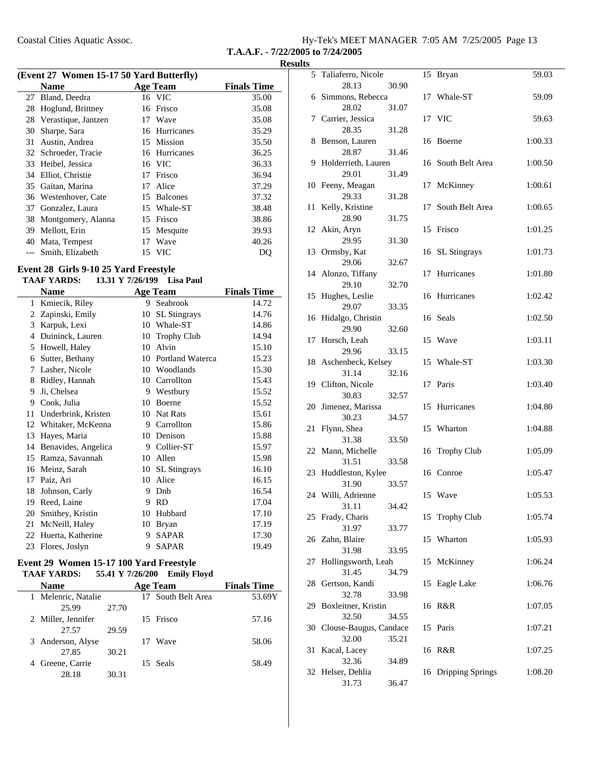| Hy-Tek's MEET MANAGER 7:05 AM 7/25/2005 Page 13 |  |  |
|-------------------------------------------------|--|--|
|                                                 |  |  |

**T.A.A.F. - 7/22/2005 to 7/24/2005**

| (Event 27 Women 15-17 50 Yard Butterfly) |                      |    |                 |                    |
|------------------------------------------|----------------------|----|-----------------|--------------------|
|                                          | <b>Name</b>          |    | <b>Age Team</b> | <b>Finals Time</b> |
| 27                                       | Bland, Deedra        |    | 16 VIC          | 35.00              |
| 28                                       | Hoglund, Brittney    | 16 | Frisco          | 35.08              |
| 28                                       | Verastique, Jantzen  |    | 17 Wave         | 35.08              |
| 30                                       | Sharpe, Sara         |    | 16 Hurricanes   | 35.29              |
| 31                                       | Austin, Andrea       |    | 15 Mission      | 35.50              |
|                                          | 32 Schroeder, Tracie |    | 16 Hurricanes   | 36.25              |
| 33                                       | Heibel, Jessica      |    | 16 VIC          | 36.33              |
| 34                                       | Elliot, Christie     | 17 | Frisco          | 36.94              |
|                                          | 35 Gaitan, Marina    | 17 | Alice           | 37.29              |
| 36                                       | Westenhover, Cate    |    | 15 Balcones     | 37.32              |
| 37                                       | Gonzalez, Laura      |    | 15 Whale-ST     | 38.48              |
| 38                                       | Montgomery, Alanna   | 15 | Frisco          | 38.86              |
| 39                                       | Mellott, Erin        | 15 | Mesquite        | 39.93              |
| 40                                       | Mata, Tempest        | 17 | Wave            | 40.26              |
|                                          | Smith, Elizabeth     |    | 15 VIC          | DQ                 |

### **Event 28 Girls 9-10 25 Yard Freestyle**

### **TAAF YARDS:** 13.31 Y 7/26/199 Lisa Paul

|    | <b>Name</b>         | <b>Age Team</b> |                     | <b>Finals Time</b> |
|----|---------------------|-----------------|---------------------|--------------------|
| 1  | Kmiecik, Riley      | 9               | Seabrook            | 14.72              |
| 2  | Zapinski, Emily     | 10              | <b>SL Stingrays</b> | 14.76              |
| 3  | Karpuk, Lexi        | 10              | Whale-ST            | 14.86              |
| 4  | Duininck, Lauren    | 10              | <b>Trophy Club</b>  | 14.94              |
| 5  | Howell, Haley       | 10              | Alvin               | 15.10              |
| 6  | Sutter, Bethany     | 10              | Portland Waterca    | 15.23              |
| 7  | Lasher, Nicole      | 10              | Woodlands           | 15.30              |
| 8  | Ridley, Hannah      | 10              | Carrollton          | 15.43              |
| 9  | Ji, Chelsea         | 9               | Westbury            | 15.52              |
| 9  | Cook, Julia         | 10              | <b>Boerne</b>       | 15.52              |
| 11 | Underbrink, Kristen | 10              | <b>Nat Rats</b>     | 15.61              |
| 12 | Whitaker, McKenna   | 9               | Carrollton          | 15.86              |
| 13 | Hayes, Maria        | 10              | Denison             | 15.88              |
| 14 | Benavides, Angelica | 9               | Collier-ST          | 15.97              |
| 15 | Ramza, Savannah     | 10              | Allen               | 15.98              |
| 16 | Meinz, Sarah        | 10              | <b>SL</b> Stingrays | 16.10              |
| 17 | Paiz, Ari           | 10              | Alice               | 16.15              |
| 18 | Johnson, Carly      | 9               | Dnb                 | 16.54              |
| 19 | Reed, Laine         | 9               | <b>RD</b>           | 17.04              |
| 20 | Smithey, Kristin    | 10              | Hubbard             | 17.10              |
| 21 | McNeill, Haley      | 10              | <b>Bryan</b>        | 17.19              |
| 22 | Huerta, Katherine   | 9               | <b>SAPAR</b>        | 17.30              |
| 23 | Flores, Joslyn      | 9               | <b>SAPAR</b>        | 19.49              |
|    |                     |                 |                     |                    |

### **Event 29 Women 15-17 100 Yard Freestyle**

| <b>TAAF YARDS:</b> 55.41 Y 7/26/200 |       |    | <b>Emily Floyd</b> |                    |
|-------------------------------------|-------|----|--------------------|--------------------|
| <b>Name</b>                         |       |    | <b>Age Team</b>    | <b>Finals Time</b> |
| 1 Melenric, Natalie                 |       |    | 17 South Belt Area | 53.69Y             |
| 25.99                               | 27.70 |    |                    |                    |
| 2 Miller, Jennifer                  |       |    | 15 Frisco          | 57.16              |
| 27.57                               | 29.59 |    |                    |                    |
| 3 Anderson, Alyse                   |       | 17 | Wave               | 58.06              |
| 27.85                               | 30.21 |    |                    |                    |
| 4 Greene, Carrie                    |       |    | 15 Seals           | 58.49              |
| 28.18                               | 30.31 |    |                    |                    |

| 5   | Taliaferro, Nicole          |       | 15 | Bryan               | 59.03   |
|-----|-----------------------------|-------|----|---------------------|---------|
|     | 28.13                       | 30.90 |    |                     |         |
|     | 6 Simmons, Rebecca          |       |    | 17 Whale-ST         | 59.09   |
|     | 28.02                       | 31.07 |    |                     |         |
|     | 7 Carrier, Jessica          |       |    | 17 VIC              | 59.63   |
|     | 28.35                       | 31.28 |    |                     |         |
| 8   | Benson, Lauren              |       | 16 | Boerne              | 1:00.33 |
|     | 28.87                       | 31.46 |    |                     |         |
|     | 9 Holderrieth, Lauren       |       |    | 16 South Belt Area  | 1:00.50 |
|     | 29.01                       | 31.49 |    |                     |         |
|     | 10 Feeny, Meagan            |       | 17 | McKinney            | 1:00.61 |
|     | 29.33                       | 31.28 |    |                     |         |
| 11  | Kelly, Kristine             |       | 17 | South Belt Area     | 1:00.65 |
|     | 28.90                       | 31.75 |    |                     |         |
| 12  | Akin, Aryn                  |       |    | 15 Frisco           | 1:01.25 |
|     | 29.95                       | 31.30 |    |                     |         |
| 13  | Ormsby, Kat<br>29.06        | 32.67 |    | 16 SL Stingrays     | 1:01.73 |
|     | 14 Alonzo, Tiffany          |       | 17 | Hurricanes          | 1:01.80 |
|     | 29.10                       | 32.70 |    |                     |         |
|     | 15 Hughes, Leslie           |       |    | 16 Hurricanes       | 1:02.42 |
|     | 29.07                       | 33.35 |    |                     |         |
|     | 16 Hidalgo, Christin        |       |    | 16 Seals            | 1:02.50 |
|     | 29.90                       | 32.60 |    |                     |         |
| 17  | Horsch, Leah                |       |    | 15 Wave             | 1:03.11 |
|     | 29.96                       | 33.15 |    |                     |         |
|     | 18 Aschenbeck, Kelsey       |       |    | 15 Whale-ST         | 1:03.30 |
|     | 31.14                       | 32.16 |    |                     |         |
|     | 19 Clifton, Nicole          |       |    | 17 Paris            | 1:03.40 |
|     | 30.83                       | 32.57 |    |                     |         |
| 20  | Jimenez, Marissa            |       |    | 15 Hurricanes       | 1:04.80 |
|     | 30.23                       | 34.57 |    |                     |         |
| 21  | Flynn, Shea                 |       |    | 15 Wharton          | 1:04.88 |
|     | 31.38                       | 33.50 |    |                     |         |
|     | 22 Mann, Michelle           |       |    | 16 Trophy Club      | 1:05.09 |
|     | 31.51                       | 33.58 |    |                     |         |
|     | 23 Huddleston, Kylee        |       |    | 16 Conroe           | 1:05.47 |
|     | 31.90                       | 33.57 |    | 15 Wave             |         |
|     | 24 Willi, Adrienne<br>31.11 | 34.42 |    |                     | 1:05.53 |
|     | 25 Frady, Charis            |       | 15 | <b>Trophy Club</b>  | 1:05.74 |
|     | 31.97                       | 33.77 |    |                     |         |
|     | 26 Zahn, Blaire             |       |    | 15 Wharton          | 1:05.93 |
|     | 31.98                       | 33.95 |    |                     |         |
| 27  | Hollingsworth, Leah         |       |    | 15 McKinney         | 1:06.24 |
|     | 31.45                       | 34.79 |    |                     |         |
| 28  | Gertson, Kandi              |       |    | 15 Eagle Lake       | 1:06.76 |
|     | 32.78                       | 33.98 |    |                     |         |
| 29. | Boxleitner, Kristin         |       | 16 | R&R                 | 1:07.05 |
|     | 32.50                       | 34.55 |    |                     |         |
| 30  | Clouse-Baugus, Candace      |       |    | 15 Paris            | 1:07.21 |
|     | 32.00                       | 35.21 |    |                     |         |
| 31  | Kacal, Lacey                |       | 16 | R&R                 | 1:07.25 |
|     | 32.36                       | 34.89 |    |                     |         |
| 32  | Helser, Dehlia              |       |    | 16 Dripping Springs | 1:08.20 |
|     | 31.73                       | 36.47 |    |                     |         |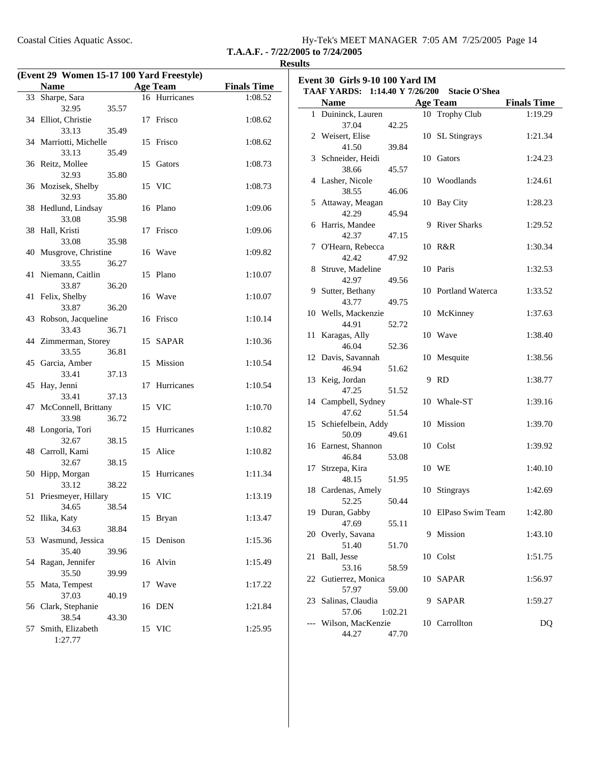| Coastal Cities Aquatic Assoc. | Hy-Tek's MEET MANAGER 7:05 AM 7/25/2005 Page 14 |  |
|-------------------------------|-------------------------------------------------|--|
|                               |                                                 |  |

### **Results**

|    | (Event 29 Women 15-17 100 Yard Freestyle) |       |    |                 |                    |  |
|----|-------------------------------------------|-------|----|-----------------|--------------------|--|
|    | <b>Name</b>                               |       |    | <b>Age Team</b> | <b>Finals Time</b> |  |
|    | 33 Sharpe, Sara                           |       |    | 16 Hurricanes   | 1:08.52            |  |
|    | 32.95                                     | 35.57 |    |                 |                    |  |
|    | 34 Elliot, Christie                       |       |    | 17 Frisco       | 1:08.62            |  |
|    | 33.13                                     | 35.49 |    |                 |                    |  |
|    | 34 Marriotti, Michelle                    |       |    | 15 Frisco       | 1:08.62            |  |
|    | 33.13                                     | 35.49 |    |                 |                    |  |
|    | 36 Reitz, Mollee                          |       |    | 15 Gators       | 1:08.73            |  |
|    | 32.93                                     | 35.80 |    |                 |                    |  |
|    | 36 Mozisek, Shelby                        |       |    | 15 VIC          | 1:08.73            |  |
|    | 32.93                                     | 35.80 |    |                 |                    |  |
|    | 38 Hedlund, Lindsay                       |       |    | 16 Plano        | 1:09.06            |  |
|    | 33.08                                     | 35.98 |    |                 |                    |  |
|    | 38 Hall, Kristi                           |       |    | 17 Frisco       | 1:09.06            |  |
|    | 33.08                                     | 35.98 |    |                 |                    |  |
|    | 40 Musgrove, Christine                    |       |    | 16 Wave         | 1:09.82            |  |
|    | 33.55                                     | 36.27 |    |                 |                    |  |
|    | 41 Niemann, Caitlin                       |       |    | 15 Plano        | 1:10.07            |  |
|    | 33.87                                     | 36.20 |    | 16 Wave         |                    |  |
|    | 41 Felix, Shelby<br>33.87                 | 36.20 |    |                 | 1:10.07            |  |
|    | 43 Robson, Jacqueline                     |       |    | 16 Frisco       | 1:10.14            |  |
|    | 33.43                                     | 36.71 |    |                 |                    |  |
|    | 44 Zimmerman, Storey                      |       |    | 15 SAPAR        | 1:10.36            |  |
|    | 33.55                                     | 36.81 |    |                 |                    |  |
|    | 45 Garcia, Amber                          |       |    | 15 Mission      | 1:10.54            |  |
|    | 33.41                                     | 37.13 |    |                 |                    |  |
| 45 | Hay, Jenni                                |       |    | 17 Hurricanes   | 1:10.54            |  |
|    | 33.41                                     | 37.13 |    |                 |                    |  |
| 47 | McConnell, Brittany                       |       |    | 15 VIC          | 1:10.70            |  |
|    | 33.98                                     | 36.72 |    |                 |                    |  |
|    | 48 Longoria, Tori                         |       |    | 15 Hurricanes   | 1:10.82            |  |
|    | 32.67                                     | 38.15 |    |                 |                    |  |
|    | 48 Carroll, Kami                          |       |    | 15 Alice        | 1:10.82            |  |
|    | 32.67                                     | 38.15 |    |                 |                    |  |
|    | 50 Hipp, Morgan                           |       |    | 15 Hurricanes   | 1:11.34            |  |
|    | 33.12                                     | 38.22 |    |                 |                    |  |
|    | 51 Priesmeyer, Hillary                    |       |    | 15 VIC          | 1:13.19            |  |
|    | 34.65                                     | 38.54 |    |                 |                    |  |
|    | 52 Ilika, Katy                            |       | 15 | <b>Bryan</b>    | 1:13.47            |  |
|    | 34.63                                     | 38.84 |    |                 |                    |  |
| 53 | Wasmund, Jessica<br>35.40                 |       |    | 15 Denison      | 1:15.36            |  |
|    | 54 Ragan, Jennifer                        | 39.96 |    | 16 Alvin        | 1:15.49            |  |
|    | 35.50                                     | 39.99 |    |                 |                    |  |
| 55 | Mata, Tempest                             |       | 17 | Wave            | 1:17.22            |  |
|    | 37.03                                     | 40.19 |    |                 |                    |  |
|    | 56 Clark, Stephanie                       |       |    | 16 DEN          | 1:21.84            |  |
|    | 38.54                                     | 43.30 |    |                 |                    |  |
| 57 | Smith, Elizabeth                          |       |    | 15 VIC          | 1:25.95            |  |
|    | 1:27.77                                   |       |    |                 |                    |  |

| Event 30 Girls 9-10 100 Yard IM<br>TAAF YARDS: 1:14.40 Y 7/26/200<br><b>Stacie O'Shea</b> |                             |         |    |                     |                    |
|-------------------------------------------------------------------------------------------|-----------------------------|---------|----|---------------------|--------------------|
|                                                                                           | <b>Name</b>                 |         |    | <b>Age Team</b>     | <b>Finals Time</b> |
| 1                                                                                         | Duininck, Lauren            |         |    | 10 Trophy Club      | 1:19.29            |
|                                                                                           | 37.04                       | 42.25   |    |                     |                    |
| 2                                                                                         | Weisert, Elise              |         |    | 10 SL Stingrays     | 1:21.34            |
|                                                                                           | 41.50                       | 39.84   |    |                     |                    |
|                                                                                           | 3 Schneider, Heidi          |         |    | 10 Gators           | 1:24.23            |
|                                                                                           | 38.66                       | 45.57   |    |                     |                    |
|                                                                                           | 4 Lasher, Nicole            |         |    | 10 Woodlands        | 1:24.61            |
|                                                                                           | 38.55                       | 46.06   |    |                     |                    |
|                                                                                           | 5 Attaway, Meagan           |         | 10 | <b>Bay City</b>     | 1:28.23            |
|                                                                                           | 42.29                       | 45.94   |    |                     |                    |
|                                                                                           | 6 Harris, Mandee            |         |    | 9 River Sharks      | 1:29.52            |
|                                                                                           | 42.37                       | 47.15   |    |                     |                    |
| 7                                                                                         | O'Hearn, Rebecca            |         |    | 10 R&R              | 1:30.34            |
|                                                                                           | 42.42                       | 47.92   |    |                     |                    |
|                                                                                           | 8 Struve, Madeline          |         |    | 10 Paris            | 1:32.53            |
|                                                                                           | 42.97                       | 49.56   |    |                     |                    |
|                                                                                           | 9 Sutter, Bethany           |         |    | 10 Portland Waterca | 1:33.52            |
|                                                                                           | 43.77                       | 49.75   |    |                     |                    |
|                                                                                           | 10 Wells, Mackenzie         |         |    | 10 McKinney         | 1:37.63            |
|                                                                                           | 44.91                       | 52.72   |    |                     |                    |
| 11                                                                                        | Karagas, Ally               |         |    | 10 Wave             | 1:38.40            |
|                                                                                           | 46.04                       | 52.36   |    |                     |                    |
|                                                                                           | 12 Davis, Savannah<br>46.94 |         |    | 10 Mesquite         | 1:38.56            |
| 13                                                                                        | Keig, Jordan                | 51.62   | 9  | -RD                 | 1:38.77            |
|                                                                                           | 47.25                       | 51.52   |    |                     |                    |
|                                                                                           | 14 Campbell, Sydney         |         |    | 10 Whale-ST         | 1:39.16            |
|                                                                                           | 47.62                       | 51.54   |    |                     |                    |
|                                                                                           | 15 Schiefelbein, Addy       |         |    | 10 Mission          | 1:39.70            |
|                                                                                           | 50.09                       | 49.61   |    |                     |                    |
|                                                                                           | 16 Earnest, Shannon         |         |    | 10 Colst            | 1:39.92            |
|                                                                                           | 46.84                       | 53.08   |    |                     |                    |
| 17                                                                                        | Strzepa, Kira               |         |    | 10 WE               | 1:40.10            |
|                                                                                           | 48.15                       | 51.95   |    |                     |                    |
|                                                                                           | 18 Cardenas, Amely          |         |    | 10 Stingrays        | 1:42.69            |
|                                                                                           | 52.25                       | 50.44   |    |                     |                    |
|                                                                                           | 19 Duran, Gabby             |         |    | 10 ElPaso Swim Team | 1:42.80            |
|                                                                                           | 47.69                       | 55.11   |    |                     |                    |
| 20                                                                                        | Overly, Savana              |         | 9  | Mission             | 1:43.10            |
|                                                                                           | 51.40                       | 51.70   |    |                     |                    |
| 21                                                                                        | Ball, Jesse                 |         |    | 10 Colst            | 1:51.75            |
|                                                                                           | 53.16                       | 58.59   |    |                     |                    |
|                                                                                           | 22 Gutierrez, Monica        |         |    | 10 SAPAR            | 1:56.97            |
|                                                                                           | 57.97                       | 59.00   |    |                     |                    |
|                                                                                           | 23 Salinas, Claudia         |         |    | 9 SAPAR             | 1:59.27            |
|                                                                                           | 57.06                       | 1:02.21 |    |                     |                    |
|                                                                                           | --- Wilson, MacKenzie       |         |    | 10 Carrollton       | DQ                 |
|                                                                                           | 44.27                       | 47.70   |    |                     |                    |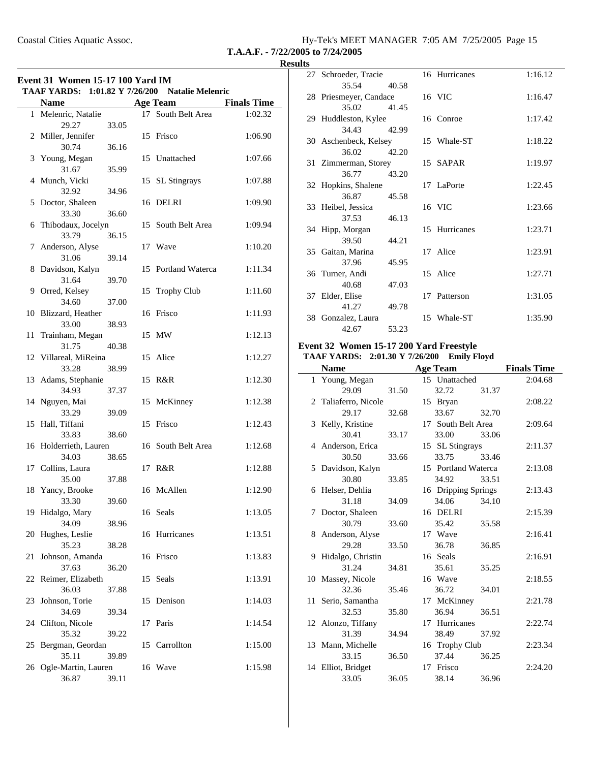| Hy-Tek's MEET MANAGER 7:05 AM 7/25/2005 Page 15 |  |  |  |
|-------------------------------------------------|--|--|--|
|-------------------------------------------------|--|--|--|

**T.A.A.F. - 7/22/2005 to 7/24/2005**

|    | <b>TAAF YARDS:</b>              |       |    | 1:01.82 Y 7/26/200 Natalie Melenric |                    |
|----|---------------------------------|-------|----|-------------------------------------|--------------------|
|    | <b>Name</b>                     |       |    | <b>Age Team</b>                     | <b>Finals Time</b> |
|    | 1 Melenric, Natalie<br>29.27    | 33.05 |    | 17 South Belt Area                  | 1:02.32            |
|    | 2 Miller, Jennifer<br>30.74     | 36.16 |    | 15 Frisco                           | 1:06.90            |
| 3  | Young, Megan<br>31.67           | 35.99 |    | 15 Unattached                       | 1:07.66            |
| 4  | Munch, Vicki<br>32.92           | 34.96 |    | 15 SL Stingrays                     | 1:07.88            |
| 5  | Doctor, Shaleen<br>33.30        | 36.60 | 16 | DELRI                               | 1:09.90            |
| 6  | Thibodaux, Jocelyn<br>33.79     | 36.15 | 15 | South Belt Area                     | 1:09.94            |
| 7  | Anderson, Alyse<br>31.06        | 39.14 |    | 17 Wave                             | 1:10.20            |
| 8  | Davidson, Kalyn                 |       | 15 | Portland Waterca                    | 1:11.34            |
| 9  | 31.64<br>Orred, Kelsey          | 39.70 | 15 | <b>Trophy Club</b>                  | 1:11.60            |
|    | 34.60<br>10 Blizzard, Heather   | 37.00 |    | 16 Frisco                           | 1:11.93            |
| 11 | 33.00<br>Trainham, Megan        | 38.93 |    | 15 MW                               | 1:12.13            |
|    | 31.75<br>12 Villareal, MiReina  | 40.38 |    | 15 Alice                            | 1:12.27            |
|    | 33.28<br>13 Adams, Stephanie    | 38.99 |    | 15 R&R                              | 1:12.30            |
|    | 34.93<br>14 Nguyen, Mai         | 37.37 | 15 | McKinney                            | 1:12.38            |
| 15 | 33.29<br>Hall, Tiffani          | 39.09 | 15 | Frisco                              | 1:12.43            |
|    | 33.83<br>16 Holderrieth, Lauren | 38.60 |    | 16 South Belt Area                  | 1:12.68            |
|    | 34.03<br>17 Collins, Laura      | 38.65 |    | 17 R&R                              | 1:12.88            |
| 18 | 35.00<br>Yancy, Brooke          | 37.88 |    | 16 McAllen                          | 1:12.90            |
|    | 33.30<br>19 Hidalgo, Mary       | 39.60 |    | 16 Seals                            | 1:13.05            |
| 20 | 34.09<br>Hughes, Leslie         | 38.96 |    | 16 Hurricanes                       | 1:13.51            |
| 21 | 35.23<br>Johnson, Amanda        | 38.28 |    | 16 Frisco                           | 1:13.83            |
|    | 37.63<br>22 Reimer, Elizabeth   | 36.20 |    | 15 Seals                            | 1:13.91            |
| 23 | 36.03<br>Johnson, Torie         | 37.88 | 15 | Denison                             | 1:14.03            |
|    | 34.69<br>24 Clifton, Nicole     | 39.34 | 17 | Paris                               | 1:14.54            |
|    | 35.32                           | 39.22 |    |                                     |                    |
| 25 | Bergman, Geordan<br>35.11       | 39.89 |    | 15 Carrollton                       | 1:15.00            |
| 26 | Ogle-Martin, Lauren<br>36.87    | 39.11 |    | 16 Wave                             | 1:15.98            |

| 27 Schroeder, Tracie   |       | 16 Hurricanes | 1:16.12 |
|------------------------|-------|---------------|---------|
| 35.54                  | 40.58 |               |         |
| 28 Priesmeyer, Candace |       | 16 VIC        | 1:16.47 |
| 35.02                  | 41.45 |               |         |
| 29 Huddleston, Kylee   |       | 16 Conroe     | 1:17.42 |
| 34.43                  | 42.99 |               |         |
| 30 Aschenbeck, Kelsey  |       | 15 Whale-ST   | 1:18.22 |
| 36.02                  | 42.20 |               |         |
| 31 Zimmerman, Storey   |       | 15 SAPAR      | 1:19.97 |
| 36.77                  | 43.20 |               |         |
| 32 Hopkins, Shalene    |       | 17 LaPorte    | 1:22.45 |
| 36.87                  | 45.58 |               |         |
| 33 Heibel, Jessica     |       | 16 VIC        | 1:23.66 |
| 37.53                  | 46.13 |               |         |
| 34 Hipp, Morgan        |       | 15 Hurricanes | 1:23.71 |
| 39.50                  | 44.21 |               |         |
| 35 Gaitan, Marina      |       | 17 Alice      | 1:23.91 |
| 37.96                  | 45.95 |               |         |
| 36 Turner, Andi        |       | 15 Alice      | 1:27.71 |
| 40.68                  | 47.03 |               |         |
| 37 Elder, Elise        |       | 17 Patterson  | 1:31.05 |
| 41.27                  | 49.78 |               |         |
| 38 Gonzalez, Laura     |       | 15 Whale-ST   | 1:35.90 |
| 42.67                  | 53.23 |               |         |

### **Event 32 Women 15-17 200 Yard Freestyle**

#### **TAAF YARDS: 2:01.30 Y 7/26/200 Emily Floyd**

| <b>Name</b>          |       | <b>Age Team</b>     |       | <b>Finals Time</b> |
|----------------------|-------|---------------------|-------|--------------------|
| 1 Young, Megan       |       | 15 Unattached       |       | 2:04.68            |
| 29.09                | 31.50 | 32.72               | 31.37 |                    |
| 2 Taliaferro, Nicole |       | 15 Bryan            |       | 2:08.22            |
| 29.17                | 32.68 | 33.67               | 32.70 |                    |
| 3 Kelly, Kristine    |       | 17 South Belt Area  |       | 2:09.64            |
| 30.41                | 33.17 | 33.00               | 33.06 |                    |
| 4 Anderson, Erica    |       | 15 SL Stingrays     |       | 2:11.37            |
| 30.50                | 33.66 | 33.75               | 33.46 |                    |
| 5 Davidson, Kalyn    |       | 15 Portland Waterca |       | 2:13.08            |
| 30.80                | 33.85 | 34.92               | 33.51 |                    |
| 6 Helser, Dehlia     |       | 16 Dripping Springs |       | 2:13.43            |
| 31.18                | 34.09 | 34.06               | 34.10 |                    |
| 7 Doctor, Shaleen    |       | 16 DELRI            |       | 2:15.39            |
| 30.79                | 33.60 | 35.42               | 35.58 |                    |
| 8 Anderson, Alyse    |       | 17 Wave             |       | 2:16.41            |
| 29.28                | 33.50 | 36.78               | 36.85 |                    |
| 9 Hidalgo, Christin  |       | 16 Seals            |       | 2:16.91            |
| 31.24                | 34.81 | 35.61               | 35.25 |                    |
| 10 Massey, Nicole    |       | 16 Wave             |       | 2:18.55            |
| 32.36                | 35.46 | 36.72               | 34.01 |                    |
| 11 Serio, Samantha   |       | 17 McKinney         |       | 2:21.78            |
| 32.53                | 35.80 | 36.94               | 36.51 |                    |
| 12 Alonzo, Tiffany   |       | 17 Hurricanes       |       | 2:22.74            |
| 31.39                | 34.94 | 38.49               | 37.92 |                    |
| 13 Mann, Michelle    |       | 16 Trophy Club      |       | 2:23.34            |
| 33.15                | 36.50 | 37.44               | 36.25 |                    |
| 14 Elliot, Bridget   |       | 17 Frisco           |       | 2:24.20            |
| 33.05                | 36.05 | 38.14               | 36.96 |                    |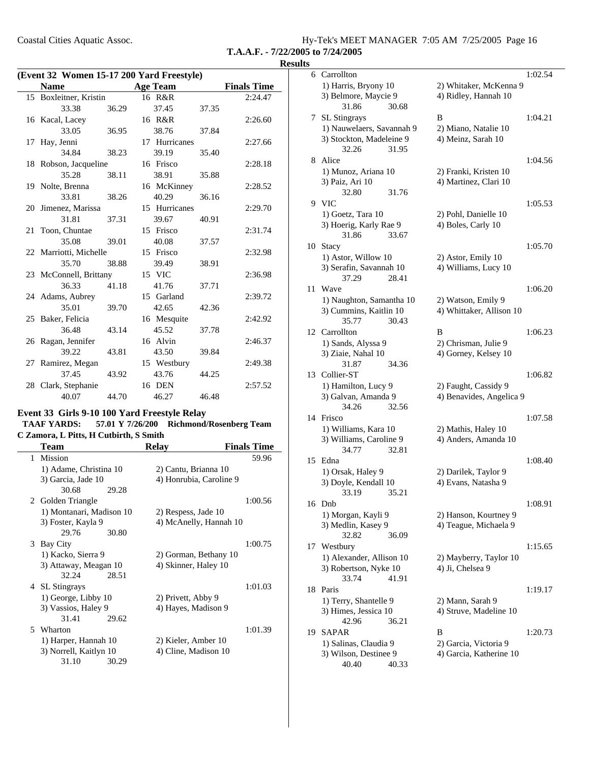| Hy-Tek's MEET MANAGER 7:05 AM 7/25/2005 Page 16 |  |  |
|-------------------------------------------------|--|--|
| T.A.A.F. - 7/22/2005 to 7/24/2005               |  |  |

| (Event 32 Women 15-17 200 Yard Freestyle) |                        |       |  |                 |       |                    |
|-------------------------------------------|------------------------|-------|--|-----------------|-------|--------------------|
|                                           | <b>Name</b>            |       |  | <b>Age Team</b> |       | <b>Finals Time</b> |
|                                           | 15 Boxleitner, Kristin |       |  | 16 R&R          |       | 2:24.47            |
|                                           | 33.38                  | 36.29 |  | 37.45           | 37.35 |                    |
|                                           | 16 Kacal, Lacey        |       |  | 16 R&R          |       | 2:26.60            |
|                                           | 33.05                  | 36.95 |  | 38.76           | 37.84 |                    |
|                                           | 17 Hay, Jenni          |       |  | 17 Hurricanes   |       | 2:27.66            |
|                                           | 34.84                  | 38.23 |  | 39.19           | 35.40 |                    |
|                                           | 18 Robson, Jacqueline  |       |  | 16 Frisco       |       | 2:28.18            |
|                                           | 35.28                  | 38.11 |  | 38.91           | 35.88 |                    |
|                                           | 19 Nolte, Brenna       |       |  | 16 McKinney     |       | 2:28.52            |
|                                           | 33.81                  | 38.26 |  | 40.29           | 36.16 |                    |
|                                           | 20 Jimenez, Marissa    |       |  | 15 Hurricanes   |       | 2:29.70            |
|                                           | 31.81                  | 37.31 |  | 39.67           | 40.91 |                    |
|                                           | 21 Toon, Chuntae       |       |  | 15 Frisco       |       | 2:31.74            |
|                                           | 35.08                  | 39.01 |  | 40.08           | 37.57 |                    |
|                                           | 22 Marriotti, Michelle |       |  | 15 Frisco       |       | 2:32.98            |
|                                           | 35.70                  | 38.88 |  | 39.49           | 38.91 |                    |
|                                           | 23 McConnell, Brittany |       |  | 15 VIC          |       | 2:36.98            |
|                                           | 36.33                  | 41.18 |  | 41.76           | 37.71 |                    |
|                                           | 24 Adams, Aubrey       |       |  | 15 Garland      |       | 2:39.72            |
|                                           | 35.01                  | 39.70 |  | 42.65           | 42.36 |                    |
|                                           | 25 Baker, Felicia      |       |  | 16 Mesquite     |       | 2:42.92            |
|                                           | 36.48                  | 43.14 |  | 45.52           | 37.78 |                    |
|                                           | 26 Ragan, Jennifer     |       |  | 16 Alvin        |       | 2:46.37            |
|                                           | 39.22                  | 43.81 |  | 43.50           | 39.84 |                    |
|                                           | 27 Ramirez, Megan      |       |  | 15 Westbury     |       | 2:49.38            |
|                                           | 37.45                  | 43.92 |  | 43.76           | 44.25 |                    |
|                                           | 28 Clark, Stephanie    |       |  | 16 DEN          |       | 2:57.52            |
|                                           | 40.07                  | 44.70 |  | 46.27           | 46.48 |                    |

#### **Event 33 Girls 9-10 100 Yard Freestyle Relay**

TAAF YARDS: 57.01 Y 7/26/200 Richmond/Rosenberg Team **C Zamora, L Pitts, H Cutbirth, S Smith**

|   | Team                     |       | <b>Relay</b>            | <b>Finals Time</b> |
|---|--------------------------|-------|-------------------------|--------------------|
| 1 | Mission                  |       |                         | 59.96              |
|   | 1) Adame, Christina 10   |       | 2) Cantu, Brianna 10    |                    |
|   | 3) Garcia, Jade 10       |       | 4) Honrubia, Caroline 9 |                    |
|   | 30.68                    | 29.28 |                         |                    |
|   | 2 Golden Triangle        |       |                         | 1:00.56            |
|   | 1) Montanari, Madison 10 |       | 2) Respess, Jade 10     |                    |
|   | 3) Foster, Kayla 9       |       | 4) McAnelly, Hannah 10  |                    |
|   | 29.76                    | 30.80 |                         |                    |
|   | 3 Bay City               |       |                         | 1:00.75            |
|   | 1) Kacko, Sierra 9       |       | 2) Gorman, Bethany 10   |                    |
|   | 3) Attaway, Meagan 10    |       | 4) Skinner, Haley 10    |                    |
|   | 32.24                    | 28.51 |                         |                    |
|   | 4 SL Stingrays           |       |                         | 1:01.03            |
|   | 1) George, Libby 10      |       | 2) Privett, Abby 9      |                    |
|   | 3) Vassios, Haley 9      |       | 4) Hayes, Madison 9     |                    |
|   | 31.41                    | 29.62 |                         |                    |
|   | 5 Wharton                |       |                         | 1:01.39            |
|   | 1) Harper, Hannah 10     |       | 2) Kieler, Amber 10     |                    |
|   | 3) Norrell, Kaitlyn 10   |       | 4) Cline, Madison 10    |                    |
|   | 31.10                    | 30.29 |                         |                    |

| $\bf{\hat{s}}$ |                                             |                                                  |         |
|----------------|---------------------------------------------|--------------------------------------------------|---------|
|                | 6 Carrollton                                |                                                  | 1:02.54 |
|                | 1) Harris, Bryony 10                        | 2) Whitaker, McKenna 9                           |         |
|                | 3) Belmore, Maycie 9                        | 4) Ridley, Hannah 10                             |         |
|                | 31.86<br>30.68                              |                                                  |         |
| 7              | <b>SL</b> Stingrays                         | B                                                | 1:04.21 |
|                | 1) Nauwelaers, Savannah 9                   | 2) Miano, Natalie 10                             |         |
|                | 3) Stockton, Madeleine 9                    | 4) Meinz, Sarah 10                               |         |
|                | 32.26<br>31.95                              |                                                  |         |
| 8              | Alice                                       |                                                  | 1:04.56 |
|                | 1) Munoz, Ariana 10                         | 2) Franki, Kristen 10                            |         |
|                | 3) Paiz, Ari 10                             | 4) Martinez, Clari 10                            |         |
|                | 32.80<br>31.76                              |                                                  |         |
| 9.             | <b>VIC</b>                                  | 2) Pohl, Danielle 10                             | 1:05.53 |
|                | 1) Goetz, Tara 10<br>3) Hoerig, Karly Rae 9 | 4) Boles, Carly 10                               |         |
|                | 31.86<br>33.67                              |                                                  |         |
| 10             | <b>Stacy</b>                                |                                                  | 1:05.70 |
|                | 1) Astor, Willow 10                         | 2) Astor, Emily 10                               |         |
|                | 3) Serafin, Savannah 10                     | 4) Williams, Lucy 10                             |         |
|                | 37.29<br>28.41                              |                                                  |         |
| 11             | Wave                                        |                                                  | 1:06.20 |
|                | 1) Naughton, Samantha 10                    | 2) Watson, Emily 9                               |         |
|                | 3) Cummins, Kaitlin 10                      | 4) Whittaker, Allison 10                         |         |
|                | 35.77<br>30.43                              |                                                  |         |
|                | 12 Carrollton                               | B                                                | 1:06.23 |
|                | 1) Sands, Alyssa 9                          | 2) Chrisman, Julie 9                             |         |
|                | 3) Ziaie, Nahal 10                          | 4) Gorney, Kelsey 10                             |         |
|                | 34.36<br>31.87                              |                                                  |         |
| 13             | Collier-ST                                  |                                                  | 1:06.82 |
|                | 1) Hamilton, Lucy 9<br>3) Galvan, Amanda 9  | 2) Faught, Cassidy 9<br>4) Benavides, Angelica 9 |         |
|                | 34.26<br>32.56                              |                                                  |         |
| 14             | Frisco                                      |                                                  | 1:07.58 |
|                | 1) Williams, Kara 10                        | 2) Mathis, Haley 10                              |         |
|                | 3) Williams, Caroline 9                     | 4) Anders, Amanda 10                             |         |
|                | 32.81<br>34.77                              |                                                  |         |
| 15             | Edna                                        |                                                  | 1:08.40 |
|                | 1) Orsak, Haley 9                           | 2) Darilek, Taylor 9                             |         |
|                | 3) Doyle, Kendall 10                        | 4) Evans, Natasha 9                              |         |
|                | 33.19<br>35.21                              |                                                  |         |
| 16             | Dnb                                         |                                                  | 1:08.91 |
|                | 1) Morgan, Kayli 9                          | 2) Hanson, Kourtney 9                            |         |
|                | 3) Medlin, Kasey 9                          | 4) Teague, Michaela 9                            |         |
|                | 32.82<br>36.09                              |                                                  |         |
| 17             | Westbury<br>1) Alexander, Allison 10        |                                                  | 1:15.65 |
|                | 3) Robertson, Nyke 10                       | 2) Mayberry, Taylor 10<br>4) Ji, Chelsea 9       |         |
|                | 33.74<br>41.91                              |                                                  |         |
| 18             | Paris                                       |                                                  | 1:19.17 |
|                | 1) Terry, Shantelle 9                       | 2) Mann, Sarah 9                                 |         |
|                | 3) Himes, Jessica 10                        | 4) Struve, Madeline 10                           |         |
|                | 42.96<br>36.21                              |                                                  |         |
| 19             | SAPAR                                       | В                                                | 1:20.73 |
|                | 1) Salinas, Claudia 9                       | 2) Garcia, Victoria 9                            |         |
|                | 3) Wilson, Destinee 9                       | 4) Garcia, Katherine 10                          |         |
|                | 40.40<br>40.33                              |                                                  |         |
|                |                                             |                                                  |         |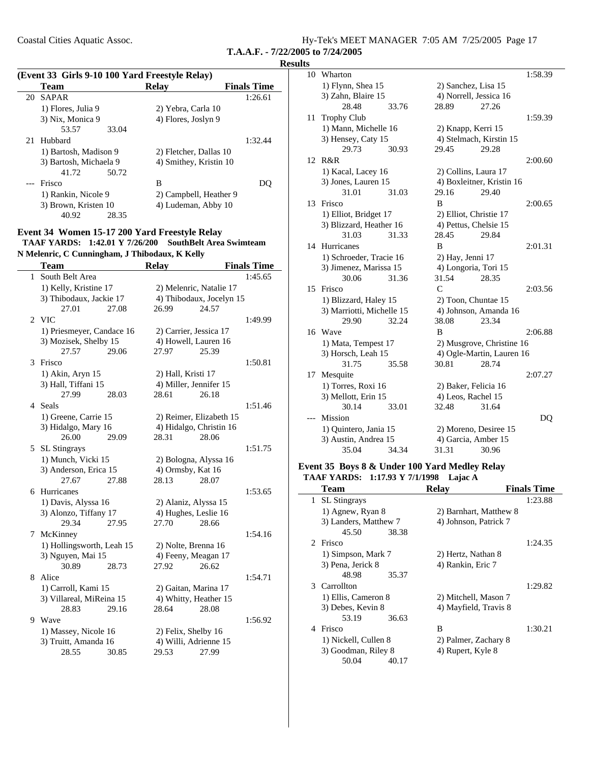$\sim$ 

Coastal Cities Aquatic Assoc. Hy-Tek's MEET MANAGER 7:05 AM 7/25/2005 Page 17

**T.A.A.F. - 7/22/2005 to 7/24/2005**

#### **Results**

|    | (Event 33 Girls 9-10 100 Yard Freestyle Relay) |       |                        |                    |  |  |
|----|------------------------------------------------|-------|------------------------|--------------------|--|--|
|    | Team                                           |       | <b>Relay</b>           | <b>Finals Time</b> |  |  |
| 20 | <b>SAPAR</b>                                   |       |                        | 1:26.61            |  |  |
|    | 1) Flores, Julia 9                             |       | 2) Yebra, Carla 10     |                    |  |  |
|    | 3) Nix, Monica 9                               |       | 4) Flores, Joslyn 9    |                    |  |  |
|    | 53.57                                          | 33.04 |                        |                    |  |  |
| 21 | Hubbard                                        |       |                        | 1:32.44            |  |  |
|    | 1) Bartosh, Madison 9                          |       | 2) Fletcher, Dallas 10 |                    |  |  |
|    | 3) Bartosh, Michaela 9                         |       | 4) Smithey, Kristin 10 |                    |  |  |
|    | 41.72                                          | 50.72 |                        |                    |  |  |
|    | Frisco                                         |       | В                      |                    |  |  |
|    | 1) Rankin, Nicole 9                            |       | 2) Campbell, Heather 9 |                    |  |  |
|    | 3) Brown, Kristen 10                           |       | 4) Ludeman, Abby 10    |                    |  |  |
|    | 40.92                                          | 28.35 |                        |                    |  |  |

### **Event 34 Women 15-17 200 Yard Freestyle Relay**

TAAF YARDS: 1:42.01 Y 7/26/200 SouthBelt Area Swimteam **N Melenric, C Cunningham, J Thibodaux, K Kelly**

|              | Team                      |       | <b>Relay</b>           |                          | <b>Finals Time</b> |
|--------------|---------------------------|-------|------------------------|--------------------------|--------------------|
| $\mathbf{1}$ | South Belt Area           |       |                        |                          | 1:45.65            |
|              | 1) Kelly, Kristine 17     |       |                        | 2) Melenric, Natalie 17  |                    |
|              | 3) Thibodaux, Jackie 17   |       |                        | 4) Thibodaux, Jocelyn 15 |                    |
|              | 27.01                     | 27.08 | 26.99                  | 24.57                    |                    |
| 2            | <b>VIC</b>                |       |                        |                          | 1:49.99            |
|              | 1) Priesmeyer, Candace 16 |       | 2) Carrier, Jessica 17 |                          |                    |
|              | 3) Mozisek, Shelby 15     |       | 4) Howell, Lauren 16   |                          |                    |
|              | 27.57                     | 29.06 | 27.97                  | 25.39                    |                    |
| 3            | Frisco                    |       |                        |                          | 1:50.81            |
|              | 1) Akin, Aryn 15          |       | 2) Hall, Kristi 17     |                          |                    |
|              | 3) Hall, Tiffani 15       |       | 4) Miller, Jennifer 15 |                          |                    |
|              | 27.99                     | 28.03 | 28.61                  | 26.18                    |                    |
|              | 4 Seals                   |       |                        |                          | 1:51.46            |
|              | 1) Greene, Carrie 15      |       |                        | 2) Reimer, Elizabeth 15  |                    |
|              | 3) Hidalgo, Mary 16       |       |                        | 4) Hidalgo, Christin 16  |                    |
|              | 26.00                     | 29.09 | 28.31                  | 28.06                    |                    |
| 5            | <b>SL Stingrays</b>       |       |                        |                          | 1:51.75            |
|              | 1) Munch, Vicki 15        |       | 2) Bologna, Alyssa 16  |                          |                    |
|              | 3) Anderson, Erica 15     |       | 4) Ormsby, Kat 16      |                          |                    |
|              | 27.67                     | 27.88 | 28.13                  | 28.07                    |                    |
|              | 6 Hurricanes              |       |                        |                          | 1:53.65            |
|              | 1) Davis, Alyssa 16       |       | 2) Alaniz, Alyssa 15   |                          |                    |
|              | 3) Alonzo, Tiffany 17     |       | 4) Hughes, Leslie 16   |                          |                    |
|              | 29.34                     | 27.95 | 27.70                  | 28.66                    |                    |
| 7            | McKinney                  |       |                        |                          | 1:54.16            |
|              | 1) Hollingsworth, Leah 15 |       | 2) Nolte, Brenna 16    |                          |                    |
|              | 3) Nguyen, Mai 15         |       | 4) Feeny, Meagan 17    |                          |                    |
|              | 30.89                     | 28.73 | 27.92                  | 26.62                    |                    |
| 8            | Alice                     |       |                        |                          | 1:54.71            |
|              | 1) Carroll, Kami 15       |       | 2) Gaitan, Marina 17   |                          |                    |
|              | 3) Villareal, MiReina 15  |       | 4) Whitty, Heather 15  |                          |                    |
|              | 28.83                     | 29.16 | 28.64                  | 28.08                    |                    |
|              | 9 Wave                    |       |                        |                          | 1:56.92            |
|              | 1) Massey, Nicole 16      |       | 2) Felix, Shelby 16    |                          |                    |
|              | 3) Truitt, Amanda 16      |       | 4) Willi, Adrienne 15  |                          |                    |
|              | 28.55                     | 30.85 | 29.53                  | 27.99                    |                    |

| 10 | Wharton                   |       |                    |                           | 1:58.39 |
|----|---------------------------|-------|--------------------|---------------------------|---------|
|    | 1) Flynn, Shea 15         |       |                    | 2) Sanchez, Lisa 15       |         |
|    | 3) Zahn, Blaire 15        |       |                    | 4) Norrell, Jessica 16    |         |
|    | 28.48                     | 33.76 | 28.89              | 27.26                     |         |
| 11 | <b>Trophy Club</b>        |       |                    |                           | 1:59.39 |
|    | 1) Mann, Michelle 16      |       |                    | 2) Knapp, Kerri 15        |         |
|    | 3) Hensey, Caty 15        |       |                    | 4) Stelmach, Kirstin 15   |         |
|    | 29.73                     | 30.93 | 29.45              | 29.28                     |         |
|    | 12 R&R                    |       |                    |                           | 2:00.60 |
|    | 1) Kacal, Lacey 16        |       |                    | 2) Collins, Laura 17      |         |
|    | 3) Jones, Lauren 15       |       |                    | 4) Boxleitner, Kristin 16 |         |
|    | 31.01                     | 31.03 | 29.16              | 29.40                     |         |
| 13 | Frisco                    |       | B                  |                           | 2:00.65 |
|    | 1) Elliot, Bridget 17     |       |                    | 2) Elliot, Christie 17    |         |
|    | 3) Blizzard, Heather 16   |       |                    | 4) Pettus, Chelsie 15     |         |
|    | 31.03                     | 31.33 | 28.45              | 29.84                     |         |
| 14 | Hurricanes                |       | B                  |                           | 2:01.31 |
|    | 1) Schroeder, Tracie 16   |       | 2) Hay, Jenni 17   |                           |         |
|    | 3) Jimenez, Marissa 15    |       |                    | 4) Longoria, Tori 15      |         |
|    | 30.06                     | 31.36 | 31.54              | 28.35                     |         |
| 15 | Frisco                    |       | $\mathsf{C}$       |                           | 2:03.56 |
|    | 1) Blizzard, Haley 15     |       |                    | 2) Toon, Chuntae 15       |         |
|    | 3) Marriotti, Michelle 15 |       |                    | 4) Johnson, Amanda 16     |         |
|    | 29.90                     | 32.24 | 38.08              | 23.34                     |         |
| 16 | Wave                      |       | B                  |                           | 2:06.88 |
|    | 1) Mata, Tempest 17       |       |                    | 2) Musgrove, Christine 16 |         |
|    | 3) Horsch, Leah 15        |       |                    | 4) Ogle-Martin, Lauren 16 |         |
|    | 31.75                     | 35.58 | 30.81              | 28.74                     |         |
| 17 | Mesquite                  |       |                    |                           | 2:07.27 |
|    | 1) Torres, Roxi 16        |       |                    | 2) Baker, Felicia 16      |         |
|    | 3) Mellott, Erin 15       |       | 4) Leos, Rachel 15 |                           |         |
|    | 30.14                     | 33.01 | 32.48              | 31.64                     |         |
|    | Mission                   |       |                    |                           | DQ      |
|    | 1) Quintero, Jania 15     |       |                    | 2) Moreno, Desiree 15     |         |
|    | 3) Austin, Andrea 15      |       |                    | 4) Garcia, Amber 15       |         |
|    | 35.04                     | 34.34 | 31.31              | 30.96                     |         |

### **Event 35 Boys 8 & Under 100 Yard Medley Relay** TAAF YARDS: 1:17.93 Y 7/1/1998 Lajac A

| Team                  | <b>Relav</b>           | <b>Finals Time</b> |
|-----------------------|------------------------|--------------------|
| SL Stingrays<br>1     |                        | 1:23.88            |
| 1) Agnew, Ryan 8      | 2) Barnhart, Matthew 8 |                    |
| 3) Landers, Matthew 7 | 4) Johnson, Patrick 7  |                    |
| 45.50<br>38.38        |                        |                    |
| 2 Frisco              |                        | 1:24.35            |
| 1) Simpson, Mark 7    | 2) Hertz, Nathan 8     |                    |
| 3) Pena, Jerick 8     | 4) Rankin, Eric 7      |                    |
| 48.98<br>35.37        |                        |                    |
| 3 Carrollton          |                        | 1:29.82            |
| 1) Ellis, Cameron 8   | 2) Mitchell, Mason 7   |                    |
| 3) Debes, Kevin 8     | 4) Mayfield, Travis 8  |                    |
| 53.19<br>36.63        |                        |                    |
| Frisco<br>4           | B                      | 1:30.21            |
| 1) Nickell, Cullen 8  | 2) Palmer, Zachary 8   |                    |
| 3) Goodman, Riley 8   | 4) Rupert, Kyle 8      |                    |
| 50.04<br>40.17        |                        |                    |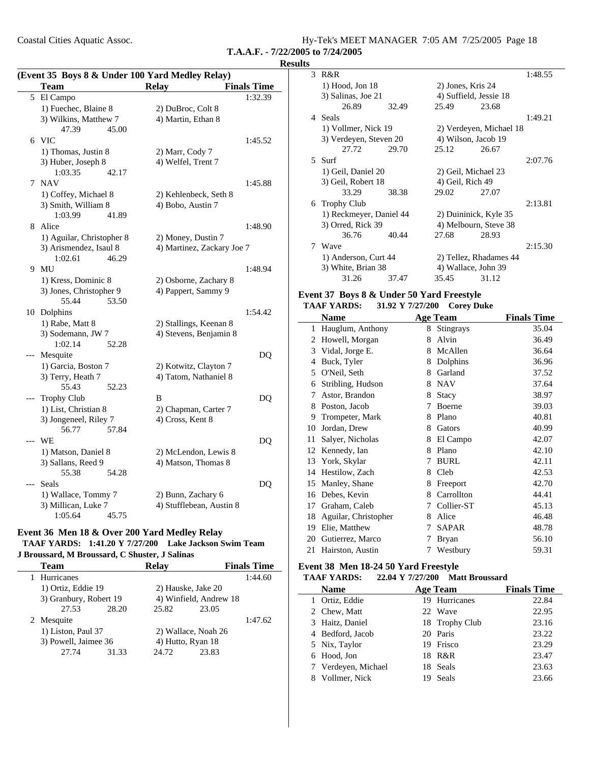Hy-Tek's MEET MANAGER  $7:05$  AM  $7/25/2005$  Page 18

**T.A.A.F. - 7/22/2005 to 7/24/2005**

|       | Coastal Cities Aquatic Assoc.                   |                                                       | T.A.A.F. - 7/22/2005 to 7/24/ |                | Hy-Tek's I     |
|-------|-------------------------------------------------|-------------------------------------------------------|-------------------------------|----------------|----------------|
|       |                                                 |                                                       |                               | <b>Results</b> |                |
|       | (Event 35 Boys 8 & Under 100 Yard Medley Relay) |                                                       |                               |                | 3 R&R          |
|       | Team                                            | <b>Relay</b>                                          | <b>Finals Time</b>            |                | $1)$ Ho        |
|       | 5 El Campo                                      |                                                       | 1:32.39                       |                | 3) Sal         |
|       | 1) Fuechec, Blaine 8                            | 2) DuBroc, Colt 8                                     |                               |                |                |
|       | 3) Wilkins, Matthew 7                           | 4) Martin, Ethan 8                                    |                               |                | 4 Seals        |
|       | 47.39<br>45.00                                  |                                                       |                               |                | $1)$ Vo        |
|       | 6 VIC                                           |                                                       | 1:45.52                       |                | 3) Vei         |
|       | 1) Thomas, Justin 8                             | 2) Marr, Cody 7                                       |                               |                |                |
|       | 3) Huber, Joseph 8                              | 4) Welfel, Trent 7                                    |                               |                | 5 Surf         |
|       | 1:03.35<br>42.17                                |                                                       |                               |                | 1) Ge          |
|       | 7 NAV                                           |                                                       | 1:45.88                       |                | 3) Gei         |
|       | 1) Coffey, Michael 8                            | 2) Kehlenbeck, Seth 8                                 |                               |                |                |
|       | 3) Smith, William 8                             | 4) Bobo, Austin 7                                     |                               |                | 6 Troph        |
|       | 1:03.99<br>41.89                                |                                                       |                               |                | $1)$ Re        |
|       | 8 Alice                                         |                                                       | 1:48.90                       |                | $3)$ Orr       |
|       | 1) Aguilar, Christopher 8                       | 2) Money, Dustin 7                                    |                               |                |                |
|       | 3) Arismendez, Isaul 8                          | 4) Martinez, Zackary Joe 7                            |                               |                | 7 Wave         |
|       | 1:02.61<br>46.29                                |                                                       |                               |                | 1) An          |
|       | 9 MU                                            |                                                       | 1:48.94                       |                | 3) Wh          |
|       | 1) Kress, Dominic 8                             | 2) Osborne, Zachary 8                                 |                               |                |                |
|       | 3) Jones, Christopher 9                         | 4) Pappert, Sammy 9                                   |                               |                |                |
|       | 55.44<br>53.50                                  |                                                       |                               |                | Event 37 I     |
|       | 10 Dolphins                                     |                                                       | 1:54.42                       |                | <b>TAAF YA</b> |
|       | 1) Rabe, Matt 8                                 | 2) Stallings, Keenan 8                                |                               |                | Nam            |
|       | 3) Sodemann, JW 7                               | 4) Stevens, Benjamin 8                                |                               | $\mathbf{1}$   | Haugl          |
|       | 1:02.14<br>52.28                                |                                                       |                               |                | 2 Howe         |
| ---   | Mesquite                                        |                                                       | DQ                            | 3              | Vidal,         |
|       | 1) Garcia, Boston 7                             | 2) Kotwitz, Clayton 7                                 |                               |                | 4 Buck,        |
|       | 3) Terry, Heath 7                               | 4) Tatom, Nathaniel 8                                 |                               |                | 5 O'Nei        |
|       | 55.43<br>52.23                                  |                                                       |                               | 6              | Stribli        |
| $---$ | Trophy Club                                     | B                                                     | DQ                            | 7              | Astor,         |
|       | 1) List, Christian 8                            | 2) Chapman, Carter 7                                  |                               |                | 8 Postor       |
|       | 3) Jongeneel, Riley 7                           | 4) Cross, Kent 8                                      |                               | 9              | Trom           |
|       | 56.77<br>57.84                                  |                                                       |                               | 10             | Jordar         |
| ---   | WE                                              |                                                       | DQ                            | 11             | Salyer         |
|       | 1) Matson, Daniel 8                             | 2) McLendon, Lewis 8                                  |                               |                | 12 Kenne       |
|       | 3) Sallans, Reed 9                              | 4) Matson, Thomas 8                                   |                               | 13             | York,          |
|       | 54.28<br>55.38                                  |                                                       |                               |                | 14 Hestil      |
| $---$ | Seals                                           |                                                       | DQ                            |                | 15 Manle       |
|       | 1) Wallace, Tommy 7                             | 2) Bunn, Zachary 6                                    |                               |                | 16 Debes       |
|       | 3) Millican, Luke 7                             | 4) Stufflebean, Austin 8                              |                               |                | 17 Graha       |
|       | 1:05.64<br>45.75                                |                                                       |                               |                | 18 Aguila      |
|       |                                                 |                                                       |                               |                |                |
|       | Event 36 Men 18 & Over 200 Yard Medley Relay    |                                                       |                               |                | 19 Elie, N     |
|       |                                                 | TAAF YARDS: 1:41.20 Y 7/27/200 Lake Jackson Swim Team |                               |                | 20 Gutier      |

# **J Broussard, M Broussard, C Shuster, J Salinas**

| <b>Team</b>            |       | <b>Relav</b> |                        | <b>Finals Time</b> |
|------------------------|-------|--------------|------------------------|--------------------|
| 1 Hurricanes           |       |              |                        | 1:44.60            |
| 1) Ortiz, Eddie 19     |       |              | 2) Hauske, Jake 20     |                    |
| 3) Granbury, Robert 19 |       |              | 4) Winfield, Andrew 18 |                    |
| 27.53                  | 28.20 | 25.82        | 23.05                  |                    |
| 2 Mesquite             |       |              |                        | 1:47.62            |
| 1) Liston, Paul 37     |       |              | 2) Wallace, Noah 26    |                    |
| 3) Powell, Jaimee 36   |       |              | 4) Hutto, Ryan 18      |                    |
| 27.74                  | 31.33 | 24.72        | 23.83                  |                    |
|                        |       |              |                        |                    |

|   | 3 R&R                   |       |                        |                         | 1:48.55 |
|---|-------------------------|-------|------------------------|-------------------------|---------|
|   | 1) Hood, Jon 18         |       | 2) Jones, Kris 24      |                         |         |
|   | 3) Salinas, Joe 21      |       | 4) Suffield, Jessie 18 |                         |         |
|   | 26.89                   | 32.49 | 25.49                  | 23.68                   |         |
|   | 4 Seals                 |       |                        |                         | 1:49.21 |
|   | 1) Vollmer, Nick 19     |       |                        | 2) Verdeyen, Michael 18 |         |
|   | 3) Verdeyen, Steven 20  |       | 4) Wilson, Jacob 19    |                         |         |
|   | 27.72                   | 29.70 | 25.12                  | 26.67                   |         |
|   | 5 Surf                  |       |                        |                         | 2:07.76 |
|   | 1) Geil, Daniel 20      |       | 2) Geil, Michael 23    |                         |         |
|   | 3) Geil, Robert 18      |       | 4) Geil, Rich 49       |                         |         |
|   | 33.29                   | 38.38 | 29.02                  | 27.07                   |         |
| 6 | <b>Trophy Club</b>      |       |                        |                         | 2:13.81 |
|   | 1) Reckmeyer, Daniel 44 |       | 2) Duininick, Kyle 35  |                         |         |
|   | 3) Orred, Rick 39       |       | 4) Melbourn, Steve 38  |                         |         |
|   | 36.76                   | 40.44 | 27.68                  | 28.93                   |         |
| 7 | Wave                    |       |                        |                         | 2:15.30 |
|   | 1) Anderson, Curt 44    |       |                        | 2) Tellez, Rhadames 44  |         |
|   | 3) White, Brian 38      |       | 4) Wallace, John 39    |                         |         |
|   | 31.26                   | 37.47 | 35.45                  | 31.12                   |         |

### **Event 37 Boys 8 & Under 50 Yard Freestyle**

### **TAAF YARDS:** 31.92 Y 7/27/200 Corey Duke

| Name |                      |   | <b>Age Team</b> | <b>Finals Time</b> |
|------|----------------------|---|-----------------|--------------------|
| 1    | Hauglum, Anthony     | 8 | Stingrays       | 35.04              |
| 2    | Howell, Morgan       | 8 | Alvin           | 36.49              |
| 3    | Vidal, Jorge E.      | 8 | McAllen         | 36.64              |
| 4    | Buck, Tyler          | 8 | Dolphins        | 36.96              |
| 5    | O'Neil, Seth         | 8 | Garland         | 37.52              |
| 6    | Stribling, Hudson    | 8 | <b>NAV</b>      | 37.64              |
| 7    | Astor, Brandon       | 8 | Stacy           | 38.97              |
| 8    | Poston, Jacob        | 7 | <b>Boerne</b>   | 39.03              |
| 9    | Trompeter, Mark      | 8 | Plano           | 40.81              |
| 10   | Jordan, Drew         | 8 | Gators          | 40.99              |
| 11   | Salyer, Nicholas     | 8 | El Campo        | 42.07              |
| 12   | Kennedy, Ian         | 8 | Plano           | 42.10              |
| 13   | York, Skylar         | 7 | <b>BURL</b>     | 42.11              |
| 14   | Hestilow, Zach       | 8 | Cleb            | 42.53              |
| 15   | Manley, Shane        | 8 | Freeport        | 42.70              |
| 16   | Debes, Kevin         | 8 | Carrollton      | 44.41              |
| 17   | Graham, Caleb        | 7 | Collier-ST      | 45.13              |
| 18   | Aguilar, Christopher | 8 | Alice           | 46.48              |
| 19   | Elie, Matthew        | 7 | <b>SAPAR</b>    | 48.78              |
| 20   | Gutierrez, Marco     | 7 | <b>Bryan</b>    | 56.10              |
| 21   | Hairston, Austin     | 7 | Westbury        | 59.31              |

### **Event 38 Men 18-24 50 Yard Freestyle**

### **TAAF YARDS:** 22.04 Y 7/27/200 Matt Broussard

|  | <b>Name</b>         |    | <b>Age Team</b> | <b>Finals Time</b> |  |
|--|---------------------|----|-----------------|--------------------|--|
|  | 1 Ortiz, Eddie      |    | 19 Hurricanes   | 22.84              |  |
|  | 2 Chew, Matt        |    | 22 Wave         | 22.95              |  |
|  | 3 Haitz, Daniel     |    | 18 Trophy Club  | 23.16              |  |
|  | 4 Bedford, Jacob    |    | 20 Paris        | 23.22              |  |
|  | 5 Nix, Taylor       |    | 19 Frisco       | 23.29              |  |
|  | 6 Hood, Jon         |    | 18 R&R          | 23.47              |  |
|  | 7 Verdeyen, Michael |    | 18 Seals        | 23.63              |  |
|  | 8 Vollmer, Nick     | 19 | Seals           | 23.66              |  |
|  |                     |    |                 |                    |  |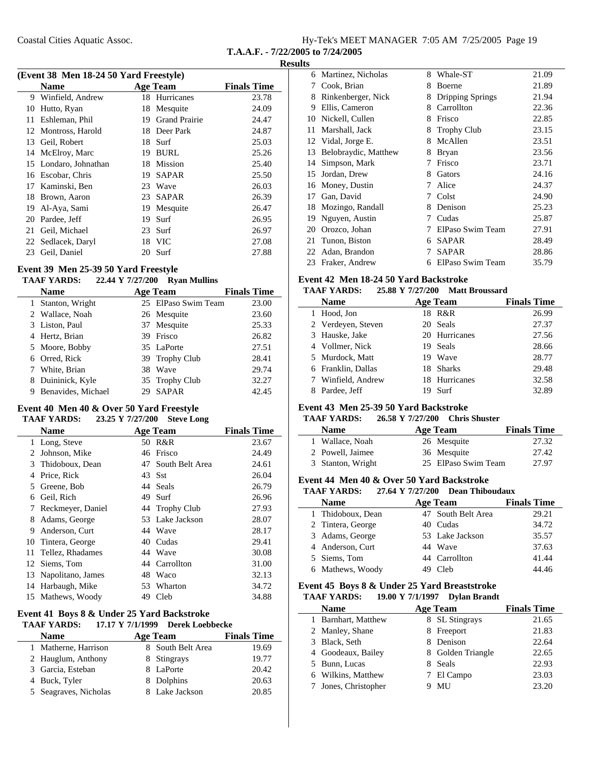Coastal Cities Aquatic Assoc.

| Hy-Tek's MEET MANAGER 7:05 AM 7/25/2005 Page 19 |  |  |
|-------------------------------------------------|--|--|
|                                                 |  |  |

**T.A.A.F. - 7/22/2005 to 7/24/2005**

### **Results**

|    | (Event 38 Men 18-24 50 Yard Freestyle) |    |                      |                    |  |
|----|----------------------------------------|----|----------------------|--------------------|--|
|    | Name                                   |    | <b>Age Team</b>      | <b>Finals Time</b> |  |
| 9  | Winfield, Andrew                       | 18 | Hurricanes           | 23.78              |  |
| 10 | Hutto, Ryan                            | 18 | Mesquite             | 24.09              |  |
| 11 | Eshleman, Phil                         | 19 | <b>Grand Prairie</b> | 24.47              |  |
|    | 12 Montross, Harold                    | 18 | Deer Park            | 24.87              |  |
| 13 | Geil, Robert                           | 18 | Surf                 | 25.03              |  |
| 14 | McElroy, Marc                          | 19 | <b>BURL</b>          | 25.26              |  |
|    | 15 Londaro, Johnathan                  | 18 | Mission              | 25.40              |  |
| 16 | Escobar, Chris                         | 19 | <b>SAPAR</b>         | 25.50              |  |
| 17 | Kaminski, Ben                          | 23 | Wave                 | 26.03              |  |
| 18 | Brown, Aaron                           | 23 | <b>SAPAR</b>         | 26.39              |  |
| 19 | Al-Aya, Sami                           | 19 | Mesquite             | 26.47              |  |
| 20 | Pardee, Jeff                           | 19 | Surf                 | 26.95              |  |
| 21 | Geil, Michael                          | 23 | Surf                 | 26.97              |  |
| 22 | Sedlacek, Daryl                        | 18 | <b>VIC</b>           | 27.08              |  |
| 23 | Geil, Daniel                           | 20 | Surf                 | 27.88              |  |

### **Event 39 Men 25-39 50 Yard Freestyle**

#### **TAAF YARDS:** 22.44 Y 7/27/200 Ryan Mullins

|   | Name               |    | <b>Age Team</b>     | <b>Finals Time</b> |
|---|--------------------|----|---------------------|--------------------|
|   | 1 Stanton, Wright  |    | 25 ElPaso Swim Team | 23.00              |
|   | 2 Wallace, Noah    |    | 26 Mesquite         | 23.60              |
|   | 3 Liston, Paul     |    | 37 Mesquite         | 25.33              |
|   | 4 Hertz, Brian     |    | 39 Frisco           | 26.82              |
|   | 5 Moore, Bobby     |    | 35 LaPorte          | 27.51              |
|   | 6 Orred, Rick      |    | 39 Trophy Club      | 28.41              |
|   | 7 White, Brian     |    | 38 Wave             | 29.74              |
|   | 8 Duininick, Kyle  |    | 35 Trophy Club      | 32.27              |
| 9 | Benavides, Michael | 29 | <b>SAPAR</b>        | 42.45              |

### **Event 40 Men 40 & Over 50 Yard Freestyle**

### **TAAF YARDS:** 23.25 Y 7/27/200 Steve Long

|    | <b>Name</b>         |    | <b>Age Team</b> | <b>Finals Time</b> |
|----|---------------------|----|-----------------|--------------------|
| 1  | Long, Steve         |    | 50 R&R          | 23.67              |
| 2  | Johnson, Mike       | 46 | Frisco          | 24.49              |
| 3  | Thidoboux, Dean     | 47 | South Belt Area | 24.61              |
| 4  | Price, Rick         |    | 43 Sst          | 26.04              |
| 5  | Greene, Bob         |    | 44 Seals        | 26.79              |
| 6  | Geil, Rich          | 49 | Surf            | 26.96              |
| 7  | Reckmeyer, Daniel   |    | 44 Trophy Club  | 27.93              |
| 8  | Adams, George       |    | 53 Lake Jackson | 28.07              |
| 9  | Anderson, Curt      |    | 44 Wave         | 28.17              |
| 10 | Tintera, George     | 40 | Cudas           | 29.41              |
|    | 11 Tellez, Rhadames |    | 44 Wave         | 30.08              |
|    | 12 Siems, Tom       |    | 44 Carrollton   | 31.00              |
| 13 | Napolitano, James   | 48 | Waco            | 32.13              |
|    | 14 Harbaugh, Mike   | 53 | Wharton         | 34.72              |
|    | 15 Mathews, Woody   | 49 | Cleb            | 34.88              |

### **Event 41 Boys 8 & Under 25 Yard Backstroke**

# **TAAF YARDS:** 17.17 Y 7/1/1999 Derek Loebbecke

| <b>Name</b>           | <b>Age Team</b>   | <b>Finals Time</b> |
|-----------------------|-------------------|--------------------|
| 1 Matherne, Harrison  | 8 South Belt Area | 19.69              |
| 2 Hauglum, Anthony    | 8 Stingrays       | 19.77              |
| 3 Garcia, Esteban     | 8 LaPorte         | 20.42              |
| 4 Buck, Tyler         | 8 Dolphins        | 20.63              |
| 5 Seagraves, Nicholas | 8 Lake Jackson    | 20.85              |

|    | 6 Martinez, Nicholas | 8 | Whale-ST                | 21.09 |
|----|----------------------|---|-------------------------|-------|
| 7  | Cook, Brian          | 8 | Boerne                  | 21.89 |
| 8  | Rinkenberger, Nick   | 8 | <b>Dripping Springs</b> | 21.94 |
| 9  | Ellis, Cameron       | 8 | Carrollton              | 22.36 |
| 10 | Nickell, Cullen      | 8 | Frisco                  | 22.85 |
| 11 | Marshall, Jack       | 8 | <b>Trophy Club</b>      | 23.15 |
|    | 12 Vidal, Jorge E.   | 8 | McAllen                 | 23.51 |
| 13 | Belobraydic, Matthew | 8 | Bryan                   | 23.56 |
| 14 | Simpson, Mark        |   | Frisco                  | 23.71 |
| 15 | Jordan, Drew         | 8 | Gators                  | 24.16 |
| 16 | Money, Dustin        | 7 | Alice                   | 24.37 |
| 17 | Gan, David           | 7 | Colst                   | 24.90 |
| 18 | Mozingo, Randall     | 8 | Denison                 | 25.23 |
| 19 | Nguyen, Austin       | 7 | Cudas                   | 25.87 |
| 20 | Orozco, Johan        |   | ElPaso Swim Team        | 27.91 |
| 21 | Tunon, Biston        | 6 | <b>SAPAR</b>            | 28.49 |
| 22 | Adan, Brandon        |   | SAPAR                   | 28.86 |
| 23 | Fraker, Andrew       | 6 | ElPaso Swim Team        | 35.79 |

#### **Event 42 Men 18-24 50 Yard Backstroke**

#### **TAAF YARDS:** 25.88 Y 7/27/200 Matt Broussard

| <b>Name</b>        |     | <b>Age Team</b> | <b>Finals Time</b> |
|--------------------|-----|-----------------|--------------------|
| 1 Hood, Jon        |     | 18 R&R          | 26.99              |
| 2 Verdeyen, Steven |     | 20 Seals        | 27.37              |
| 3 Hauske, Jake     |     | 20 Hurricanes   | 27.56              |
| 4 Vollmer, Nick    |     | 19 Seals        | 28.66              |
| 5 Murdock, Matt    | 19. | Wave            | 28.77              |
| 6 Franklin, Dallas |     | 18 Sharks       | 29.48              |
| 7 Winfield, Andrew |     | 18 Hurricanes   | 32.58              |
| Pardee, Jeff       |     | Surf            | 32.89              |

### **Event 43 Men 25-39 50 Yard Backstroke**

### **TAAF YARDS:** 26.58 Y 7/27/200 Chris Shuster

| <b>Name</b>       | Age Team            | <b>Finals Time</b> |
|-------------------|---------------------|--------------------|
| 1 Wallace, Noah   | 26 Mesquite         | 27.32              |
| 2 Powell, Jaimee  | 36 Mesquite         | 27.42              |
| 3 Stanton, Wright | 25 ElPaso Swim Team | 27.97              |

#### **Event 44 Men 40 & Over 50 Yard Backstroke**

| <b>TAAF YARDS:</b> | 27.64 Y 7/27/200 Dean Thiboudaux |                    |
|--------------------|----------------------------------|--------------------|
| <b>Name</b>        | Age Team                         | <b>Finals Time</b> |
| 1 Thidoboux, Dean  | 47 South Belt Area               | 29.21              |
| 2 Tintera, George  | 40 Cudas                         | 34.72              |
| 3 Adams, George    | 53 Lake Jackson                  | 35.57              |
| 4 Anderson, Curt   | 44 Wave                          | 37.63              |
| 5 Siems, Tom       | 44 Carrollton                    | 41.44              |
| 6 Mathews, Woody   | Cleb                             | 44.46              |

#### **Event 45 Boys 8 & Under 25 Yard Breaststroke TAAF YARDS:** 19.00 Y 7/1/1997 Dylan Brandt

| <b>Name</b>         | Age Team |                   | <b>Finals Time</b> |
|---------------------|----------|-------------------|--------------------|
| 1 Barnhart, Matthew |          | 8 SL Stingrays    | 21.65              |
| 2 Manley, Shane     | 8.       | Freeport          | 21.83              |
| 3 Black, Seth       |          | Denison           | 22.64              |
| 4 Goodeaux, Bailey  |          | 8 Golden Triangle | 22.65              |
| 5 Bunn, Lucas       |          | 8 Seals           | 22.93              |
| 6 Wilkins, Matthew  |          | 7 El Campo        | 23.03              |
| Jones, Christopher  |          | MU                | 23.20              |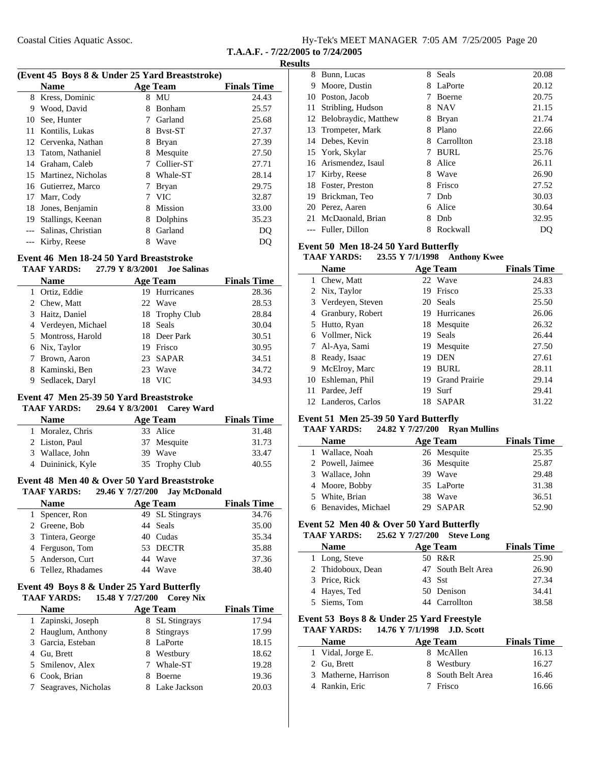| Hy-Tek's MEET MANAGER 7:05 AM 7/25/2005 Page 20 |  |  |  |
|-------------------------------------------------|--|--|--|
|-------------------------------------------------|--|--|--|

#### **Results**

| (Event 45 Boys 8 & Under 25 Yard Breaststroke) |                     |   |                 |                    |
|------------------------------------------------|---------------------|---|-----------------|--------------------|
|                                                | <b>Name</b>         |   | <b>Age Team</b> | <b>Finals Time</b> |
| 8                                              | Kress, Dominic      | 8 | MU              | 24.43              |
| 9                                              | Wood, David         | 8 | Bonham          | 25.57              |
| 10                                             | See, Hunter         | 7 | Garland         | 25.68              |
|                                                | 11 Kontilis, Lukas  | 8 | <b>Byst-ST</b>  | 27.37              |
|                                                | 12 Cervenka, Nathan | 8 | <b>Bryan</b>    | 27.39              |
|                                                | 13 Tatom, Nathaniel | 8 | Mesquite        | 27.50              |
|                                                | 14 Graham, Caleb    |   | Collier-ST      | 27.71              |
| 15                                             | Martinez, Nicholas  | 8 | Whale-ST        | 28.14              |
|                                                | 16 Gutierrez, Marco | 7 | <b>Bryan</b>    | 29.75              |
| 17                                             | Marr, Cody          |   | <b>VIC</b>      | 32.87              |
| 18                                             | Jones, Benjamin     | 8 | Mission         | 33.00              |
| 19                                             | Stallings, Keenan   | 8 | Dolphins        | 35.23              |
| $---$                                          | Salinas, Christian  | 8 | Garland         | DO                 |
|                                                | Kirby, Reese        | 8 | Wave            | DO                 |

### **Event 46 Men 18-24 50 Yard Breaststroke**

|   | <b>TAAF YARDS:</b>  | 27.79 Y 8/3/2001 | <b>Joe Salinas</b> |                    |
|---|---------------------|------------------|--------------------|--------------------|
|   | <b>Name</b>         |                  | <b>Age Team</b>    | <b>Finals Time</b> |
|   | Ortiz, Eddie        |                  | 19 Hurricanes      | 28.36              |
|   | 2 Chew, Matt        |                  | 22 Wave            | 28.53              |
|   | 3 Haitz, Daniel     |                  | 18 Trophy Club     | 28.84              |
|   | 4 Verdeyen, Michael |                  | 18 Seals           | 30.04              |
|   | 5 Montross, Harold  |                  | 18 Deer Park       | 30.51              |
|   | 6 Nix, Taylor       |                  | 19 Frisco          | 30.95              |
|   | 7 Brown, Aaron      |                  | 23 SAPAR           | 34.51              |
|   | 8 Kaminski, Ben     |                  | 23 Wave            | 34.72              |
| 9 | Sedlacek, Daryl     | 18               | - VIC              | 34.93              |

### **Event 47 Men 25-39 50 Yard Breaststroke**

**TAAF YARDS:** 29.64 Y 8/3/2001 Carey Ward

| <b>Name</b>       | Age Team       | <b>Finals Time</b> |
|-------------------|----------------|--------------------|
| 1 Moralez, Chris  | 33 Alice       | 31.48              |
| 2 Liston, Paul    | 37 Mesquite    | 31.73              |
| 3 Wallace, John   | 39 Wave        | 33.47              |
| 4 Duininick, Kyle | 35 Trophy Club | 40.55              |

### **Event 48 Men 40 & Over 50 Yard Breaststroke**

| <b>TAAF YARDS:</b> | 29.46 Y 7/27/200 Jay McDonald |                    |
|--------------------|-------------------------------|--------------------|
| <b>Name</b>        | <b>Age Team</b>               | <b>Finals Time</b> |
| 1 Spencer, Ron     | 49 SL Stingrays               | 34.76              |
| 2 Greene, Bob      | 44 Seals                      | 35.00              |
| 3 Tintera, George  | 40 Cudas                      | 35.34              |
| 4 Ferguson, Tom    | 53 DECTR                      | 35.88              |
| 5 Anderson, Curt   | 44 Wave                       | 37.36              |
| 6 Tellez, Rhadames | 44 Wave                       | 38.40              |

#### **Event 49 Boys 8 & Under 25 Yard Butterfly TAAF YARDS:** 15.48 Y 7/27/200 Corey Nix

| <b>Name</b>           | <b>Age Team</b> | <b>Finals Time</b> |  |  |  |
|-----------------------|-----------------|--------------------|--|--|--|
| 1 Zapinski, Joseph    | 8 SL Stingrays  | 17.94              |  |  |  |
| 2 Hauglum, Anthony    | 8 Stingrays     | 17.99              |  |  |  |
| 3 Garcia, Esteban     | 8 LaPorte       | 18.15              |  |  |  |
| 4 Gu, Brett           | 8 Westbury      | 18.62              |  |  |  |
| 5 Smilenov, Alex      | Whale-ST<br>7   | 19.28              |  |  |  |
| 6 Cook, Brian         | <b>Boerne</b>   | 19.36              |  |  |  |
| 7 Seagraves, Nicholas | 8 Lake Jackson  | 20.03              |  |  |  |
|                       |                 |                    |  |  |  |

| 8   | Bunn, Lucas             | 8 | Seals       | 20.08 |
|-----|-------------------------|---|-------------|-------|
| 9   | Moore, Dustin           | 8 | LaPorte     | 20.12 |
| 10  | Poston, Jacob           | 7 | Boerne      | 20.75 |
| 11  | Stribling, Hudson       | 8 | <b>NAV</b>  | 21.15 |
|     | 12 Belobraydic, Matthew | 8 | Bryan       | 21.74 |
|     | 13 Trompeter, Mark      | 8 | Plano       | 22.66 |
|     | 14 Debes, Kevin         | 8 | Carrollton  | 23.18 |
|     | 15 York, Skylar         | 7 | <b>BURL</b> | 25.76 |
|     | 16 Arismendez, Isaul    | 8 | Alice       | 26.11 |
| 17  | Kirby, Reese            | 8 | Wave        | 26.90 |
| 18. | Foster, Preston         | 8 | Frisco      | 27.52 |
| 19. | Brickman, Teo           |   | Dnb         | 30.03 |
|     | 20 Perez, Aaren         | 6 | Alice       | 30.64 |
| 21  | McDaonald, Brian        | 8 | Dnb         | 32.95 |
|     | Fuller, Dillon          | 8 | Rockwall    | DQ    |

### **Event 50 Men 18-24 50 Yard Butterfly**

### **TAAF YARDS:** 23.55 Y 7/1/1998 Anthony Kwee

|    | <b>Name</b>         |    | <b>Age Team</b>      | <b>Finals Time</b> |
|----|---------------------|----|----------------------|--------------------|
|    | 1 Chew, Matt        |    | 22 Wave              | 24.83              |
|    | 2 Nix, Taylor       | 19 | Frisco               | 25.33              |
|    | 3 Verdeyen, Steven  |    | 20 Seals             | 25.50              |
|    | 4 Granbury, Robert  |    | 19 Hurricanes        | 26.06              |
|    | 5 Hutto, Ryan       |    | 18 Mesquite          | 26.32              |
|    | 6 Vollmer, Nick     |    | 19 Seals             | 26.44              |
|    | 7 Al-Aya, Sami      |    | 19 Mesquite          | 27.50              |
| 8  | Ready, Isaac        | 19 | <b>DEN</b>           | 27.61              |
| 9. | McElroy, Marc       | 19 | <b>BURL</b>          | 28.11              |
|    | 10 Eshleman, Phil   | 19 | <b>Grand Prairie</b> | 29.14              |
|    | 11 Pardee, Jeff     | 19 | - Surf               | 29.41              |
|    | 12 Landeros, Carlos | 18 | <b>SAPAR</b>         | 31.22              |

### **Event 51 Men 25-39 50 Yard Butterfly**

### **TAAF YARDS:** 24.82 Y 7/27/200 Ryan Mullins

| <b>Name</b>          | Age Team    | <b>Finals Time</b> |
|----------------------|-------------|--------------------|
| 1 Wallace, Noah      | 26 Mesquite | 25.35              |
| 2 Powell, Jaimee     | 36 Mesquite | 25.87              |
| 3 Wallace, John      | 39 Wave     | 29.48              |
| 4 Moore, Bobby       | 35 LaPorte  | 31.38              |
| 5 White, Brian       | 38 Wave     | 36.51              |
| 6 Benavides, Michael | 29 SAPAR    | 52.90              |

### **Event 52 Men 40 & Over 50 Yard Butterfly**

### **TAAF YARDS:** 25.62 Y 7/27/200 Steve Long

| <b>Name</b>       | Age Team           | <b>Finals Time</b> |
|-------------------|--------------------|--------------------|
| 1 Long, Steve     | 50 R&R             | 25.90              |
| 2 Thidoboux, Dean | 47 South Belt Area | 26.90              |
| 3 Price, Rick     | 43 Sst             | 27.34              |
| 4 Hayes, Ted      | 50 Denison         | 34.41              |
| 5 Siems, Tom      | 44 Carrollton      | 38.58              |

#### **Event 53 Boys 8 & Under 25 Yard Freestyle TAAF YARDS: 14.76 Y J.D. Scott 7/1/1998**

| <b>Name</b>          | Age Team          | <b>Finals Time</b> |
|----------------------|-------------------|--------------------|
| 1 Vidal, Jorge E.    | 8 McAllen         | 16.13              |
| 2 Gu, Brett          | 8 Westbury        | 16.27              |
| 3 Matherne, Harrison | 8 South Belt Area | 16.46              |
| 4 Rankin, Eric       | Frisco            | 16.66              |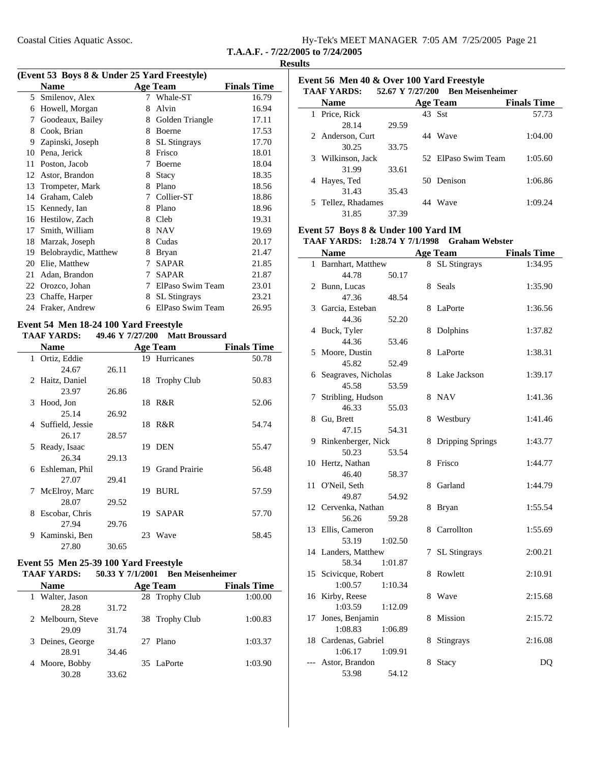|                                   | Hy-Tek's MEET MANAGER 7:05 AM 7/25/2005 Page 21 |  |  |
|-----------------------------------|-------------------------------------------------|--|--|
| T.A.A.F. - 7/22/2005 to 7/24/2005 |                                                 |  |  |

| (Event 53 Boys 8 & Under 25 Yard Freestyle) |                 |                    |  |  |
|---------------------------------------------|-----------------|--------------------|--|--|
| <b>Name</b>                                 | <b>Age Team</b> | <b>Finals Time</b> |  |  |
| 5 Smilenov, Alex                            | 7 Whale-ST      | 16.79              |  |  |
| 6 Howell, Morgan                            | 8 Alvin         | 16.94              |  |  |

| 6  | Howell, Morgan       | 8 | Alvin               | 16.94 |
|----|----------------------|---|---------------------|-------|
| 7  | Goodeaux, Bailey     | 8 | Golden Triangle     | 17.11 |
| 8  | Cook, Brian          | 8 | Boerne              | 17.53 |
| 9  | Zapinski, Joseph     | 8 | <b>SL</b> Stingrays | 17.70 |
| 10 | Pena, Jerick         | 8 | Frisco              | 18.01 |
| 11 | Poston, Jacob        | 7 | Boerne              | 18.04 |
| 12 | Astor, Brandon       | 8 | Stacy               | 18.35 |
| 13 | Trompeter, Mark      | 8 | Plano               | 18.56 |
| 14 | Graham, Caleb        | 7 | Collier-ST          | 18.86 |
| 15 | Kennedy, Ian         | 8 | Plano               | 18.96 |
| 16 | Hestilow, Zach       | 8 | Cleb                | 19.31 |
| 17 | Smith, William       | 8 | <b>NAV</b>          | 19.69 |
| 18 | Marzak, Joseph       | 8 | Cudas               | 20.17 |
| 19 | Belobraydic, Matthew | 8 | <b>Bryan</b>        | 21.47 |
| 20 | Elie, Matthew        | 7 | SAPAR               | 21.85 |
| 21 | Adan, Brandon        | 7 | <b>SAPAR</b>        | 21.87 |
| 22 | Orozco, Johan        | 7 | ElPaso Swim Team    | 23.01 |
| 23 | Chaffe, Harper       | 8 | <b>SL</b> Stingrays | 23.21 |
| 24 | Fraker, Andrew       | 6 | ElPaso Swim Team    | 26.95 |

### **Event 54 Men 18-24 100 Yard Freestyle**

| <b>Name</b>         |       |     | <b>Age Team</b>      | <b>Finals Time</b> |
|---------------------|-------|-----|----------------------|--------------------|
| 1 Ortiz, Eddie      |       |     | 19 Hurricanes        | 50.78              |
| 24.67               | 26.11 |     |                      |                    |
| 2 Haitz, Daniel     |       |     | 18 Trophy Club       | 50.83              |
| 23.97               | 26.86 |     |                      |                    |
| 3 Hood, Jon         |       |     | 18 R&R               | 52.06              |
| 25.14               | 26.92 |     |                      |                    |
| 4 Suffield, Jessie  |       |     | 18 R&R               | 54.74              |
| 26.17               | 28.57 |     |                      |                    |
| Ready, Isaac<br>5.  |       |     | 19 DEN               | 55.47              |
| 26.34               | 29.13 |     |                      |                    |
| 6 Eshleman, Phil    |       | 19  | <b>Grand Prairie</b> | 56.48              |
| 27.07               | 29.41 |     |                      |                    |
| McElroy, Marc<br>7  |       | 19  | <b>BURL</b>          | 57.59              |
| 28.07               | 29.52 |     |                      |                    |
| Escobar, Chris<br>8 |       | 19. | SAPAR                | 57.70              |
| 27.94               | 29.76 |     |                      |                    |
| Kaminski, Ben<br>9. |       | 23  | Wave                 | 58.45              |
| 27.80               | 30.65 |     |                      |                    |

### **Event 55 Men 25-39 100 Yard Freestyle**

#### **TAAF YARDS:** 50.33 Y 7/1/2001 Ben Meisenheimer

| <b>Name</b>       |       | <b>Age Team</b> | <b>Finals Time</b> |
|-------------------|-------|-----------------|--------------------|
| 1 Walter, Jason   |       | 28 Trophy Club  | 1:00.00            |
| 28.28             | 31.72 |                 |                    |
| 2 Melbourn, Steve |       | 38 Trophy Club  | 1:00.83            |
| 29.09             | 31.74 |                 |                    |
| 3 Deines, George  |       | 27 Plano        | 1:03.37            |
| 28.91             | 34.46 |                 |                    |
| 4 Moore, Bobby    |       | 35 LaPorte      | 1:03.90            |
| 30.28             | 33.62 |                 |                    |

| Event 56 Men 40 & Over 100 Yard Freestyle<br>52.67 Y 7/27/200 Ben Meisenheimer<br><b>TAAF YARDS:</b> |                    |       |  |                     |                    |
|------------------------------------------------------------------------------------------------------|--------------------|-------|--|---------------------|--------------------|
|                                                                                                      | <b>Name</b>        |       |  | <b>Age Team</b>     | <b>Finals Time</b> |
|                                                                                                      | 1 Price, Rick      |       |  | 43 Sst              | 57.73              |
|                                                                                                      | 28.14              | 29.59 |  |                     |                    |
|                                                                                                      | 2 Anderson, Curt   |       |  | 44 Wave             | 1:04.00            |
|                                                                                                      | 30.25              | 33.75 |  |                     |                    |
|                                                                                                      | 3 Wilkinson, Jack  |       |  | 52 ElPaso Swim Team | 1:05.60            |
|                                                                                                      | 31.99              | 33.61 |  |                     |                    |
| 4                                                                                                    | Hayes, Ted         |       |  | 50 Denison          | 1:06.86            |
|                                                                                                      | 31.43              | 35.43 |  |                     |                    |
|                                                                                                      | 5 Tellez, Rhadames |       |  | Wave                | 1:09.24            |
|                                                                                                      | 31.85              | 37.39 |  |                     |                    |

### **Event 57 Boys 8 & Under 100 Yard IM**

### **TAAF YARDS: 1:28.74 Y Graham Webster 7/1/1998**

|              | <b>Name</b>               |   | <b>Age Team</b>         | <b>Finals Time</b> |
|--------------|---------------------------|---|-------------------------|--------------------|
| $\mathbf{1}$ | Barnhart, Matthew         | 8 | <b>SL Stingrays</b>     | 1:34.95            |
|              | 44.78<br>50.17            |   |                         |                    |
|              | 2 Bunn, Lucas             | 8 | Seals                   | 1:35.90            |
|              | 47.36<br>48.54            |   |                         |                    |
|              | 3 Garcia, Esteban         | 8 | LaPorte                 | 1:36.56            |
|              | 44.36<br>52.20            |   |                         |                    |
|              | 4 Buck, Tyler             | 8 | Dolphins                | 1:37.82            |
|              | 44.36<br>53.46            |   |                         |                    |
|              | 5 Moore, Dustin           | 8 | LaPorte                 | 1:38.31            |
|              | 45.82<br>52.49            |   |                         |                    |
| 6            | Seagraves, Nicholas       | 8 | Lake Jackson            | 1:39.17            |
|              | 45.58<br>53.59            |   |                         |                    |
| 7            | Stribling, Hudson         | 8 | <b>NAV</b>              | 1:41.36            |
|              | 46.33<br>55.03            |   |                         |                    |
| 8            | Gu, Brett                 | 8 | Westbury                | 1:41.46            |
|              | 47.15<br>54.31            |   |                         |                    |
| 9            | Rinkenberger, Nick        | 8 | <b>Dripping Springs</b> | 1:43.77            |
|              | 50.23<br>53.54            |   |                         |                    |
|              | 10 Hertz, Nathan<br>46.40 | 8 | Frisco                  | 1:44.77            |
| 11           | 58.37<br>O'Neil, Seth     | 8 | Garland                 | 1:44.79            |
|              | 49.87<br>54.92            |   |                         |                    |
|              | 12 Cervenka, Nathan       | 8 | <b>Bryan</b>            | 1:55.54            |
|              | 56.26<br>59.28            |   |                         |                    |
| 13           | Ellis, Cameron            | 8 | Carrollton              | 1:55.69            |
|              | 53.19<br>1:02.50          |   |                         |                    |
|              | 14 Landers, Matthew       | 7 | <b>SL</b> Stingrays     | 2:00.21            |
|              | 58.34<br>1:01.87          |   |                         |                    |
|              | 15 Scivicque, Robert      | 8 | Rowlett                 | 2:10.91            |
|              | 1:00.57<br>1:10.34        |   |                         |                    |
| 16           | Kirby, Reese              | 8 | Wave                    | 2:15.68            |
|              | 1:03.59<br>1:12.09        |   |                         |                    |
| 17           | Jones, Benjamin           | 8 | Mission                 | 2:15.72            |
|              | 1:08.83<br>1:06.89        |   |                         |                    |
|              | 18 Cardenas, Gabriel      | 8 | Stingrays               | 2:16.08            |
|              | 1:06.17<br>1:09.91        |   |                         |                    |
| $---$        | Astor, Brandon            | 8 | Stacy                   | DQ                 |
|              | 53.98<br>54.12            |   |                         |                    |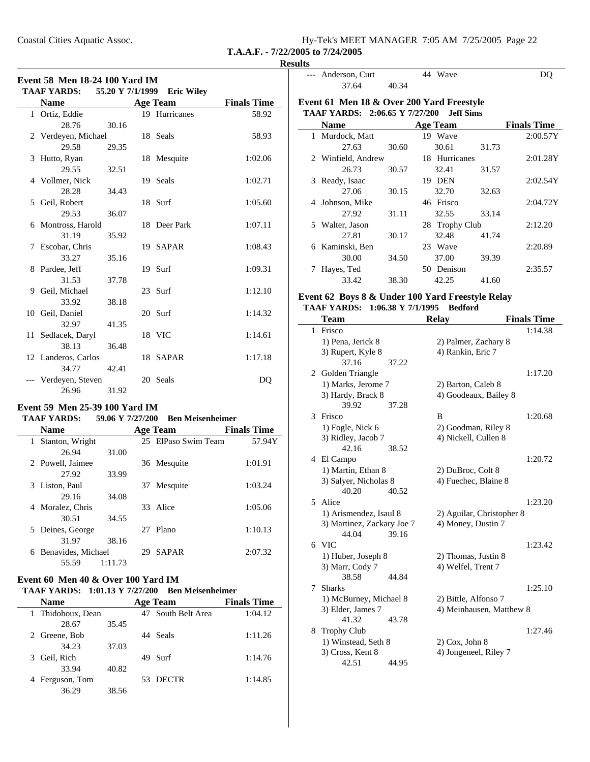| Hy-Tek's MEET MANAGER 7:05 AM 7/25/2005 Page 22 |  |  |
|-------------------------------------------------|--|--|
| T.A.A.F. - $7/22/2005$ to $7/24/2005$           |  |  |

 $\overline{\phantom{0}}$ 

| <b>Event 58 Men 18-24 100 Yard IM</b> |                                                                                                 |                  |  |                   |                    |  |
|---------------------------------------|-------------------------------------------------------------------------------------------------|------------------|--|-------------------|--------------------|--|
|                                       | <b>TAAF YARDS:</b>                                                                              | 55.20 Y 7/1/1999 |  | <b>Eric Wiley</b> |                    |  |
|                                       | <b>Name</b>                                                                                     |                  |  | <b>Age Team</b>   | <b>Finals Time</b> |  |
|                                       | 1 Ortiz, Eddie                                                                                  |                  |  | 19 Hurricanes     | 58.92              |  |
|                                       | 28.76                                                                                           | 30.16            |  |                   |                    |  |
|                                       | 2 Verdeyen, Michael                                                                             |                  |  | 18 Seals          | 58.93              |  |
|                                       | 29.58                                                                                           | 29.35            |  |                   |                    |  |
| 3                                     | Hutto, Ryan                                                                                     |                  |  | 18 Mesquite       | 1:02.06            |  |
|                                       | 29.55                                                                                           | 32.51            |  |                   |                    |  |
|                                       | 4 Vollmer, Nick                                                                                 |                  |  | 19 Seals          | 1:02.71            |  |
|                                       | 28.28                                                                                           | 34.43            |  |                   |                    |  |
|                                       | 5 Geil, Robert                                                                                  |                  |  | 18 Surf           | 1:05.60            |  |
|                                       | 29.53                                                                                           | 36.07            |  |                   |                    |  |
|                                       | 6 Montross, Harold                                                                              |                  |  | 18 Deer Park      | 1:07.11            |  |
|                                       | 31.19                                                                                           | 35.92            |  |                   |                    |  |
|                                       | 7 Escobar, Chris                                                                                |                  |  | 19 SAPAR          | 1:08.43            |  |
|                                       | 33.27                                                                                           | 35.16            |  |                   |                    |  |
|                                       | 8 Pardee, Jeff                                                                                  |                  |  | 19 Surf           | 1:09.31            |  |
|                                       | 31.53                                                                                           | 37.78            |  |                   |                    |  |
|                                       | 9 Geil, Michael                                                                                 |                  |  | 23 Surf           | 1:12.10            |  |
|                                       | 33.92                                                                                           | 38.18            |  |                   |                    |  |
|                                       | 10 Geil, Daniel                                                                                 |                  |  | 20 Surf           | 1:14.32            |  |
|                                       | 32.97                                                                                           | 41.35            |  |                   |                    |  |
|                                       | 11 Sedlacek, Daryl                                                                              |                  |  | 18 VIC            | 1:14.61            |  |
|                                       | 38.13                                                                                           | 36.48            |  |                   |                    |  |
|                                       | 12 Landeros, Carlos                                                                             |                  |  | 18 SAPAR          | 1:17.18            |  |
|                                       | 34.77                                                                                           | 42.41            |  |                   |                    |  |
|                                       | --- Verdeyen, Steven                                                                            |                  |  | 20 Seals          | DQ                 |  |
|                                       | 26.96                                                                                           | 31.92            |  |                   |                    |  |
|                                       | $E_{\text{model}}$ of $M_{\text{eff}}$ and $\sigma$ and $M_{\text{model}}$ and $M_{\text{eff}}$ |                  |  |                   |                    |  |

### **Event 59 Men 25-39 100 Yard IM**

### **TAAF YARDS:** 59.06 Y 7/27/200 Ben Meisenheimer

| <b>Name</b>             |         |     | <b>Age Team</b>     | <b>Finals Time</b> |
|-------------------------|---------|-----|---------------------|--------------------|
| Stanton, Wright<br>1    |         |     | 25 ElPaso Swim Team | 57.94Y             |
| 26.94                   | 31.00   |     |                     |                    |
| 2 Powell, Jaimee        |         |     | 36 Mesquite         | 1:01.91            |
| 27.92                   | 33.99   |     |                     |                    |
| 3 Liston, Paul          |         | 37  | Mesquite            | 1:03.24            |
| 29.16                   | 34.08   |     |                     |                    |
| 4 Moralez, Chris        |         | 33. | Alice               | 1:05.06            |
| 30.51                   | 34.55   |     |                     |                    |
| 5 Deines, George        |         | 27  | Plano               | 1:10.13            |
| 31.97                   | 38.16   |     |                     |                    |
| Benavides, Michael<br>6 |         | 29  | <b>SAPAR</b>        | 2:07.32            |
| 55.59                   | 1:11.73 |     |                     |                    |

#### **Event 60 Men 40 & Over 100 Yard IM TAAF YARDS:** 1:01.13 Y 7/27/200 Ben Meisenheimer

| <b>Name</b>       |       |    | <b>Age Team</b>    | <b>Finals Time</b> |
|-------------------|-------|----|--------------------|--------------------|
| 1 Thidoboux, Dean |       |    | 47 South Belt Area | 1:04.12            |
| 28.67             | 35.45 |    |                    |                    |
| 2 Greene, Bob     |       |    | 44 Seals           | 1:11.26            |
| 34.23             | 37.03 |    |                    |                    |
| Geil, Rich<br>3   |       | 49 | - Surf             | 1:14.76            |
| 33.94             | 40.82 |    |                    |                    |
| 4 Ferguson, Tom   |       |    | 53 DECTR           | 1:14.85            |
| 36.29             | 38.56 |    |                    |                    |

|   | --- Anderson, Curt                                                                           |       | 44 Wave        |       | DO                 |
|---|----------------------------------------------------------------------------------------------|-------|----------------|-------|--------------------|
|   | 37.64                                                                                        | 40.34 |                |       |                    |
|   | Event 61 Men 18 & Over 200 Yard Freestyle<br><b>TAAF YARDS:</b> 2:06.65 Y 7/27/200 Jeff Sims |       |                |       |                    |
|   | <b>Name</b>                                                                                  |       | Age Team       |       | <b>Finals Time</b> |
|   | 1 Murdock, Matt                                                                              |       | 19 Wave        |       | 2:00.57Y           |
|   | 27.63                                                                                        | 30.60 | 30.61          | 31.73 |                    |
|   | 2 Winfield, Andrew                                                                           |       | 18 Hurricanes  |       | 2:01.28Y           |
|   | 26.73                                                                                        | 30.57 | 32.41          | 31.57 |                    |
| 3 | Ready, Isaac                                                                                 |       | 19 DEN         |       | 2:02.54Y           |
|   | 27.06                                                                                        | 30.15 | 32.70          | 32.63 |                    |
|   | Johnson, Mike                                                                                |       | 46 Frisco      |       | 2:04.72Y           |
|   | 27.92                                                                                        | 31.11 | 32.55          | 33.14 |                    |
|   | 5 Walter, Jason                                                                              |       | 28 Trophy Club |       | 2:12.20            |
|   | 27.81                                                                                        | 30.17 | 32.48          | 41.74 |                    |
|   | 6 Kaminski, Ben                                                                              |       | 23 Wave        |       | 2:20.89            |
|   | 30.00                                                                                        | 34.50 | 37.00          | 39.39 |                    |
| 7 | Hayes, Ted                                                                                   |       | 50 Denison     |       | 2:35.57            |
|   | 33.42                                                                                        | 38.30 | 42.25          | 41.60 |                    |

#### **Event 62 Boys 8 & Under 100 Yard Freestyle Relay** TAAF YARDS: 1:06.38 Y 7/1/1995 Bedford

|   | Team                                         | <b>Relay</b>                              | <b>Finals Time</b> |
|---|----------------------------------------------|-------------------------------------------|--------------------|
| 1 | Frisco                                       |                                           | 1:14.38            |
|   | 1) Pena, Jerick 8                            | 2) Palmer, Zachary 8                      |                    |
|   | 3) Rupert, Kyle 8                            | 4) Rankin, Eric 7                         |                    |
|   | 37.16<br>37.22                               |                                           |                    |
|   | 2 Golden Triangle                            |                                           | 1:17.20            |
|   | 1) Marks, Jerome 7                           | 2) Barton, Caleb 8                        |                    |
|   | 3) Hardy, Brack 8                            | 4) Goodeaux, Bailey 8                     |                    |
|   | 39.92<br>37.28                               |                                           |                    |
|   | 3 Frisco                                     | B                                         | 1:20.68            |
|   | 1) Fogle, Nick 6                             | 2) Goodman, Riley 8                       |                    |
|   | 3) Ridley, Jacob 7                           | 4) Nickell, Cullen 8                      |                    |
|   | 42.16<br>38.52                               |                                           |                    |
|   | 4 El Campo                                   |                                           | 1:20.72            |
|   | 1) Martin, Ethan 8                           | 2) DuBroc, Colt 8                         |                    |
|   | 3) Salyer, Nicholas 8                        | 4) Fuechec, Blaine 8                      |                    |
|   | 40.20<br>40.52                               |                                           |                    |
|   | 5 Alice                                      |                                           | 1:23.20            |
|   | 1) Arismendez, Isaul 8                       | 2) Aguilar, Christopher 8                 |                    |
|   | 3) Martinez, Zackary Joe 7<br>44.04<br>39.16 | 4) Money, Dustin 7                        |                    |
|   | 6 VIC                                        |                                           | 1:23.42            |
|   |                                              |                                           |                    |
|   | 1) Huber, Joseph 8<br>3) Marr, Cody 7        | 2) Thomas, Justin 8<br>4) Welfel, Trent 7 |                    |
|   | 38.58<br>44.84                               |                                           |                    |
| 7 | <b>Sharks</b>                                |                                           | 1:25.10            |
|   | 1) McBurney, Michael 8                       | 2) Bittle, Alfonso 7                      |                    |
|   | 3) Elder, James 7                            | 4) Meinhausen, Matthew 8                  |                    |
|   | 41.32<br>43.78                               |                                           |                    |
| 8 | <b>Trophy Club</b>                           |                                           | 1:27.46            |
|   | 1) Winstead, Seth 8                          | $2)$ Cox, John $8$                        |                    |
|   | 3) Cross, Kent 8                             | 4) Jongeneel, Riley 7                     |                    |
|   | 42.51<br>44.95                               |                                           |                    |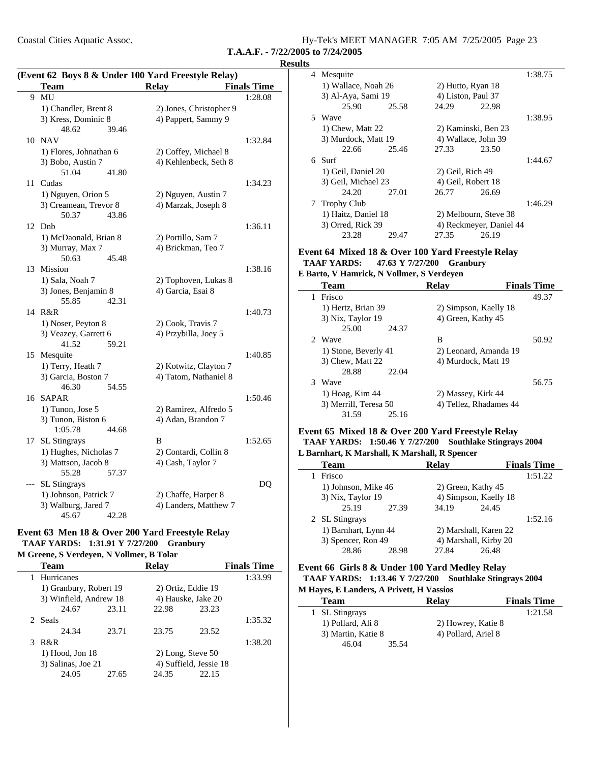Coastal Cities Aquatic Assoc.

**T.A.A.F. - 7/22/2005 to 7/24/2005**

|    | (Event 62 Boys 8 & Under 100 Yard Freestyle Relay) |                                            |                    |  |  |  |
|----|----------------------------------------------------|--------------------------------------------|--------------------|--|--|--|
|    | Team                                               | <b>Relay</b>                               | <b>Finals Time</b> |  |  |  |
| 9  | MU                                                 |                                            | 1:28.08            |  |  |  |
|    | 1) Chandler, Brent 8                               | 2) Jones, Christopher 9                    |                    |  |  |  |
|    | 3) Kress, Dominic 8                                | 4) Pappert, Sammy 9                        |                    |  |  |  |
|    | 48.62<br>39.46                                     |                                            |                    |  |  |  |
| 10 | <b>NAV</b>                                         |                                            | 1:32.84            |  |  |  |
|    | 1) Flores, Johnathan 6                             | 2) Coffey, Michael 8                       |                    |  |  |  |
|    | 3) Bobo, Austin 7                                  | 4) Kehlenbeck, Seth 8                      |                    |  |  |  |
|    | 51.04<br>41.80                                     |                                            |                    |  |  |  |
| 11 | Cudas                                              |                                            | 1:34.23            |  |  |  |
|    | 1) Nguyen, Orion 5                                 | 2) Nguyen, Austin 7                        |                    |  |  |  |
|    | 3) Creamean, Trevor 8                              | 4) Marzak, Joseph 8                        |                    |  |  |  |
|    | 50.37<br>43.86                                     |                                            |                    |  |  |  |
| 12 | Dnb                                                |                                            | 1:36.11            |  |  |  |
|    | 1) McDaonald, Brian 8                              | 2) Portillo, Sam 7                         |                    |  |  |  |
|    | 3) Murray, Max 7                                   | 4) Brickman, Teo 7                         |                    |  |  |  |
|    | 50.63<br>45.48                                     |                                            |                    |  |  |  |
|    | 13 Mission                                         |                                            | 1:38.16            |  |  |  |
|    | 1) Sala, Noah 7                                    | 2) Tophoven, Lukas 8                       |                    |  |  |  |
|    | 3) Jones, Benjamin 8                               | 4) Garcia, Esai 8                          |                    |  |  |  |
|    | 42.31<br>55.85                                     |                                            |                    |  |  |  |
|    | 14 R&R                                             |                                            | 1:40.73            |  |  |  |
|    | 1) Noser, Peyton 8                                 | 2) Cook, Travis 7                          |                    |  |  |  |
|    | 3) Veazey, Garrett 6                               | 4) Przybilla, Joey 5                       |                    |  |  |  |
|    | 41.52<br>59.21                                     |                                            |                    |  |  |  |
|    | 15 Mesquite                                        |                                            | 1:40.85            |  |  |  |
|    | 1) Terry, Heath 7                                  | 2) Kotwitz, Clayton 7                      |                    |  |  |  |
|    | 3) Garcia, Boston 7                                | 4) Tatom, Nathaniel 8                      |                    |  |  |  |
|    | 46.30<br>54.55                                     |                                            |                    |  |  |  |
| 16 | <b>SAPAR</b>                                       |                                            | 1:50.46            |  |  |  |
|    | 1) Tunon, Jose 5                                   | 2) Ramirez, Alfredo 5                      |                    |  |  |  |
|    | 3) Tunon, Biston 6                                 | 4) Adan, Brandon 7                         |                    |  |  |  |
|    | 1:05.78<br>44.68                                   | B                                          | 1:52.65            |  |  |  |
| 17 | <b>SL Stingrays</b><br>1) Hughes, Nicholas 7       |                                            |                    |  |  |  |
|    | 3) Mattson, Jacob 8                                | 2) Contardi, Collin 8<br>4) Cash, Taylor 7 |                    |  |  |  |
|    | 55.28<br>57.37                                     |                                            |                    |  |  |  |
|    | SL Stingrays                                       |                                            | DQ                 |  |  |  |
|    | 1) Johnson, Patrick 7                              | 2) Chaffe, Harper 8                        |                    |  |  |  |
|    | 3) Walburg, Jared 7                                | 4) Landers, Matthew 7                      |                    |  |  |  |
|    | 45.67<br>42.28                                     |                                            |                    |  |  |  |

#### **Event 63 Men 18 & Over 200 Yard Freestyle Relay TAAF YARDS: 1:31.91 Y 7/27/200 Granbury**

### **M Greene, S Verdeyen, N Vollmer, B Tolar**

| <b>Team</b>            |       | <b>Relay</b> |                        | <b>Finals Time</b> |
|------------------------|-------|--------------|------------------------|--------------------|
| 1 Hurricanes           |       |              |                        | 1:33.99            |
| 1) Granbury, Robert 19 |       |              | 2) Ortiz, Eddie 19     |                    |
| 3) Winfield, Andrew 18 |       |              | 4) Hauske, Jake 20     |                    |
| 24.67                  | 23.11 | 22.98        | 23.23                  |                    |
| 2 Seals                |       |              |                        | 1:35.32            |
| 24.34                  | 23.71 | 23.75        | 23.52                  |                    |
| 3 R&R                  |       |              |                        | 1:38.20            |
| $1)$ Hood, Jon $18$    |       |              | $2)$ Long, Steve 50    |                    |
| 3) Salinas, Joe 21     |       |              | 4) Suffield, Jessie 18 |                    |
| 24.05                  | 27.65 | 24.35        | 22.15                  |                    |

| <b>Results</b> |                     |       |                       |                         |         |
|----------------|---------------------|-------|-----------------------|-------------------------|---------|
|                | 4 Mesquite          |       |                       |                         | 1:38.75 |
|                | 1) Wallace, Noah 26 |       | 2) Hutto, Ryan 18     |                         |         |
|                | 3) Al-Aya, Sami 19  |       | 4) Liston, Paul 37    |                         |         |
|                | 25.90               | 25.58 | 24.29                 | 22.98                   |         |
|                | 5 Wave              |       |                       |                         | 1:38.95 |
|                | 1) Chew, Matt 22    |       | 2) Kaminski, Ben 23   |                         |         |
|                | 3) Murdock, Matt 19 |       | 4) Wallace, John 39   |                         |         |
|                | 22.66               | 25.46 | 27.33                 | 23.50                   |         |
|                | 6. Surf             |       |                       |                         | 1:44.67 |
|                | 1) Geil, Daniel 20  |       | 2) Geil, Rich 49      |                         |         |
|                | 3) Geil, Michael 23 |       | 4) Geil, Robert 18    |                         |         |
|                | 24.20               | 27.01 | 26.77                 | 26.69                   |         |
|                | 7 Trophy Club       |       |                       |                         | 1:46.29 |
|                | 1) Haitz, Daniel 18 |       | 2) Melbourn, Steve 38 |                         |         |
|                | 3) Orred, Rick 39   |       |                       | 4) Reckmeyer, Daniel 44 |         |
|                | 23.28               | 29.47 | 27.35                 | 26.19                   |         |
|                |                     |       |                       |                         |         |

### **Event 64 Mixed 18 & Over 100 Yard Freestyle Relay TAAF YARDS:** 47.63 Y 7/27/200 Granbury

**E Barto, V Hamrick, N Vollmer, S Verdeyen**

|   | <b>Team</b>           | Relay                  | <b>Finals Time</b> |
|---|-----------------------|------------------------|--------------------|
| 1 | Frisco                |                        | 49.37              |
|   | 1) Hertz, Brian 39    | 2) Simpson, Kaelly 18  |                    |
|   | 3) Nix, Taylor 19     | 4) Green, Kathy 45     |                    |
|   | 25.00                 | 24.37                  |                    |
|   | 2 Wave                | В                      | 50.92              |
|   | 1) Stone, Beverly 41  | 2) Leonard, Amanda 19  |                    |
|   | 3) Chew, Matt 22      | 4) Murdock, Matt 19    |                    |
|   | 28.88                 | 22.04                  |                    |
|   | 3 Wave                |                        | 56.75              |
|   | 1) Hoag, Kim 44       | 2) Massey, Kirk 44     |                    |
|   | 3) Merrill, Teresa 50 | 4) Tellez, Rhadames 44 |                    |
|   | 31.59                 | 25.16                  |                    |

#### **Event 65 Mixed 18 & Over 200 Yard Freestyle Relay TAAF YARDS: 1:50.46 Y 7/27/200 Southlake Stingrays 2004 L Barnhart, K Marshall, K Marshall, R Spencer**

| <b>Team</b>          |       | <b>Relay</b> |                       | <b>Finals Time</b> |
|----------------------|-------|--------------|-----------------------|--------------------|
| Frisco               |       |              |                       | 1:51.22            |
| 1) Johnson, Mike 46  |       |              | 2) Green, Kathy 45    |                    |
| 3) Nix, Taylor 19    |       |              | 4) Simpson, Kaelly 18 |                    |
| 25.19                | 27.39 | 34.19        | 24.45                 |                    |
| 2 SL Stingrays       |       |              |                       | 1:52.16            |
| 1) Barnhart, Lynn 44 |       |              | 2) Marshall, Karen 22 |                    |
| 3) Spencer, Ron 49   |       |              | 4) Marshall, Kirby 20 |                    |
| 28.86                | 28.98 | 27.84        | 26.48                 |                    |
|                      |       |              |                       |                    |

#### **Event 66 Girls 8 & Under 100 Yard Medley Relay TAAF YARDS: 1:13.46 Y 7/27/200 Southlake Stingrays 2004 M Hayes, E Landers, A Privett, H Vassios**

| <b>Team</b>        | <b>Relay</b>        | <b>Finals Time</b> |
|--------------------|---------------------|--------------------|
| 1 SL Stingrays     |                     | 1:21.58            |
| 1) Pollard, Ali 8  | 2) Howrey, Katie 8  |                    |
| 3) Martin, Katie 8 | 4) Pollard, Ariel 8 |                    |
| 35.54<br>46.04     |                     |                    |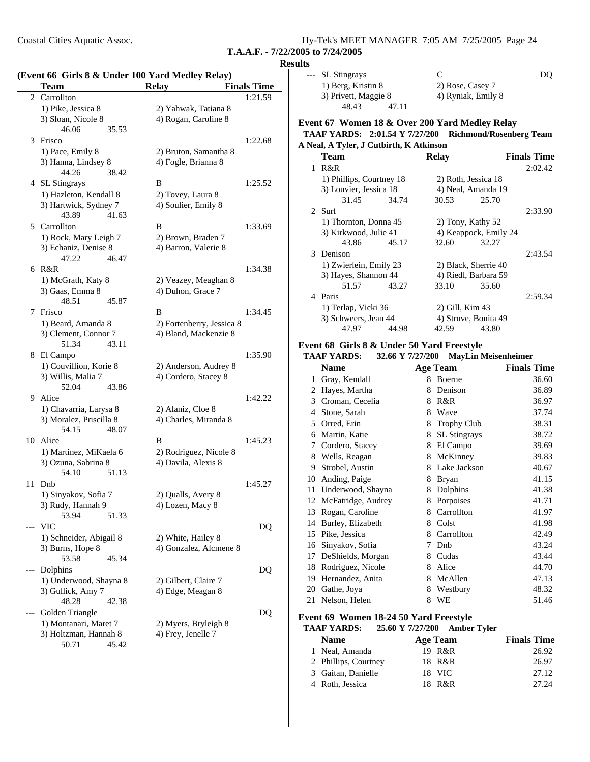Coastal Cities Aquatic Assoc.

**T.A.A.F. - 7/22/2005 to 7/24/2005**

|     | (Event 66 Girls 8 & Under 100 Yard Medley Relay) |                           |                    | SL Stingrays<br>$---$                                  |                 | $\mathbf C$                          | DQ                          |
|-----|--------------------------------------------------|---------------------------|--------------------|--------------------------------------------------------|-----------------|--------------------------------------|-----------------------------|
|     | <b>Team</b>                                      | <b>Relay</b>              | <b>Finals Time</b> | 1) Berg, Kristin 8                                     |                 | 2) Rose, Casey 7                     |                             |
|     | 2 Carrollton                                     |                           | 1:21.59            | 3) Privett, Maggie 8                                   |                 | 4) Ryniak, Emily 8                   |                             |
|     | 1) Pike, Jessica 8                               | 2) Yahwak, Tatiana 8      |                    | 48.43<br>47.11                                         |                 |                                      |                             |
|     | 3) Sloan, Nicole 8                               | 4) Rogan, Caroline 8      |                    |                                                        |                 |                                      |                             |
|     | 46.06<br>35.53                                   |                           |                    | Event 67 Women 18 & Over 200 Yard Medley Relay         |                 |                                      |                             |
|     | 3 Frisco                                         |                           | 1:22.68            | TAAF YARDS: 2:01.54 Y 7/27/200 Richmond/Rosenberg Team |                 |                                      |                             |
|     | 1) Pace, Emily 8                                 | 2) Bruton, Samantha 8     |                    | A Neal, A Tyler, J Cutbirth, K Atkinson                |                 |                                      |                             |
|     | 3) Hanna, Lindsey 8                              | 4) Fogle, Brianna 8       |                    | <b>Team</b>                                            | <b>Relay</b>    |                                      | <b>Finals Time</b>          |
|     | 44.26<br>38.42                                   |                           |                    | $1$ R&R                                                |                 |                                      | 2:02.42                     |
|     | 4 SL Stingrays                                   | B                         | 1:25.52            | 1) Phillips, Courtney 18                               |                 | 2) Roth, Jessica 18                  |                             |
|     | 1) Hazleton, Kendall 8                           | 2) Tovey, Laura 8         |                    | 3) Louvier, Jessica 18                                 |                 | 4) Neal, Amanda 19                   |                             |
|     | 3) Hartwick, Sydney 7                            | 4) Soulier, Emily 8       |                    | 31.45<br>34.74                                         |                 | 30.53<br>25.70                       |                             |
|     | 43.89<br>41.63                                   |                           |                    | 2 Surf                                                 |                 |                                      | 2:33.90                     |
| 5   | Carrollton                                       | $\, {\bf B}$              | 1:33.69            | 1) Thornton, Donna 45                                  |                 | 2) Tony, Kathy 52                    |                             |
|     | 1) Rock, Mary Leigh 7                            | 2) Brown, Braden 7        |                    | 3) Kirkwood, Julie 41                                  |                 | 4) Keappock, Emily 24                |                             |
|     | 3) Echaniz, Denise 8                             | 4) Barron, Valerie 8      |                    | 43.86<br>45.17                                         |                 | 32.60<br>32.27                       |                             |
|     | 47.22<br>46.47                                   |                           |                    | 3 Denison                                              |                 |                                      | 2:43.54                     |
|     | 6 R&R                                            |                           | 1:34.38            | 1) Zwierlein, Emily 23                                 |                 | 2) Black, Sherrie 40                 |                             |
|     | 1) McGrath, Katy 8                               | 2) Veazey, Meaghan 8      |                    | 3) Hayes, Shannon 44                                   |                 | 4) Riedl, Barbara 59                 |                             |
|     | 3) Gaas, Emma 8                                  | 4) Duhon, Grace 7         |                    | 51.57<br>43.27                                         |                 | 33.10<br>35.60                       |                             |
|     | 48.51<br>45.87                                   |                           |                    | 4 Paris                                                |                 |                                      | 2:59.34                     |
|     | 7 Frisco                                         | B                         | 1:34.45            | 1) Terlap, Vicki 36                                    |                 | 2) Gill, Kim 43                      |                             |
|     | 1) Beard, Amanda 8                               | 2) Fortenberry, Jessica 8 |                    | 3) Schweers, Jean 44                                   |                 | 4) Struve, Bonita 49                 |                             |
|     | 3) Clement, Connor 7                             | 4) Bland, Mackenzie 8     |                    | 47.97<br>44.98                                         |                 | 42.59<br>43.80                       |                             |
|     | 51.34<br>43.11                                   |                           |                    | Event 68 Girls 8 & Under 50 Yard Freestyle             |                 |                                      |                             |
|     | 8 El Campo                                       |                           | 1:35.90            | <b>TAAF YARDS:</b>                                     |                 | 32.66 Y 7/27/200 MayLin Meisenheimer |                             |
|     | 1) Couvillion, Korie 8                           | 2) Anderson, Audrey 8     |                    | <b>Name</b>                                            | <b>Age Team</b> |                                      | <b>Finals Time</b>          |
|     | 3) Willis, Malia 7                               | 4) Cordero, Stacey 8      |                    | 1 Gray, Kendall                                        |                 | 8 Boerne                             | 36.60                       |
|     | 52.04<br>43.86                                   |                           |                    | 2 Hayes, Martha                                        |                 | 8 Denison                            | 36.89                       |
|     | 9 Alice                                          |                           | 1:42.22            | Croman, Cecelia<br>3                                   |                 | 8 R&R                                | 36.97                       |
|     | 1) Chavarria, Larysa 8                           | 2) Alaniz, Cloe 8         |                    | Stone, Sarah<br>4                                      | 8               | Wave                                 | 37.74                       |
|     | 3) Moralez, Priscilla 8                          | 4) Charles, Miranda 8     |                    | Orred, Erin<br>5                                       | 8               | <b>Trophy Club</b>                   | 38.31                       |
|     | 54.15<br>48.07                                   |                           |                    | Martin, Katie<br>6                                     | 8               | SL Stingrays                         | 38.72                       |
|     | 10 Alice                                         | B                         | 1:45.23            |                                                        |                 |                                      |                             |
|     | 1) Martinez, MiKaela 6                           | 2) Rodriguez, Nicole 8    |                    | Cordero, Stacey<br>7                                   | 8               | El Campo                             | 39.69                       |
|     | 3) Ozuna, Sabrina 8                              | 4) Davila, Alexis 8       |                    | Wells, Reagan<br>8                                     |                 | 8 McKinney                           | 39.83                       |
|     | 54.10<br>51.13                                   |                           |                    | Strobel, Austin<br>9                                   |                 | 8 Lake Jackson                       | 40.67                       |
|     | 11 Dnb                                           |                           | 1:45.27            | 10 Anding, Paige                                       |                 | 8 Bryan                              | 41.15                       |
|     | 1) Sinyakov, Sofia 7                             | 2) Qualls, Avery 8        |                    | 11 Underwood, Shayna                                   |                 | 8 Dolphins                           | 41.38                       |
|     | 3) Rudy, Hannah 9                                | 4) Lozen, Macy 8          |                    | 12 McFatridge, Audrey                                  |                 | 8 Porpoises                          | 41.71                       |
|     | 53.94<br>51.33                                   |                           |                    | 13 Rogan, Caroline                                     |                 | 8 Carrollton                         | 41.97                       |
|     | --- VIC                                          |                           | DQ                 | 14 Burley, Elizabeth                                   |                 | 8 Colst                              | 41.98                       |
|     | 1) Schneider, Abigail 8                          | 2) White, Hailey 8        |                    | 15 Pike, Jessica                                       |                 | 8 Carrollton                         | 42.49                       |
|     | 3) Burns, Hope 8                                 | 4) Gonzalez, Alcmene 8    |                    | 16 Sinyakov, Sofia                                     |                 | 7 Dnb                                | 43.24                       |
|     | 45.34<br>53.58                                   |                           |                    | 17 DeShields, Morgan                                   |                 | 8 Cudas                              | 43.44                       |
|     | --- Dolphins                                     |                           | DQ                 | 18 Rodriguez, Nicole                                   |                 | 8 Alice                              | 44.70                       |
|     | 1) Underwood, Shayna 8                           | 2) Gilbert, Claire 7      |                    | 19 Hernandez, Anita                                    |                 | 8 McAllen                            | 47.13                       |
|     |                                                  |                           |                    | Gathe, Joya<br>20                                      |                 | 8 Westbury                           | 48.32                       |
|     |                                                  |                           |                    |                                                        |                 |                                      |                             |
|     | 3) Gullick, Amy 7                                | 4) Edge, Meagan 8         |                    | 21 Nelson, Helen                                       |                 | 8 WE                                 |                             |
|     | 48.28<br>42.38                                   |                           |                    |                                                        |                 |                                      |                             |
|     | Golden Triangle                                  |                           | DQ                 | Event 69 Women 18-24 50 Yard Freestyle                 |                 |                                      |                             |
|     | 1) Montanari, Maret 7                            | 2) Myers, Bryleigh 8      |                    | <b>TAAF YARDS:</b>                                     |                 | 25.60 Y 7/27/200 Amber Tyler         | 51.46                       |
| --- | 3) Holtzman, Hannah 8<br>50.71<br>45.42          | 4) Frey, Jenelle 7        |                    | <b>Name</b><br>1 Neal, Amanda                          | Age Team        | 19 R&R                               | <b>Finals Time</b><br>26.92 |

| <b>Name</b>          | Age Team | <b>Finals Time</b> |
|----------------------|----------|--------------------|
| 1 Neal, Amanda       | 19 R&R   | 26.92              |
| 2 Phillips, Courtney | 18 R&R   | 26.97              |
| 3 Gaitan, Danielle   | 18 VIC   | 27.12              |
| 4 Roth, Jessica      | 18 R&R   | 27.24              |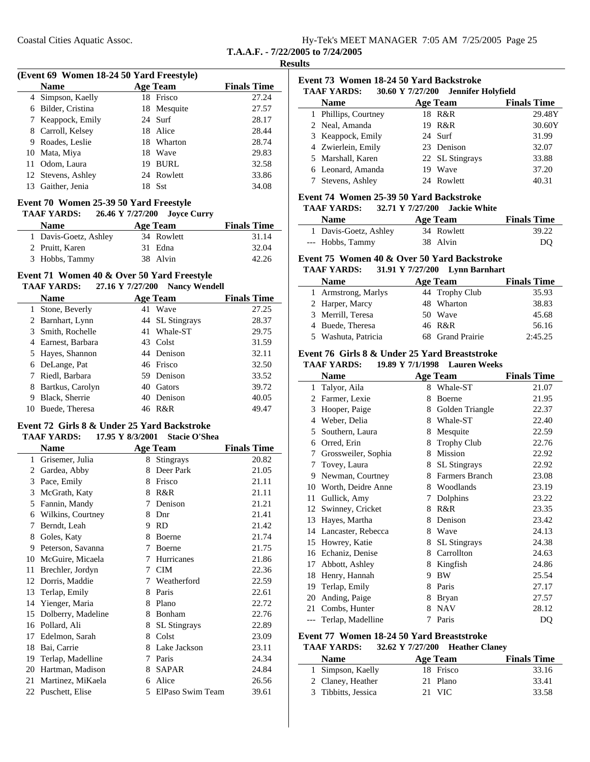| Hy-Tek's MEET MANAGER 7:05 AM 7/25/2005 Page 25 |  |  |
|-------------------------------------------------|--|--|
| T.A.A.F. - 7/22/2005 to 7/24/2005               |  |  |

|    | (Event 69 Women 18-24 50 Yard Freestyle) |    |                 |                    |
|----|------------------------------------------|----|-----------------|--------------------|
|    | <b>Name</b>                              |    | <b>Age Team</b> | <b>Finals Time</b> |
|    | 4 Simpson, Kaelly                        |    | 18 Frisco       | 27.24              |
| 6. | Bilder, Cristina                         |    | 18 Mesquite     | 27.57              |
|    | 7 Keappock, Emily                        |    | 24 Surf         | 28.17              |
|    | 8 Carroll, Kelsey                        |    | 18 Alice        | 28.44              |
| 9  | Roades, Leslie                           |    | 18 Wharton      | 28.74              |
|    | 10 Mata, Miya                            |    | 18 Wave         | 29.83              |
| 11 | Odom, Laura                              | 19 | BURL            | 32.58              |
|    | 12 Stevens, Ashley                       |    | 24 Rowlett      | 33.86              |
| 13 | Gaither, Jenia                           |    | 18 Sst          | 34.08              |

### **Event 70 Women 25-39 50 Yard Freestyle**

| <b>TAAF YARDS:</b>    |  | 26.46 Y 7/27/200 Jovee Curry |                    |
|-----------------------|--|------------------------------|--------------------|
| <b>Name</b>           |  | Age Team                     | <b>Finals Time</b> |
| 1 Davis-Goetz, Ashley |  | 34 Rowlett                   | 31.14              |
| 2 Pruitt, Karen       |  | 31 Edna                      | 32.04              |
| 3 Hobbs, Tammy        |  | 38 Alvin                     | 42.26              |

#### **Event 71 Women 40 & Over 50 Yard Freestyle TAAF YARDS:** 27.16 Y 7/27/200 Nancy Wendell

|   | $\mu$ $\mu$ $\mu$ $\mu$ |    |                 |                    |  |  |  |  |
|---|-------------------------|----|-----------------|--------------------|--|--|--|--|
|   | <b>Name</b>             |    | <b>Age Team</b> | <b>Finals Time</b> |  |  |  |  |
|   | 1 Stone, Beverly        |    | 41 Wave         | 27.25              |  |  |  |  |
|   | 2 Barnhart, Lynn        |    | 44 SL Stingrays | 28.37              |  |  |  |  |
|   | 3 Smith, Rochelle       |    | 41 Whale-ST     | 29.75              |  |  |  |  |
|   | 4 Earnest, Barbara      |    | 43 Colst        | 31.59              |  |  |  |  |
|   | 5 Hayes, Shannon        |    | 44 Denison      | 32.11              |  |  |  |  |
|   | 6 DeLange, Pat          |    | 46 Frisco       | 32.50              |  |  |  |  |
|   | 7 Riedl, Barbara        |    | 59 Denison      | 33.52              |  |  |  |  |
| 8 | Bartkus, Carolyn        | 40 | <b>Gators</b>   | 39.72              |  |  |  |  |
| 9 | Black, Sherrie          | 40 | Denison         | 40.05              |  |  |  |  |
|   | Buede, Theresa          |    | 46 R&R          | 49.47              |  |  |  |  |

### **Event 72 Girls 8 & Under 25 Yard Backstroke**

### **TAAF YARDS:** 17.95 Y 8/3/2001 Stacie O'Shea

|    | Name               |   | <b>Age Team</b>     | <b>Finals Time</b> |
|----|--------------------|---|---------------------|--------------------|
| 1  | Grisemer, Julia    | 8 | <b>Stingrays</b>    | 20.82              |
| 2  | Gardea, Abby       | 8 | Deer Park           | 21.05              |
| 3  | Pace, Emily        | 8 | Frisco              | 21.11              |
| 3  | McGrath, Katy      | 8 | R&R                 | 21.11              |
| 5  | Fannin, Mandy      | 7 | Denison             | 21.21              |
| 6  | Wilkins, Courtney  | 8 | Dnr                 | 21.41              |
| 7  | Berndt, Leah       | 9 | <b>RD</b>           | 21.42              |
| 8  | Goles, Katy        | 8 | Boerne              | 21.74              |
| 9  | Peterson, Savanna  | 7 | <b>Boerne</b>       | 21.75              |
| 10 | McGuire, Micaela   | 7 | Hurricanes          | 21.86              |
| 11 | Brechler, Jordyn   | 7 | <b>CIM</b>          | 22.36              |
| 12 | Dorris, Maddie     | 7 | Weatherford         | 22.59              |
| 13 | Terlap, Emily      | 8 | Paris               | 22.61              |
| 14 | Yienger, Maria     | 8 | Plano               | 22.72              |
| 15 | Dolberry, Madeline | 8 | Bonham              | 22.76              |
| 16 | Pollard, Ali       | 8 | <b>SL</b> Stingrays | 22.89              |
| 17 | Edelmon, Sarah     | 8 | Colst               | 23.09              |
| 18 | Bai, Carrie        | 8 | Lake Jackson        | 23.11              |
| 19 | Terlap, Madelline  | 7 | Paris               | 24.34              |
| 20 | Hartman, Madison   | 8 | <b>SAPAR</b>        | 24.84              |
| 21 | Martinez, MiKaela  | 6 | Alice               | 26.56              |
|    | 22 Puschett, Elise | 5 | ElPaso Swim Team    | 39.61              |

| Event 73 Women 18-24 50 Yard Backstroke                   |    |                 |                    |  |  |
|-----------------------------------------------------------|----|-----------------|--------------------|--|--|
| <b>TAAF YARDS:</b><br>30.60 Y 7/27/200 Jennifer Holyfield |    |                 |                    |  |  |
| Name                                                      |    | <b>Age Team</b> | <b>Finals Time</b> |  |  |
| 1 Phillips, Courtney                                      |    | 18 R&R          | 29.48Y             |  |  |
| 2 Neal, Amanda                                            |    | 19 R&R          | 30.60Y             |  |  |
| 3 Keappock, Emily                                         |    | 24 Surf         | 31.99              |  |  |
| 4 Zwierlein, Emily                                        |    | 23 Denison      | 32.07              |  |  |
| 5 Marshall, Karen                                         |    | 22 SL Stingrays | 33.88              |  |  |
| 6 Leonard, Amanda                                         | 19 | Wave            | 37.20              |  |  |
| Stevens, Ashley                                           |    | 24 Rowlett      | 40.31              |  |  |

### **Event 74 Women 25-39 50 Yard Backstroke**

| <b>TAAF YARDS:</b>    |          | 32.71 Y 7/27/200 Jackie White |                    |
|-----------------------|----------|-------------------------------|--------------------|
| <b>Name</b>           | Age Team |                               | <b>Finals Time</b> |
| 1 Davis-Goetz, Ashley |          | 34 Rowlett                    | 39.22              |
| --- Hobbs, Tammy      | 38 Alvin |                               | DO                 |

#### **Event 75 Women 40 & Over 50 Yard Backstroke**

| <b>TAAF YARDS:</b>  | 31.91 Y 7/27/200 Lynn Barnhart |                    |
|---------------------|--------------------------------|--------------------|
| <b>Name</b>         | Age Team                       | <b>Finals Time</b> |
| 1 Armstrong, Marlys | 44 Trophy Club                 | 35.93              |
| 2 Harper, Marcy     | 48 Wharton                     | 38.83              |
| 3 Merrill, Teresa   | 50 Wave                        | 45.68              |
| 4 Buede, Theresa    | 46 R&R                         | 56.16              |
| 5 Washuta, Patricia | 68 Grand Prairie               | 2:45.25            |

#### **Event 76 Girls 8 & Under 25 Yard Breaststroke**

**TAAF YARDS:** 19.89 Y 7/1/1998 Lauren Weeks

|       | Name                |   | Age Team            | <b>Finals Time</b> |
|-------|---------------------|---|---------------------|--------------------|
| 1     | Talyor, Aila        | 8 | Whale-ST            | 21.07              |
| 2     | Farmer, Lexie       | 8 | Boerne              | 21.95              |
| 3     | Hooper, Paige       | 8 | Golden Triangle     | 22.37              |
| 4     | Weber, Delia        | 8 | Whale-ST            | 22.40              |
| 5     | Southern, Laura     | 8 | Mesquite            | 22.59              |
| 6     | Orred, Erin         | 8 | <b>Trophy Club</b>  | 22.76              |
| 7     | Grossweiler, Sophia | 8 | Mission             | 22.92              |
| 7     | Tovey, Laura        | 8 | SL Stingrays        | 22.92              |
| 9     | Newman, Courtney    | 8 | Farmers Branch      | 23.08              |
| 10    | Worth, Deidre Anne  | 8 | Woodlands           | 23.19              |
| 11    | Gullick, Amy        | 7 | Dolphins            | 23.22              |
| 12    | Swinney, Cricket    | 8 | R&R                 | 23.35              |
| 13    | Hayes, Martha       | 8 | Denison             | 23.42              |
| 14    | Lancaster, Rebecca  | 8 | Wave                | 24.13              |
| 15    | Howrey, Katie       | 8 | <b>SL</b> Stingrays | 24.38              |
| 16    | Echaniz, Denise     | 8 | Carrollton          | 24.63              |
| 17    | Abbott, Ashley      | 8 | Kingfish            | 24.86              |
| 18    | Henry, Hannah       | 9 | <b>BW</b>           | 25.54              |
| 19    | Terlap, Emily       | 8 | Paris               | 27.17              |
| 20    | Anding, Paige       | 8 | <b>Bryan</b>        | 27.57              |
| 21    | Combs, Hunter       | 8 | <b>NAV</b>          | 28.12              |
| $---$ | Terlap, Madelline   | 7 | Paris               | DQ                 |

### **Event 77 Women 18-24 50 Yard Breaststroke**

| <b>TAAF YARDS:</b> | 32.62 Y 7/27/200 Heather Claney |  |
|--------------------|---------------------------------|--|
|--------------------|---------------------------------|--|

| <b>Name</b>         | Age Team  | <b>Finals Time</b> |
|---------------------|-----------|--------------------|
| 1 Simpson, Kaelly   | 18 Frisco | 33.16              |
| 2 Claney, Heather   | 21 Plano  | 33.41              |
| 3 Tibbitts, Jessica | 21 VIC    | 33.58              |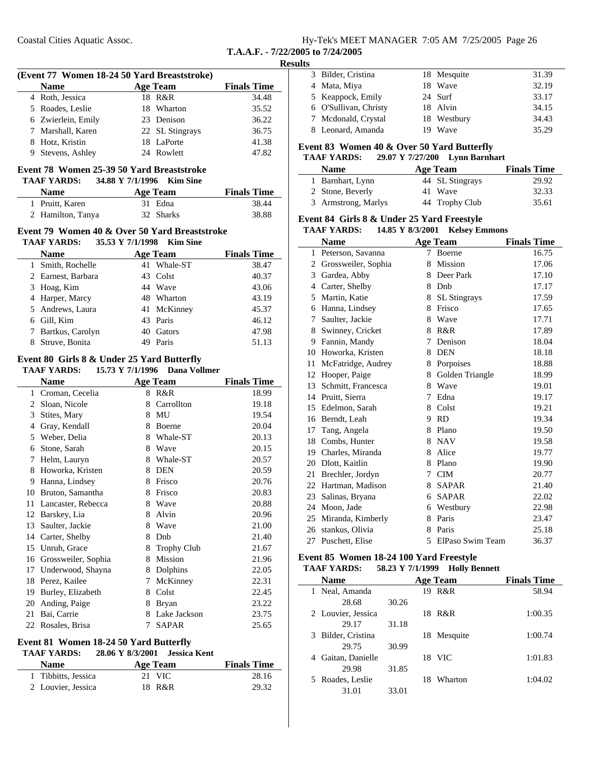|  |  | Hy-Tek's MEET MANAGER 7:05 AM 7/25/2005 Page 26 |  |  |
|--|--|-------------------------------------------------|--|--|
|  |  |                                                 |  |  |

#### **Results**

| (Event 77 Women 18-24 50 Yard Breaststroke) |                 |                    |
|---------------------------------------------|-----------------|--------------------|
| <b>Name</b>                                 | <b>Age Team</b> | <b>Finals Time</b> |
| 4 Roth, Jessica                             | 18 R&R          | 34.48              |
| 5 Roades, Leslie                            | 18 Wharton      | 35.52              |
| 6 Zwierlein, Emily                          | 23 Denison      | 36.22              |
| 7 Marshall, Karen                           | 22 SL Stingrays | 36.75              |
| 8 Hotz, Kristin                             | 18 LaPorte      | 41.38              |
| 9 Stevens, Ashley                           | 24 Rowlett      | 47.82              |

### **Event 78 Women 25-39 50 Yard Breaststroke**

| <b>TAAF YARDS:</b> | 34.88 Y 7/1/1996 Kim Sine |                    |
|--------------------|---------------------------|--------------------|
| <b>Name</b>        | Age Team                  | <b>Finals Time</b> |
| 1 Pruitt, Karen    | 31 Edna                   | 38.44              |
| 2 Hamilton, Tanya  | 32 Sharks                 | 38.88              |

#### **Event 79 Women 40 & Over 50 Yard Breaststroke TAAF YARDS:** 35.53 Y 7/1/1998 Kim Sine

| <b>Name</b>        |  | <b>Age Team</b> | <b>Finals Time</b> |  |  |
|--------------------|--|-----------------|--------------------|--|--|
| 1 Smith, Rochelle  |  | 41 Whale-ST     | 38.47              |  |  |
| 2 Earnest, Barbara |  | 43 Colst        | 40.37              |  |  |
| 3 Hoag, Kim        |  | 44 Wave         | 43.06              |  |  |
| 4 Harper, Marcy    |  | 48 Wharton      | 43.19              |  |  |
| 5 Andrews, Laura   |  | 41 McKinney     | 45.37              |  |  |
| 6 Gill, Kim        |  | 43 Paris        | 46.12              |  |  |
| 7 Bartkus, Carolyn |  | 40 Gators       | 47.98              |  |  |
| Struve, Bonita     |  | 49 Paris        | 51.13              |  |  |
|                    |  |                 |                    |  |  |

### **Event 80 Girls 8 & Under 25 Yard Butterfly**

**TAAF YARDS:** 15.73 Y 7/1/1996 Dana Vollmer

|    | Name                |   | <b>Age Team</b>    | <b>Finals Time</b> |
|----|---------------------|---|--------------------|--------------------|
| 1  | Croman, Cecelia     | 8 | R&R                | 18.99              |
| 2  | Sloan, Nicole       | 8 | Carrollton         | 19.18              |
| 3  | Stites, Mary        | 8 | MU                 | 19.54              |
| 4  | Gray, Kendall       | 8 | Boerne             | 20.04              |
| 5  | Weber, Delia        | 8 | Whale-ST           | 20.13              |
| 6  | Stone, Sarah        | 8 | Wave               | 20.15              |
| 7  | Helm, Lauryn        | 8 | Whale-ST           | 20.57              |
| 8  | Howorka, Kristen    | 8 | <b>DEN</b>         | 20.59              |
| 9  | Hanna, Lindsey      | 8 | Frisco             | 20.76              |
| 10 | Bruton, Samantha    | 8 | Frisco             | 20.83              |
| 11 | Lancaster, Rebecca  | 8 | Wave               | 20.88              |
| 12 | Barskey, Lia        | 8 | Alvin              | 20.96              |
| 13 | Saulter, Jackie     | 8 | Wave               | 21.00              |
| 14 | Carter, Shelby      | 8 | Dnb                | 21.40              |
| 15 | Unruh, Grace        | 8 | <b>Trophy Club</b> | 21.67              |
| 16 | Grossweiler, Sophia | 8 | Mission            | 21.96              |
| 17 | Underwood, Shayna   | 8 | Dolphins           | 22.05              |
| 18 | Perez, Kailee       | 7 | McKinney           | 22.31              |
| 19 | Burley, Elizabeth   | 8 | Colst              | 22.45              |
| 20 | Anding, Paige       | 8 | <b>Bryan</b>       | 23.22              |
| 21 | Bai, Carrie         | 8 | Lake Jackson       | 23.75              |
| 22 | Rosales, Brisa      | 7 | <b>SAPAR</b>       | 25.65              |
|    |                     |   |                    |                    |

### **Event 81 Women 18-24 50 Yard Butterfly**

| <b>TAAF YARDS:</b>  | 28.06 Y 8/3/2001 Jessica Kent |                    |
|---------------------|-------------------------------|--------------------|
| <b>Name</b>         | <b>Age Team</b>               | <b>Finals Time</b> |
| 1 Tibbitts, Jessica | 21 VIC                        | 28.16              |
| 2 Louvier, Jessica  | 18 R&R                        | 29.32              |

| 3 Bilder, Cristina    | 18 Mesquite | 31.39 |
|-----------------------|-------------|-------|
| 4 Mata, Miya          | 18 Wave     | 32.19 |
| 5 Keappock, Emily     | 24 Surf     | 33.17 |
| 6 O'Sullivan, Christy | 18 Alvin    | 34.15 |
| 7 Mcdonald, Crystal   | 18 Westbury | 34.43 |
| 8 Leonard, Amanda     | 19 Wave     | 35.29 |

#### **Event 83 Women 40 & Over 50 Yard Butterfly**

#### **TAAF YARDS:** 29.07 Y 7/27/200 Lynn Barnhart

| <b>Name</b>         | Age Team        | <b>Finals Time</b> |
|---------------------|-----------------|--------------------|
| 1 Barnhart, Lynn    | 44 SL Stingrays | 29.92              |
| 2 Stone, Beverly    | 41 Wave         | 32.33              |
| 3 Armstrong, Marlys | 44 Trophy Club  | 35.61              |

### **Event 84 Girls 8 & Under 25 Yard Freestyle**

### **TAAF YARDS: 14.85 Y 8/3/2001 Kelsey Emmons**

|    | <b>Name</b>         |   | <b>Age Team</b>     | <b>Finals Time</b> |
|----|---------------------|---|---------------------|--------------------|
| 1  | Peterson, Savanna   | 7 | Boerne              | 16.75              |
| 2  | Grossweiler, Sophia | 8 | Mission             | 17.06              |
| 3  | Gardea, Abby        | 8 | Deer Park           | 17.10              |
| 4  | Carter, Shelby      | 8 | Dnb                 | 17.17              |
| 5  | Martin, Katie       | 8 | <b>SL</b> Stingrays | 17.59              |
| 6  | Hanna, Lindsey      | 8 | Frisco              | 17.65              |
| 7  | Saulter, Jackie     | 8 | Wave                | 17.71              |
| 8  | Swinney, Cricket    | 8 | R&R                 | 17.89              |
| 9  | Fannin, Mandy       | 7 | Denison             | 18.04              |
| 10 | Howorka, Kristen    | 8 | <b>DEN</b>          | 18.18              |
| 11 | McFatridge, Audrey  | 8 | Porpoises           | 18.88              |
| 12 | Hooper, Paige       | 8 | Golden Triangle     | 18.99              |
| 13 | Schmitt, Francesca  | 8 | Wave                | 19.01              |
| 14 | Pruitt, Sierra      | 7 | Edna                | 19.17              |
| 15 | Edelmon, Sarah      | 8 | Colst               | 19.21              |
| 16 | Berndt, Leah        | 9 | <b>RD</b>           | 19.34              |
| 17 | Tang, Angela        | 8 | Plano               | 19.50              |
| 18 | Combs, Hunter       | 8 | <b>NAV</b>          | 19.58              |
| 19 | Charles, Miranda    | 8 | Alice               | 19.77              |
| 20 | Dlott, Kaitlin      | 8 | Plano               | 19.90              |
| 21 | Brechler, Jordyn    | 7 | <b>CIM</b>          | 20.77              |
| 22 | Hartman, Madison    | 8 | <b>SAPAR</b>        | 21.40              |
| 23 | Salinas, Bryana     | 6 | <b>SAPAR</b>        | 22.02              |
| 24 | Moon, Jade          | 6 | Westbury            | 22.98              |
| 25 | Miranda, Kimberly   | 8 | Paris               | 23.47              |
| 26 | stankus, Olivia     | 8 | Paris               | 25.18              |
| 27 | Puschett, Elise     | 5 | ElPaso Swim Team    | 36.37              |

#### **Event 85 Women 18-24 100 Yard Freestyle TAAF YARDS: 58.23 Y Holly Bennett 7/1/1999**

| іллі ілішэ.           |       |    | $30.23 \pm 7111222$ holly behind |                    |
|-----------------------|-------|----|----------------------------------|--------------------|
| <b>Name</b>           |       |    | <b>Age Team</b>                  | <b>Finals Time</b> |
| 1 Neal, Amanda        |       | 19 | R&R                              | 58.94              |
| 28.68                 | 30.26 |    |                                  |                    |
| 2 Louvier, Jessica    |       |    | 18 R&R                           | 1:00.35            |
| 29.17                 | 31.18 |    |                                  |                    |
| 3 Bilder, Cristina    |       |    | 18 Mesquite                      | 1:00.74            |
| 29.75                 | 30.99 |    |                                  |                    |
| Gaitan, Danielle<br>4 |       |    | 18 VIC                           | 1:01.83            |
| 29.98                 | 31.85 |    |                                  |                    |
| 5 Roades, Leslie      |       | 18 | Wharton                          | 1:04.02            |
| 31.01                 | 33.01 |    |                                  |                    |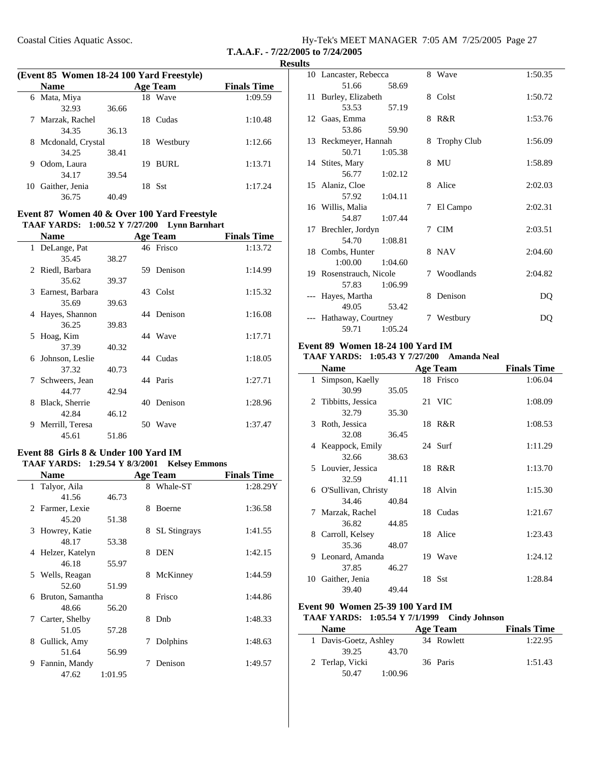| Hy-Tek's MEET MANAGER 7:05 AM 7/25/2005 Page 27 |  |  |
|-------------------------------------------------|--|--|
| T.A.A.F. - 7/22/2005 to 7/24/2005               |  |  |

|    | (Event 85 Women 18-24 100 Yard Freestyle) |       |     |                 |                    |  |  |
|----|-------------------------------------------|-------|-----|-----------------|--------------------|--|--|
|    | <b>Name</b>                               |       |     | <b>Age Team</b> | <b>Finals Time</b> |  |  |
| 6  | Mata, Miya                                |       | 18  | Wave            | 1:09.59            |  |  |
|    | 32.93                                     | 36.66 |     |                 |                    |  |  |
|    | Marzak, Rachel                            |       | 18. | <b>Cudas</b>    | 1:10.48            |  |  |
|    | 34.35                                     | 36.13 |     |                 |                    |  |  |
| 8  | Mcdonald, Crystal                         |       | 18  | Westbury        | 1:12.66            |  |  |
|    | 34.25                                     | 38.41 |     |                 |                    |  |  |
| 9  | Odom, Laura                               |       | 19  | BURL            | 1:13.71            |  |  |
|    | 34.17                                     | 39.54 |     |                 |                    |  |  |
| 10 | Gaither, Jenia                            |       | 18  | -Sst            | 1:17.24            |  |  |
|    | 36.75                                     | 40.49 |     |                 |                    |  |  |

#### **Event 87 Women 40 & Over 100 Yard Freestyle TAAF YARDS: 1:00.52 Y 7/27/200 Lynn Barnhart**

| <b>Name</b>           |       |    | <b>Age Team</b> | <b>Finals Time</b> |
|-----------------------|-------|----|-----------------|--------------------|
| 1 DeLange, Pat        |       |    | 46 Frisco       | 1:13.72            |
| 35.45                 | 38.27 |    |                 |                    |
| 2 Riedl, Barbara      |       | 59 | Denison         | 1:14.99            |
| 35.62                 | 39.37 |    |                 |                    |
| Earnest, Barbara<br>3 |       |    | 43 Colst        | 1:15.32            |
| 35.69                 | 39.63 |    |                 |                    |
| Hayes, Shannon<br>4   |       |    | 44 Denison      | 1:16.08            |
| 36.25                 | 39.83 |    |                 |                    |
| 5 Hoag, Kim           |       |    | 44 Wave         | 1:17.71            |
| 37.39                 | 40.32 |    |                 |                    |
| 6 Johnson, Leslie     |       |    | 44 Cudas        | 1:18.05            |
| 37.32                 | 40.73 |    |                 |                    |
| 7<br>Schweers, Jean   |       |    | 44 Paris        | 1:27.71            |
| 44.77                 | 42.94 |    |                 |                    |
| Black, Sherrie<br>8   |       |    | 40 Denison      | 1:28.96            |
| 42.84                 | 46.12 |    |                 |                    |
| Merrill, Teresa<br>9  |       | 50 | Wave            | 1:37.47            |
| 45.61                 | 51.86 |    |                 |                    |

#### **Event 88 Girls 8 & Under 100 Yard IM** TAAF YARDS: 1:29.54 Y 8/3/2001 Kelsey Emmons

| <b>Name</b>           |         |   | <b>Age Team</b>     | <b>Finals Time</b> |
|-----------------------|---------|---|---------------------|--------------------|
| 1 Talyor, Aila        |         |   | 8 Whale-ST          | 1:28.29Y           |
| 41.56                 | 46.73   |   |                     |                    |
| 2 Farmer, Lexie       |         | 8 | <b>Boerne</b>       | 1:36.58            |
| 45.20                 | 51.38   |   |                     |                    |
| Howrey, Katie<br>3    |         | 8 | <b>SL</b> Stingrays | 1:41.55            |
| 48.17                 | 53.38   |   |                     |                    |
| Helzer, Katelyn<br>4  |         | 8 | <b>DEN</b>          | 1:42.15            |
| 46.18                 | 55.97   |   |                     |                    |
| 5 Wells, Reagan       |         | 8 | McKinney            | 1:44.59            |
| 52.60                 | 51.99   |   |                     |                    |
| Bruton, Samantha<br>6 |         | 8 | Frisco              | 1:44.86            |
| 48.66                 | 56.20   |   |                     |                    |
| 7 Carter, Shelby      |         | 8 | Dnb                 | 1:48.33            |
| 51.05                 | 57.28   |   |                     |                    |
| Gullick, Amy<br>8     |         | 7 | Dolphins            | 1:48.63            |
| 51.64                 | 56.99   |   |                     |                    |
| Fannin, Mandy<br>9    |         |   | Denison             | 1:49.57            |
| 47.62                 | 1:01.95 |   |                     |                    |

| 10 Lancaster, Rebecca   |         |   | 8 Wave        | 1:50.35 |
|-------------------------|---------|---|---------------|---------|
| 51.66                   | 58.69   |   |               |         |
| 11 Burley, Elizabeth    |         |   | 8 Colst       | 1:50.72 |
| 53.53                   | 57.19   |   |               |         |
| 12 Gaas, Emma           |         |   | 8 R&R         | 1:53.76 |
| 53.86                   | 59.90   |   |               |         |
| 13 Reckmeyer, Hannah    |         |   | 8 Trophy Club | 1:56.09 |
| 50.71                   | 1:05.38 |   |               |         |
| 14 Stites, Mary         |         |   | 8 MU          | 1:58.89 |
| 56.77                   | 1:02.12 |   |               |         |
| 15 Alaniz, Cloe         |         |   | 8 Alice       | 2:02.03 |
| 57.92 1:04.11           |         |   |               |         |
| 16 Willis, Malia        |         | 7 | El Campo      | 2:02.31 |
| 54.87 1:07.44           |         |   |               |         |
| 17 Brechler, Jordyn     |         |   | 7 CIM         | 2:03.51 |
| 54.70                   | 1:08.81 |   |               |         |
| 18 Combs, Hunter        |         |   | 8 NAV         | 2:04.60 |
| 1:00.00                 | 1:04.60 |   |               |         |
| 19 Rosenstrauch, Nicole |         |   | 7 Woodlands   | 2:04.82 |
| 57.83                   | 1:06.99 |   |               |         |
| --- Hayes, Martha       |         |   | 8 Denison     | DQ      |
| 49.05                   | 53.42   |   |               |         |
| --- Hathaway, Courtney  |         | 7 | Westbury      | DO      |
| 59.71                   | 1:05.24 |   |               |         |

### **Event 89 Women 18-24 100 Yard IM**

### **TAAF YARDS:** 1:05.43 Y 7/27/200 Amanda Neal

|              | <b>Name</b>           |       | Age Team  | <b>Finals Time</b> |
|--------------|-----------------------|-------|-----------|--------------------|
| $\mathbf{1}$ | Simpson, Kaelly       |       | 18 Frisco | 1:06.04            |
|              | 30.99                 | 35.05 |           |                    |
|              | 2 Tibbitts, Jessica   |       | 21 VIC    | 1:08.09            |
|              | 32.79                 | 35.30 |           |                    |
|              | 3 Roth, Jessica       |       | 18 R&R    | 1:08.53            |
|              | 32.08                 | 36.45 |           |                    |
|              | 4 Keappock, Emily     |       | 24 Surf   | 1:11.29            |
|              | 32.66                 | 38.63 |           |                    |
|              | 5 Louvier, Jessica    |       | 18 R&R    | 1:13.70            |
|              | 32.59                 | 41.11 |           |                    |
|              | 6 O'Sullivan, Christy |       | 18 Alvin  | 1:15.30            |
|              | 34.46                 | 40.84 |           |                    |
| 7            | Marzak, Rachel        |       | 18 Cudas  | 1:21.67            |
|              | 36.82                 | 44.85 |           |                    |
| 8.           | Carroll, Kelsey       |       | 18 Alice  | 1:23.43            |
|              | 35.36                 | 48.07 |           |                    |
|              | 9 Leonard, Amanda     |       | 19 Wave   | 1:24.12            |
|              | 37.85                 | 46.27 |           |                    |
|              | 10 Gaither, Jenia     |       | 18 Sst    | 1:28.84            |
|              | 39.40                 | 49.44 |           |                    |

### **Event 90 Women 25-39 100 Yard IM**

#### **TAAF YARDS:** 1:05.54 Y 7/1/1999 Cindy Johnson

| <b>Name</b>           | Age Team   | <b>Finals Time</b> |
|-----------------------|------------|--------------------|
| 1 Davis-Goetz, Ashley | 34 Rowlett | 1:22.95            |
| 39.25<br>43.70        |            |                    |
| 2 Terlap, Vicki       | 36 Paris   | 1:51.43            |
| 50.47<br>1:00.96      |            |                    |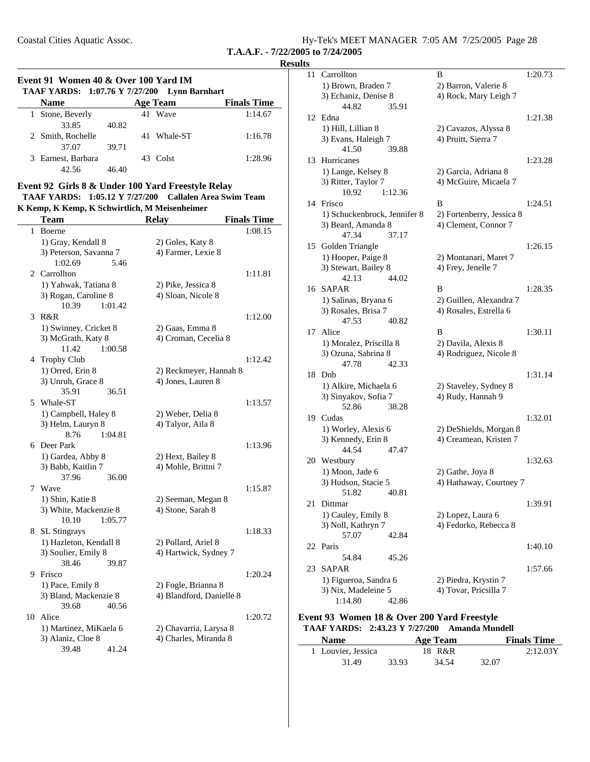| Hy-Tek's MEET MANAGER 7:05 AM 7/25/2005 Page 28 |  |  |
|-------------------------------------------------|--|--|
| T.A.A.F. - 7/22/2005 to 7/24/2005               |  |  |

### **Event 91 Women 40 & Over 100 Yard IM TAAF YARDS: 1:07.76 Y 7/27/200 Lynn Barnhart Name Age Team Finals Time Age Team Finals Time**

| гчашс              |       | А2С теаш    | гшаю типе |
|--------------------|-------|-------------|-----------|
| 1 Stone, Beverly   |       | 41 Wave     | 1:14.67   |
| 33.85              | 40.82 |             |           |
| 2 Smith, Rochelle  |       | 41 Whale-ST | 1:16.78   |
| 37.07              | 39.71 |             |           |
| 3 Earnest, Barbara |       | 43 Colst    | 1:28.96   |
| 42.56              | 46.40 |             |           |

### **Event 92 Girls 8 & Under 100 Yard Freestyle Relay**

#### **TAAF YARDS:** 1:05.12 Y 7/27/200 Callalen Area Swim Team **K Kemp, K Kemp, K Schwirtlich, M Meisenheimer**

|              | <b>Team</b>                                 | <b>Relay</b>                            | <b>Finals Time</b> |
|--------------|---------------------------------------------|-----------------------------------------|--------------------|
| $\mathbf{1}$ | Boerne                                      |                                         | 1:08.15            |
|              | 1) Gray, Kendall 8                          | 2) Goles, Katy 8                        |                    |
|              | 3) Peterson, Savanna 7                      | 4) Farmer, Lexie 8                      |                    |
|              | 1:02.69<br>5.46                             |                                         |                    |
| 2            | Carrollton                                  |                                         | 1:11.81            |
|              | 1) Yahwak, Tatiana 8                        | 2) Pike, Jessica 8                      |                    |
|              | 3) Rogan, Caroline 8                        | 4) Sloan, Nicole 8                      |                    |
|              | 10.39<br>1:01.42<br>R&R                     |                                         |                    |
| 3            |                                             |                                         | 1:12.00            |
|              | 1) Swinney, Cricket 8<br>3) McGrath, Katy 8 | 2) Gaas, Emma 8<br>4) Croman, Cecelia 8 |                    |
|              | 11.42<br>1:00.58                            |                                         |                    |
|              | 4 Trophy Club                               |                                         | 1:12.42            |
|              | 1) Orred, Erin 8                            | 2) Reckmeyer, Hannah 8                  |                    |
|              | 3) Unruh, Grace 8                           | 4) Jones, Lauren 8                      |                    |
|              | 35.91<br>36.51                              |                                         |                    |
|              | 5 Whale-ST                                  |                                         | 1:13.57            |
|              | 1) Campbell, Haley 8                        | 2) Weber, Delia 8                       |                    |
|              | 3) Helm, Lauryn 8                           | 4) Talyor, Aila 8                       |                    |
|              | 8.76<br>1:04.81                             |                                         |                    |
|              | 6 Deer Park                                 |                                         | 1:13.96            |
|              | 1) Gardea, Abby 8                           | 2) Hext, Bailey 8                       |                    |
|              | 3) Babb, Kaitlin 7                          | 4) Mohle, Brittni 7                     |                    |
|              | 37.96<br>36.00                              |                                         |                    |
| 7            | Wave                                        |                                         | 1:15.87            |
|              | 1) Shin, Katie 8                            | 2) Seeman, Megan 8                      |                    |
|              | 3) White, Mackenzie 8<br>10.10              | 4) Stone, Sarah 8                       |                    |
|              | 1:05.77<br>8 SL Stingrays                   |                                         | 1:18.33            |
|              | 1) Hazleton, Kendall 8                      | 2) Pollard, Ariel 8                     |                    |
|              | 3) Soulier, Emily 8                         | 4) Hartwick, Sydney 7                   |                    |
|              | 38.46<br>39.87                              |                                         |                    |
|              | 9 Frisco                                    |                                         | 1:20.24            |
|              | 1) Pace, Emily 8                            | 2) Fogle, Brianna 8                     |                    |
|              | 3) Bland, Mackenzie 8                       | 4) Blandford, Danielle 8                |                    |
|              | 39.68<br>40.56                              |                                         |                    |
| 10           | Alice                                       |                                         | 1:20.72            |
|              | 1) Martinez, MiKaela 6                      | 2) Chavarria, Larysa 8                  |                    |
|              | 3) Alaniz, Cloe 8                           | 4) Charles, Miranda 8                   |                    |
|              | 39.48<br>41.24                              |                                         |                    |

| 11 | Carrollton                   | B                         | 1:20.73 |
|----|------------------------------|---------------------------|---------|
|    | 1) Brown, Braden 7           | 2) Barron, Valerie 8      |         |
|    | 3) Echaniz, Denise 8         | 4) Rock, Mary Leigh 7     |         |
|    | 44.82<br>35.91               |                           |         |
|    | 12 Edna                      |                           | 1:21.38 |
|    | 1) Hill, Lillian 8           | 2) Cavazos, Alyssa 8      |         |
|    | 3) Evans, Haleigh 7          | 4) Pruitt, Sierra 7       |         |
|    | 41.50<br>39.88               |                           |         |
| 13 | Hurricanes                   |                           | 1:23.28 |
|    | 1) Lange, Kelsey 8           | 2) Garcia, Adriana 8      |         |
|    | 3) Ritter, Taylor 7          | 4) McGuire, Micaela 7     |         |
|    | 10.92<br>1:12.36             |                           |         |
| 14 | Frisco                       | B                         | 1:24.51 |
|    | 1) Schuckenbrock, Jennifer 8 | 2) Fortenberry, Jessica 8 |         |
|    | 3) Beard, Amanda 8           | 4) Clement, Connor 7      |         |
|    | 47.34<br>37.17               |                           |         |
| 15 | Golden Triangle              |                           | 1:26.15 |
|    | 1) Hooper, Paige 8           | 2) Montanari, Maret 7     |         |
|    | 3) Stewart, Bailey 8         | 4) Frey, Jenelle 7        |         |
|    | 42.13<br>44.02               |                           |         |
| 16 | SAPAR                        | B                         | 1:28.35 |
|    | 1) Salinas, Bryana 6         | 2) Guillen, Alexandra 7   |         |
|    | 3) Rosales, Brisa 7          | 4) Rosales, Estrella 6    |         |
|    | 47.53<br>40.82               |                           |         |
| 17 | Alice                        | B                         | 1:30.11 |
|    | 1) Moralez, Priscilla 8      | 2) Davila, Alexis 8       |         |
|    | 3) Ozuna, Sabrina 8          | 4) Rodriguez, Nicole 8    |         |
|    | 47.78<br>42.33               |                           |         |
| 18 | Dnb                          |                           | 1:31.14 |
|    | 1) Alkire, Michaela 6        | 2) Staveley, Sydney 8     |         |
|    | 3) Sinyakov, Sofia 7         | 4) Rudy, Hannah 9         |         |
|    | 52.86<br>38.28               |                           |         |
| 19 | Cudas                        |                           | 1:32.01 |
|    | 1) Worley, Alexis 6          | 2) DeShields, Morgan 8    |         |
|    | 3) Kennedy, Erin 8           | 4) Creamean, Kristen 7    |         |
|    | 44.54<br>47.47               |                           |         |
|    | 20 Westbury                  |                           | 1:32.63 |
|    | 1) Moon, Jade 6              | 2) Gathe, Joya 8          |         |
|    | 3) Hudson, Stacie 5          | 4) Hathaway, Courtney 7   |         |
|    | 51.82<br>40.81               |                           |         |
| 21 | Dittmar                      |                           | 1:39.91 |
|    | 1) Cauley, Emily 8           | 2) Lopez, Laura 6         |         |
|    | 3) Noll, Kathryn 7           | 4) Fedorko, Rebecca 8     |         |
|    | 57.07<br>42.84               |                           |         |
| 22 | Paris                        |                           | 1:40.10 |
|    | 45.26<br>54.84               |                           |         |
| 23 | SAPAR                        |                           | 1:57.66 |
|    | 1) Figueroa, Sandra 6        | 2) Piedra, Krystin 7      |         |
|    | 3) Nix, Madeleine 5          | 4) Tovar, Pricsilla 7     |         |

#### **Event 93 Women 18 & Over 200 Yard Freestyle** TAAF YARDS: 2:43.23 Y 7/27/200 Amanda Mundell

1:14.80 42.86

| <b>Name</b>        |       | Age Team |       | <b>Finals Time</b> |
|--------------------|-------|----------|-------|--------------------|
| 1 Louvier, Jessica |       | 18 R&R   |       | 2:12.03Y           |
| 31.49              | 33.93 | 34.54    | 32.07 |                    |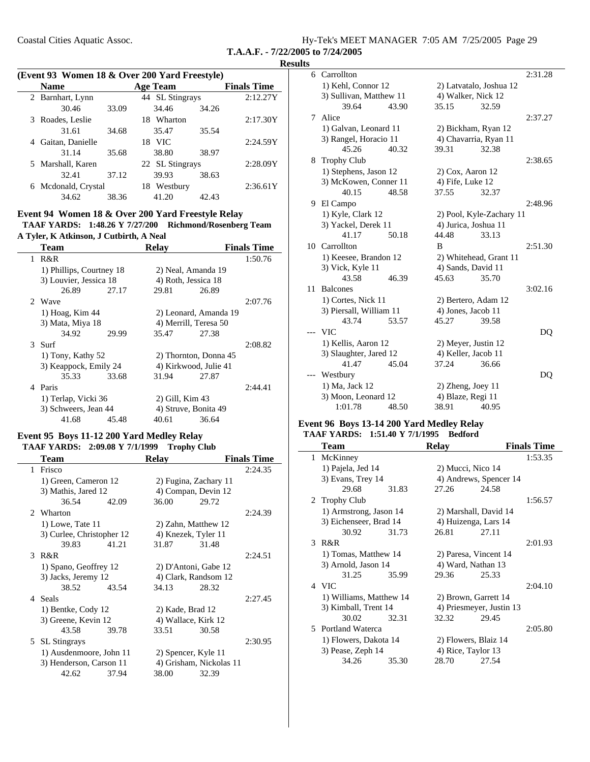| Hy-Tek's MEET MANAGER 7:05 AM 7/25/2005 Page 29 |  |  |
|-------------------------------------------------|--|--|
| T.A.A.F. - 7/22/2005 to 7/24/2005               |  |  |

 $\sim$ 

|  |  |  |  |  |  | (Event 93 Women 18 & Over 200 Yard Freestyle) |  |
|--|--|--|--|--|--|-----------------------------------------------|--|
|--|--|--|--|--|--|-----------------------------------------------|--|

|   | <b>Name</b>         |       | <b>Age Team</b> |       | <b>Finals Time</b> |
|---|---------------------|-------|-----------------|-------|--------------------|
|   | 2 Barnhart, Lynn    |       | 44 SL Stingrays |       | 2:12.27Y           |
|   | 30.46               | 33.09 | 34.46           | 34.26 |                    |
|   | 3 Roades, Leslie    |       | Wharton<br>18   |       | 2:17.30Y           |
|   | 31.61               | 34.68 | 35.47           | 35.54 |                    |
| 4 | Gaitan, Danielle    |       | 18 VIC          |       | 2:24.59Y           |
|   | 31.14               | 35.68 | 38.80           | 38.97 |                    |
|   | 5 Marshall, Karen   |       | 22 SL Stingrays |       | 2:28.09Y           |
|   | 32.41               | 37.12 | 39.93           | 38.63 |                    |
|   | 6 Mcdonald, Crystal |       | Westbury<br>18  |       | 2:36.61Y           |
|   | 34.62               | 38.36 | 41.20           | 42.43 |                    |

#### **Event 94 Women 18 & Over 200 Yard Freestyle Relay** TAAF YARDS: 1:48.26 Y 7/27/200 Richmond/Rosenberg Team

**A Tyler, K Atkinson, J Cutbirth, A Neal**

|   | <b>Team</b>              |       | <b>Relay</b>          |                       | <b>Finals Time</b> |
|---|--------------------------|-------|-----------------------|-----------------------|--------------------|
| 1 | R&R                      |       |                       |                       | 1:50.76            |
|   | 1) Phillips, Courtney 18 |       | 2) Neal, Amanda 19    |                       |                    |
|   | 3) Louvier, Jessica 18   |       | 4) Roth, Jessica 18   |                       |                    |
|   | 26.89                    | 27.17 | 29.81                 | 26.89                 |                    |
|   | 2 Wave                   |       |                       |                       | 2:07.76            |
|   | 1) Hoag, Kim 44          |       |                       | 2) Leonard, Amanda 19 |                    |
|   | 3) Mata, Miya 18         |       | 4) Merrill, Teresa 50 |                       |                    |
|   | 34.92                    | 29.99 | 35.47                 | 27.38                 |                    |
|   | 3 Surf                   |       |                       |                       | 2:08.82            |
|   | 1) Tony, Kathy 52        |       | 2) Thornton, Donna 45 |                       |                    |
|   | 3) Keappock, Emily 24    |       | 4) Kirkwood, Julie 41 |                       |                    |
|   | 35.33                    | 33.68 | 31.94                 | 27.87                 |                    |
| 4 | Paris                    |       |                       |                       | 2:44.41            |
|   | 1) Terlap, Vicki 36      |       | 2) Gill, Kim 43       |                       |                    |
|   | 3) Schweers, Jean 44     |       | 4) Struve, Bonita 49  |                       |                    |
|   | 41.68                    | 45.48 | 40.61                 | 36.64                 |                    |

### **Event 95 Boys 11-12 200 Yard Medley Relay**

### TAAF YARDS: 2:09.08 Y 7/1/1999 Trophy Club

| Team                      |       | <b>Relav</b>          |                         | <b>Finals Time</b> |
|---------------------------|-------|-----------------------|-------------------------|--------------------|
| 1 Frisco                  |       |                       |                         | 2:24.35            |
| 1) Green, Cameron 12      |       | 2) Fugina, Zachary 11 |                         |                    |
| 3) Mathis, Jared 12       |       | 4) Compan, Devin 12   |                         |                    |
| 36.54                     | 42.09 | 36.00                 | 29.72                   |                    |
| 2 Wharton                 |       |                       |                         | 2:24.39            |
| 1) Lowe, Tate 11          |       | 2) Zahn, Matthew 12   |                         |                    |
| 3) Curlee, Christopher 12 |       | 4) Knezek, Tyler 11   |                         |                    |
| 39.83                     | 41.21 | 31.87                 | 31.48                   |                    |
| 3 R&R                     |       |                       |                         | 2:24.51            |
| 1) Spano, Geoffrey 12     |       | 2) D'Antoni, Gabe 12  |                         |                    |
| 3) Jacks, Jeremy 12       |       | 4) Clark, Randsom 12  |                         |                    |
| 38.52                     | 43.54 | 34.13                 | 28.32                   |                    |
| 4 Seals                   |       |                       |                         | 2:27.45            |
| 1) Bentke, Cody 12        |       | 2) Kade, Brad 12      |                         |                    |
| 3) Greene, Kevin 12       |       | 4) Wallace, Kirk 12   |                         |                    |
| 43.58                     | 39.78 | 33.51                 | 30.58                   |                    |
| 5 SL Stingrays            |       |                       |                         | 2:30.95            |
| 1) Ausdenmoore, John 11   |       | 2) Spencer, Kyle 11   |                         |                    |
| 3) Henderson, Carson 11   |       |                       | 4) Grisham, Nickolas 11 |                    |
| 42.62                     | 37.94 | 38.00                 | 32.39                   |                    |

|    | 6 Carrollton            |       |                       |                          | 2:31.28 |
|----|-------------------------|-------|-----------------------|--------------------------|---------|
|    | 1) Kehl, Connor 12      |       |                       | 2) Latvatalo, Joshua 12  |         |
|    | 3) Sullivan, Matthew 11 |       | 4) Walker, Nick 12    |                          |         |
|    | 39.64                   | 43.90 | 35.15                 | 32.59                    |         |
| 7  | Alice                   |       |                       |                          | 2:37.27 |
|    | 1) Galvan, Leonard 11   |       | 2) Bickham, Ryan 12   |                          |         |
|    | 3) Rangel, Horacio 11   |       | 4) Chavarria, Ryan 11 |                          |         |
|    | 45.26                   | 40.32 | 39.31                 | 32.38                    |         |
|    | 8 Trophy Club           |       |                       |                          | 2:38.65 |
|    | 1) Stephens, Jason 12   |       | $2)$ Cox, Aaron 12    |                          |         |
|    | 3) McKowen, Conner 11   |       | 4) Fife, Luke 12      |                          |         |
|    | 40.15                   | 48.58 | 37.55                 | 32.37                    |         |
|    | 9 El Campo              |       |                       |                          | 2:48.96 |
|    | 1) Kyle, Clark 12       |       |                       | 2) Pool, Kyle-Zachary 11 |         |
|    | 3) Yackel, Derek 11     |       | 4) Jurica, Joshua 11  |                          |         |
|    | 41.17                   | 50.18 | 44.48                 | 33.13                    |         |
|    | 10 Carrollton           |       | B                     |                          | 2:51.30 |
|    | 1) Keesee, Brandon 12   |       |                       | 2) Whitehead, Grant 11   |         |
|    | 3) Vick, Kyle 11        |       | 4) Sands, David 11    |                          |         |
|    | 43.58                   | 46.39 | 45.63                 | 35.70                    |         |
| 11 | <b>Balcones</b>         |       |                       |                          | 3:02.16 |
|    | 1) Cortes, Nick 11      |       | 2) Bertero, Adam 12   |                          |         |
|    | 3) Piersall, William 11 |       | 4) Jones, Jacob 11    |                          |         |
|    | 43.74                   | 53.57 | 45.27                 | 39.58                    |         |
|    | <b>VIC</b>              |       |                       |                          | DQ      |
|    | 1) Kellis, Aaron 12     |       | 2) Meyer, Justin 12   |                          |         |
|    | 3) Slaughter, Jared 12  |       | 4) Keller, Jacob 11   |                          |         |
|    | 41.47                   | 45.04 | 37.24                 | 36.66                    |         |
|    | Westbury                |       |                       |                          | DQ      |
|    | 1) Ma, Jack 12          |       | $2)$ Zheng, Joey 11   |                          |         |
|    | 3) Moon, Leonard 12     |       | 4) Blaze, Regi 11     |                          |         |
|    | 1:01.78                 | 48.50 | 38.91                 | 40.95                    |         |
|    |                         |       |                       |                          |         |

### **Event 96 Boys 13-14 200 Yard Medley Relay TAAF YARDS:** 1:51.40 Y 7/1/1995 Bedford

|   | <b>Team</b>             |       | <b>Relay</b>          |                          | <b>Finals Time</b> |
|---|-------------------------|-------|-----------------------|--------------------------|--------------------|
| 1 | McKinney                |       |                       |                          | 1:53.35            |
|   | 1) Pajela, Jed 14       |       | 2) Mucci, Nico 14     |                          |                    |
|   | 3) Evans, Trey 14       |       |                       | 4) Andrews, Spencer 14   |                    |
|   | 29.68                   | 31.83 | 27.26                 | 24.58                    |                    |
|   | 2 Trophy Club           |       |                       |                          | 1:56.57            |
|   | 1) Armstrong, Jason 14  |       |                       | 2) Marshall, David 14    |                    |
|   | 3) Eichenseer, Brad 14  |       | 4) Huizenga, Lars 14  |                          |                    |
|   | 30.92                   | 31.73 | 26.81                 | 27.11                    |                    |
| 3 | R&R                     |       |                       |                          | 2:01.93            |
|   | 1) Tomas, Matthew 14    |       | 2) Paresa, Vincent 14 |                          |                    |
|   | 3) Arnold, Jason 14     |       | 4) Ward, Nathan 13    |                          |                    |
|   | 31.25                   | 35.99 | 29.36                 | 25.33                    |                    |
|   | 4 VIC                   |       |                       |                          | 2:04.10            |
|   | 1) Williams, Matthew 14 |       | 2) Brown, Garrett 14  |                          |                    |
|   | 3) Kimball, Trent 14    |       |                       | 4) Priesmeyer, Justin 13 |                    |
|   | 30.02                   | 32.31 | 32.32                 | 29.45                    |                    |
|   | 5 Portland Waterca      |       |                       |                          | 2:05.80            |
|   | 1) Flowers, Dakota 14   |       | 2) Flowers, Blaiz 14  |                          |                    |
|   | 3) Pease, Zeph 14       |       | 4) Rice, Taylor 13    |                          |                    |
|   | 34.26                   | 35.30 | 28.70                 | 27.54                    |                    |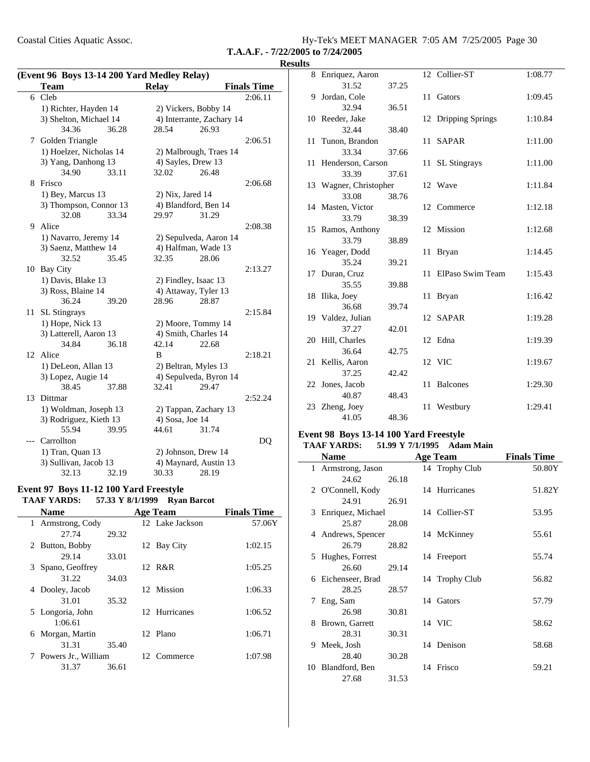Coastal Cities Aquatic Assoc. Hy-Tek's MEET MANAGER 7:05 AM 7/25/2005 Page 30

**T.A.A.F. - 7/22/2005 to 7/24/2005**

#### **Results**

| (Event 96 Boys 13-14 200 Yard Medley Relay) |                         |       |                       |                           |                    |  |  |
|---------------------------------------------|-------------------------|-------|-----------------------|---------------------------|--------------------|--|--|
|                                             | <b>Team</b>             |       | <b>Relay</b>          |                           | <b>Finals Time</b> |  |  |
| 6                                           | Cleb                    |       |                       |                           | 2:06.11            |  |  |
|                                             | 1) Richter, Hayden 14   |       | 2) Vickers, Bobby 14  |                           |                    |  |  |
|                                             | 3) Shelton, Michael 14  |       |                       | 4) Interrante, Zachary 14 |                    |  |  |
|                                             | 34.36                   | 36.28 | 28.54                 | 26.93                     |                    |  |  |
| 7                                           | Golden Triangle         |       |                       |                           | 2:06.51            |  |  |
|                                             | 1) Hoelzer, Nicholas 14 |       |                       | 2) Malbrough, Traes 14    |                    |  |  |
|                                             | 3) Yang, Danhong 13     |       | 4) Sayles, Drew 13    |                           |                    |  |  |
|                                             | 34.90                   | 33.11 | 32.02                 | 26.48                     |                    |  |  |
| 8                                           | Frisco                  |       |                       |                           | 2:06.68            |  |  |
|                                             | 1) Bey, Marcus 13       |       | $2)$ Nix, Jared 14    |                           |                    |  |  |
|                                             | 3) Thompson, Connor 13  |       | 4) Blandford, Ben 14  |                           |                    |  |  |
|                                             | 32.08                   | 33.34 | 29.97                 | 31.29                     |                    |  |  |
| 9                                           | Alice                   |       |                       |                           | 2:08.38            |  |  |
|                                             | 1) Navarro, Jeremy 14   |       |                       | 2) Sepulveda, Aaron 14    |                    |  |  |
|                                             | 3) Saenz, Matthew 14    |       | 4) Halfman, Wade 13   |                           |                    |  |  |
|                                             | 32.52                   | 35.45 | 32.35                 | 28.06                     |                    |  |  |
| 10                                          | Bay City                |       |                       |                           | 2:13.27            |  |  |
|                                             | 1) Davis, Blake 13      |       | 2) Findley, Isaac 13  |                           |                    |  |  |
|                                             | 3) Ross, Blaine 14      |       | 4) Attaway, Tyler 13  |                           |                    |  |  |
|                                             | 36.24                   | 39.20 | 28.96                 | 28.87                     |                    |  |  |
| 11                                          | <b>SL</b> Stingrays     |       |                       |                           | 2:15.84            |  |  |
|                                             | 1) Hope, Nick 13        |       | 2) Moore, Tommy 14    |                           |                    |  |  |
|                                             | 3) Latterell, Aaron 13  |       | 4) Smith, Charles 14  |                           |                    |  |  |
|                                             | 34.84                   | 36.18 | 42.14                 | 22.68                     |                    |  |  |
| 12                                          | Alice                   |       | B                     |                           | 2:18.21            |  |  |
|                                             | 1) DeLeon, Allan 13     |       | 2) Beltran, Myles 13  |                           |                    |  |  |
|                                             | 3) Lopez, Augie 14      |       |                       | 4) Sepulveda, Byron 14    |                    |  |  |
|                                             | 38.45                   | 37.88 | 32.41                 | 29.47                     |                    |  |  |
| 13                                          | Dittmar                 |       |                       |                           | 2:52.24            |  |  |
|                                             | 1) Woldman, Joseph 13   |       | 2) Tappan, Zachary 13 |                           |                    |  |  |
|                                             | 3) Rodriguez, Kieth 13  |       | 4) Sosa, Joe 14       |                           |                    |  |  |
|                                             | 55.94                   | 39.95 | 44.61                 | 31.74                     |                    |  |  |
| $---$                                       | Carrollton              |       |                       |                           | DQ                 |  |  |
|                                             | 1) Tran, Quan 13        |       | 2) Johnson, Drew 14   |                           |                    |  |  |
|                                             | 3) Sullivan, Jacob 13   |       | 4) Maynard, Austin 13 |                           |                    |  |  |
|                                             | 32.13                   | 32.19 | 30.33                 | 28.19                     |                    |  |  |

#### **Event 97 Boys 11-12 100 Yard Freestyle TAAF YARDS:** 57.33 Y 8/1/1999 Ryan Barcot

| <b>Name</b>           | Age Team |  |                 | <b>Finals Time</b> |
|-----------------------|----------|--|-----------------|--------------------|
| 1 Armstrong, Cody     |          |  | 12 Lake Jackson | 57.06Y             |
| 27.74                 | 29.32    |  |                 |                    |
| 2 Button, Bobby       |          |  | 12 Bay City     | 1:02.15            |
| 29.14                 | 33.01    |  |                 |                    |
| 3 Spano, Geoffrey     |          |  | 12 R&R          | 1:05.25            |
| 31.22                 | 34.03    |  |                 |                    |
| 4 Dooley, Jacob       |          |  | 12 Mission      | 1:06.33            |
| 31.01                 | 35.32    |  |                 |                    |
| 5 Longoria, John      |          |  | 12 Hurricanes   | 1:06.52            |
| 1:06.61               |          |  |                 |                    |
| 6 Morgan, Martin      |          |  | 12 Plano        | 1:06.71            |
| 31.31                 | 35.40    |  |                 |                    |
| 7 Powers Jr., William |          |  | 12 Commerce     | 1:07.98            |
| 31.37                 | 36.61    |  |                 |                    |
|                       |          |  |                 |                    |

|    | 8 Enriquez, Aaron      |       |        | 12 Collier-ST       | 1:08.77 |
|----|------------------------|-------|--------|---------------------|---------|
|    | 31.52                  | 37.25 |        |                     |         |
|    | 9 Jordan, Cole         |       | 11     | Gators              | 1:09.45 |
|    | 32.94                  | 36.51 |        |                     |         |
|    | 10 Reeder, Jake        |       |        | 12 Dripping Springs | 1:10.84 |
|    | 32.44                  | 38.40 |        |                     |         |
|    | 11 Tunon, Brandon      |       | $11 -$ | <b>SAPAR</b>        | 1:11.00 |
|    | 33.34                  | 37.66 |        |                     |         |
|    | 11 Henderson, Carson   |       | 11     | <b>SL</b> Stingrays | 1:11.00 |
|    | 33.39                  | 37.61 |        |                     |         |
|    | 13 Wagner, Christopher |       |        | 12 Wave             | 1:11.84 |
|    | 33.08                  | 38.76 |        |                     |         |
|    | 14 Masten, Victor      |       |        | 12 Commerce         | 1:12.18 |
|    | 33.79                  | 38.39 |        |                     |         |
|    | 15 Ramos, Anthony      |       |        | 12 Mission          | 1:12.68 |
|    | 33.79                  | 38.89 |        |                     |         |
|    | 16 Yeager, Dodd        |       | 11     | <b>Bryan</b>        | 1:14.45 |
|    | 35.24                  | 39.21 |        |                     |         |
| 17 | Duran, Cruz            |       | 11     | ElPaso Swim Team    | 1:15.43 |
|    | 35.55                  | 39.88 |        |                     |         |
|    | 18 Ilika, Joey         |       | 11     | <b>Bryan</b>        | 1:16.42 |
|    | 36.68                  | 39.74 |        |                     |         |
|    | 19 Valdez, Julian      |       |        | 12 SAPAR            | 1:19.28 |
|    | 37.27                  | 42.01 |        |                     |         |
|    | 20 Hill, Charles       |       |        | 12 Edna             | 1:19.39 |
|    | 36.64                  | 42.75 |        |                     |         |
|    | 21 Kellis, Aaron       |       |        | 12 VIC              | 1:19.67 |
|    | 37.25                  | 42.42 |        |                     |         |
|    | 22 Jones, Jacob        |       | 11     | <b>Balcones</b>     | 1:29.30 |
|    | 40.87                  | 48.43 |        |                     |         |
|    | 23 Zheng, Joey         |       | 11     | Westbury            | 1:29.41 |
|    | 41.05                  | 48.36 |        |                     |         |

### **Event 98 Boys 13-14 100 Yard Freestyle**

### **TAAF YARDS:** 51.99 Y 7/1/1995 Adam Main

|    | Name                |       | <b>Age Team</b> | <b>Finals Time</b> |
|----|---------------------|-------|-----------------|--------------------|
|    | 1 Armstrong, Jason  |       | 14 Trophy Club  | 50.80Y             |
|    | 24.62               | 26.18 |                 |                    |
|    | 2 O'Connell, Kody   |       | 14 Hurricanes   | 51.82Y             |
|    | 24.91               | 26.91 |                 |                    |
|    | 3 Enriquez, Michael |       | 14 Collier-ST   | 53.95              |
|    | 25.87               | 28.08 |                 |                    |
|    | 4 Andrews, Spencer  |       | 14 McKinney     | 55.61              |
|    | 26.79               | 28.82 |                 |                    |
|    | 5 Hughes, Forrest   |       | 14 Freeport     | 55.74              |
|    | 26.60               | 29.14 |                 |                    |
|    | 6 Eichenseer, Brad  |       | 14 Trophy Club  | 56.82              |
|    | 28.25               | 28.57 |                 |                    |
| 7  | Eng, Sam            |       | 14 Gators       | 57.79              |
|    | 26.98               | 30.81 |                 |                    |
| 8. | Brown, Garrett      |       | 14 VIC          | 58.62              |
|    | 28.31               | 30.31 |                 |                    |
|    | 9 Meek, Josh        |       | 14 Denison      | 58.68              |
|    | 28.40               | 30.28 |                 |                    |
|    | 10 Blandford, Ben   |       | 14 Frisco       | 59.21              |
|    | 27.68               | 31.53 |                 |                    |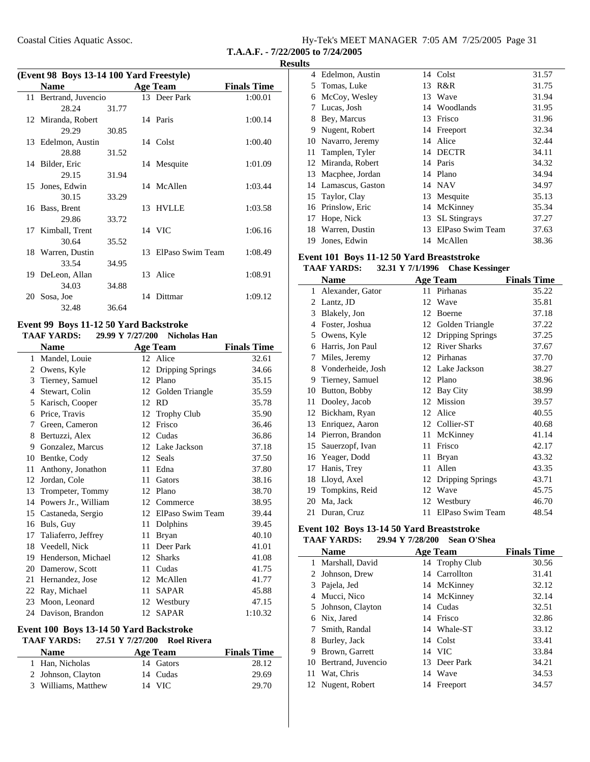| Hy-Tek's MEET MANAGER 7:05 AM 7/25/2005 Page 31 |  |  |
|-------------------------------------------------|--|--|
| T.A.A.F. - $7/22/2005$ to $7/24/2005$           |  |  |

|    | (Event 98 Boys 13-14 100 Yard Freestyle) |       |     |                  |                    |  |  |  |
|----|------------------------------------------|-------|-----|------------------|--------------------|--|--|--|
|    | <b>Name</b>                              |       |     | <b>Age Team</b>  | <b>Finals Time</b> |  |  |  |
|    | 11 Bertrand, Juvencio                    |       |     | 13 Deer Park     | 1:00.01            |  |  |  |
|    | 28.24                                    | 31.77 |     |                  |                    |  |  |  |
|    | 12 Miranda, Robert                       |       |     | 14 Paris         | 1:00.14            |  |  |  |
|    | 29.29                                    | 30.85 |     |                  |                    |  |  |  |
|    | 13 Edelmon, Austin                       |       |     | 14 Colst         | 1:00.40            |  |  |  |
|    | 28.88                                    | 31.52 |     |                  |                    |  |  |  |
|    | 14 Bilder, Eric                          |       |     | 14 Mesquite      | 1:01.09            |  |  |  |
|    | 29.15                                    | 31.94 |     |                  |                    |  |  |  |
|    | 15 Jones, Edwin                          |       |     | 14 McAllen       | 1:03.44            |  |  |  |
|    | 30.15                                    | 33.29 |     |                  |                    |  |  |  |
| 16 | Bass, Brent                              |       |     | 13 HVLLE         | 1:03.58            |  |  |  |
|    | 29.86                                    | 33.72 |     |                  |                    |  |  |  |
| 17 | Kimball, Trent                           |       |     | 14 VIC           | 1:06.16            |  |  |  |
|    | 30.64                                    | 35.52 |     |                  |                    |  |  |  |
|    | 18 Warren, Dustin                        |       | 13. | ElPaso Swim Team | 1:08.49            |  |  |  |
|    | 33.54                                    | 34.95 |     |                  |                    |  |  |  |
|    | 19 DeLeon, Allan                         |       |     | 13 Alice         | 1:08.91            |  |  |  |
|    | 34.03                                    | 34.88 |     |                  |                    |  |  |  |
|    | 20 Sosa, Joe                             |       |     | 14 Dittmar       | 1:09.12            |  |  |  |
|    | 32.48                                    | 36.64 |     |                  |                    |  |  |  |

#### **Event 99 Boys 11-12 50 Yard Backstroke TAAF YARDS:** 29.99 Y 7/27/200 Nicholas Han

|    | Name                |    | <b>Age Team</b>    | <b>Finals Time</b> |  |
|----|---------------------|----|--------------------|--------------------|--|
| 1  | Mandel, Louie       |    | 12 Alice           | 32.61              |  |
| 2  | Owens, Kyle         | 12 | Dripping Springs   | 34.66              |  |
| 3  | Tierney, Samuel     | 12 | Plano              | 35.15              |  |
| 4  | Stewart, Colin      | 12 | Golden Triangle    | 35.59              |  |
| 5  | Karisch, Cooper     | 12 | <b>RD</b>          | 35.78              |  |
| 6  | Price, Travis       | 12 | <b>Trophy Club</b> | 35.90              |  |
| 7  | Green, Cameron      | 12 | Frisco             | 36.46              |  |
| 8  | Bertuzzi, Alex      | 12 | Cudas              | 36.86              |  |
| 9  | Gonzalez, Marcus    | 12 | Lake Jackson       | 37.18              |  |
| 10 | Bentke, Cody        | 12 | Seals              | 37.50              |  |
| 11 | Anthony, Jonathon   | 11 | Edna               | 37.80              |  |
| 12 | Jordan, Cole        | 11 | Gators             | 38.16              |  |
| 13 | Trompeter, Tommy    | 12 | Plano              | 38.70              |  |
| 14 | Powers Jr., William | 12 | Commerce           | 38.95              |  |
| 15 | Castaneda, Sergio   | 12 | ElPaso Swim Team   | 39.44              |  |
| 16 | Buls, Guy           | 11 | Dolphins           | 39.45              |  |
| 17 | Taliaferro, Jeffrey | 11 | <b>Bryan</b>       | 40.10              |  |
| 18 | Veedell, Nick       | 11 | Deer Park          | 41.01              |  |
| 19 | Henderson, Michael  | 12 | <b>Sharks</b>      | 41.08              |  |
| 20 | Damerow, Scott      | 11 | Cudas              | 41.75              |  |
| 21 | Hernandez, Jose     | 12 | McAllen            | 41.77              |  |
| 22 | Ray, Michael        | 11 | <b>SAPAR</b>       | 45.88              |  |
| 23 | Moon, Leonard       | 12 | Westbury           | 47.15              |  |
|    | 24 Davison, Brandon |    | 12 SAPAR           | 1:10.32            |  |

### **Event 100 Boys 13-14 50 Yard Backstroke**

# **TAAF YARDS: 27.51 Y Roel Rivera 7/27/200**

| <b>Name</b>         | Age Team  | <b>Finals Time</b> |  |  |
|---------------------|-----------|--------------------|--|--|
| 1 Han, Nicholas     | 14 Gators | 28.12              |  |  |
| 2 Johnson, Clayton  | 14 Cudas  | 29.69              |  |  |
| 3 Williams, Matthew | 14 VIC    | 29.70              |  |  |

| 1 L.J |                     |    |                     |       |
|-------|---------------------|----|---------------------|-------|
|       | 4 Edelmon, Austin   |    | 14 Colst            | 31.57 |
| 5.    | Tomas, Luke         | 13 | R&R                 | 31.75 |
| 6     | McCoy, Wesley       | 13 | Wave                | 31.94 |
| 7     | Lucas, Josh         |    | 14 Woodlands        | 31.95 |
| 8     | Bey, Marcus         | 13 | Frisco              | 31.96 |
| 9     | Nugent, Robert      |    | 14 Freeport         | 32.34 |
|       | 10 Navarro, Jeremy  | 14 | Alice               | 32.44 |
| 11    | Tamplen, Tyler      | 14 | <b>DECTR</b>        | 34.11 |
|       | 12 Miranda, Robert  |    | 14 Paris            | 34.32 |
|       | 13 Macphee, Jordan  |    | 14 Plano            | 34.94 |
|       | 14 Lamascus, Gaston |    | 14 NAV              | 34.97 |
|       | 15 Taylor, Clay     | 13 | Mesquite            | 35.13 |
|       | 16 Prinslow, Eric   | 14 | McKinney            | 35.34 |
| 17    | Hope, Nick          | 13 | <b>SL</b> Stingrays | 37.27 |
| 18    | Warren, Dustin      | 13 | ElPaso Swim Team    | 37.63 |
| 19    | Jones, Edwin        |    | 14 McAllen          | 38.36 |

### **Event 101 Boys 11-12 50 Yard Breaststroke**

|    | <b>TAAF YARDS:</b> | 32.31 Y 7/1/1996 | <b>Chase Kessinger</b>  |                    |
|----|--------------------|------------------|-------------------------|--------------------|
|    | <b>Name</b>        |                  | <b>Age Team</b>         | <b>Finals Time</b> |
| 1  | Alexander, Gator   |                  | 11 Pirhanas             | 35.22              |
| 2  | Lantz, JD          | 12               | Wave                    | 35.81              |
| 3  | Blakely, Jon       | 12               | Boerne                  | 37.18              |
| 4  | Foster, Joshua     | 12               | Golden Triangle         | 37.22              |
| 5  | Owens, Kyle        | 12               | Dripping Springs        | 37.25              |
| 6  | Harris, Jon Paul   | 12               | <b>River Sharks</b>     | 37.67              |
| 7  | Miles, Jeremy      | 12               | Pirhanas                | 37.70              |
| 8  | Vonderheide, Josh  | 12               | Lake Jackson            | 38.27              |
| 9  | Tierney, Samuel    | 12               | Plano                   | 38.96              |
| 10 | Button, Bobby      | 12               | <b>Bay City</b>         | 38.99              |
| 11 | Dooley, Jacob      | 12               | Mission                 | 39.57              |
| 12 | Bickham, Ryan      | 12               | Alice                   | 40.55              |
| 13 | Enriquez, Aaron    | 12               | Collier-ST              | 40.68              |
| 14 | Pierron, Brandon   | 11               | McKinney                | 41.14              |
| 15 | Sauerzopf, Ivan    | 11               | Frisco                  | 42.17              |
| 16 | Yeager, Dodd       | 11               | <b>Bryan</b>            | 43.32              |
| 17 | Hanis, Trey        | 11               | Allen                   | 43.35              |
| 18 | Lloyd, Axel        | 12               | <b>Dripping Springs</b> | 43.71              |
| 19 | Tompkins, Reid     | 12               | Wave                    | 45.75              |
| 20 | Ma, Jack           | 12               | Westbury                | 46.70              |
| 21 | Duran, Cruz        | 11               | ElPaso Swim Team        | 48.54              |

### **Event 102 Boys 13-14 50 Yard Breaststroke**

|   | <b>TAAF YARDS:</b>    | 29.94 Y 7/28/200 | Sean O'Shea    |                    |
|---|-----------------------|------------------|----------------|--------------------|
|   | <b>Name</b>           |                  | Age Team       | <b>Finals Time</b> |
|   | 1 Marshall, David     |                  | 14 Trophy Club | 30.56              |
|   | 2 Johnson, Drew       |                  | 14 Carrollton  | 31.41              |
|   | 3 Pajela, Jed         |                  | 14 McKinney    | 32.12              |
|   | 4 Mucci, Nico         |                  | 14 McKinney    | 32.14              |
|   | 5 Johnson, Clayton    |                  | 14 Cudas       | 32.51              |
| 6 | Nix, Jared            |                  | 14 Frisco      | 32.86              |
|   | 7 Smith, Randal       |                  | 14 Whale-ST    | 33.12              |
| 8 | Burley, Jack          |                  | 14 Colst       | 33.41              |
| 9 | Brown, Garrett        |                  | 14 VIC         | 33.84              |
|   | 10 Bertrand, Juvencio |                  | 13 Deer Park   | 34.21              |
|   | 11 Wat, Chris         |                  | 14 Wave        | 34.53              |
|   | 12 Nugent, Robert     |                  | 14 Freeport    | 34.57              |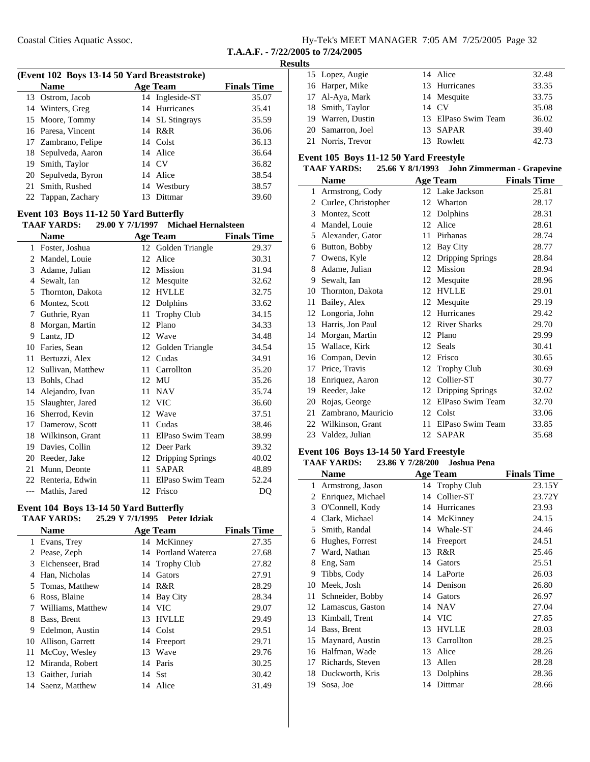|             |  |  |  | Hy-Tek's MEET MANAGER 7:05 AM 7/25/2005 Page 32 |  |
|-------------|--|--|--|-------------------------------------------------|--|
| ___________ |  |  |  |                                                 |  |

### **Results**

| (Event 102 Boys 13-14 50 Yard Breaststroke) |                     |    |                 |                    |   |  |
|---------------------------------------------|---------------------|----|-----------------|--------------------|---|--|
|                                             | <b>Name</b>         |    | <b>Age Team</b> | <b>Finals Time</b> |   |  |
|                                             | 13 Ostrom, Jacob    |    | 14 Ingleside-ST | 35.07              |   |  |
|                                             | 14 Winters, Greg    |    | 14 Hurricanes   | 35.41              |   |  |
|                                             | 15 Moore, Tommy     |    | 14 SL Stingrays | 35.59              |   |  |
|                                             | 16 Paresa, Vincent  |    | 14 R&R          | 36.06              |   |  |
|                                             | 17 Zambrano, Felipe |    | 14 Colst        | 36.13              |   |  |
|                                             | 18 Sepulveda, Aaron |    | 14 Alice        | 36.64              | F |  |
|                                             | 19 Smith, Taylor    |    | 14 CV           | 36.82              |   |  |
|                                             | 20 Sepulveda, Byron |    | 14 Alice        | 38.54              |   |  |
|                                             | 21 Smith, Rushed    |    | 14 Westbury     | 38.57              |   |  |
|                                             | 22 Tappan, Zachary  | 13 | Dittmar         | 39.60              |   |  |
|                                             |                     |    |                 |                    |   |  |

### **Event 103 Boys 11-12 50 Yard Butterfly**

| <b>TAAF YARDS:</b> | 29.00 Y 7/1/1997 | <b>Michael Hernalsteen</b> |
|--------------------|------------------|----------------------------|
|                    |                  |                            |

|       | Name              |    | <b>Age Team</b>    | <b>Finals Time</b> |
|-------|-------------------|----|--------------------|--------------------|
| 1     | Foster, Joshua    |    | 12 Golden Triangle | 29.37              |
| 2     | Mandel, Louie     | 12 | Alice              | 30.31              |
| 3     | Adame, Julian     | 12 | Mission            | 31.94              |
| 4     | Sewalt, Ian       | 12 | Mesquite           | 32.62              |
| 5     | Thornton, Dakota  | 12 | <b>HVLLE</b>       | 32.75              |
| 6     | Montez, Scott     | 12 | Dolphins           | 33.62              |
| 7     | Guthrie, Ryan     | 11 | Trophy Club        | 34.15              |
| 8     | Morgan, Martin    | 12 | Plano              | 34.33              |
| 9     | Lantz, JD         | 12 | Wave               | 34.48              |
| 10    | Faries, Sean      | 12 | Golden Triangle    | 34.54              |
| 11    | Bertuzzi, Alex    | 12 | Cudas              | 34.91              |
| 12    | Sullivan, Matthew | 11 | Carrollton         | 35.20              |
| 13    | Bohls, Chad       | 12 | MU                 | 35.26              |
| 14    | Alejandro, Ivan   | 11 | <b>NAV</b>         | 35.74              |
| 15    | Slaughter, Jared  | 12 | <b>VIC</b>         | 36.60              |
| 16    | Sherrod, Kevin    | 12 | Wave               | 37.51              |
| 17    | Damerow, Scott    | 11 | Cudas              | 38.46              |
| 18    | Wilkinson, Grant  | 11 | ElPaso Swim Team   | 38.99              |
| 19    | Davies, Collin    | 12 | Deer Park          | 39.32              |
| 20    | Reeder, Jake      | 12 | Dripping Springs   | 40.02              |
| 21    | Munn, Deonte      | 11 | <b>SAPAR</b>       | 48.89              |
| 22    | Renteria, Edwin   | 11 | ElPaso Swim Team   | 52.24              |
| $---$ | Mathis, Jared     | 12 | Frisco             | DO                 |

# **Event 104 Boys 13-14 50 Yard Butterfly**

| <b>TAAF YARDS:</b> | 25.29 Y 7/1/1995 Peter Idziak |  |
|--------------------|-------------------------------|--|
|                    |                               |  |

|     | <b>Name</b>        |    | <b>Age Team</b>     | <b>Finals Time</b> |
|-----|--------------------|----|---------------------|--------------------|
| 1   | Evans, Trey        |    | 14 McKinney         | 27.35              |
|     | 2 Pease, Zeph      |    | 14 Portland Waterca | 27.68              |
|     | 3 Eichenseer, Brad |    | 14 Trophy Club      | 27.82              |
| 4   | Han, Nicholas      | 14 | Gators              | 27.91              |
|     | 5 Tomas, Matthew   | 14 | R&R                 | 28.29              |
| 6   | Ross, Blaine       |    | 14 Bay City         | 28.34              |
|     | Williams, Matthew  |    | 14 VIC              | 29.07              |
| 8   | Bass, Brent        |    | 13 HVLLE            | 29.49              |
| 9   | Edelmon, Austin    |    | 14 Colst            | 29.51              |
| 10. | Allison, Garrett   | 14 | Freeport            | 29.71              |
| 11  | McCoy, Wesley      | 13 | Wave                | 29.76              |
|     | 12 Miranda, Robert | 14 | Paris               | 30.25              |
| 13  | Gaither, Juriah    |    | 14 Sst              | 30.42              |
|     | 14 Saenz, Matthew  | 14 | Alice               | 31.49              |

| . |                   |                     |       |
|---|-------------------|---------------------|-------|
|   | 15 Lopez, Augie   | 14 Alice            | 32.48 |
|   | 16 Harper, Mike   | 13 Hurricanes       | 33.35 |
|   | 17 Al-Aya, Mark   | 14 Mesquite         | 33.75 |
|   | 18 Smith, Taylor  | 14 CV               | 35.08 |
|   | 19 Warren, Dustin | 13 ElPaso Swim Team | 36.02 |
|   | 20 Samarron, Joel | 13 SAPAR            | 39.40 |
|   | 21 Norris, Trevor | 13 Rowlett          | 42.73 |

### **Event 105 Boys 11-12 50 Yard Freestyle**

|    | <b>TAAF YARDS:</b>  | 25.66 Y 8/1/1993 |                     | <b>John Zimmerman - Grapevine</b> |
|----|---------------------|------------------|---------------------|-----------------------------------|
|    | Name                |                  | <b>Age Team</b>     | <b>Finals Time</b>                |
| 1  | Armstrong, Cody     |                  | 12 Lake Jackson     | 25.81                             |
| 2  | Curlee, Christopher | 12               | Wharton             | 28.17                             |
| 3  | Montez, Scott       | 12               | Dolphins            | 28.31                             |
| 4  | Mandel, Louie       | 12               | Alice               | 28.61                             |
|    | 5 Alexander, Gator  | 11               | Pirhanas            | 28.74                             |
| 6  | Button, Bobby       | 12               | Bay City            | 28.77                             |
| 7  | Owens, Kyle         | 12               | Dripping Springs    | 28.84                             |
| 8  | Adame, Julian       | 12               | <b>Mission</b>      | 28.94                             |
| 9  | Sewalt, Ian         | 12               | Mesquite            | 28.96                             |
| 10 | Thornton, Dakota    | 12               | <b>HVLLE</b>        | 29.01                             |
| 11 | Bailey, Alex        | 12               | Mesquite            | 29.19                             |
| 12 | Longoria, John      | 12               | Hurricanes          | 29.42                             |
| 13 | Harris, Jon Paul    | 12               | <b>River Sharks</b> | 29.70                             |
| 14 | Morgan, Martin      | 12               | Plano               | 29.99                             |
| 15 | Wallace, Kirk       |                  | 12 Seals            | 30.41                             |
| 16 | Compan, Devin       | 12               | Frisco              | 30.65                             |
| 17 | Price, Travis       | 12               | <b>Trophy Club</b>  | 30.69                             |
| 18 | Enriquez, Aaron     | 12               | Collier-ST          | 30.77                             |
| 19 | Reeder, Jake        | 12               | Dripping Springs    | 32.02                             |
| 20 | Rojas, George       | 12               | ElPaso Swim Team    | 32.70                             |
| 21 | Zambrano, Mauricio  | 12               | Colst               | 33.06                             |
| 22 | Wilkinson, Grant    | 11               | ElPaso Swim Team    | 33.85                             |
|    | 23 Valdez, Julian   |                  | 12 SAPAR            | 35.68                             |

### **Event 106 Boys 13-14 50 Yard Freestyle**

### **TAAF YARDS: 23.86 Y Joshua Pena 7/28/200**

|    | Name                |    | Age Team       | <b>Finals Time</b> |
|----|---------------------|----|----------------|--------------------|
| 1  | Armstrong, Jason    |    | 14 Trophy Club | 23.15Y             |
| 2  | Enriquez, Michael   | 14 | Collier-ST     | 23.72Y             |
| 3  | O'Connell, Kody     | 14 | Hurricanes     | 23.93              |
| 4  | Clark, Michael      | 14 | McKinney       | 24.15              |
| 5  | Smith, Randal       | 14 | Whale-ST       | 24.46              |
| 6  | Hughes, Forrest     | 14 | Freeport       | 24.51              |
| 7  | Ward, Nathan        | 13 | R&R            | 25.46              |
| 8  | Eng, Sam            | 14 | Gators         | 25.51              |
| 9  | Tibbs, Cody         | 14 | LaPorte        | 26.03              |
| 10 | Meek, Josh          | 14 | Denison        | 26.80              |
| 11 | Schneider, Bobby    | 14 | Gators         | 26.97              |
|    | 12 Lamascus, Gaston |    | 14 NAV         | 27.04              |
| 13 | Kimball, Trent      | 14 | <b>VIC</b>     | 27.85              |
| 14 | Bass, Brent         | 13 | <b>HVLLE</b>   | 28.03              |
| 15 | Maynard, Austin     | 13 | Carrollton     | 28.25              |
| 16 | Halfman, Wade       | 13 | Alice          | 28.26              |
| 17 | Richards, Steven    | 13 | Allen          | 28.28              |
| 18 | Duckworth, Kris     | 13 | Dolphins       | 28.36              |
| 19 | Sosa, Joe           |    | 14 Dittmar     | 28.66              |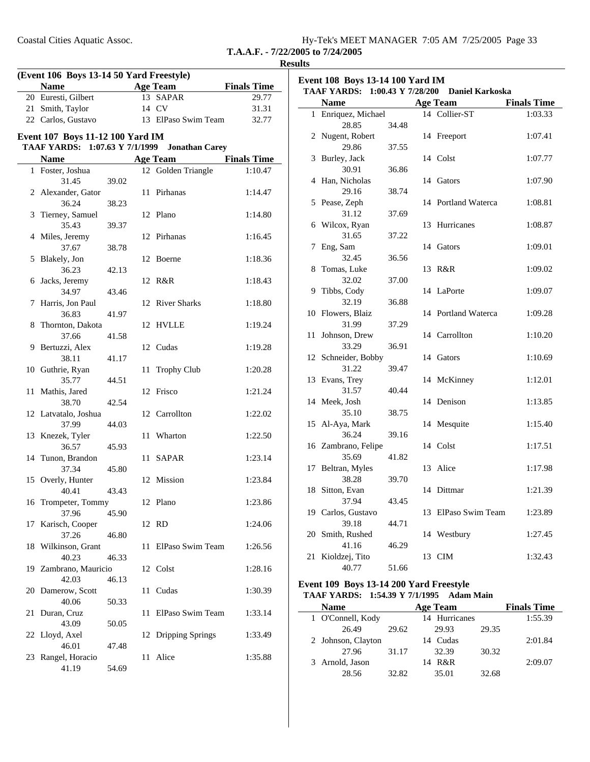| Hy-Tek's MEET MANAGER 7:05 AM 7/25/2005 Page 33 |  |  |  |
|-------------------------------------------------|--|--|--|
|-------------------------------------------------|--|--|--|

#### **Results**

| (Event 106 Boys 13-14 50 Yard Freestyle) |                                  |                    |     |                         |                    |
|------------------------------------------|----------------------------------|--------------------|-----|-------------------------|--------------------|
|                                          | <b>Name</b>                      |                    |     | <b>Age Team</b>         | <b>Finals Time</b> |
|                                          | 20 Euresti, Gilbert              |                    |     | 13 SAPAR                | 29.77              |
|                                          | 21 Smith, Taylor                 |                    |     | 14 CV                   | 31.31              |
|                                          | 22 Carlos, Gustavo               |                    |     | 13 ElPaso Swim Team     | 32.77              |
|                                          | Event 107 Boys 11-12 100 Yard IM |                    |     |                         |                    |
|                                          | <b>TAAF YARDS:</b>               | 1:07.63 Y 7/1/1999 |     | <b>Jonathan Carey</b>   |                    |
|                                          | <b>Name</b>                      |                    |     | <b>Age Team</b>         | <b>Finals Time</b> |
|                                          | 1 Foster, Joshua                 |                    |     | 12 Golden Triangle      | 1:10.47            |
|                                          | 31.45                            | 39.02              |     |                         |                    |
|                                          | 2 Alexander, Gator               |                    |     | 11 Pirhanas             | 1:14.47            |
|                                          | 36.24                            | 38.23              |     |                         |                    |
|                                          | 3 Tierney, Samuel                |                    |     | 12 Plano                | 1:14.80            |
|                                          | 35.43                            | 39.37              |     | 12 Pirhanas             | 1:16.45            |
|                                          | 4 Miles, Jeremy<br>37.67         | 38.78              |     |                         |                    |
|                                          | 5 Blakely, Jon                   |                    |     | 12 Boerne               | 1:18.36            |
|                                          | 36.23                            | 42.13              |     |                         |                    |
|                                          | 6 Jacks, Jeremy                  |                    |     | 12 R&R                  | 1:18.43            |
|                                          | 34.97                            | 43.46              |     |                         |                    |
|                                          | 7 Harris, Jon Paul               |                    |     | 12 River Sharks         | 1:18.80            |
|                                          | 36.83                            | 41.97              |     |                         |                    |
|                                          | 8 Thornton, Dakota               |                    |     | 12 HVLLE                | 1:19.24            |
|                                          | 37.66                            | 41.58              |     |                         |                    |
|                                          | 9 Bertuzzi, Alex                 |                    |     | 12 Cudas                | 1:19.28            |
|                                          | 38.11<br>10 Guthrie, Ryan        | 41.17              | 11  | <b>Trophy Club</b>      | 1:20.28            |
|                                          | 35.77                            | 44.51              |     |                         |                    |
|                                          | 11 Mathis, Jared                 |                    |     | 12 Frisco               | 1:21.24            |
|                                          | 38.70                            | 42.54              |     |                         |                    |
|                                          | 12 Latvatalo, Joshua             |                    |     | 12 Carrollton           | 1:22.02            |
|                                          | 37.99                            | 44.03              |     |                         |                    |
|                                          | 13 Knezek, Tyler                 |                    | 11  | Wharton                 | 1:22.50            |
|                                          | 36.57                            | 45.93              |     |                         |                    |
|                                          | 14 Tunon, Brandon                |                    | 11- | SAPAR                   | 1:23.14            |
|                                          | 37.34                            | 45.80              |     | 12 Mission              |                    |
|                                          | 15 Overly, Hunter<br>40.41       | 43.43              |     |                         | 1:23.84            |
|                                          | 16 Trompeter, Tommy              |                    |     | 12 Plano                | 1:23.86            |
|                                          | 37.96                            | 45.90              |     |                         |                    |
| 17                                       | Karisch, Cooper                  |                    |     | 12 RD                   | 1:24.06            |
|                                          | 37.26                            | 46.80              |     |                         |                    |
|                                          | 18 Wilkinson, Grant              |                    | 11  | ElPaso Swim Team        | 1:26.56            |
|                                          | 40.23                            | 46.33              |     |                         |                    |
|                                          | 19 Zambrano, Mauricio            |                    |     | 12 Colst                | 1:28.16            |
|                                          | 42.03                            | 46.13              |     |                         |                    |
|                                          | 20 Damerow, Scott<br>40.06       |                    | 11  | Cudas                   | 1:30.39            |
| 21                                       | Duran, Cruz                      | 50.33              | 11  | ElPaso Swim Team        | 1:33.14            |
|                                          | 43.09                            | 50.05              |     |                         |                    |
|                                          | 22 Lloyd, Axel                   |                    | 12  | <b>Dripping Springs</b> | 1:33.49            |
|                                          | 46.01                            | 47.48              |     |                         |                    |
| 23                                       | Rangel, Horacio                  |                    | 11  | Alice                   | 1:35.88            |
|                                          | 41.19                            | 54.69              |     |                         |                    |

| Event 108 Boys 13-14 100 Yard IM<br><b>TAAF YARDS:</b><br>1:00.43 Y 7/28/200<br><b>Daniel Karkoska</b> |                     |       |    |                         |                    |
|--------------------------------------------------------------------------------------------------------|---------------------|-------|----|-------------------------|--------------------|
|                                                                                                        | <b>Name</b>         |       |    | <b>Age Team</b>         | <b>Finals Time</b> |
| $\mathbf{1}$                                                                                           | Enriquez, Michael   |       |    | 14 Collier-ST           | 1:03.33            |
|                                                                                                        | 28.85               | 34.48 |    |                         |                    |
| 2                                                                                                      | Nugent, Robert      |       | 14 | Freeport                | 1:07.41            |
|                                                                                                        | 29.86               | 37.55 |    |                         |                    |
| 3                                                                                                      | Burley, Jack        |       |    | 14 Colst                | 1:07.77            |
|                                                                                                        | 30.91               | 36.86 |    |                         |                    |
| 4                                                                                                      | Han, Nicholas       |       |    | 14 Gators               | 1:07.90            |
|                                                                                                        | 29.16               | 38.74 |    |                         |                    |
| 5                                                                                                      | Pease, Zeph         |       | 14 | <b>Portland Waterca</b> | 1:08.81            |
|                                                                                                        | 31.12               | 37.69 |    |                         |                    |
| 6                                                                                                      | Wilcox, Ryan        |       | 13 | Hurricanes              | 1:08.87            |
|                                                                                                        | 31.65               | 37.22 |    |                         |                    |
| 7                                                                                                      | Eng, Sam            |       | 14 | Gators                  | 1:09.01            |
|                                                                                                        | 32.45               | 36.56 |    |                         |                    |
| 8                                                                                                      | Tomas, Luke         |       | 13 | R&R                     | 1:09.02            |
|                                                                                                        | 32.02               | 37.00 |    |                         |                    |
| 9                                                                                                      | Tibbs, Cody         |       | 14 | LaPorte                 | 1:09.07            |
|                                                                                                        | 32.19               | 36.88 |    |                         |                    |
| 10                                                                                                     | Flowers, Blaiz      |       |    | 14 Portland Waterca     | 1:09.28            |
|                                                                                                        | 31.99               | 37.29 |    |                         |                    |
| 11                                                                                                     | Johnson, Drew       |       |    | 14 Carrollton           | 1:10.20            |
|                                                                                                        | 33.29               | 36.91 |    |                         |                    |
|                                                                                                        | 12 Schneider, Bobby |       |    | 14 Gators               | 1:10.69            |
|                                                                                                        | 31.22               | 39.47 |    |                         |                    |
| 13                                                                                                     | Evans, Trey         |       | 14 | McKinney                | 1:12.01            |
|                                                                                                        | 31.57               | 40.44 |    |                         |                    |
|                                                                                                        | 14 Meek, Josh       |       |    | 14 Denison              | 1:13.85            |
|                                                                                                        | 35.10               | 38.75 |    |                         |                    |
| 15                                                                                                     | Al-Aya, Mark        |       |    | 14 Mesquite             | 1:15.40            |
|                                                                                                        | 36.24               | 39.16 |    |                         |                    |
|                                                                                                        | 16 Zambrano, Felipe |       |    | 14 Colst                | 1:17.51            |
|                                                                                                        | 35.69               | 41.82 |    |                         |                    |
| 17                                                                                                     | Beltran, Myles      |       | 13 | Alice                   | 1:17.98            |
|                                                                                                        | 38.28               | 39.70 |    |                         |                    |
| 18                                                                                                     | Sitton, Evan        |       | 14 | Dittmar                 | 1:21.39            |
|                                                                                                        | 37.94               | 43.45 |    |                         |                    |
|                                                                                                        | 19 Carlos, Gustavo  |       | 13 | ElPaso Swim Team        | 1:23.89            |
|                                                                                                        | 39.18               | 44.71 |    |                         |                    |
|                                                                                                        | 20 Smith, Rushed    |       |    | 14 Westbury             | 1:27.45            |
|                                                                                                        | 41.16               | 46.29 |    |                         |                    |
| 21                                                                                                     | Kioldzej, Tito      |       |    | 13 CIM                  | 1:32.43            |
|                                                                                                        | 40.77               | 51.66 |    |                         |                    |

### **Event 109 Boys 13-14 200 Yard Freestyle TAAF YARDS:** 1:54.39 Y 7/1/1995 Adam Main

| Name            |                    |       |    | Age Team      |       | <b>Finals Time</b> |
|-----------------|--------------------|-------|----|---------------|-------|--------------------|
|                 | 1 O'Connell, Kody  |       |    | 14 Hurricanes |       | 1:55.39            |
|                 | 26.49              | 29.62 |    | 29.93         | 29.35 |                    |
|                 | 2 Johnson, Clayton |       |    | 14 Cudas      |       | 2:01.84            |
|                 | 27.96              | 31.17 |    | 32.39         | 30.32 |                    |
| 3 Arnold, Jason |                    |       | 14 | R&R           |       | 2:09.07            |
|                 | 28.56              | 32.82 |    | 35.01         | 32.68 |                    |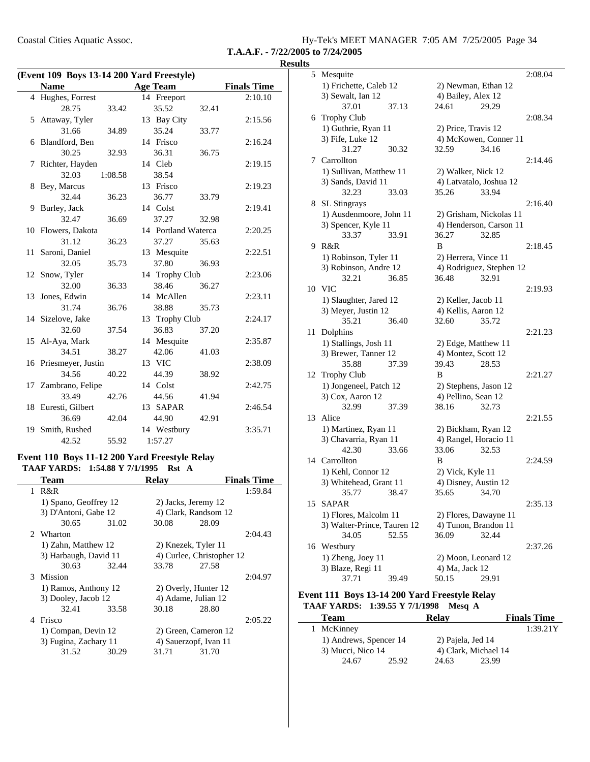| Hy-Tek's MEET MANAGER 7:05 AM 7/25/2005 Page 34 |  |  |
|-------------------------------------------------|--|--|
| T.A.A.F. - 7/22/2005 to 7/24/2005               |  |  |

| (Event 109 Boys 13-14 200 Yard Freestyle) |                       |         |  |                     |       |                    |
|-------------------------------------------|-----------------------|---------|--|---------------------|-------|--------------------|
|                                           | <b>Name</b>           |         |  | <b>Age Team</b>     |       | <b>Finals Time</b> |
|                                           | 4 Hughes, Forrest     |         |  | 14 Freeport         |       | 2:10.10            |
|                                           | 28.75                 | 33.42   |  | 35.52               | 32.41 |                    |
|                                           | 5 Attaway, Tyler      |         |  | 13 Bay City         |       | 2:15.56            |
|                                           | 31.66                 | 34.89   |  | 35.24               | 33.77 |                    |
| 6                                         | Blandford, Ben        |         |  | 14 Frisco           |       | 2:16.24            |
|                                           | 30.25                 | 32.93   |  | 36.31               | 36.75 |                    |
| 7                                         | Richter, Hayden       |         |  | 14 Cleb             |       | 2:19.15            |
|                                           | 32.03                 | 1:08.58 |  | 38.54               |       |                    |
| 8                                         | Bey, Marcus           |         |  | 13 Frisco           |       | 2:19.23            |
|                                           | 32.44                 | 36.23   |  | 36.77               | 33.79 |                    |
| 9                                         | Burley, Jack          |         |  | 14 Colst            |       | 2:19.41            |
|                                           | 32.47                 | 36.69   |  | 37.27               | 32.98 |                    |
|                                           | 10 Flowers, Dakota    |         |  | 14 Portland Waterca |       | 2:20.25            |
|                                           | 31.12                 | 36.23   |  | 37.27               | 35.63 |                    |
| 11                                        | Saroni, Daniel        |         |  | 13 Mesquite         |       | 2:22.51            |
|                                           | 32.05                 | 35.73   |  | 37.80               | 36.93 |                    |
|                                           | 12 Snow, Tyler        |         |  | 14 Trophy Club      |       | 2:23.06            |
|                                           | 32.00                 | 36.33   |  | 38.46               | 36.27 |                    |
| 13                                        | Jones, Edwin          |         |  | 14 McAllen          |       | 2:23.11            |
|                                           | 31.74                 | 36.76   |  | 38.88               | 35.73 |                    |
|                                           | 14 Sizelove, Jake     |         |  | 13 Trophy Club      |       | 2:24.17            |
|                                           | 32.60                 | 37.54   |  | 36.83               | 37.20 |                    |
|                                           | 15 Al-Aya, Mark       |         |  | 14 Mesquite         |       | 2:35.87            |
|                                           | 34.51                 | 38.27   |  | 42.06               | 41.03 |                    |
|                                           | 16 Priesmeyer, Justin |         |  | 13 VIC              |       | 2:38.09            |
|                                           | 34.56                 | 40.22   |  | 44.39               | 38.92 |                    |
|                                           | 17 Zambrano, Felipe   |         |  | 14 Colst            |       | 2:42.75            |
|                                           | 33.49                 | 42.76   |  | 44.56               | 41.94 |                    |
| 18                                        | Euresti, Gilbert      |         |  | 13 SAPAR            |       | 2:46.54            |
|                                           | 36.69                 | 42.04   |  | 44.90               | 42.91 |                    |
| 19                                        | Smith, Rushed         |         |  | 14 Westbury         |       | 3:35.71            |
|                                           | 42.52                 | 55.92   |  | 1:57.27             |       |                    |

### **Event 110 Boys 11-12 200 Yard Freestyle Relay** TAAF YARDS: 1:54.88 Y 7/1/1995 Rst A

|   | Team                  |       | <b>Relav</b>        |                           | <b>Finals Time</b> |
|---|-----------------------|-------|---------------------|---------------------------|--------------------|
|   | 1 R&R                 |       |                     |                           | 1:59.84            |
|   | 1) Spano, Geoffrey 12 |       | 2) Jacks, Jeremy 12 |                           |                    |
|   | 3) D'Antoni, Gabe 12  |       |                     | 4) Clark, Randsom 12      |                    |
|   | 30.65                 | 31.02 | 30.08               | 28.09                     |                    |
|   | 2 Wharton             |       |                     |                           | 2:04.43            |
|   | 1) Zahn, Matthew 12   |       | 2) Knezek, Tyler 11 |                           |                    |
|   | 3) Harbaugh, David 11 |       |                     | 4) Curlee, Christopher 12 |                    |
|   | 30.63                 | 32.44 | 33.78               | 27.58                     |                    |
|   | 3 Mission             |       |                     |                           | 2:04.97            |
|   | 1) Ramos, Anthony 12  |       |                     | 2) Overly, Hunter 12      |                    |
|   | 3) Dooley, Jacob 12   |       | 4) Adame, Julian 12 |                           |                    |
|   | 32.41                 | 33.58 | 30.18               | 28.80                     |                    |
| 4 | Frisco                |       |                     |                           | 2:05.22            |
|   | 1) Compan, Devin 12   |       |                     | 2) Green, Cameron 12      |                    |
|   | 3) Fugina, Zachary 11 |       |                     | 4) Sauerzopf, Ivan 11     |                    |
|   | 31.52                 | 30.29 | 31.71               | 31.70                     |                    |

| 5  | Mesquite                                       |                                            | 2:08.04 |
|----|------------------------------------------------|--------------------------------------------|---------|
|    | 1) Frichette, Caleb 12                         | 2) Newman, Ethan 12                        |         |
|    | 3) Sewalt, Ian 12                              | 4) Bailey, Alex 12                         |         |
|    | 37.01<br>37.13                                 | 24.61<br>29.29                             |         |
| 6  | <b>Trophy Club</b>                             |                                            | 2:08.34 |
|    | 1) Guthrie, Ryan 11                            | 2) Price, Travis 12                        |         |
|    | 3) Fife, Luke 12                               | 4) McKowen, Conner 11                      |         |
|    | 31.27<br>30.32                                 | 32.59<br>34.16                             |         |
| 7  | Carrollton                                     |                                            | 2:14.46 |
|    | 1) Sullivan, Matthew 11                        | 2) Walker, Nick 12                         |         |
|    | 3) Sands, David 11                             | 4) Latvatalo, Joshua 12                    |         |
|    | 32.23<br>33.03                                 | 35.26<br>33.94                             |         |
| 8  | <b>SL Stingrays</b>                            |                                            | 2:16.40 |
|    | 1) Ausdenmoore, John 11                        | 2) Grisham, Nickolas 11                    |         |
|    | 3) Spencer, Kyle 11                            | 4) Henderson, Carson 11                    |         |
|    | 33.37<br>33.91                                 | 36.27<br>32.85                             |         |
| 9  | R&R                                            | B                                          | 2:18.45 |
|    |                                                |                                            |         |
|    | 1) Robinson, Tyler 11<br>3) Robinson, Andre 12 | 2) Herrera, Vince 11                       |         |
|    |                                                | 4) Rodriguez, Stephen 12<br>36.48<br>32.91 |         |
|    | 32.21<br>36.85                                 |                                            |         |
| 10 | <b>VIC</b>                                     |                                            | 2:19.93 |
|    | 1) Slaughter, Jared 12                         | 2) Keller, Jacob 11                        |         |
|    | 3) Meyer, Justin 12                            | 4) Kellis, Aaron 12                        |         |
|    | 35.21<br>36.40                                 | 32.60<br>35.72                             |         |
| 11 | Dolphins                                       |                                            | 2:21.23 |
|    | 1) Stallings, Josh 11                          | 2) Edge, Matthew 11                        |         |
|    | 3) Brewer, Tanner 12                           | 4) Montez, Scott 12                        |         |
|    | 35.88<br>37.39                                 | 39.43<br>28.53                             |         |
| 12 | <b>Trophy Club</b>                             | B                                          | 2:21.27 |
|    | 1) Jongeneel, Patch 12                         | 2) Stephens, Jason 12                      |         |
|    | 3) Cox, Aaron 12                               | 4) Pellino, Sean 12                        |         |
|    | 32.99<br>37.39                                 | 38.16<br>32.73                             |         |
| 13 | Alice                                          |                                            | 2:21.55 |
|    | 1) Martinez, Ryan 11                           | 2) Bickham, Ryan 12                        |         |
|    | 3) Chavarria, Ryan 11                          | 4) Rangel, Horacio 11                      |         |
|    | 33.66<br>42.30                                 | 33.06<br>32.53                             |         |
| 14 | Carrollton                                     | B                                          | 2:24.59 |
|    | 1) Kehl, Connor 12                             | 2) Vick, Kyle 11                           |         |
|    | 3) Whitehead, Grant 11                         | 4) Disney, Austin 12                       |         |
|    | 35.77<br>38.47                                 | 35.65<br>34.70                             |         |
| 15 | <b>SAPAR</b>                                   |                                            | 2:35.13 |
|    | 1) Flores, Malcolm 11                          | 2) Flores, Dawayne 11                      |         |
|    | 3) Walter-Prince, Tauren 12                    | 4) Tunon, Brandon 11                       |         |
|    | 52.55<br>34.05                                 | 32.44<br>36.09                             |         |
| 16 | Westbury                                       |                                            | 2:37.26 |
|    | 1) Zheng, Joey 11                              | 2) Moon, Leonard 12                        |         |
|    | 3) Blaze, Regi 11                              | 4) Ma, Jack 12                             |         |
|    | 37.71<br>39.49                                 | 50.15<br>29.91                             |         |

### **Event 111 Boys 13-14 200 Yard Freestyle Relay** TAAF YARDS: 1:39.55 Y 7/1/1998 Mesq A

| Team                   |       | <b>Relav</b>      |                      | <b>Finals Time</b> |
|------------------------|-------|-------------------|----------------------|--------------------|
| 1 McKinney             |       |                   |                      | 1:39.21Y           |
| 1) Andrews, Spencer 14 |       | 2) Pajela, Jed 14 |                      |                    |
| 3) Mucci, Nico 14      |       |                   | 4) Clark, Michael 14 |                    |
| 24.67                  | 25.92 | 24.63             | 23.99                |                    |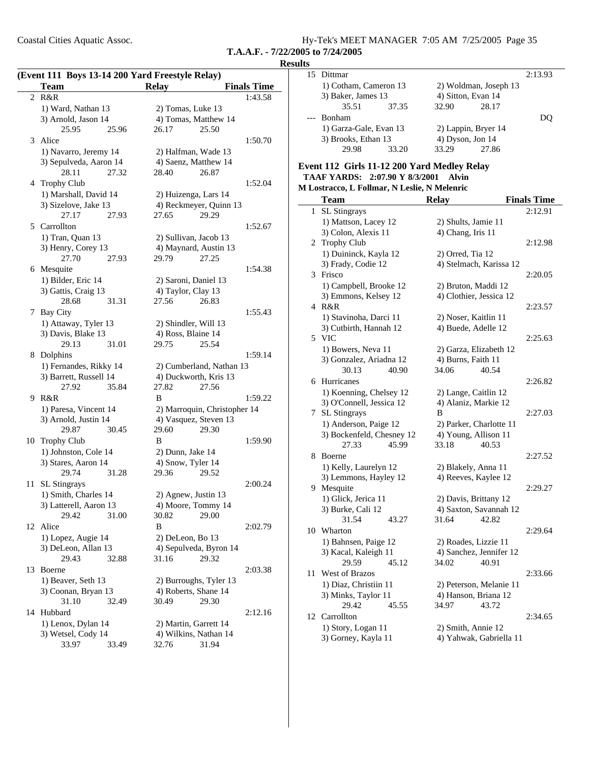| Coastal Cities Aquatic Assoc. | Hy-Tek's MEET MANAGER 7:05 AM 7/25/2005 Page 35 |
|-------------------------------|-------------------------------------------------|
|                               |                                                 |

#### **Results**

| 15 Dittmar             |       |                    |                       | 2:13.93 |
|------------------------|-------|--------------------|-----------------------|---------|
|                        |       |                    |                       |         |
| 1) Cotham, Cameron 13  |       |                    | 2) Woldman, Joseph 13 |         |
| 3) Baker, James 13     |       | 4) Sitton, Evan 14 |                       |         |
| 35.51                  | 37.35 | 32.90              | 28.17                 |         |
| --- Bonham             |       |                    |                       |         |
| 1) Garza-Gale, Evan 13 |       |                    | 2) Lappin, Bryer 14   |         |
| 3) Brooks, Ethan 13    |       | 4) Dyson, Jon 14   |                       |         |
| 29.98                  | 33.20 | 33.29              | 27.86                 |         |

#### **Event 112 Girls 11-12 200 Yard Medley Relay TAAF YARDS: 2:07.90 Y Alvin 8/3/2001**

#### **M Lostracco, L Follmar, N Leslie, N Melenric**

|              | <b>Team</b>               | <b>Relay</b>            | <b>Finals Time</b> |
|--------------|---------------------------|-------------------------|--------------------|
| $\mathbf{1}$ | SL Stingrays              |                         | 2:12.91            |
|              | 1) Mattson, Lacey 12      | 2) Shults, Jamie 11     |                    |
|              | 3) Colon, Alexis 11       | 4) Chang, Iris 11       |                    |
|              | 2 Trophy Club             |                         | 2:12.98            |
|              | 1) Duininck, Kayla 12     | 2) Orred, Tia 12        |                    |
|              | 3) Frady, Codie 12        | 4) Stelmach, Karissa 12 |                    |
|              | 3 Frisco                  |                         | 2:20.05            |
|              | 1) Campbell, Brooke 12    | 2) Bruton, Maddi 12     |                    |
|              | 3) Emmons, Kelsey 12      | 4) Clothier, Jessica 12 |                    |
|              | 4 R&R                     |                         | 2:23.57            |
|              | 1) Stavinoha, Darci 11    | 2) Noser, Kaitlin 11    |                    |
|              | 3) Cutbirth, Hannah 12    | 4) Buede, Adelle 12     |                    |
|              | 5 VIC                     |                         | 2:25.63            |
|              | 1) Bowers, Neva 11        | 2) Garza, Elizabeth 12  |                    |
|              | 3) Gonzalez, Ariadna 12   | 4) Burns, Faith 11      |                    |
|              | 30.13<br>40.90            | 34.06<br>40.54          |                    |
|              | 6 Hurricanes              |                         | 2:26.82            |
|              | 1) Koenning, Chelsey 12   | 2) Lange, Caitlin 12    |                    |
|              | 3) O'Connell, Jessica 12  | 4) Alaniz, Markie 12    |                    |
| 7            | SL Stingrays              | B                       | 2:27.03            |
|              | 1) Anderson, Paige 12     | 2) Parker, Charlotte 11 |                    |
|              | 3) Bockenfeld, Chesney 12 | 4) Young, Allison 11    |                    |
|              | 27.33<br>45.99            | 33.18<br>40.53          |                    |
|              | 8 Boerne                  |                         | 2:27.52            |
|              | 1) Kelly, Laurelyn 12     | 2) Blakely, Anna 11     |                    |
|              | 3) Lemmons, Hayley 12     | 4) Reeves, Kaylee 12    |                    |
|              | 9 Mesquite                |                         | 2:29.27            |
|              | 1) Glick, Jerica 11       | 2) Davis, Brittany 12   |                    |
|              | 3) Burke, Cali 12         | 4) Saxton, Savannah 12  |                    |
|              | 31.54<br>43.27            | 31.64<br>42.82          |                    |
| 10           | Wharton                   |                         | 2:29.64            |
|              | 1) Bahnsen, Paige 12      | 2) Roades, Lizzie 11    |                    |
|              | 3) Kacal, Kaleigh 11      | 4) Sanchez, Jennifer 12 |                    |
|              | 29.59<br>45.12            | 34.02<br>40.91          |                    |
| 11           | West of Brazos            |                         | 2:33.66            |
|              | 1) Diaz, Christiin 11     | 2) Peterson, Melanie 11 |                    |
|              | 3) Minks, Taylor 11       | 4) Hanson, Briana 12    |                    |
|              | 29.42<br>45.55            | 34.97<br>43.72          |                    |
| 12           | Carrollton                |                         | 2:34.65            |
|              | 1) Story, Logan 11        | 2) Smith, Annie 12      |                    |
|              | 3) Gorney, Kayla 11       | 4) Yahwak, Gabriella 11 |                    |

|    | <b>Team</b>            | <b>Relay</b>                 | <b>Finals Time</b> |
|----|------------------------|------------------------------|--------------------|
|    | 2 R&R                  |                              | 1:43.58            |
|    | 1) Ward, Nathan 13     | 2) Tomas, Luke 13            |                    |
|    | 3) Arnold, Jason 14    | 4) Tomas, Matthew 14         |                    |
|    | 25.95<br>25.96         | 26.17<br>25.50               |                    |
|    | 3 Alice                |                              | 1:50.70            |
|    | 1) Navarro, Jeremy 14  | 2) Halfman, Wade 13          |                    |
|    | 3) Sepulveda, Aaron 14 | 4) Saenz, Matthew 14         |                    |
|    | 28.11<br>27.32         | 26.87<br>28.40               |                    |
|    | 4 Trophy Club          |                              | 1:52.04            |
|    | 1) Marshall, David 14  | 2) Huizenga, Lars 14         |                    |
|    | 3) Sizelove, Jake 13   | 4) Reckmeyer, Quinn 13       |                    |
|    | 27.17<br>27.93         | 27.65<br>29.29               |                    |
|    |                        |                              |                    |
|    | 5 Carrollton           |                              | 1:52.67            |
|    | 1) Tran, Quan 13       | 2) Sullivan, Jacob 13        |                    |
|    | 3) Henry, Corey 13     | 4) Maynard, Austin 13        |                    |
|    | 27.70<br>27.93         | 29.79<br>27.25               |                    |
|    | 6 Mesquite             |                              | 1:54.38            |
|    | 1) Bilder, Eric 14     | 2) Saroni, Daniel 13         |                    |
|    | 3) Gattis, Craig 13    | 4) Taylor, Clay 13           |                    |
|    | 28.68<br>31.31         | 27.56<br>26.83               |                    |
|    | 7 Bay City             |                              | 1:55.43            |
|    | 1) Attaway, Tyler 13   | 2) Shindler, Will 13         |                    |
|    | 3) Davis, Blake 13     | 4) Ross, Blaine 14           |                    |
|    | 29.13<br>31.01         | 29.75<br>25.54               |                    |
|    | 8 Dolphins             |                              | 1:59.14            |
|    | 1) Fernandes, Rikky 14 | 2) Cumberland, Nathan 13     |                    |
|    | 3) Barrett, Russell 14 | 4) Duckworth, Kris 13        |                    |
|    | 27.92<br>35.84         | 27.82<br>27.56               |                    |
|    | 9 R&R                  | B                            | 1:59.22            |
|    | 1) Paresa, Vincent 14  | 2) Marroquin, Christopher 14 |                    |
|    | 3) Arnold, Justin 14   | 4) Vasquez, Steven 13        |                    |
|    | 30.45<br>29.87         | 29.60<br>29.30               |                    |
| 10 | <b>Trophy Club</b>     | B                            | 1:59.90            |
|    | 1) Johnston, Cole 14   | 2) Dunn, Jake 14             |                    |
|    | 3) Stares, Aaron 14    | 4) Snow, Tyler 14            |                    |
|    | 29.74<br>31.28         | 29.36<br>29.52               |                    |
| 11 | <b>SL Stingrays</b>    |                              | 2:00.24            |
|    | 1) Smith, Charles 14   | 2) Agnew, Justin 13          |                    |
|    | 3) Latterell, Aaron 13 | 4) Moore, Tommy 14           |                    |
|    | 29.42<br>31.00         | 30.82<br>29.00               |                    |
| 12 | Alice                  | B                            | 2:02.79            |
|    | 1) Lopez, Augie 14     | 2) DeLeon, Bo 13             |                    |
|    | 3) DeLeon, Allan 13    | 4) Sepulveda, Byron 14       |                    |
|    | 29.43<br>32.88         | 29.32<br>31.16               |                    |
| 13 | Boerne                 |                              | 2:03.38            |
|    | 1) Beaver, Seth 13     | 2) Burroughs, Tyler 13       |                    |
|    | 3) Coonan, Bryan 13    | 4) Roberts, Shane 14         |                    |
|    | 31.10<br>32.49         | 30.49<br>29.30               |                    |
| 14 | Hubbard                |                              | 2:12.16            |
|    | 1) Lenox, Dylan 14     | 2) Martin, Garrett 14        |                    |
|    | 3) Wetsel, Cody 14     | 4) Wilkins, Nathan 14        |                    |
|    | 33.97<br>33.49         | 32.76<br>31.94               |                    |
|    |                        |                              |                    |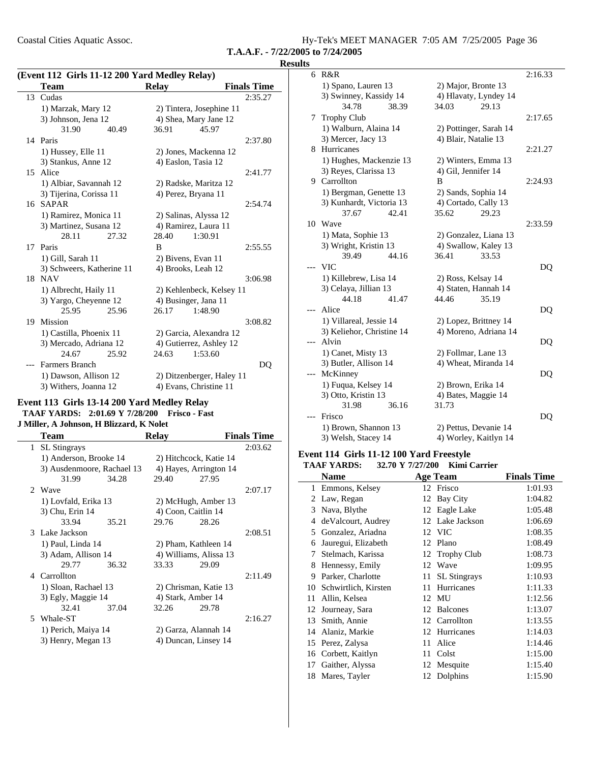Coastal Cities Aquatic Assoc. Hy-Tek's MEET MANAGER 7:05 AM 7/25/2005 Page 36

**T.A.A.F. - 7/22/2005 to 7/24/2005**

#### **Results**

|    | (Event 112 Girls 11-12 200 Yard Medley Relay) |                           |                    |  |  |
|----|-----------------------------------------------|---------------------------|--------------------|--|--|
|    | <b>Team</b>                                   | <b>Relay</b>              | <b>Finals Time</b> |  |  |
| 13 | Cudas                                         |                           | 2:35.27            |  |  |
|    | 1) Marzak, Mary 12                            | 2) Tintera, Josephine 11  |                    |  |  |
|    | 3) Johnson, Jena 12                           | 4) Shea, Mary Jane 12     |                    |  |  |
|    | 31.90<br>40.49                                | 36.91<br>45.97            |                    |  |  |
|    | 14 Paris                                      |                           | 2:37.80            |  |  |
|    | 1) Hussey, Elle 11                            | 2) Jones, Mackenna 12     |                    |  |  |
|    | 3) Stankus, Anne 12                           | 4) Easlon, Tasia 12       |                    |  |  |
| 15 | Alice                                         |                           | 2:41.77            |  |  |
|    | 1) Albiar, Savannah 12                        | 2) Radske, Maritza 12     |                    |  |  |
|    | 3) Tijerina, Corissa 11                       | 4) Perez, Bryana 11       |                    |  |  |
|    | 16 SAPAR                                      |                           | 2:54.74            |  |  |
|    | 1) Ramirez, Monica 11                         | 2) Salinas, Alyssa 12     |                    |  |  |
|    | 3) Martinez, Susana 12                        | 4) Ramirez, Laura 11      |                    |  |  |
|    | 28.11<br>27.32                                | 28.40<br>1:30.91          |                    |  |  |
| 17 | Paris                                         | B                         | 2:55.55            |  |  |
|    | 1) Gill, Sarah 11                             | 2) Bivens, Evan 11        |                    |  |  |
|    | 3) Schweers, Katherine 11                     | 4) Brooks, Leah 12        |                    |  |  |
| 18 | <b>NAV</b>                                    |                           | 3:06.98            |  |  |
|    | 1) Albrecht, Haily 11                         | 2) Kehlenbeck, Kelsey 11  |                    |  |  |
|    | 3) Yargo, Cheyenne 12                         | 4) Businger, Jana 11      |                    |  |  |
|    | 25.95<br>25.96                                | 26.17<br>1:48.90          |                    |  |  |
| 19 | Mission                                       |                           | 3:08.82            |  |  |
|    | 1) Castilla, Phoenix 11                       | 2) Garcia, Alexandra 12   |                    |  |  |
|    | 3) Mercado, Adriana 12                        | 4) Gutierrez, Ashley 12   |                    |  |  |
|    | 24.67<br>25.92                                | 24.63<br>1:53.60          |                    |  |  |
|    | <b>Farmers Branch</b>                         |                           | DQ                 |  |  |
|    | 1) Dawson, Allison 12                         | 2) Ditzenberger, Haley 11 |                    |  |  |
|    | 3) Withers, Joanna 12                         | 4) Evans, Christine 11    |                    |  |  |

# **Event 113 Girls 13-14 200 Yard Medley Relay**

**TAAF YARDS: 2:01.69 Y Frisco - Fast 7/28/200**

### **J Miller, A Johnson, H Blizzard, K Nolet**

|              | Team                       |       | <b>Relay</b>        |                        | <b>Finals Time</b> |
|--------------|----------------------------|-------|---------------------|------------------------|--------------------|
| $\mathbf{1}$ | <b>SL</b> Stingrays        |       |                     |                        | 2:03.62            |
|              | 1) Anderson, Brooke 14     |       |                     | 2) Hitchcock, Katie 14 |                    |
|              | 3) Ausdenmoore, Rachael 13 |       |                     | 4) Hayes, Arrington 14 |                    |
|              | 31.99                      | 34.28 | 29.40               | 27.95                  |                    |
|              | 2. Wave                    |       |                     |                        | 2:07.17            |
|              | 1) Lovfald, Erika 13       |       |                     | 2) McHugh, Amber 13    |                    |
|              | 3) Chu, Erin 14            |       | 4) Coon, Caitlin 14 |                        |                    |
|              | 33.94                      | 35.21 | 29.76               | 28.26                  |                    |
|              | 3 Lake Jackson             |       |                     |                        | 2:08.51            |
|              | 1) Paul, Linda 14          |       |                     | 2) Pham, Kathleen 14   |                    |
|              | 3) Adam, Allison 14        |       |                     | 4) Williams, Alissa 13 |                    |
|              | 29.77                      | 36.32 | 33.33               | 29.09                  |                    |
|              | 4 Carrollton               |       |                     |                        | 2:11.49            |
|              | 1) Sloan, Rachael 13       |       |                     | 2) Chrisman, Katie 13  |                    |
|              | 3) Egly, Maggie 14         |       | 4) Stark, Amber 14  |                        |                    |
|              | 32.41                      | 37.04 | 32.26               | 29.78                  |                    |
|              | 5 Whale-ST                 |       |                     |                        | 2:16.27            |
|              | 1) Perich, Maiya 14        |       |                     | 2) Garza, Alannah 14   |                    |
|              | 3) Henry, Megan 13         |       |                     | 4) Duncan, Linsey 14   |                    |
|              |                            |       |                     |                        |                    |

| 6     | R&R                       |                        | 2:16.33 |
|-------|---------------------------|------------------------|---------|
|       | 1) Spano, Lauren 13       | 2) Major, Bronte 13    |         |
|       | 3) Swinney, Kassidy 14    | 4) Hlavaty, Lyndey 14  |         |
|       | 34.78<br>38.39            | 29.13<br>34.03         |         |
|       | 7 Trophy Club             |                        | 2:17.65 |
|       | 1) Walburn, Alaina 14     | 2) Pottinger, Sarah 14 |         |
|       | 3) Mercer, Jacy 13        | 4) Blair, Natalie 13   |         |
|       | 8 Hurricanes              |                        | 2:21.27 |
|       | 1) Hughes, Mackenzie 13   | 2) Winters, Emma 13    |         |
|       | 3) Reyes, Clarissa 13     | 4) Gil, Jennifer 14    |         |
|       | 9 Carrollton              | B                      | 2:24.93 |
|       | 1) Bergman, Genette 13    | 2) Sands, Sophia 14    |         |
|       | 3) Kunhardt, Victoria 13  | 4) Cortado, Cally 13   |         |
|       | 37.67<br>42.41            | 35.62<br>29.23         |         |
|       | 10 Wave                   |                        | 2:33.59 |
|       | 1) Mata, Sophie 13        | 2) Gonzalez, Liana 13  |         |
|       | 3) Wright, Kristin 13     | 4) Swallow, Kaley 13   |         |
|       | 39.49<br>44.16            | 36.41<br>33.53         |         |
|       | <b>VIC</b>                |                        | DQ      |
|       | 1) Killebrew, Lisa 14     | 2) Ross, Kelsay 14     |         |
|       | 3) Celaya, Jillian 13     | 4) Staten, Hannah 14   |         |
|       | 44.18<br>41.47            | 44.46<br>35.19         |         |
| ---   | Alice                     |                        | DQ      |
|       | 1) Villareal, Jessie 14   | 2) Lopez, Brittney 14  |         |
|       | 3) Keliehor, Christine 14 | 4) Moreno, Adriana 14  |         |
| $---$ | Alvin                     |                        | DQ      |
|       | 1) Canet, Misty 13        | 2) Follmar, Lane 13    |         |
|       | 3) Butler, Allison 14     | 4) Wheat, Miranda 14   |         |
|       | McKinney                  |                        | DQ      |
|       | 1) Fuqua, Kelsey 14       | 2) Brown, Erika 14     |         |
|       | 3) Otto, Kristin 13       | 4) Bates, Maggie 14    |         |
|       | 36.16<br>31.98            | 31.73                  |         |
| $---$ | Frisco                    |                        | DQ      |
|       | 1) Brown, Shannon 13      | 2) Pettus, Devanie 14  |         |
|       | 3) Welsh, Stacey 14       | 4) Worley, Kaitlyn 14  |         |

### **Event 114 Girls 11-12 100 Yard Freestyle**

|    | <b>TAAF YARDS:</b>   | 32.70 Y 7/27/200 | <b>Kimi Carrier</b> |                    |
|----|----------------------|------------------|---------------------|--------------------|
|    | Name                 |                  | Age Team            | <b>Finals Time</b> |
| 1  | Emmons, Kelsey       |                  | 12 Frisco           | 1:01.93            |
| 2  | Law, Regan           | 12               | Bay City            | 1:04.82            |
| 3  | Nava, Blythe         |                  | 12 Eagle Lake       | 1:05.48            |
| 4  | de Valcourt, Audrey  |                  | 12 Lake Jackson     | 1:06.69            |
| 5  | Gonzalez, Ariadna    |                  | 12 VIC              | 1:08.35            |
| 6  | Jauregui, Elizabeth  | 12               | Plano               | 1:08.49            |
| 7  | Stelmach, Karissa    | 12               | <b>Trophy Club</b>  | 1:08.73            |
| 8  | Hennessy, Emily      | 12               | Wave                | 1:09.95            |
| 9  | Parker, Charlotte    | 11               | <b>SL</b> Stingrays | 1:10.93            |
| 10 | Schwirtlich, Kirsten | 11               | Hurricanes          | 1:11.33            |
| 11 | Allin, Kelsea        | 12               | MU                  | 1:12.56            |
|    | 12 Journeay, Sara    | 12               | <b>Balcones</b>     | 1:13.07            |
| 13 | Smith, Annie         |                  | 12 Carrollton       | 1:13.55            |
| 14 | Alaniz, Markie       | 12               | Hurricanes          | 1:14.03            |
| 15 | Perez, Zalysa        | 11               | Alice               | 1:14.46            |
| 16 | Corbett, Kaitlyn     | 11               | Colst               | 1:15.00            |
| 17 | Gaither, Alyssa      |                  | 12 Mesquite         | 1:15.40            |
| 18 | Mares, Tayler        |                  | 12 Dolphins         | 1:15.90            |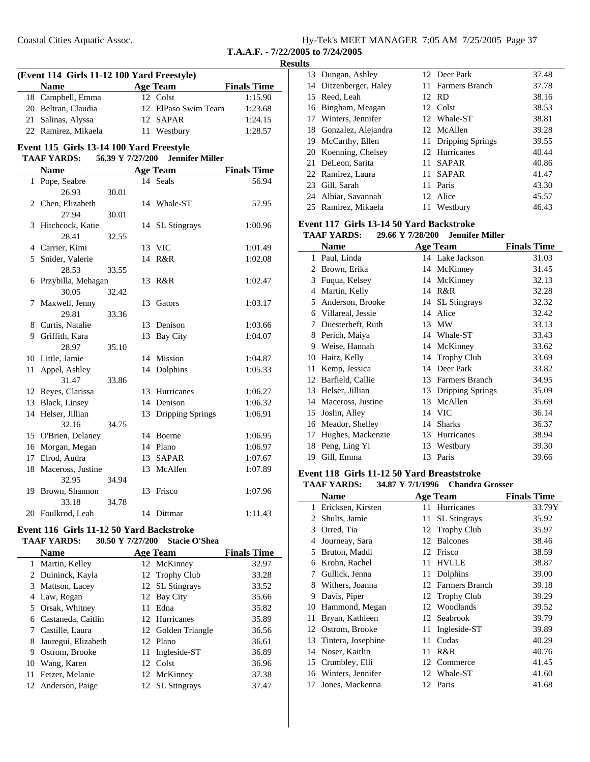| Hy-Tek's MEET MANAGER 7:05 AM 7/25/2005 Page 37 |  |  |
|-------------------------------------------------|--|--|
|                                                 |  |  |

### **Results**

|                                                                  | (Event 114 Girls 11-12 100 Yard Freestyle) |       |    |                     |                    |  |
|------------------------------------------------------------------|--------------------------------------------|-------|----|---------------------|--------------------|--|
|                                                                  | <b>Name</b>                                |       |    | <b>Age Team</b>     | <b>Finals Time</b> |  |
|                                                                  | 18 Campbell, Emma                          |       |    | 12 Colst            | 1:15.90            |  |
|                                                                  | 20 Beltran, Claudia                        |       |    | 12 ElPaso Swim Team | 1:23.68            |  |
|                                                                  | 21 Salinas, Alyssa                         |       |    | 12 SAPAR            | 1:24.15            |  |
|                                                                  | 22 Ramirez, Mikaela                        |       | 11 | Westbury            | 1:28.57            |  |
|                                                                  | Event 115 Girls 13-14 100 Yard Freestyle   |       |    |                     |                    |  |
| <b>TAAF YARDS:</b><br>56.39 Y 7/27/200<br><b>Jennifer Miller</b> |                                            |       |    |                     |                    |  |
|                                                                  | <b>Name</b>                                |       |    | <b>Age Team</b>     | <b>Finals Time</b> |  |
| 1                                                                | Pope, Seabre                               |       |    | 14 Seals            | 56.94              |  |
|                                                                  | 26.93                                      | 30.01 |    |                     |                    |  |
|                                                                  | 2 Chen, Elizabeth                          |       | 14 | Whale-ST            | 57.95              |  |
|                                                                  | 27.94                                      | 30.01 |    |                     |                    |  |
| 3                                                                | Hitchcock, Katie                           |       |    | 14 SL Stingrays     | 1:00.96            |  |
|                                                                  | 28.41                                      | 32.55 |    |                     |                    |  |
|                                                                  | 4 Carrier, Kimi                            |       |    | 13 VIC              | 1:01.49            |  |
|                                                                  | 5 Snider, Valerie                          |       | 14 | R&R                 | 1:02.08            |  |
|                                                                  | 28.53                                      | 33.55 |    |                     |                    |  |
|                                                                  | 6 Przybilla, Mehagan                       |       | 13 | R&R                 | 1:02.47            |  |
|                                                                  | 30.05                                      | 32.42 |    |                     |                    |  |
| 7                                                                | Maxwell, Jenny                             |       | 13 | Gators              | 1:03.17            |  |
|                                                                  | 29.81                                      | 33.36 |    |                     |                    |  |
|                                                                  | 8 Curtis, Natalie                          |       |    | 13 Denison          | 1:03.66            |  |
|                                                                  | 9 Griffith, Kara                           |       | 13 | <b>Bay City</b>     | 1:04.07            |  |
|                                                                  | 28.97                                      | 35.10 |    |                     |                    |  |
|                                                                  | 10 Little, Jamie                           |       | 14 | Mission             | 1:04.87            |  |
| 11                                                               | Appel, Ashley                              |       | 14 | Dolphins            | 1:05.33            |  |
|                                                                  | 31.47                                      | 33.86 |    |                     |                    |  |
|                                                                  | 12 Reyes, Clarissa                         |       | 13 | Hurricanes          | 1:06.27            |  |
|                                                                  | 13 Black, Linsey                           |       | 14 | Denison             | 1:06.32            |  |
|                                                                  | 14 Helser, Jillian                         |       | 13 | Dripping Springs    | 1:06.91            |  |
|                                                                  | 32.16                                      | 34.75 |    |                     |                    |  |
|                                                                  | 15 O'Brien, Delaney                        |       | 14 | Boerne              | 1:06.95            |  |
|                                                                  | 16 Morgan, Megan                           |       |    | 14 Plano            | 1:06.97            |  |
|                                                                  | 17 Elrod, Audra                            |       |    | 13 SAPAR            | 1:07.67            |  |
| 18                                                               | Maceross, Justine                          |       | 13 | McAllen             | 1:07.89            |  |
|                                                                  | 32.95                                      | 34.94 |    |                     |                    |  |
| 19                                                               | Brown, Shannon                             |       | 13 | Frisco              | 1:07.96            |  |
|                                                                  | 33.18                                      | 34.78 |    |                     |                    |  |
|                                                                  | 20 Foulkrod, Leah                          |       |    | 14 Dittmar          | 1:11.43            |  |
|                                                                  |                                            |       |    |                     |                    |  |

#### **Event 116 Girls 11-12 50 Yard Backstroke TAAF YARDS:** 30.50 Y 7/27/200 Stacie O'Shea

|    | <b>Name</b>         |    | <b>Age Team</b>    | <b>Finals Time</b> |
|----|---------------------|----|--------------------|--------------------|
| 1  | Martin, Kelley      |    | 12 McKinney        | 32.97              |
|    | 2 Duininck, Kayla   |    | 12 Trophy Club     | 33.28              |
| 3  | Mattson, Lacey      |    | 12 SL Stingrays    | 33.52              |
|    | 4 Law, Regan        |    | 12 Bay City        | 35.66              |
|    | 5 Orsak, Whitney    | 11 | Edna               | 35.82              |
| 6  | Castaneda, Caitlin  |    | 12 Hurricanes      | 35.89              |
|    | 7 Castille, Laura   |    | 12 Golden Triangle | 36.56              |
| 8  | Jauregui, Elizabeth |    | 12 Plano           | 36.61              |
| 9  | Ostrom, Brooke      |    | 11 Ingleside-ST    | 36.89              |
|    | 10 Wang, Karen      |    | 12 Colst           | 36.96              |
| 11 | Fetzer, Melanie     |    | 12 McKinney        | 37.38              |
|    | 12 Anderson, Paige  |    | 12 SL Stingrays    | 37.47              |

| 13 Dungan, Ashley      |     | 12 Deer Park        | 37.48 |
|------------------------|-----|---------------------|-------|
| 14 Ditzenberger, Haley |     | 11 Farmers Branch   | 37.78 |
| 15 Reed, Leah          |     | 12 RD               | 38.16 |
| 16 Bingham, Meagan     |     | 12 Colst            | 38.53 |
| 17 Winters, Jennifer   |     | 12 Whale-ST         | 38.81 |
| 18 Gonzalez, Alejandra |     | 12 McAllen          | 39.28 |
| 19 McCarthy, Ellen     |     | 11 Dripping Springs | 39.55 |
| 20 Koenning, Chelsey   |     | 12 Hurricanes       | 40.44 |
| 21 DeLeon, Sarita      |     | 11 SAPAR            | 40.86 |
| 22 Ramirez, Laura      |     | 11 SAPAR            | 41.47 |
| 23 Gill, Sarah         | 11. | Paris               | 43.30 |
| 24 Albiar, Savannah    |     | 12 Alice            | 45.57 |
| 25 Ramirez, Mikaela    | 11  | Westbury            | 46.43 |

### **Event 117 Girls 13-14 50 Yard Backstroke**

|    | <b>UILID 10-17 00</b><br><b>TAAF YARDS:</b><br>29.66 Y 7/28/200<br><b>Jennifer Miller</b> |    |                     |                    |  |
|----|-------------------------------------------------------------------------------------------|----|---------------------|--------------------|--|
|    | <b>Name</b>                                                                               |    | <b>Age Team</b>     | <b>Finals Time</b> |  |
| 1  | Paul, Linda                                                                               |    | 14 Lake Jackson     | 31.03              |  |
| 2  | Brown, Erika                                                                              |    | 14 McKinney         | 31.45              |  |
| 3  | Fuqua, Kelsey                                                                             | 14 | McKinney            | 32.13              |  |
| 4  | Martin, Kelly                                                                             | 14 | R&R                 | 32.28              |  |
| 5  | Anderson, Brooke                                                                          | 14 | <b>SL</b> Stingrays | 32.32              |  |
| 6  | Villareal, Jessie                                                                         |    | 14 Alice            | 32.42              |  |
| 7  | Duesterheft, Ruth                                                                         | 13 | <b>MW</b>           | 33.13              |  |
| 8  | Perich, Maiya                                                                             |    | 14 Whale-ST         | 33.43              |  |
| 9  | Weise, Hannah                                                                             |    | 14 McKinney         | 33.62              |  |
| 10 | Haitz, Kelly                                                                              | 14 | <b>Trophy Club</b>  | 33.69              |  |
| 11 | Kemp, Jessica                                                                             | 14 | Deer Park           | 33.82              |  |
| 12 | Barfield, Callie                                                                          | 13 | Farmers Branch      | 34.95              |  |
| 13 | Helser, Jillian                                                                           | 13 | Dripping Springs    | 35.09              |  |
| 14 | Maceross, Justine                                                                         | 13 | McAllen             | 35.69              |  |
| 15 | Joslin, Alley                                                                             |    | 14 VIC              | 36.14              |  |
| 16 | Meador, Shelley                                                                           | 14 | <b>Sharks</b>       | 36.37              |  |
| 17 | Hughes, Mackenzie                                                                         | 13 | Hurricanes          | 38.94              |  |
| 18 | Peng, Ling Yi                                                                             |    | 13 Westbury         | 39.30              |  |
| 19 | Gill, Emma                                                                                | 13 | Paris               | 39.66              |  |

### **Event 118 Girls 11-12 50 Yard Breaststroke**

|  | <b>TAAF YARDS:</b> | 34.87 Y 7/1/1996 Chandra Grosser |  |
|--|--------------------|----------------------------------|--|
|--|--------------------|----------------------------------|--|

|    | Name               |    | <b>Age Team</b>     | <b>Finals Time</b> |
|----|--------------------|----|---------------------|--------------------|
| 1  | Ericksen, Kirsten  | 11 | Hurricanes          | 33.79Y             |
| 2  | Shults, Jamie      | 11 | <b>SL</b> Stingrays | 35.92              |
| 3  | Orred, Tia         | 12 | <b>Trophy Club</b>  | 35.97              |
| 4  | Journeay, Sara     | 12 | <b>Balcones</b>     | 38.46              |
| 5  | Bruton, Maddi      |    | 12 Frisco           | 38.59              |
| 6  | Krohn, Rachel      | 11 | <b>HVLLE</b>        | 38.87              |
| 7  | Gullick, Jenna     | 11 | Dolphins            | 39.00              |
| 8  | Withers, Joanna    |    | 12 Farmers Branch   | 39.18              |
| 9  | Davis, Piper       |    | 12 Trophy Club      | 39.29              |
| 10 | Hammond, Megan     | 12 | Woodlands           | 39.52              |
| 11 | Bryan, Kathleen    | 12 | Seabrook            | 39.79              |
| 12 | Ostrom, Brooke     | 11 | Ingleside-ST        | 39.89              |
| 13 | Tintera, Josephine | 11 | Cudas               | 40.29              |
| 14 | Noser, Kaitlin     | 11 | R&R                 | 40.76              |
| 15 | Crumbley, Elli     | 12 | Commerce            | 41.45              |
| 16 | Winters, Jennifer  | 12 | Whale-ST            | 41.60              |
| 17 | Jones, Mackenna    | 12 | Paris               | 41.68              |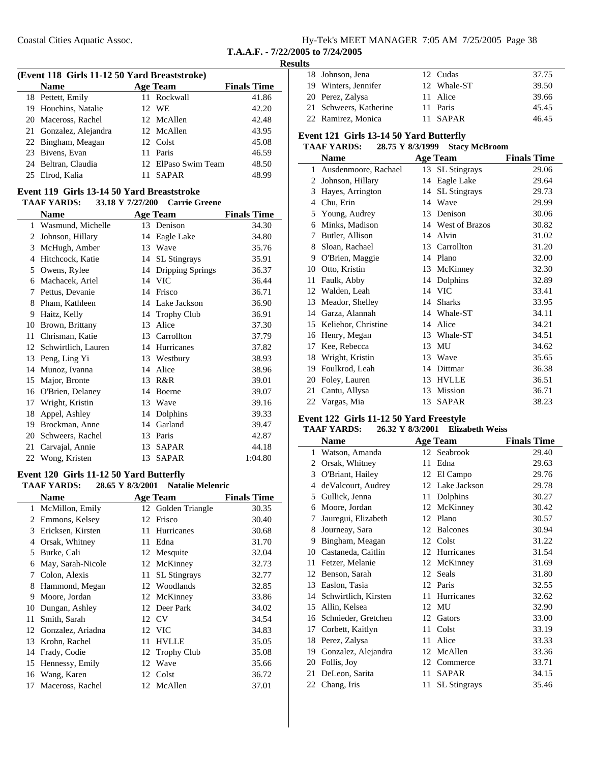| Hy-Tek's MEET MANAGER 7:05 AM 7/25/2005 Page 38 |  |  |  |
|-------------------------------------------------|--|--|--|
|-------------------------------------------------|--|--|--|

**T.A.A.F. - 7/22/2005 to 7/24/2005**

| (Event 118 Girls 11-12 50 Yard Breaststroke) |                 |                    |
|----------------------------------------------|-----------------|--------------------|
| <b>Name</b>                                  | <b>Age Team</b> | <b>Finals Time</b> |
| 18 Pettett, Emily                            | 11 Rockwall     | 41.86              |
| 19 Houchins, Natalie                         | 12 WE           | 42.20              |
| 20 Maceross, Rachel                          | 12 McAllen      | 42.48              |
| 21 Gonzalez, Alejandra                       | 12 McAllen      | 43.95              |
| 22 Bingham, Meagan                           | 12 Colst        | 45.08              |

| 23 Bivens, Evan     | 11 Paris            | 46.59 |
|---------------------|---------------------|-------|
| 24 Beltran, Claudia | 12 ElPaso Swim Team | 48.50 |
| 25 Elrod, Kalia     | 11 SAPAR            | 48.99 |

#### **Event 119 Girls 13-14 50 Yard Breaststroke TAAF YARDS: 33.18 Y 7/27/200 Carrie G**

|    | IAAF YAKDS:         |    | $33.18$ Y $1/21/200$ Carrie Greene |                    |
|----|---------------------|----|------------------------------------|--------------------|
|    | <b>Name</b>         |    | Age Team                           | <b>Finals Time</b> |
| 1  | Wasmund, Michelle   | 13 | Denison                            | 34.30              |
| 2  | Johnson, Hillary    | 14 | Eagle Lake                         | 34.80              |
| 3  | McHugh, Amber       | 13 | Wave                               | 35.76              |
| 4  | Hitchcock, Katie    | 14 | <b>SL</b> Stingrays                | 35.91              |
| 5  | Owens, Rylee        | 14 | Dripping Springs                   | 36.37              |
| 6  | Machacek, Ariel     | 14 | <b>VIC</b>                         | 36.44              |
| 7  | Pettus, Devanie     | 14 | Frisco                             | 36.71              |
| 8  | Pham, Kathleen      | 14 | Lake Jackson                       | 36.90              |
| 9  | Haitz, Kelly        | 14 | <b>Trophy Club</b>                 | 36.91              |
| 10 | Brown, Brittany     | 13 | Alice                              | 37.30              |
| 11 | Chrisman, Katie     | 13 | Carrollton                         | 37.79              |
| 12 | Schwirtlich, Lauren | 14 | Hurricanes                         | 37.82              |
| 13 | Peng, Ling Yi       |    | 13 Westbury                        | 38.93              |
| 14 | Munoz, Ivanna       | 14 | Alice                              | 38.96              |
| 15 | Major, Bronte       | 13 | R&R                                | 39.01              |
| 16 | O'Brien, Delaney    | 14 | Boerne                             | 39.07              |
| 17 | Wright, Kristin     | 13 | Wave                               | 39.16              |
| 18 | Appel, Ashley       | 14 | Dolphins                           | 39.33              |
| 19 | Brockman, Anne      | 14 | Garland                            | 39.47              |
| 20 | Schweers, Rachel    | 13 | Paris                              | 42.87              |
| 21 | Carvajal, Annie     | 13 | <b>SAPAR</b>                       | 44.18              |
|    | 22 Wong, Kristen    | 13 | <b>SAPAR</b>                       | 1:04.80            |

### **Event 120 Girls 11-12 50 Yard Butterfly**

TAAF YARDS: 28.65 Y 8/3/2001 Natalie Melenric

| Name                 |    |                     | <b>Finals Time</b>                                                                                                                                   |
|----------------------|----|---------------------|------------------------------------------------------------------------------------------------------------------------------------------------------|
| McMillon, Emily      |    |                     | 30.35                                                                                                                                                |
| Emmons, Kelsey       | 12 | Frisco              | 30.40                                                                                                                                                |
| Ericksen, Kirsten    | 11 | Hurricanes          | 30.68                                                                                                                                                |
| Orsak, Whitney       | 11 | Edna                | 31.70                                                                                                                                                |
| Burke, Cali          |    |                     | 32.04                                                                                                                                                |
| May, Sarah-Nicole    | 12 |                     | 32.73                                                                                                                                                |
| Colon, Alexis        | 11 | <b>SL</b> Stingrays | 32.77                                                                                                                                                |
| Hammond, Megan       | 12 | Woodlands           | 32.85                                                                                                                                                |
| Moore, Jordan        | 12 | McKinney            | 33.86                                                                                                                                                |
| Dungan, Ashley       | 12 |                     | 34.02                                                                                                                                                |
| Smith, Sarah         |    |                     | 34.54                                                                                                                                                |
| 12 Gonzalez, Ariadna |    |                     | 34.83                                                                                                                                                |
| Krohn, Rachel        | 11 | <b>HVLLE</b>        | 35.05                                                                                                                                                |
| 14 Frady, Codie      |    |                     | 35.08                                                                                                                                                |
| 15 Hennessy, Emily   | 12 |                     | 35.66                                                                                                                                                |
| Wang, Karen          |    |                     | 36.72                                                                                                                                                |
| Maceross, Rachel     |    |                     | 37.01                                                                                                                                                |
|                      |    |                     | <b>Age Team</b><br>12 Golden Triangle<br>12 Mesquite<br>McKinney<br>Deer Park<br>12 CV<br>12 VIC<br>12 Trophy Club<br>Wave<br>12 Colst<br>12 McAllen |

| 18 Johnson, Jena       | 12 Cudas    | 37.75 |
|------------------------|-------------|-------|
| 19 Winters, Jennifer   | 12 Whale-ST | 39.50 |
| 20 Perez, Zalysa       | 11 Alice    | 39.66 |
| 21 Schweers, Katherine | 11 Paris    | 45.45 |
| 22 Ramirez, Monica     | 11 SAPAR    | 46.45 |

### **Event 121 Girls 13-14 50 Yard Butterfly**

#### TAAF YARDS: 28.75 Y 8/3/1999 Stacy McBroom

|    | <b>Name</b>          |    | <b>Age Team</b>       | <b>Finals Time</b> |
|----|----------------------|----|-----------------------|--------------------|
| 1  | Ausdenmoore, Rachael | 13 | SL Stingrays          | 29.06              |
| 2  | Johnson, Hillary     | 14 | Eagle Lake            | 29.64              |
| 3  | Hayes, Arrington     | 14 | <b>SL</b> Stingrays   | 29.73              |
| 4  | Chu, Erin            | 14 | Wave                  | 29.99              |
| 5  | Young, Audrey        | 13 | Denison               | 30.06              |
| 6  | Minks, Madison       | 14 | <b>West of Brazos</b> | 30.82              |
| 7  | Butler, Allison      | 14 | Alvin                 | 31.02              |
| 8  | Sloan, Rachael       | 13 | Carrollton            | 31.20              |
| 9  | O'Brien, Maggie      | 14 | Plano                 | 32.00              |
| 10 | Otto, Kristin        | 13 | McKinney              | 32.30              |
| 11 | Faulk, Abby          | 14 | Dolphins              | 32.89              |
| 12 | Walden, Leah         | 14 | <b>VIC</b>            | 33.41              |
| 13 | Meador, Shelley      | 14 | <b>Sharks</b>         | 33.95              |
| 14 | Garza, Alannah       | 14 | Whale-ST              | 34.11              |
| 15 | Keliehor, Christine  | 14 | Alice                 | 34.21              |
| 16 | Henry, Megan         | 13 | Whale-ST              | 34.51              |
| 17 | Kee, Rebecca         | 13 | MU                    | 34.62              |
| 18 | Wright, Kristin      | 13 | Wave                  | 35.65              |
| 19 | Foulkrod, Leah       | 14 | Dittmar               | 36.38              |
| 20 | Foley, Lauren        | 13 | <b>HVLLE</b>          | 36.51              |
| 21 | Cantu, Allysa        | 13 | Mission               | 36.71              |
|    | 22 Vargas, Mia       | 13 | <b>SAPAR</b>          | 38.23              |

### **Event 122 Girls 11-12 50 Yard Freestyle**

### **TAAF YARDS: 26.32 Y Elizabeth Weiss 8/3/2001**

|    | Name                 |    | <b>Age Team</b>     | <b>Finals Time</b> |
|----|----------------------|----|---------------------|--------------------|
| 1  | Watson, Amanda       |    | 12 Seabrook         | 29.40              |
| 2  | Orsak, Whitney       | 11 | Edna                | 29.63              |
| 3  | O'Briant, Hailey     | 12 | El Campo            | 29.76              |
| 4  | deValcourt, Audrey   | 12 | Lake Jackson        | 29.78              |
| 5  | Gullick, Jenna       | 11 | Dolphins            | 30.27              |
| 6  | Moore, Jordan        | 12 | McKinney            | 30.42              |
| 7  | Jauregui, Elizabeth  | 12 | Plano               | 30.57              |
| 8  | Journeay, Sara       | 12 | <b>Balcones</b>     | 30.94              |
| 9  | Bingham, Meagan      | 12 | Colst               | 31.22              |
| 10 | Castaneda, Caitlin   | 12 | Hurricanes          | 31.54              |
| 11 | Fetzer, Melanie      | 12 | McKinney            | 31.69              |
| 12 | Benson, Sarah        | 12 | Seals               | 31.80              |
| 13 | Easlon, Tasia        | 12 | Paris               | 32.55              |
| 14 | Schwirtlich, Kirsten | 11 | Hurricanes          | 32.62              |
| 15 | Allin, Kelsea        | 12 | MU                  | 32.90              |
| 16 | Schnieder, Gretchen  | 12 | Gators              | 33.00              |
| 17 | Corbett, Kaitlyn     | 11 | Colst               | 33.19              |
| 18 | Perez, Zalysa        | 11 | Alice               | 33.33              |
| 19 | Gonzalez, Alejandra  | 12 | McAllen             | 33.36              |
| 20 | Follis, Joy          | 12 | Commerce            | 33.71              |
| 21 | DeLeon, Sarita       | 11 | <b>SAPAR</b>        | 34.15              |
| 22 | Chang, Iris          | 11 | <b>SL</b> Stingrays | 35.46              |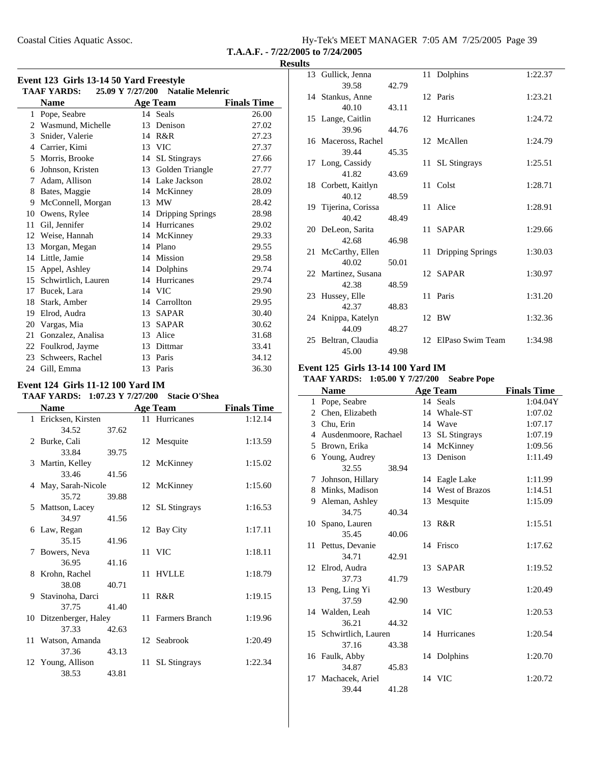Coastal Cities Aquatic Assoc.

| Hy-Tek's MEET MANAGER 7:05 AM 7/25/2005 Page 39 |  |  |
|-------------------------------------------------|--|--|
| T.A.A.F. - $7/22/2005$ to $7/24/2005$           |  |  |

### **Results**

÷,

|    | <b>TAAF YARDS:</b>  | 25.09 Y 7/27/200 | <b>Natalie Melenric</b> |                    |
|----|---------------------|------------------|-------------------------|--------------------|
|    | <b>Name</b>         |                  | <b>Age Team</b>         | <b>Finals Time</b> |
| 1  | Pope, Seabre        |                  | 14 Seals                | 26.00              |
| 2  | Wasmund, Michelle   |                  | 13 Denison              | 27.02              |
| 3  | Snider, Valerie     |                  | 14 R&R                  | 27.23              |
| 4  | Carrier, Kimi       |                  | 13 VIC                  | 27.37              |
| 5  | Morris, Brooke      | 14               | <b>SL</b> Stingrays     | 27.66              |
| 6  | Johnson, Kristen    |                  | 13 Golden Triangle      | 27.77              |
| 7  | Adam, Allison       |                  | 14 Lake Jackson         | 28.02              |
| 8  | Bates, Maggie       | 14               | McKinney                | 28.09              |
| 9  | McConnell, Morgan   | 13               | MW                      | 28.42              |
| 10 | Owens, Rylee        |                  | 14 Dripping Springs     | 28.98              |
| 11 | Gil, Jennifer       |                  | 14 Hurricanes           | 29.02              |
| 12 | Weise, Hannah       | 14               | McKinney                | 29.33              |
| 13 | Morgan, Megan       |                  | 14 Plano                | 29.55              |
| 14 | Little, Jamie       |                  | 14 Mission              | 29.58              |
| 15 | Appel, Ashley       | 14               | Dolphins                | 29.74              |
| 15 | Schwirtlich, Lauren |                  | 14 Hurricanes           | 29.74              |
| 17 | Bucek, Lara         |                  | 14 VIC                  | 29.90              |
| 18 | Stark, Amber        |                  | 14 Carrollton           | 29.95              |
| 19 | Elrod, Audra        |                  | 13 SAPAR                | 30.40              |
| 20 | Vargas, Mia         |                  | 13 SAPAR                | 30.62              |
| 21 | Gonzalez, Analisa   |                  | 13 Alice                | 31.68              |
| 22 | Foulkrod, Jayme     |                  | 13 Dittmar              | 33.41              |
| 23 | Schweers, Rachel    |                  | 13 Paris                | 34.12              |
| 24 | Gill, Emma          | 13               | Paris                   | 36.30              |

### **Event 124 Girls 11-12 100 Yard IM** TAAF YARDS: 1:07.23 Y 7/27/200 Stacie O'Shea **Name Age Team Finals Time** 1 Ericksen, Kirsten 11 Hurricanes 1:12.14 34.52 37.62 2 Burke, Cali 12 Mesquite 1:13.59 33.84 39.75 3 Martin, Kelley 12 McKinney 1:15.02 33.46 41.56 4 May, Sarah-Nicole 12 McKinney 1:15.60 35.72 39.88 5 Mattson, Lacey 12 SL Stingrays 1:16.53 34.97 41.56 6 Law, Regan 12 Bay City 1:17.11 35.15 41.96 7 Bowers, Neva 11 VIC 1:18.11 36.95 41.16 8 Krohn, Rachel 11 HVLLE 1:18.79 38.08 40.71 9 1:19.15 Stavinoha, Darci 11 R&R 37.75 41.40 10 Ditzenberger, Haley 11 Farmers Branch 1:19.96 37.33 42.63 11 Watson, Amanda 12 Seabrook 1:20.49 37.36 43.13 12 Young, Allison 11 SL Stingrays 1:22.34 38.53 43.81

| 13 Gullick, Jenna    |       | 11 Dolphins         | 1:22.37 |
|----------------------|-------|---------------------|---------|
| 39.58                | 42.79 |                     |         |
| 14 Stankus, Anne     |       | 12 Paris            | 1:23.21 |
| 40.10                | 43.11 |                     |         |
| 15 Lange, Caitlin    |       | 12 Hurricanes       | 1:24.72 |
| 39.96                | 44.76 |                     |         |
| 16 Maceross, Rachel  |       | 12 McAllen          | 1:24.79 |
| 39.44                | 45.35 |                     |         |
| 17 Long, Cassidy     |       | 11 SL Stingrays     | 1:25.51 |
| 41.82                | 43.69 |                     |         |
| 18 Corbett, Kaitlyn  |       | 11 Colst            | 1:28.71 |
| 40.12                | 48.59 |                     |         |
| 19 Tijerina, Corissa |       | 11 Alice            | 1:28.91 |
| 40.42                | 48.49 |                     |         |
| 20 DeLeon, Sarita    |       | 11 SAPAR            | 1:29.66 |
| 42.68                | 46.98 |                     |         |
| 21 McCarthy, Ellen   |       | 11 Dripping Springs | 1:30.03 |
| 40.02                | 50.01 |                     |         |
| 22 Martinez, Susana  |       | 12 SAPAR            | 1:30.97 |
| 42.38                | 48.59 |                     |         |
| 23 Hussey, Elle      |       | 11 Paris            | 1:31.20 |
| 42.37                | 48.83 |                     |         |
| 24 Knippa, Katelyn   |       | 12 BW               | 1:32.36 |
| 44.09                | 48.27 |                     |         |
| 25 Beltran, Claudia  |       | 12 ElPaso Swim Team | 1:34.98 |
| 45.00                | 49.98 |                     |         |

#### **Event 125 Girls 13-14 100 Yard IM**

#### **TAAF YARDS:** 1:05.00 Y 7/27/200 Seabre Pope

|    | <b>Name</b>            |       | <b>Age Team</b>   | <b>Finals Time</b> |
|----|------------------------|-------|-------------------|--------------------|
| 1  | Pope, Seabre           |       | 14 Seals          | 1:04.04Y           |
|    | 2 Chen, Elizabeth      |       | 14 Whale-ST       | 1:07.02            |
| 3  | Chu, Erin              |       | 14 Wave           | 1:07.17            |
| 4  | Ausdenmoore, Rachael   |       | 13 SL Stingrays   | 1:07.19            |
| 5  | Brown, Erika           |       | 14 McKinney       | 1:09.56            |
| 6  | Young, Audrey          |       | 13 Denison        | 1:11.49            |
|    | 32.55                  | 38.94 |                   |                    |
| 7  | Johnson, Hillary       |       | 14 Eagle Lake     | 1:11.99            |
| 8  | Minks, Madison         |       | 14 West of Brazos | 1:14.51            |
| 9  | Aleman, Ashley         |       | 13 Mesquite       | 1:15.09            |
|    | 34.75                  | 40.34 |                   |                    |
| 10 | Spano, Lauren          |       | 13 R&R            | 1:15.51            |
|    | 35.45                  | 40.06 |                   |                    |
|    | 11 Pettus, Devanie     |       | 14 Frisco         | 1:17.62            |
|    | 34.71                  | 42.91 |                   |                    |
|    | 12 Elrod, Audra        |       | 13 SAPAR          | 1:19.52            |
|    | 37.73                  | 41.79 |                   |                    |
|    | 13 Peng, Ling Yi       |       | 13 Westbury       | 1:20.49            |
|    | 37.59                  | 42.90 |                   |                    |
|    | 14 Walden, Leah        |       | 14 VIC            | 1:20.53            |
|    | 36.21                  | 44.32 |                   |                    |
|    | 15 Schwirtlich, Lauren |       | 14 Hurricanes     | 1:20.54            |
|    | 37.16                  | 43.38 |                   |                    |
|    | 16 Faulk, Abby         |       | 14 Dolphins       | 1:20.70            |
|    | 34.87                  | 45.83 |                   |                    |
|    | 17 Machacek, Ariel     |       | 14 VIC            | 1:20.72            |
|    | 39.44                  | 41.28 |                   |                    |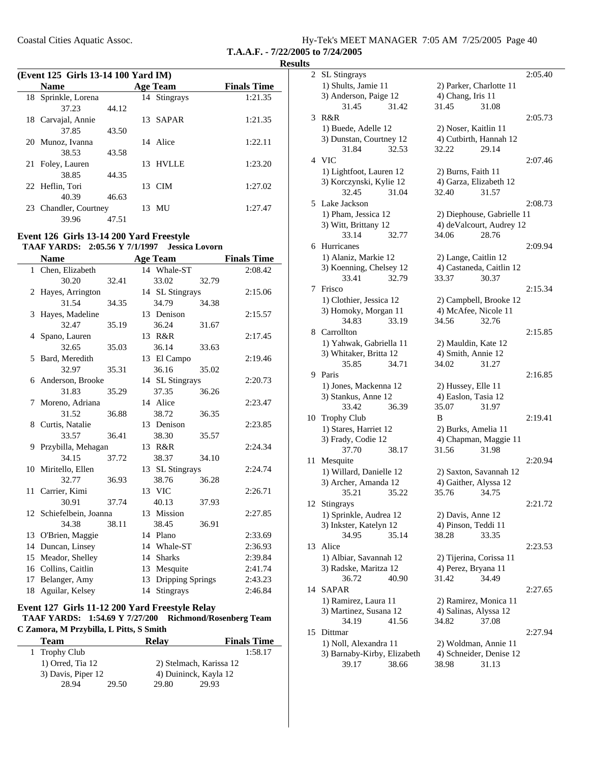| Coastal Cities Aquatic Assoc. | Hy-Tek's MEET MANAGER 7:05 AM 7/25/2005 Page 40 |  |  |
|-------------------------------|-------------------------------------------------|--|--|
|                               | T.A.A.F. - 7/22/2005 to 7/24/2005               |  |  |

**Results**

|    | (Event 125 Girls 13-14 100 Yard IM) |       |  |                 |                    |  |
|----|-------------------------------------|-------|--|-----------------|--------------------|--|
|    | <b>Name</b>                         |       |  | <b>Age Team</b> | <b>Finals Time</b> |  |
|    | 18 Sprinkle, Lorena                 |       |  | 14 Stingrays    | 1:21.35            |  |
|    | 37.23                               | 44.12 |  |                 |                    |  |
|    | 18 Carvajal, Annie                  |       |  | 13 SAPAR        | 1:21.35            |  |
|    | 37.85                               | 43.50 |  |                 |                    |  |
|    | 20 Munoz, Ivanna                    |       |  | 14 Alice        | 1:22.11            |  |
|    | 38.53                               | 43.58 |  |                 |                    |  |
|    | 21 Foley, Lauren                    |       |  | 13 HVLLE        | 1:23.20            |  |
|    | 38.85                               | 44.35 |  |                 |                    |  |
|    | 22 Heflin, Tori                     |       |  | 13 CIM          | 1:27.02            |  |
|    | 40.39                               | 46.63 |  |                 |                    |  |
| 23 | Chandler, Courtney                  |       |  | 13 MU           | 1:27.47            |  |
|    | 39.96                               | 47.51 |  |                 |                    |  |

#### **Event 126 Girls 13-14 200 Yard Freestyle TAAF YARDS: 2:05.56 Y 7/1/1997 Jessica Lovorn**

|    | <b>Name</b>             |       |    | <b>Age Team</b>  |       | <b>Finals Time</b> |
|----|-------------------------|-------|----|------------------|-------|--------------------|
|    | 1 Chen, Elizabeth       |       |    | 14 Whale-ST      |       | 2:08.42            |
|    | 30.20                   | 32.41 |    | 33.02            | 32.79 |                    |
| 2  | Hayes, Arrington        |       |    | 14 SL Stingrays  |       | 2:15.06            |
|    | 31.54                   | 34.35 |    | 34.79            | 34.38 |                    |
| 3  | Hayes, Madeline         |       |    | 13 Denison       |       | 2:15.57            |
|    | 32.47                   | 35.19 |    | 36.24            | 31.67 |                    |
|    | 4 Spano, Lauren         |       |    | 13 R&R           |       | 2:17.45            |
|    | 32.65                   | 35.03 |    | 36.14            | 33.63 |                    |
|    | 5 Bard, Meredith        |       |    | 13 El Campo      |       | 2:19.46            |
|    | 32.97                   | 35.31 |    | 36.16            | 35.02 |                    |
|    | 6 Anderson, Brooke      |       |    | 14 SL Stingrays  |       | 2:20.73            |
|    | 31.83                   | 35.29 |    | 37.35            | 36.26 |                    |
| 7  | Moreno, Adriana         |       |    | 14 Alice         |       | 2:23.47            |
|    | 31.52                   | 36.88 |    | 38.72            | 36.35 |                    |
| 8  | Curtis, Natalie         |       |    | 13 Denison       |       | 2:23.85            |
|    | 33.57                   | 36.41 |    | 38.30            | 35.57 |                    |
| 9  | Przybilla, Mehagan      |       |    | 13 R&R           |       | 2:24.34            |
|    | 34.15                   | 37.72 |    | 38.37            | 34.10 |                    |
|    | 10 Miritello, Ellen     |       |    | 13 SL Stingrays  |       | 2:24.74            |
|    | 32.77                   | 36.93 |    | 38.76            | 36.28 |                    |
|    | 11 Carrier, Kimi        |       |    | 13 VIC           |       | 2:26.71            |
|    | 30.91                   | 37.74 |    | 40.13            | 37.93 |                    |
|    | 12 Schiefelbein, Joanna |       |    | 13 Mission       |       | 2:27.85            |
|    | 34.38                   | 38.11 |    | 38.45            | 36.91 |                    |
|    | 13 O'Brien, Maggie      |       |    | 14 Plano         |       | 2:33.69            |
|    | 14 Duncan, Linsey       |       |    | 14 Whale-ST      |       | 2:36.93            |
| 15 | Meador, Shelley         |       | 14 | <b>Sharks</b>    |       | 2:39.84            |
|    | 16 Collins, Caitlin     |       |    | 13 Mesquite      |       | 2:41.74            |
| 17 | Belanger, Amy           |       | 13 | Dripping Springs |       | 2:43.23            |
| 18 | Aguilar, Kelsey         |       | 14 | Stingrays        |       | 2:46.84            |

#### **Event 127 Girls 11-12 200 Yard Freestyle Relay** TAAF YARDS: 1:54.69 Y 7/27/200 Richmond/Rosenberg Team **C Zamora, M Przybilla, L Pitts, S Smith**

| <b>Team</b>          | Relay                   | <b>Finals Time</b> |
|----------------------|-------------------------|--------------------|
| 1 Trophy Club        |                         | 1:58.17            |
| $1)$ Orred, Tia $12$ | 2) Stelmach, Karissa 12 |                    |
| 3) Davis, Piper 12   | 4) Duininck, Kayla 12   |                    |
| 28.94<br>29.50       | 29.80                   | 29.93              |

| $\overline{c}$ | SL Stingrays                |                            | 2:05.40 |
|----------------|-----------------------------|----------------------------|---------|
|                | 1) Shults, Jamie 11         | 2) Parker, Charlotte 11    |         |
|                | 3) Anderson, Paige 12       | 4) Chang, Iris 11          |         |
|                | 31.45<br>31.42              | 31.45<br>31.08             |         |
|                |                             |                            |         |
| 3              | R&R                         |                            | 2:05.73 |
|                | 1) Buede, Adelle 12         | 2) Noser, Kaitlin 11       |         |
|                | 3) Dunstan, Courtney 12     | 4) Cutbirth, Hannah 12     |         |
|                | 32.53<br>31.84              | 29.14<br>32.22             |         |
|                | 4 VIC                       |                            | 2:07.46 |
|                | 1) Lightfoot, Lauren 12     | 2) Burns, Faith 11         |         |
|                | 3) Korczynski, Kylie 12     | 4) Garza, Elizabeth 12     |         |
|                | 32.45<br>31.04              | 32.40<br>31.57             |         |
|                |                             |                            |         |
| 5.             | Lake Jackson                |                            | 2:08.73 |
|                | 1) Pham, Jessica 12         | 2) Diephouse, Gabrielle 11 |         |
|                | 3) Witt, Brittany 12        | 4) deValcourt, Audrey 12   |         |
|                | 33.14<br>32.77              | 28.76<br>34.06             |         |
|                | 6 Hurricanes                |                            | 2:09.94 |
|                | 1) Alaniz, Markie 12        | 2) Lange, Caitlin 12       |         |
|                | 3) Koenning, Chelsey 12     | 4) Castaneda, Caitlin 12   |         |
|                | 33.41<br>32.79              | 33.37<br>30.37             |         |
|                |                             |                            | 2:15.34 |
| 7              | Frisco                      |                            |         |
|                | 1) Clothier, Jessica 12     | 2) Campbell, Brooke 12     |         |
|                | 3) Homoky, Morgan 11        | 4) McAfee, Nicole 11       |         |
|                | 33.19<br>34.83              | 34.56<br>32.76             |         |
|                | 8 Carrollton                |                            | 2:15.85 |
|                | 1) Yahwak, Gabriella 11     | 2) Mauldin, Kate 12        |         |
|                | 3) Whitaker, Britta 12      | 4) Smith, Annie 12         |         |
|                | 35.85<br>34.71              | 34.02<br>31.27             |         |
|                |                             |                            |         |
| 9.             | Paris                       |                            | 2:16.85 |
|                | 1) Jones, Mackenna 12       | 2) Hussey, Elle 11         |         |
|                | 3) Stankus, Anne 12         | 4) Easlon, Tasia 12        |         |
|                | 33.42<br>36.39              | 35.07<br>31.97             |         |
| 10             | <b>Trophy Club</b>          | B                          | 2:19.41 |
|                | 1) Stares, Harriet 12       | 2) Burks, Amelia 11        |         |
|                | 3) Frady, Codie 12          | 4) Chapman, Maggie 11      |         |
|                | 37.70<br>38.17              | 31.56<br>31.98             |         |
|                |                             |                            | 2:20.94 |
| 11             | Mesquite                    |                            |         |
|                | 1) Willard, Danielle 12     | 2) Saxton, Savannah 12     |         |
|                | 3) Archer, Amanda 12        | 4) Gaither, Alyssa 12      |         |
|                | 35.21<br>35.22              | 35.76<br>34.75             |         |
| 12             | Stingrays                   |                            | 2:21.72 |
|                | 1) Sprinkle, Audrea 12      | 2) Davis, Anne 12          |         |
|                | 3) Inkster, Katelyn 12      | 4) Pinson, Teddi 11        |         |
|                | 35.14<br>34.95              | 38.28<br>33.35             |         |
| 13             | Alice                       |                            | 2:23.53 |
|                |                             |                            |         |
|                | 1) Albiar, Savannah 12      | 2) Tijerina, Corissa 11    |         |
|                | 3) Radske, Maritza 12       | 4) Perez, Bryana 11        |         |
|                | 36.72<br>40.90              | 34.49<br>31.42             |         |
| 14             | <b>SAPAR</b>                |                            | 2:27.65 |
|                | 1) Ramirez, Laura 11        | 2) Ramirez, Monica 11      |         |
|                | 3) Martinez, Susana 12      | 4) Salinas, Alyssa 12      |         |
|                | 34.19<br>41.56              | 34.82<br>37.08             |         |
|                |                             |                            |         |
| 15             | Dittmar                     |                            | 2:27.94 |
|                | 1) Noll, Alexandra 11       | 2) Woldman, Annie 11       |         |
|                | 3) Barnaby-Kirby, Elizabeth | 4) Schneider, Denise 12    |         |
|                | 39.17<br>38.66              | 31.13<br>38.98             |         |
|                |                             |                            |         |